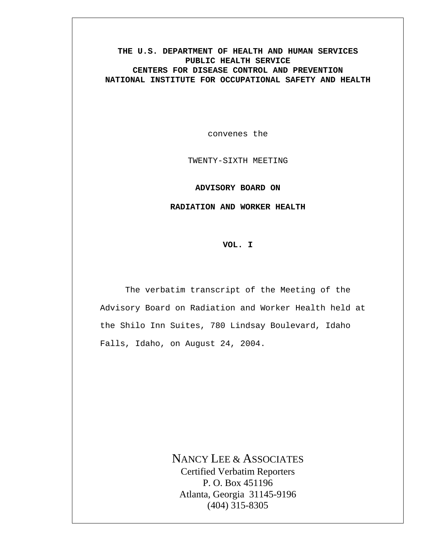#### **THE U.S. DEPARTMENT OF HEALTH AND HUMAN SERVICES PUBLIC HEALTH SERVICE CENTERS FOR DISEASE CONTROL AND PREVENTION NATIONAL INSTITUTE FOR OCCUPATIONAL SAFETY AND HEALTH**

convenes the

TWENTY-SIXTH MEETING

**ADVISORY BOARD ON** 

**RADIATION AND WORKER HEALTH** 

**VOL. I** 

The verbatim transcript of the Meeting of the Advisory Board on Radiation and Worker Health held at the Shilo Inn Suites, 780 Lindsay Boulevard, Idaho Falls, Idaho, on August 24, 2004.

> NANCY LEE & ASSOCIATES Certified Verbatim Reporters P. O. Box 451196 Atlanta, Georgia 31145-9196 (404) 315-8305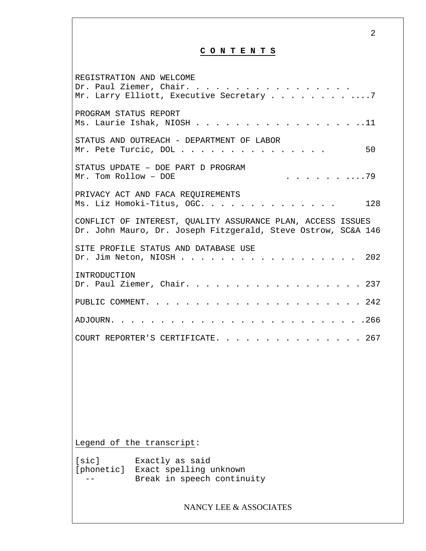## **C O N T E N T S**

| REGISTRATION AND WELCOME<br>Dr. Paul Ziemer, Chair.<br>Mr. Larry Elliott, Executive Secretary 7                              |
|------------------------------------------------------------------------------------------------------------------------------|
| PROGRAM STATUS REPORT<br>Ms. Laurie Ishak, NIOSH 11                                                                          |
| STATUS AND OUTREACH - DEPARTMENT OF LABOR<br>50<br>Mr. Pete Turcic, DOL                                                      |
| STATUS UPDATE - DOE PART D PROGRAM<br>. 79<br>$Mr.$ Tom Rollow - DOE                                                         |
| PRIVACY ACT AND FACA REQUIREMENTS<br>Ms. Liz Homoki-Titus, OGC.<br>128                                                       |
| CONFLICT OF INTEREST, OUALITY ASSURANCE PLAN, ACCESS ISSUES<br>Dr. John Mauro, Dr. Joseph Fitzgerald, Steve Ostrow, SC&A 146 |
| SITE PROFILE STATUS AND DATABASE USE<br>Dr. Jim Neton, NIOSH<br>. 202                                                        |
| INTRODUCTION<br>Dr. Paul Ziemer, Chair. 237                                                                                  |
|                                                                                                                              |
| . 266<br>ADJOURN.                                                                                                            |
| COURT REPORTER'S CERTIFICATE. 267                                                                                            |
|                                                                                                                              |
|                                                                                                                              |
|                                                                                                                              |
|                                                                                                                              |
| Legend of the transcript:                                                                                                    |
| [sic]<br>Exactly as said<br>[phonetic] Exact spelling unknown<br>Break in speech continuity                                  |
| NANCY LEE & ASSOCIATES                                                                                                       |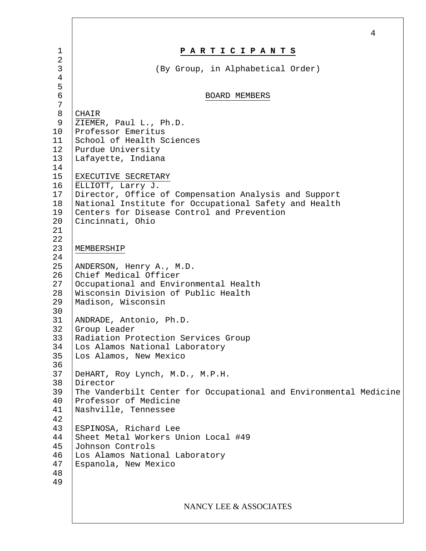|                                                                    | 4                                                                                                                                                                                                                                                                                           |
|--------------------------------------------------------------------|---------------------------------------------------------------------------------------------------------------------------------------------------------------------------------------------------------------------------------------------------------------------------------------------|
| 1                                                                  | PARTICIPANTS                                                                                                                                                                                                                                                                                |
| 2<br>3<br>$\overline{4}$                                           | (By Group, in Alphabetical Order)                                                                                                                                                                                                                                                           |
| 5<br>6<br>$\overline{7}$                                           | BOARD MEMBERS                                                                                                                                                                                                                                                                               |
| $\,8\,$<br>9<br>10<br>11<br>12<br>13<br>14<br>15<br>16<br>17<br>18 | CHAIR<br>ZIEMER, Paul L., Ph.D.<br>Professor Emeritus<br>School of Health Sciences<br>Purdue University<br>Lafayette, Indiana<br>EXECUTIVE SECRETARY<br>ELLIOTT, Larry J.<br>Director, Office of Compensation Analysis and Support<br>National Institute for Occupational Safety and Health |
| 19<br>20<br>21<br>22<br>23                                         | Centers for Disease Control and Prevention<br>Cincinnati, Ohio<br>MEMBERSHIP                                                                                                                                                                                                                |
| 24<br>25<br>26<br>27<br>28<br>29<br>30                             | ANDERSON, Henry A., M.D.<br>Chief Medical Officer<br>Occupational and Environmental Health<br>Wisconsin Division of Public Health<br>Madison, Wisconsin                                                                                                                                     |
| 31<br>32<br>33<br>34<br>35                                         | ANDRADE, Antonio, Ph.D.<br>Group Leader<br>Radiation Protection Services Group<br>Los Alamos National Laboratory<br>Los Alamos, New Mexico                                                                                                                                                  |
| 36<br>37<br>38<br>39<br>40<br>41<br>42                             | DeHART, Roy Lynch, M.D., M.P.H.<br>Director<br>The Vanderbilt Center for Occupational and Environmental Medicine<br>Professor of Medicine<br>Nashville, Tennessee                                                                                                                           |
| 43<br>44<br>45<br>46<br>47<br>48<br>49                             | ESPINOSA, Richard Lee<br>Sheet Metal Workers Union Local #49<br>Johnson Controls<br>Los Alamos National Laboratory<br>Espanola, New Mexico                                                                                                                                                  |
|                                                                    | NANCY LEE & ASSOCIATES                                                                                                                                                                                                                                                                      |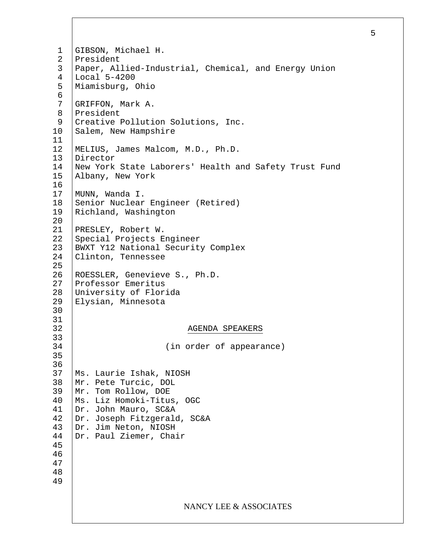1 2 3 4 5 6 7 8 9 10 11 12 13 14 15 16 17 18 19 20 21 22 23 24 25 26 27 28 29 30 31 32 33 34 35 36 37 38 39 40 41 42 43 44 45 46 47 48 49 GIBSON, Michael H. President Paper, Allied-Industrial, Chemical, and Energy Union Local 5-4200 Miamisburg, Ohio GRIFFON, Mark A. President Creative Pollution Solutions, Inc. Salem, New Hampshire MELIUS, James Malcom, M.D., Ph.D. Director New York State Laborers' Health and Safety Trust Fund Albany, New York MUNN, Wanda I. Senior Nuclear Engineer (Retired) Richland, Washington PRESLEY, Robert W. Special Projects Engineer BWXT Y12 National Security Complex Clinton, Tennessee ROESSLER, Genevieve S., Ph.D. Professor Emeritus University of Florida Elysian, Minnesota AGENDA SPEAKERS (in order of appearance) Ms. Laurie Ishak, NIOSH Mr. Pete Turcic, DOL Mr. Tom Rollow, DOE Ms. Liz Homoki-Titus, OGC Dr. John Mauro, SC&A Dr. Joseph Fitzgerald, SC&A Dr. Jim Neton, NIOSH Dr. Paul Ziemer, Chair NANCY LEE & ASSOCIATES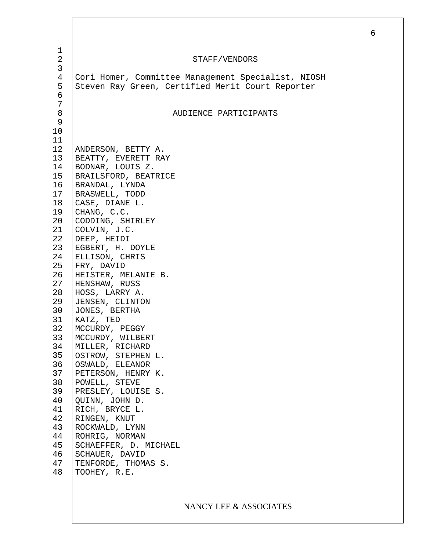| $\mathbf 1$    |                                                    |
|----------------|----------------------------------------------------|
| $\mathbf{2}$   | STAFF/VENDORS                                      |
| $\mathfrak{Z}$ |                                                    |
| $\overline{4}$ | Cori Homer, Committee Management Specialist, NIOSH |
| 5              | Steven Ray Green, Certified Merit Court Reporter   |
| $\epsilon$     |                                                    |
| 7              |                                                    |
| $\, 8$         | AUDIENCE PARTICIPANTS                              |
| 9              |                                                    |
| 10             |                                                    |
| 11             |                                                    |
| 12             | ANDERSON, BETTY A.                                 |
| 13             | BEATTY, EVERETT RAY                                |
| 14             | BODNAR, LOUIS Z.                                   |
| 15             | BRAILSFORD, BEATRICE                               |
| 16             | BRANDAL, LYNDA                                     |
| 17             | BRASWELL, TODD                                     |
| 18             | CASE, DIANE L.                                     |
| 19             | CHANG, C.C.                                        |
| 20             | CODDING, SHIRLEY                                   |
| 21             | COLVIN, J.C.                                       |
| 22             | DEEP, HEIDI                                        |
| 23             | EGBERT, H. DOYLE                                   |
| 24             | ELLISON, CHRIS                                     |
| 25             | FRY, DAVID                                         |
| 26             | HEISTER, MELANIE B.                                |
| 27             | HENSHAW, RUSS                                      |
| 28             | HOSS, LARRY A.                                     |
| 29             | JENSEN, CLINTON                                    |
| 30             | JONES, BERTHA                                      |
| 31             | KATZ, TED                                          |
| 32             | MCCURDY, PEGGY                                     |
| 33             | MCCURDY, WILBERT                                   |
| 34             | MILLER, RICHARD                                    |
| 35             | OSTROW, STEPHEN L.                                 |
| 36             | OSWALD, ELEANOR                                    |
| 37             | PETERSON, HENRY K.                                 |
| 38             | POWELL, STEVE                                      |
| 39             | PRESLEY, LOUISE S.                                 |
| 40             | QUINN, JOHN D.                                     |
| 41             | RICH, BRYCE L.                                     |
| 42             | RINGEN, KNUT                                       |
| 43             | ROCKWALD, LYNN                                     |
| 44             | ROHRIG, NORMAN                                     |
| 45             | SCHAEFFER, D. MICHAEL                              |
| 46             | SCHAUER, DAVID                                     |
| 47             | TENFORDE, THOMAS S.                                |
| 48             | TOOHEY, R.E.                                       |
|                |                                                    |
|                |                                                    |

# NANCY LEE & ASSOCIATES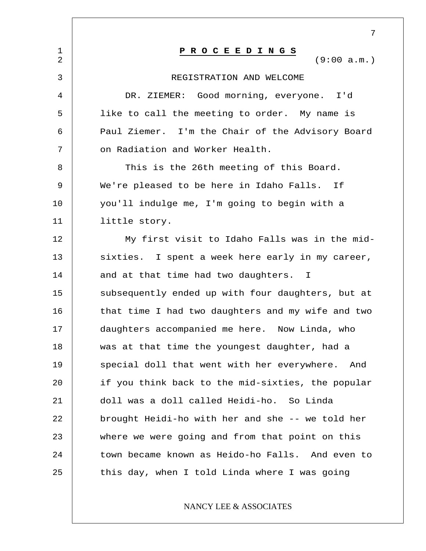|                               | 7                                                 |
|-------------------------------|---------------------------------------------------|
| $\mathbf 1$<br>$\overline{2}$ | PROCEEDINGS<br>(9:00 a.m.)                        |
| 3                             | REGISTRATION AND WELCOME                          |
| 4                             | DR. ZIEMER: Good morning, everyone. I'd           |
| 5                             | like to call the meeting to order. My name is     |
| 6                             | Paul Ziemer. I'm the Chair of the Advisory Board  |
| 7                             | on Radiation and Worker Health.                   |
| 8                             | This is the 26th meeting of this Board.           |
| 9                             | We're pleased to be here in Idaho Falls. If       |
| 10                            | you'll indulge me, I'm going to begin with a      |
| 11                            | little story.                                     |
| 12                            | My first visit to Idaho Falls was in the mid-     |
| 13                            | sixties. I spent a week here early in my career,  |
| 14                            | and at that time had two daughters. I             |
| 15                            | subsequently ended up with four daughters, but at |
| 16                            | that time I had two daughters and my wife and two |
| 17                            | daughters accompanied me here. Now Linda, who     |
| 18                            | was at that time the youngest daughter, had a     |
| 19                            | special doll that went with her everywhere. And   |
| 20                            | if you think back to the mid-sixties, the popular |
| 21                            | doll was a doll called Heidi-ho. So Linda         |
| 22                            | brought Heidi-ho with her and she -- we told her  |
| 23                            | where we were going and from that point on this   |
| 24                            | town became known as Heido-ho Falls. And even to  |
| 25                            | this day, when I told Linda where I was going     |
|                               |                                                   |

### NANCY LEE & ASSOCIATES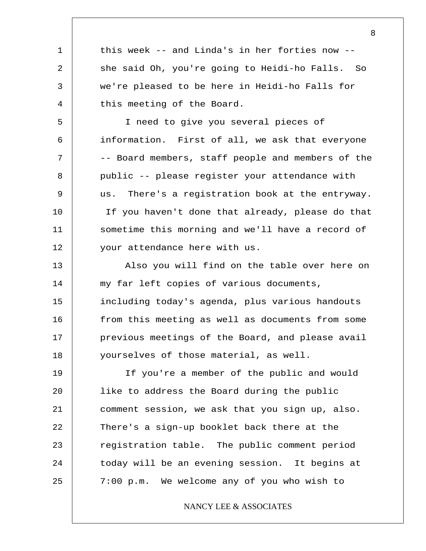this week -- and Linda's in her forties now - she said Oh, you're going to Heidi-ho Falls. So we're pleased to be here in Heidi-ho Falls for this meeting of the Board.

1

2

3

4

5 6 7 8 9 10 11 12 I need to give you several pieces of information. First of all, we ask that everyone -- Board members, staff people and members of the public -- please register your attendance with us. There's a registration book at the entryway. If you haven't done that already, please do that sometime this morning and we'll have a record of your attendance here with us.

13 14 15 16 17 18 Also you will find on the table over here on my far left copies of various documents, including today's agenda, plus various handouts from this meeting as well as documents from some previous meetings of the Board, and please avail yourselves of those material, as well.

19 20 21 22 23 24 25 If you're a member of the public and would like to address the Board during the public comment session, we ask that you sign up, also. There's a sign-up booklet back there at the registration table. The public comment period today will be an evening session. It begins at 7:00 p.m. We welcome any of you who wish to

NANCY LEE & ASSOCIATES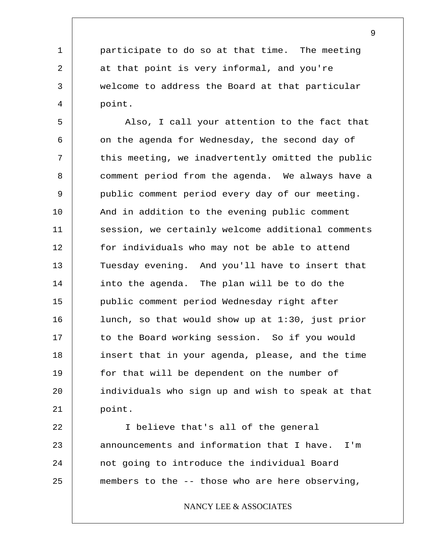participate to do so at that time. The meeting at that point is very informal, and you're welcome to address the Board at that particular point.

1

2

3

4

5 6 7 8 9 10 11 12 13 14 15 16 17 18 19 20 21 Also, I call your attention to the fact that on the agenda for Wednesday, the second day of this meeting, we inadvertently omitted the public comment period from the agenda. We always have a public comment period every day of our meeting. And in addition to the evening public comment session, we certainly welcome additional comments for individuals who may not be able to attend Tuesday evening. And you'll have to insert that into the agenda. The plan will be to do the public comment period Wednesday right after lunch, so that would show up at 1:30, just prior to the Board working session. So if you would insert that in your agenda, please, and the time for that will be dependent on the number of individuals who sign up and wish to speak at that point.

22 23 24 25 I believe that's all of the general announcements and information that I have. I'm not going to introduce the individual Board members to the -- those who are here observing,

NANCY LEE & ASSOCIATES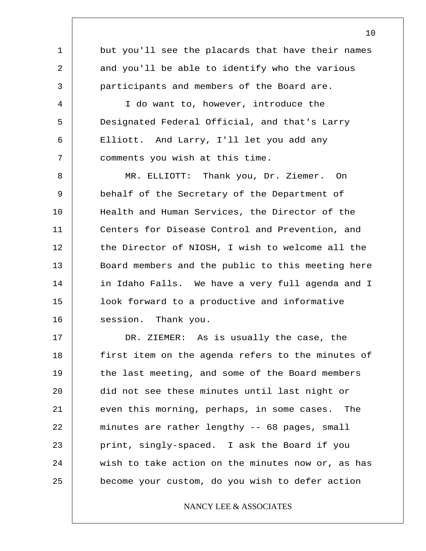1 2 3 4 5 6 7 8 9 10 11 12 13 14 15 16 17 but you'll see the placards that have their names and you'll be able to identify who the various participants and members of the Board are. I do want to, however, introduce the Designated Federal Official, and that's Larry Elliott. And Larry, I'll let you add any comments you wish at this time. MR. ELLIOTT: Thank you, Dr. Ziemer. On behalf of the Secretary of the Department of Health and Human Services, the Director of the Centers for Disease Control and Prevention, and the Director of NIOSH, I wish to welcome all the Board members and the public to this meeting here in Idaho Falls. We have a very full agenda and I look forward to a productive and informative session. Thank you. DR. ZIEMER: As is usually the case, the first item on the agenda refers to the minutes of

18 19 20 21 22 23 24 25 the last meeting, and some of the Board members did not see these minutes until last night or even this morning, perhaps, in some cases. The minutes are rather lengthy -- 68 pages, small print, singly-spaced. I ask the Board if you wish to take action on the minutes now or, as has become your custom, do you wish to defer action

#### NANCY LEE & ASSOCIATES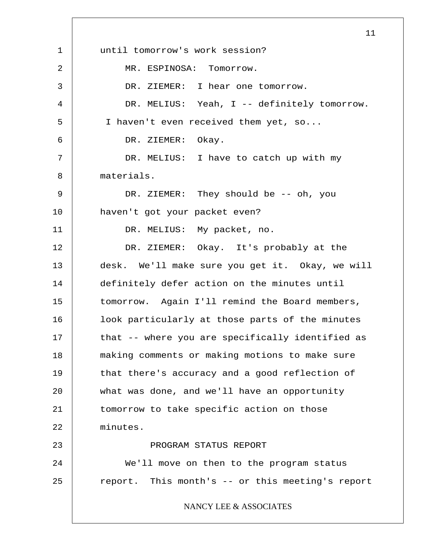1 2 3 4 5 6 7 8 9 10 11 12 13 14 15 16 17 18 19 20 21 22 23 24 25 11 until tomorrow's work session? MR. ESPINOSA: Tomorrow. DR. ZIEMER: I hear one tomorrow. DR. MELIUS: Yeah, I -- definitely tomorrow. I haven't even received them yet, so... DR. ZIEMER: Okay. DR. MELIUS: I have to catch up with my materials. DR. ZIEMER: They should be -- oh, you haven't got your packet even? DR. MELIUS: My packet, no. DR. ZIEMER: Okay. It's probably at the desk. We'll make sure you get it. Okay, we will definitely defer action on the minutes until tomorrow. Again I'll remind the Board members, look particularly at those parts of the minutes that -- where you are specifically identified as making comments or making motions to make sure that there's accuracy and a good reflection of what was done, and we'll have an opportunity tomorrow to take specific action on those minutes. PROGRAM STATUS REPORT We'll move on then to the program status report. This month's -- or this meeting's report NANCY LEE & ASSOCIATES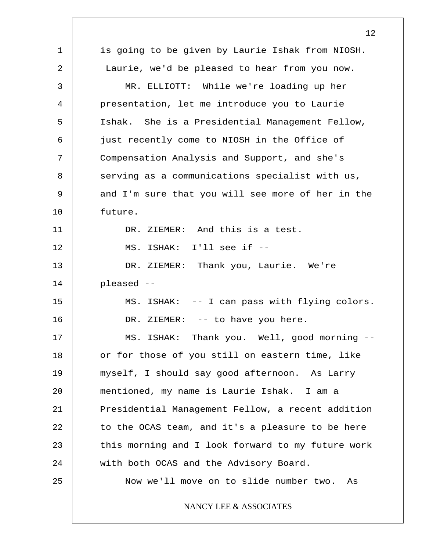|              | 12                                                |
|--------------|---------------------------------------------------|
| $\mathbf{1}$ | is going to be given by Laurie Ishak from NIOSH.  |
| 2            | Laurie, we'd be pleased to hear from you now.     |
| 3            | MR. ELLIOTT: While we're loading up her           |
| 4            | presentation, let me introduce you to Laurie      |
| 5            | Ishak. She is a Presidential Management Fellow,   |
| 6            | just recently come to NIOSH in the Office of      |
| 7            | Compensation Analysis and Support, and she's      |
| 8            | serving as a communications specialist with us,   |
| 9            | and I'm sure that you will see more of her in the |
| 10           | future.                                           |
| 11           | DR. ZIEMER: And this is a test.                   |
| 12           | MS. ISHAK: I'll see if --                         |
| 13           | DR. ZIEMER: Thank you, Laurie. We're              |
| 14           | pleased --                                        |
| 15           | MS. ISHAK: -- I can pass with flying colors.      |
| 16           | DR. ZIEMER: -- to have you here.                  |
| 17           | Thank you. Well, good morning --<br>MS. ISHAK:    |
| 18           | or for those of you still on eastern time, like   |
| 19           | myself, I should say good afternoon. As Larry     |
| 20           | mentioned, my name is Laurie Ishak. I am a        |
| 21           | Presidential Management Fellow, a recent addition |
| 22           | to the OCAS team, and it's a pleasure to be here  |
| 23           | this morning and I look forward to my future work |
| 24           | with both OCAS and the Advisory Board.            |
| 25           | Now we'll move on to slide number two. As         |
|              | NANCY LEE & ASSOCIATES                            |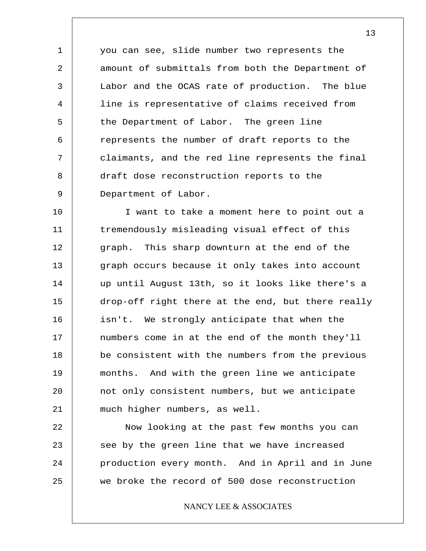1 2 3 4 5 6 7 8 9 you can see, slide number two represents the amount of submittals from both the Department of Labor and the OCAS rate of production. The blue line is representative of claims received from the Department of Labor. The green line represents the number of draft reports to the claimants, and the red line represents the final draft dose reconstruction reports to the Department of Labor.

10 11 12 13 14 15 16 17 18 19 20 21 I want to take a moment here to point out a tremendously misleading visual effect of this graph. This sharp downturn at the end of the graph occurs because it only takes into account up until August 13th, so it looks like there's a drop-off right there at the end, but there really isn't. We strongly anticipate that when the numbers come in at the end of the month they'll be consistent with the numbers from the previous months. And with the green line we anticipate not only consistent numbers, but we anticipate much higher numbers, as well.

22 23 24 25 Now looking at the past few months you can see by the green line that we have increased production every month. And in April and in June we broke the record of 500 dose reconstruction

#### NANCY LEE & ASSOCIATES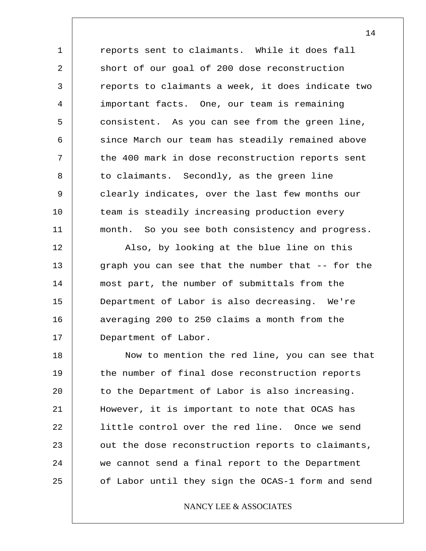1 2 3 4 5 6 7 8 9 10 11 reports sent to claimants. While it does fall short of our goal of 200 dose reconstruction reports to claimants a week, it does indicate two important facts. One, our team is remaining consistent. As you can see from the green line, since March our team has steadily remained above the 400 mark in dose reconstruction reports sent to claimants. Secondly, as the green line clearly indicates, over the last few months our team is steadily increasing production every month. So you see both consistency and progress.

12 13 14 15 16 17 Also, by looking at the blue line on this graph you can see that the number that -- for the most part, the number of submittals from the Department of Labor is also decreasing. We're averaging 200 to 250 claims a month from the Department of Labor.

18 19 20 21 22 23 24 25 Now to mention the red line, you can see that the number of final dose reconstruction reports to the Department of Labor is also increasing. However, it is important to note that OCAS has little control over the red line. Once we send out the dose reconstruction reports to claimants, we cannot send a final report to the Department of Labor until they sign the OCAS-1 form and send

#### NANCY LEE & ASSOCIATES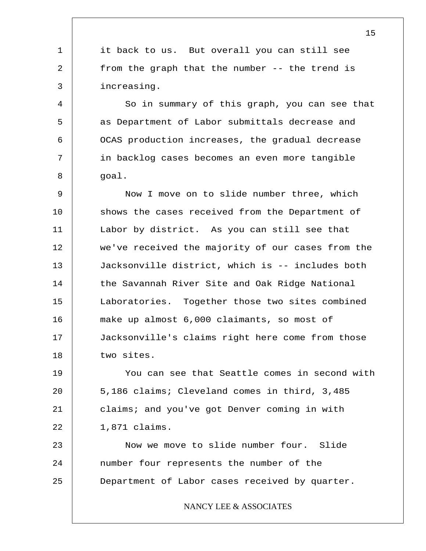1 2 3 it back to us. But overall you can still see from the graph that the number -- the trend is increasing.

4 5 6 7 8 So in summary of this graph, you can see that as Department of Labor submittals decrease and OCAS production increases, the gradual decrease in backlog cases becomes an even more tangible goal.

9 10 11 12 13 14 15 16 17 18 Now I move on to slide number three, which shows the cases received from the Department of Labor by district. As you can still see that we've received the majority of our cases from the Jacksonville district, which is -- includes both the Savannah River Site and Oak Ridge National Laboratories. Together those two sites combined make up almost 6,000 claimants, so most of Jacksonville's claims right here come from those two sites.

19 20 21 22 You can see that Seattle comes in second with 5,186 claims; Cleveland comes in third, 3,485 claims; and you've got Denver coming in with 1,871 claims.

23 24 25 Now we move to slide number four. Slide number four represents the number of the Department of Labor cases received by quarter.

#### NANCY LEE & ASSOCIATES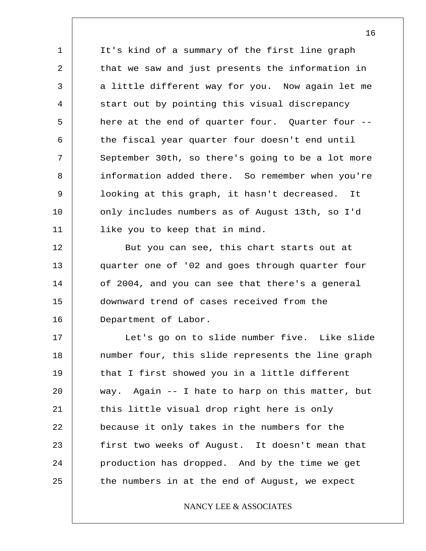1 2 3 4 5 6 7 8 9 10 11 It's kind of a summary of the first line graph that we saw and just presents the information in a little different way for you. Now again let me start out by pointing this visual discrepancy here at the end of quarter four. Quarter four - the fiscal year quarter four doesn't end until September 30th, so there's going to be a lot more information added there. So remember when you're looking at this graph, it hasn't decreased. It only includes numbers as of August 13th, so I'd like you to keep that in mind.

12 13 14 15 16 But you can see, this chart starts out at quarter one of '02 and goes through quarter four of 2004, and you can see that there's a general downward trend of cases received from the Department of Labor.

17 18 19 20 21 22 23 24 25 Let's go on to slide number five. Like slide number four, this slide represents the line graph that I first showed you in a little different way. Again -- I hate to harp on this matter, but this little visual drop right here is only because it only takes in the numbers for the first two weeks of August. It doesn't mean that production has dropped. And by the time we get the numbers in at the end of August, we expect

#### NANCY LEE & ASSOCIATES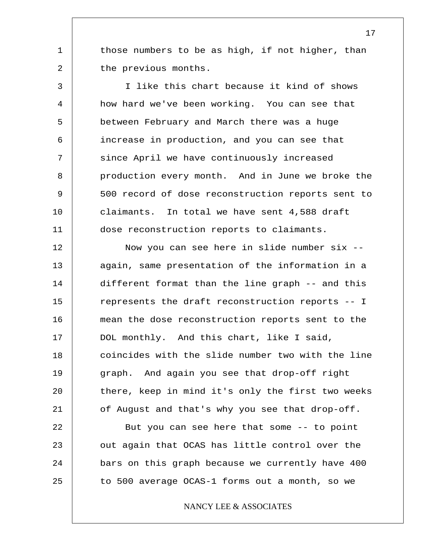those numbers to be as high, if not higher, than the previous months.

1

2

3 4 5 6 7 8 9 10 11 I like this chart because it kind of shows how hard we've been working. You can see that between February and March there was a huge increase in production, and you can see that since April we have continuously increased production every month. And in June we broke the 500 record of dose reconstruction reports sent to claimants. In total we have sent 4,588 draft dose reconstruction reports to claimants.

12 13 14 15 16 17 18 19 20 21 Now you can see here in slide number six - again, same presentation of the information in a different format than the line graph -- and this represents the draft reconstruction reports -- I mean the dose reconstruction reports sent to the DOL monthly. And this chart, like I said, coincides with the slide number two with the line graph. And again you see that drop-off right there, keep in mind it's only the first two weeks of August and that's why you see that drop-off.

22 23 24 25 But you can see here that some -- to point out again that OCAS has little control over the bars on this graph because we currently have 400 to 500 average OCAS-1 forms out a month, so we

NANCY LEE & ASSOCIATES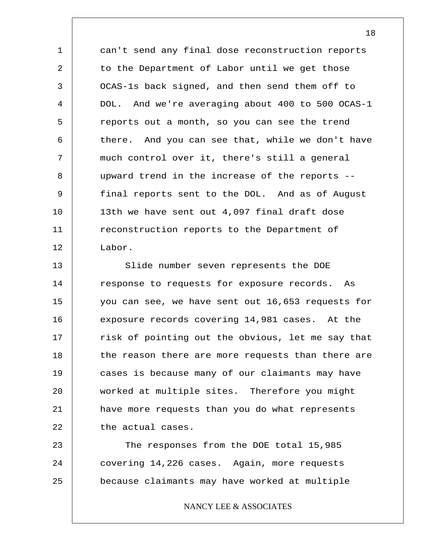1 2 3 4 5 6 7 8 9 10 11 12 can't send any final dose reconstruction reports to the Department of Labor until we get those OCAS-1s back signed, and then send them off to DOL. And we're averaging about 400 to 500 OCAS-1 reports out a month, so you can see the trend there. And you can see that, while we don't have much control over it, there's still a general upward trend in the increase of the reports - final reports sent to the DOL. And as of August 13th we have sent out 4,097 final draft dose reconstruction reports to the Department of Labor.

13 14 15 16 17 18 19 20 21 22 Slide number seven represents the DOE response to requests for exposure records. As you can see, we have sent out 16,653 requests for exposure records covering 14,981 cases. At the risk of pointing out the obvious, let me say that the reason there are more requests than there are cases is because many of our claimants may have worked at multiple sites. Therefore you might have more requests than you do what represents the actual cases.

23 24 25 The responses from the DOE total 15,985 covering 14,226 cases. Again, more requests because claimants may have worked at multiple

NANCY LEE & ASSOCIATES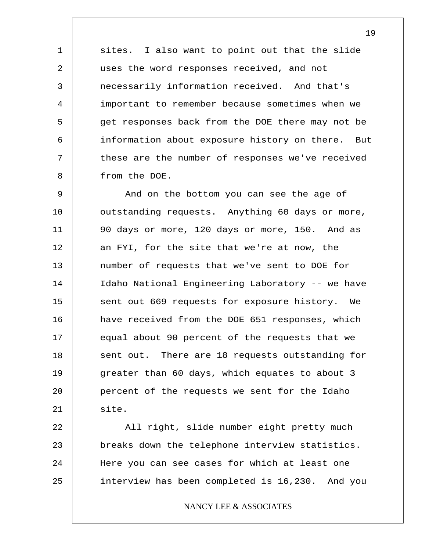1 2 3 4 5 6 7 8 sites. I also want to point out that the slide uses the word responses received, and not necessarily information received. And that's important to remember because sometimes when we get responses back from the DOE there may not be information about exposure history on there. But these are the number of responses we've received from the DOE.

9 10 11 12 13 14 15 16 17 18 19 20 21 And on the bottom you can see the age of outstanding requests. Anything 60 days or more, 90 days or more, 120 days or more, 150. And as an FYI, for the site that we're at now, the number of requests that we've sent to DOE for Idaho National Engineering Laboratory -- we have sent out 669 requests for exposure history. We have received from the DOE 651 responses, which equal about 90 percent of the requests that we sent out. There are 18 requests outstanding for greater than 60 days, which equates to about 3 percent of the requests we sent for the Idaho site.

22 23 24 25 All right, slide number eight pretty much breaks down the telephone interview statistics. Here you can see cases for which at least one interview has been completed is 16,230. And you

NANCY LEE & ASSOCIATES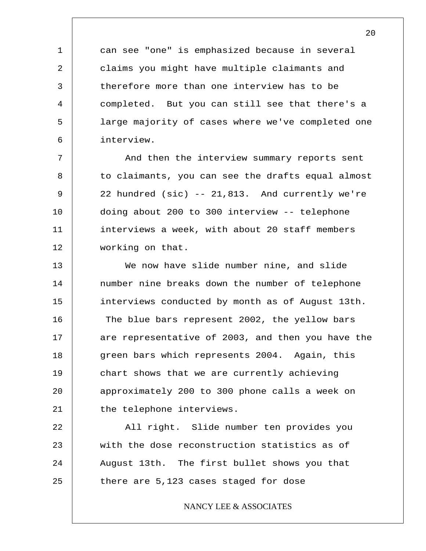can see "one" is emphasized because in several claims you might have multiple claimants and therefore more than one interview has to be completed. But you can still see that there's a large majority of cases where we've completed one interview.

1

2

3

4

5

6

7 8 9 10 11 12 And then the interview summary reports sent to claimants, you can see the drafts equal almost 22 hundred (sic) -- 21,813. And currently we're doing about 200 to 300 interview -- telephone interviews a week, with about 20 staff members working on that.

13 14 15 16 17 18 19 20 21 We now have slide number nine, and slide number nine breaks down the number of telephone interviews conducted by month as of August 13th. The blue bars represent 2002, the yellow bars are representative of 2003, and then you have the green bars which represents 2004. Again, this chart shows that we are currently achieving approximately 200 to 300 phone calls a week on the telephone interviews.

22 23 24 25 All right. Slide number ten provides you with the dose reconstruction statistics as of August 13th. The first bullet shows you that there are 5,123 cases staged for dose

NANCY LEE & ASSOCIATES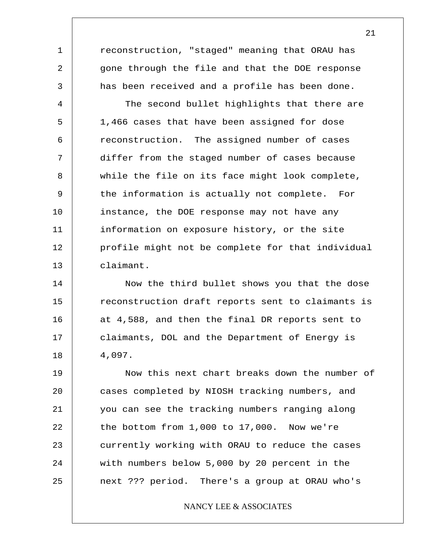reconstruction, "staged" meaning that ORAU has gone through the file and that the DOE response has been received and a profile has been done.

1

2

3

4 5 6 7 8 9 10 11 12 13 The second bullet highlights that there are 1,466 cases that have been assigned for dose reconstruction. The assigned number of cases differ from the staged number of cases because while the file on its face might look complete, the information is actually not complete. For instance, the DOE response may not have any information on exposure history, or the site profile might not be complete for that individual claimant.

14 15 16 17 18 Now the third bullet shows you that the dose reconstruction draft reports sent to claimants is at 4,588, and then the final DR reports sent to claimants, DOL and the Department of Energy is 4,097.

19 20 21 22 23 24 25 Now this next chart breaks down the number of cases completed by NIOSH tracking numbers, and you can see the tracking numbers ranging along the bottom from 1,000 to 17,000. Now we're currently working with ORAU to reduce the cases with numbers below 5,000 by 20 percent in the next ??? period. There's a group at ORAU who's

NANCY LEE & ASSOCIATES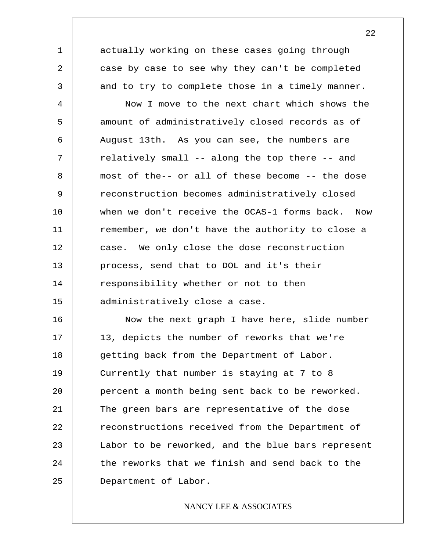actually working on these cases going through case by case to see why they can't be completed and to try to complete those in a timely manner.

1

2

3

4 5 6 7 8 9 10 11 12 13 14 15 Now I move to the next chart which shows the amount of administratively closed records as of August 13th. As you can see, the numbers are relatively small -- along the top there -- and most of the-- or all of these become -- the dose reconstruction becomes administratively closed when we don't receive the OCAS-1 forms back. Now remember, we don't have the authority to close a case. We only close the dose reconstruction process, send that to DOL and it's their responsibility whether or not to then administratively close a case.

16 17 18 19 20 21 22 23 24 25 Now the next graph I have here, slide number 13, depicts the number of reworks that we're getting back from the Department of Labor. Currently that number is staying at 7 to 8 percent a month being sent back to be reworked. The green bars are representative of the dose reconstructions received from the Department of Labor to be reworked, and the blue bars represent the reworks that we finish and send back to the Department of Labor.

#### NANCY LEE & ASSOCIATES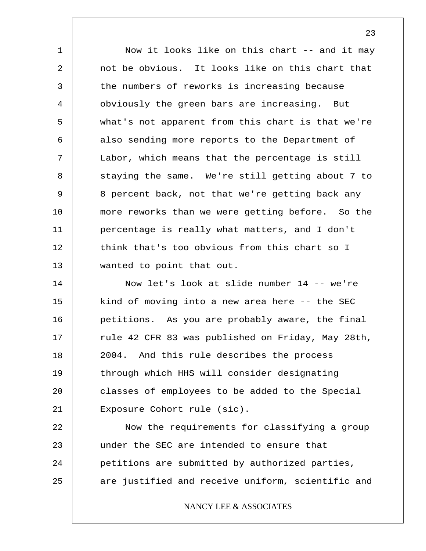1 2 3 4 5 6 7 8 9 10 11 12 13 Now it looks like on this chart -- and it may not be obvious. It looks like on this chart that the numbers of reworks is increasing because obviously the green bars are increasing. But what's not apparent from this chart is that we're also sending more reports to the Department of Labor, which means that the percentage is still staying the same. We're still getting about 7 to 8 percent back, not that we're getting back any more reworks than we were getting before. So the percentage is really what matters, and I don't think that's too obvious from this chart so I wanted to point that out.

14 15 16 17 18 19 20 21 Now let's look at slide number 14 -- we're kind of moving into a new area here -- the SEC petitions. As you are probably aware, the final rule 42 CFR 83 was published on Friday, May 28th, 2004. And this rule describes the process through which HHS will consider designating classes of employees to be added to the Special Exposure Cohort rule (sic).

22 23 24 25 Now the requirements for classifying a group under the SEC are intended to ensure that petitions are submitted by authorized parties, are justified and receive uniform, scientific and

NANCY LEE & ASSOCIATES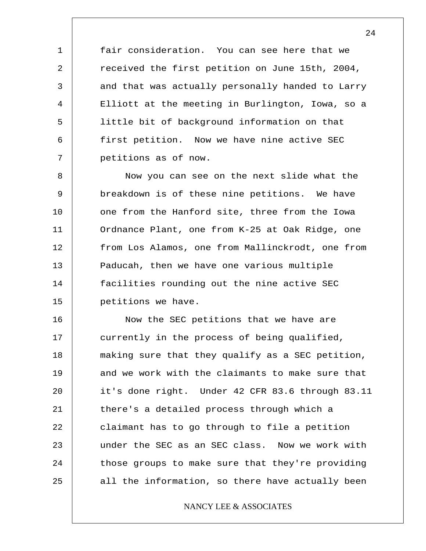fair consideration. You can see here that we received the first petition on June 15th, 2004, and that was actually personally handed to Larry Elliott at the meeting in Burlington, Iowa, so a little bit of background information on that first petition. Now we have nine active SEC petitions as of now.

1

2

3

4

5

6

7

8 9 10 11 12 13 14 15 Now you can see on the next slide what the breakdown is of these nine petitions. We have one from the Hanford site, three from the Iowa Ordnance Plant, one from K-25 at Oak Ridge, one from Los Alamos, one from Mallinckrodt, one from Paducah, then we have one various multiple facilities rounding out the nine active SEC petitions we have.

16 17 18 19 20 21 22 23 24 25 Now the SEC petitions that we have are currently in the process of being qualified, making sure that they qualify as a SEC petition, and we work with the claimants to make sure that it's done right. Under 42 CFR 83.6 through 83.11 there's a detailed process through which a claimant has to go through to file a petition under the SEC as an SEC class. Now we work with those groups to make sure that they're providing all the information, so there have actually been

#### NANCY LEE & ASSOCIATES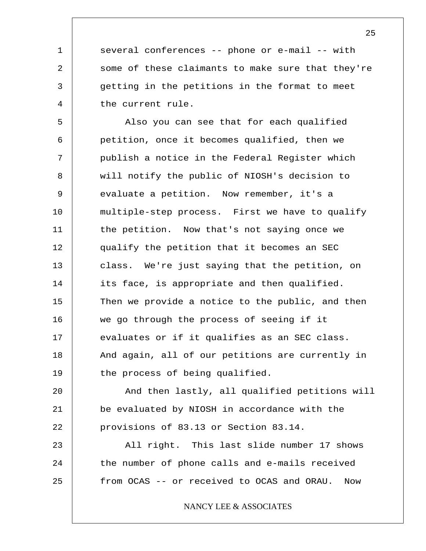several conferences -- phone or e-mail -- with some of these claimants to make sure that they're getting in the petitions in the format to meet the current rule.

1

2

3

4

5 6 7 8 9 10 11 12 13 14 15 16 17 18 19 Also you can see that for each qualified petition, once it becomes qualified, then we publish a notice in the Federal Register which will notify the public of NIOSH's decision to evaluate a petition. Now remember, it's a multiple-step process. First we have to qualify the petition. Now that's not saying once we qualify the petition that it becomes an SEC class. We're just saying that the petition, on its face, is appropriate and then qualified. Then we provide a notice to the public, and then we go through the process of seeing if it evaluates or if it qualifies as an SEC class. And again, all of our petitions are currently in the process of being qualified.

20 21 22 And then lastly, all qualified petitions will be evaluated by NIOSH in accordance with the provisions of 83.13 or Section 83.14.

23 24 25 All right. This last slide number 17 shows the number of phone calls and e-mails received from OCAS -- or received to OCAS and ORAU. Now

NANCY LEE & ASSOCIATES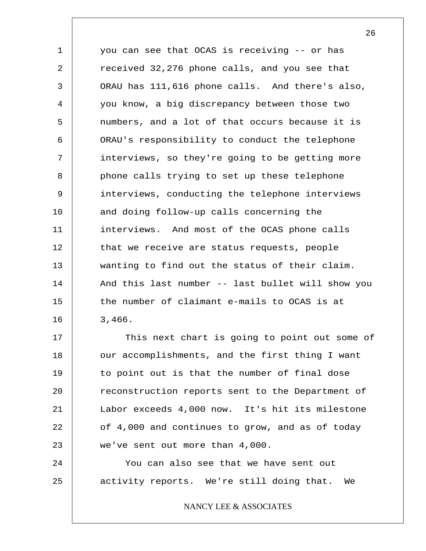1 2 3 4 5 6 7 8 9 10 11 12 13 14 15 16 you can see that OCAS is receiving -- or has received 32,276 phone calls, and you see that ORAU has 111,616 phone calls. And there's also, you know, a big discrepancy between those two numbers, and a lot of that occurs because it is ORAU's responsibility to conduct the telephone interviews, so they're going to be getting more phone calls trying to set up these telephone interviews, conducting the telephone interviews and doing follow-up calls concerning the interviews. And most of the OCAS phone calls that we receive are status requests, people wanting to find out the status of their claim. And this last number -- last bullet will show you the number of claimant e-mails to OCAS is at 3,466.

17 18 19 20 21 22 23 This next chart is going to point out some of our accomplishments, and the first thing I want to point out is that the number of final dose reconstruction reports sent to the Department of Labor exceeds 4,000 now. It's hit its milestone of 4,000 and continues to grow, and as of today we've sent out more than 4,000.

24 25 You can also see that we have sent out activity reports. We're still doing that. We

NANCY LEE & ASSOCIATES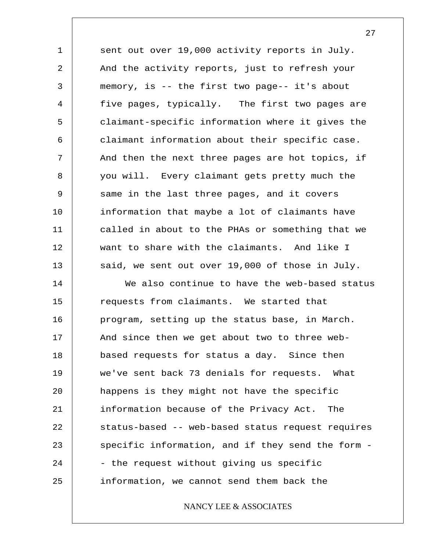1 2 3 4 5 6 7 8 9 10 11 12 13 sent out over 19,000 activity reports in July. And the activity reports, just to refresh your memory, is -- the first two page-- it's about five pages, typically. The first two pages are claimant-specific information where it gives the claimant information about their specific case. And then the next three pages are hot topics, if you will. Every claimant gets pretty much the same in the last three pages, and it covers information that maybe a lot of claimants have called in about to the PHAs or something that we want to share with the claimants. And like I said, we sent out over 19,000 of those in July.

14 15 16 17 18 19 20 21 22 23 24 25 We also continue to have the web-based status requests from claimants. We started that program, setting up the status base, in March. And since then we get about two to three webbased requests for status a day. Since then we've sent back 73 denials for requests. What happens is they might not have the specific information because of the Privacy Act. The status-based -- web-based status request requires specific information, and if they send the form - - the request without giving us specific information, we cannot send them back the

NANCY LEE & ASSOCIATES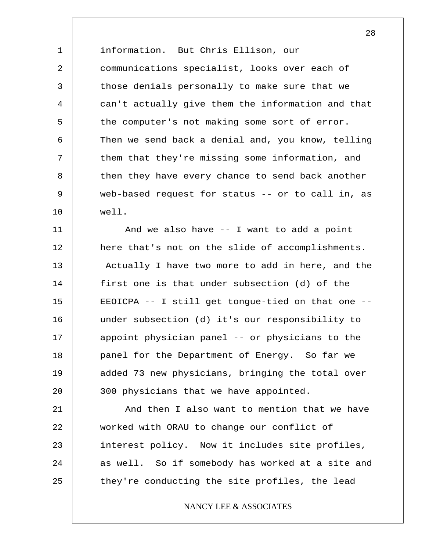1 2 3 4 5 6 7 8 9 10 information. But Chris Ellison, our communications specialist, looks over each of those denials personally to make sure that we can't actually give them the information and that the computer's not making some sort of error. Then we send back a denial and, you know, telling them that they're missing some information, and then they have every chance to send back another web-based request for status -- or to call in, as well.

11 12 13 14 15 16 17 18 19 20 And we also have -- I want to add a point here that's not on the slide of accomplishments. Actually I have two more to add in here, and the first one is that under subsection (d) of the EEOICPA -- I still get tongue-tied on that one - under subsection (d) it's our responsibility to appoint physician panel -- or physicians to the panel for the Department of Energy. So far we added 73 new physicians, bringing the total over 300 physicians that we have appointed.

21 22 23 24 25 And then I also want to mention that we have worked with ORAU to change our conflict of interest policy. Now it includes site profiles, as well. So if somebody has worked at a site and they're conducting the site profiles, the lead

#### NANCY LEE & ASSOCIATES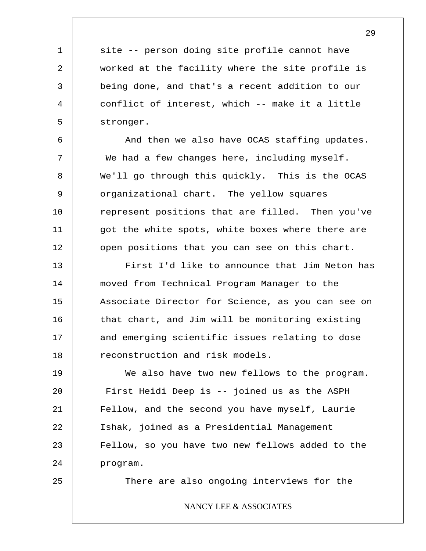site -- person doing site profile cannot have worked at the facility where the site profile is being done, and that's a recent addition to our conflict of interest, which -- make it a little stronger.

And then we also have OCAS staffing updates. We had a few changes here, including myself. We'll go through this quickly. This is the OCAS organizational chart. The yellow squares represent positions that are filled. Then you've got the white spots, white boxes where there are open positions that you can see on this chart.

13 14 15 16 17 18 First I'd like to announce that Jim Neton has moved from Technical Program Manager to the Associate Director for Science, as you can see on that chart, and Jim will be monitoring existing and emerging scientific issues relating to dose reconstruction and risk models.

19 20 21 22 23 24 We also have two new fellows to the program. First Heidi Deep is -- joined us as the ASPH Fellow, and the second you have myself, Laurie Ishak, joined as a Presidential Management Fellow, so you have two new fellows added to the program.

25

1

2

3

4

5

6

7

8

9

10

11

12

There are also ongoing interviews for the

#### NANCY LEE & ASSOCIATES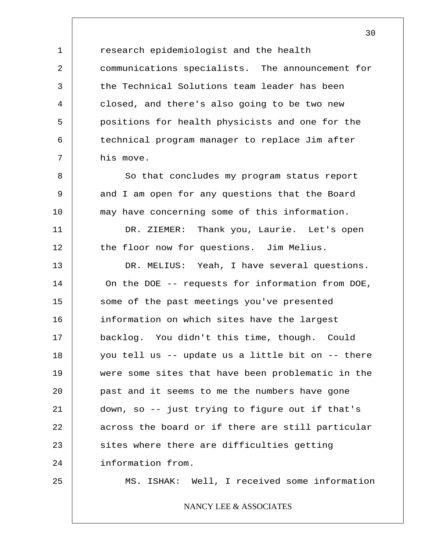1 2 3 4 5 6 7 8 9 10 11 12 13 research epidemiologist and the health communications specialists. The announcement for the Technical Solutions team leader has been closed, and there's also going to be two new positions for health physicists and one for the technical program manager to replace Jim after his move. So that concludes my program status report and I am open for any questions that the Board may have concerning some of this information. DR. ZIEMER: Thank you, Laurie. Let's open the floor now for questions. Jim Melius. DR. MELIUS: Yeah, I have several questions.

14 15 16 17 18 19 20 21 22 23 24 On the DOE -- requests for information from DOE, some of the past meetings you've presented information on which sites have the largest backlog. You didn't this time, though. Could you tell us -- update us a little bit on -- there were some sites that have been problematic in the past and it seems to me the numbers have gone down, so -- just trying to figure out if that's across the board or if there are still particular sites where there are difficulties getting information from.

25

MS. ISHAK: Well, I received some information

NANCY LEE & ASSOCIATES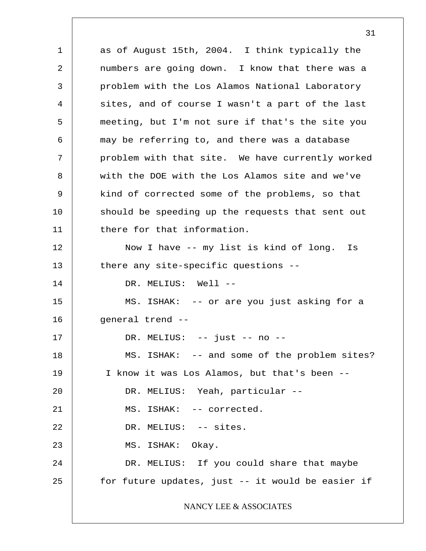1 2 3 4 5 6 7 8 9 10 11 12 13 14 15 16 17 18 19 20 21 22 23 24 25 as of August 15th, 2004. I think typically the numbers are going down. I know that there was a problem with the Los Alamos National Laboratory sites, and of course I wasn't a part of the last meeting, but I'm not sure if that's the site you may be referring to, and there was a database problem with that site. We have currently worked with the DOE with the Los Alamos site and we've kind of corrected some of the problems, so that should be speeding up the requests that sent out there for that information. Now I have -- my list is kind of long. Is there any site-specific questions -- DR. MELIUS: Well --MS. ISHAK: -- or are you just asking for a general trend -- DR. MELIUS: -- just -- no -- MS. ISHAK: -- and some of the problem sites? I know it was Los Alamos, but that's been -- DR. MELIUS: Yeah, particular -- MS. ISHAK: -- corrected. DR. MELIUS: -- sites. MS. ISHAK: Okay. DR. MELIUS: If you could share that maybe for future updates, just -- it would be easier if NANCY LEE & ASSOCIATES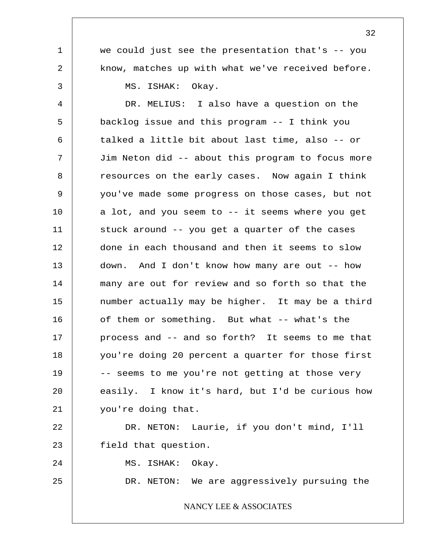1 2 3 4 5 6 7 8 9 10 11 12 13 14 15 16 17 18 19 20 21 22 23 we could just see the presentation that's -- you know, matches up with what we've received before. MS. ISHAK: Okay. DR. MELIUS: I also have a question on the backlog issue and this program -- I think you talked a little bit about last time, also -- or Jim Neton did -- about this program to focus more resources on the early cases. Now again I think you've made some progress on those cases, but not a lot, and you seem to -- it seems where you get stuck around -- you get a quarter of the cases done in each thousand and then it seems to slow down. And I don't know how many are out -- how many are out for review and so forth so that the number actually may be higher. It may be a third of them or something. But what -- what's the process and -- and so forth? It seems to me that you're doing 20 percent a quarter for those first -- seems to me you're not getting at those very easily. I know it's hard, but I'd be curious how you're doing that. DR. NETON: Laurie, if you don't mind, I'll field that question.

24 MS. ISHAK: Okay.

25

DR. NETON: We are aggressively pursuing the

#### NANCY LEE & ASSOCIATES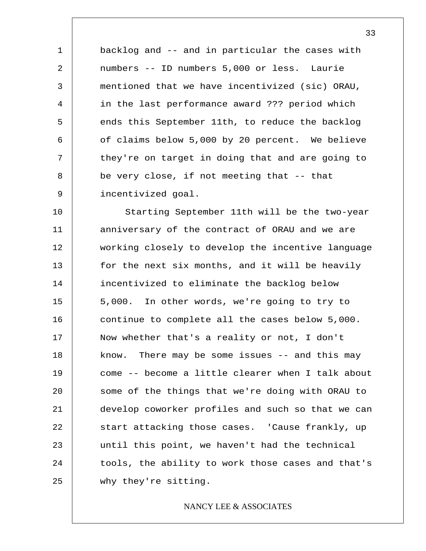backlog and -- and in particular the cases with numbers -- ID numbers 5,000 or less. Laurie mentioned that we have incentivized (sic) ORAU, in the last performance award ??? period which ends this September 11th, to reduce the backlog of claims below 5,000 by 20 percent. We believe they're on target in doing that and are going to be very close, if not meeting that -- that incentivized goal.

1

2

3

4

5

6

7

8

9

10 11 12 13 14 15 16 17 18 19 20 21 22 23 24 25 Starting September 11th will be the two-year anniversary of the contract of ORAU and we are working closely to develop the incentive language for the next six months, and it will be heavily incentivized to eliminate the backlog below 5,000. In other words, we're going to try to continue to complete all the cases below 5,000. Now whether that's a reality or not, I don't know. There may be some issues -- and this may come -- become a little clearer when I talk about some of the things that we're doing with ORAU to develop coworker profiles and such so that we can start attacking those cases. 'Cause frankly, up until this point, we haven't had the technical tools, the ability to work those cases and that's why they're sitting.

#### NANCY LEE & ASSOCIATES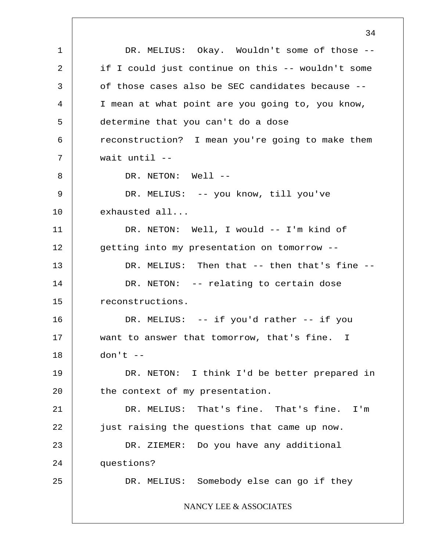1 2 3 4 5 6 7 8 9 10 11 12 13 14 15 16 17 18 19 20 21 22 23 24 25 34 DR. MELIUS: Okay. Wouldn't some of those - if I could just continue on this -- wouldn't some of those cases also be SEC candidates because -- I mean at what point are you going to, you know, determine that you can't do a dose reconstruction? I mean you're going to make them wait until -- DR. NETON: Well --DR. MELIUS: -- you know, till you've exhausted all... DR. NETON: Well, I would -- I'm kind of getting into my presentation on tomorrow -- DR. MELIUS: Then that -- then that's fine --DR. NETON: -- relating to certain dose reconstructions. DR. MELIUS: -- if you'd rather -- if you want to answer that tomorrow, that's fine. I  $don't --$ DR. NETON: I think I'd be better prepared in the context of my presentation. DR. MELIUS: That's fine. That's fine. I'm just raising the questions that came up now. DR. ZIEMER: Do you have any additional questions? DR. MELIUS: Somebody else can go if they NANCY LEE & ASSOCIATES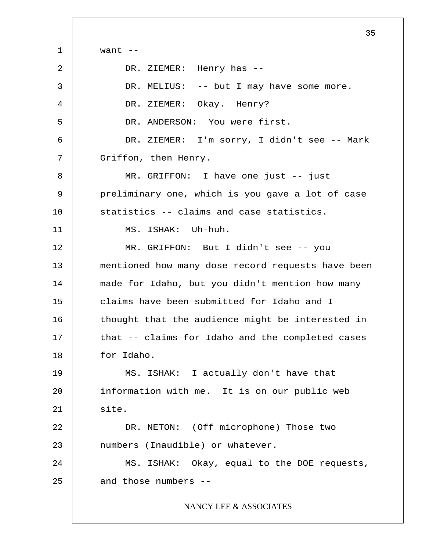1 2 3 4 5 6 7 8 9 10 11 12 13 14 15 16 17 18 19 20 21 22 23 24 25 35 want  $--$ DR. ZIEMER: Henry has -- DR. MELIUS: -- but I may have some more. DR. ZIEMER: Okay. Henry? DR. ANDERSON: You were first. DR. ZIEMER: I'm sorry, I didn't see -- Mark Griffon, then Henry. MR. GRIFFON: I have one just -- just preliminary one, which is you gave a lot of case statistics -- claims and case statistics. MS. ISHAK: Uh-huh. MR. GRIFFON: But I didn't see -- you mentioned how many dose record requests have been made for Idaho, but you didn't mention how many claims have been submitted for Idaho and I thought that the audience might be interested in that -- claims for Idaho and the completed cases for Idaho. MS. ISHAK: I actually don't have that information with me. It is on our public web site. DR. NETON: (Off microphone) Those two numbers (Inaudible) or whatever. MS. ISHAK: Okay, equal to the DOE requests, and those numbers -- NANCY LEE & ASSOCIATES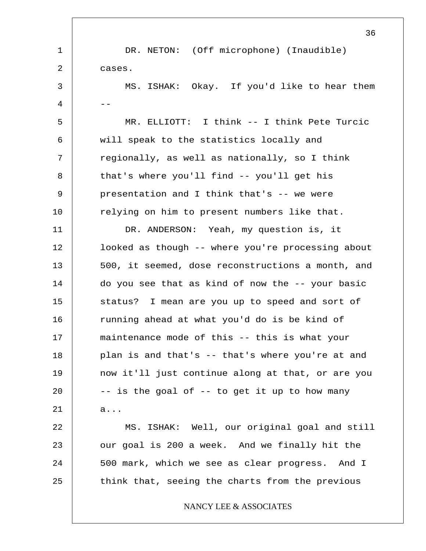1 2 3  $4$  --5 6 7 8 9 10 11 12 13 14 15 16 17 18 19 20 21 22 23 24 25 36 DR. NETON: (Off microphone) (Inaudible) cases. MS. ISHAK: Okay. If you'd like to hear them MR. ELLIOTT: I think -- I think Pete Turcic will speak to the statistics locally and regionally, as well as nationally, so I think that's where you'll find -- you'll get his presentation and I think that's -- we were relying on him to present numbers like that. DR. ANDERSON: Yeah, my question is, it looked as though -- where you're processing about 500, it seemed, dose reconstructions a month, and do you see that as kind of now the -- your basic status? I mean are you up to speed and sort of running ahead at what you'd do is be kind of maintenance mode of this -- this is what your plan is and that's -- that's where you're at and now it'll just continue along at that, or are you -- is the goal of -- to get it up to how many a... MS. ISHAK: Well, our original goal and still our goal is 200 a week. And we finally hit the 500 mark, which we see as clear progress. And I think that, seeing the charts from the previous NANCY LEE & ASSOCIATES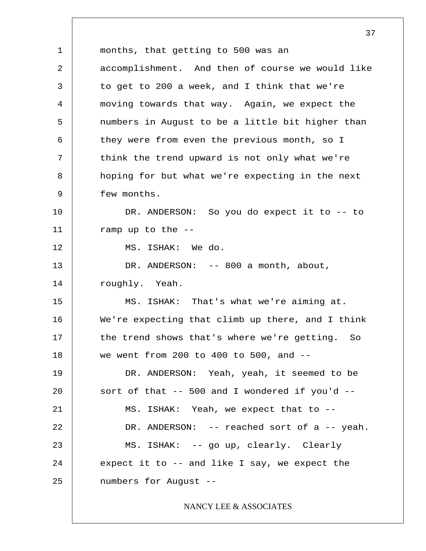1 2 3 4 5 6 7 8 9 10 11 12 13 14 15 16 17 18 19 20 21 22 23 24 25 37 months, that getting to 500 was an accomplishment. And then of course we would like to get to 200 a week, and I think that we're moving towards that way. Again, we expect the numbers in August to be a little bit higher than they were from even the previous month, so I think the trend upward is not only what we're hoping for but what we're expecting in the next few months. DR. ANDERSON: So you do expect it to -- to ramp up to the -- MS. ISHAK: We do. DR. ANDERSON: -- 800 a month, about, roughly. Yeah. MS. ISHAK: That's what we're aiming at. We're expecting that climb up there, and I think the trend shows that's where we're getting. So we went from 200 to 400 to 500, and  $-$ DR. ANDERSON: Yeah, yeah, it seemed to be sort of that  $-$ - 500 and I wondered if you'd  $-$ -MS. ISHAK: Yeah, we expect that to -- DR. ANDERSON: -- reached sort of a -- yeah. MS. ISHAK: -- go up, clearly. Clearly expect it to -- and like I say, we expect the numbers for August -- NANCY LEE & ASSOCIATES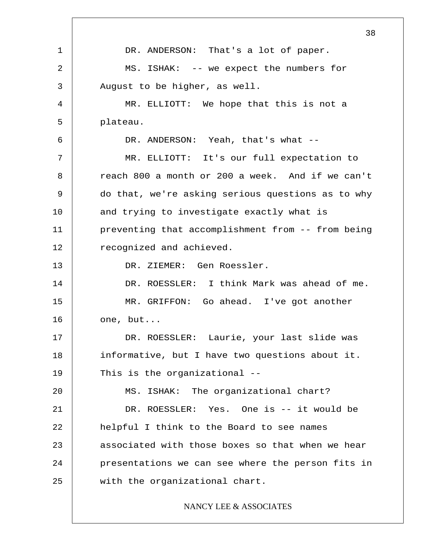1 2 3 4 5 6 7 8 9 10 11 12 13 14 15 16 17 18 19 20 21 22 23 24 25 38 DR. ANDERSON: That's a lot of paper. MS. ISHAK: -- we expect the numbers for August to be higher, as well. MR. ELLIOTT: We hope that this is not a plateau. DR. ANDERSON: Yeah, that's what --MR. ELLIOTT: It's our full expectation to reach 800 a month or 200 a week. And if we can't do that, we're asking serious questions as to why and trying to investigate exactly what is preventing that accomplishment from -- from being recognized and achieved. DR. ZIEMER: Gen Roessler. DR. ROESSLER: I think Mark was ahead of me. MR. GRIFFON: Go ahead. I've got another one, but... DR. ROESSLER: Laurie, your last slide was informative, but I have two questions about it. This is the organizational -- MS. ISHAK: The organizational chart? DR. ROESSLER: Yes. One is -- it would be helpful I think to the Board to see names associated with those boxes so that when we hear presentations we can see where the person fits in with the organizational chart.

# NANCY LEE & ASSOCIATES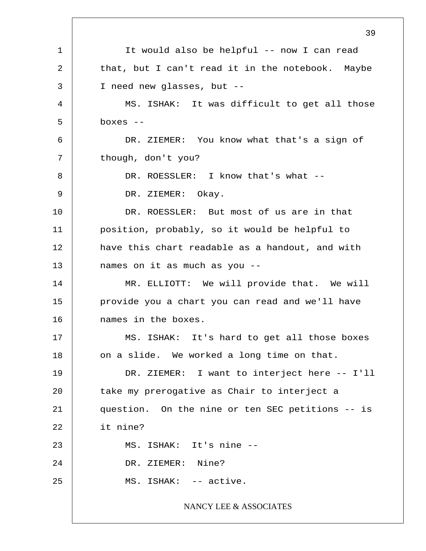1 2 3 4 5 6 7 8 9 10 11 12 13 14 15 16 17 18 19 20 21 22 23 24 25 39 It would also be helpful -- now I can read that, but I can't read it in the notebook. Maybe I need new glasses, but -- MS. ISHAK: It was difficult to get all those boxes -- DR. ZIEMER: You know what that's a sign of though, don't you? DR. ROESSLER: I know that's what --DR. ZIEMER: Okay. DR. ROESSLER: But most of us are in that position, probably, so it would be helpful to have this chart readable as a handout, and with names on it as much as you -- MR. ELLIOTT: We will provide that. We will provide you a chart you can read and we'll have names in the boxes. MS. ISHAK: It's hard to get all those boxes on a slide. We worked a long time on that. DR. ZIEMER: I want to interject here -- I'll take my prerogative as Chair to interject a question. On the nine or ten SEC petitions -- is it nine? MS. ISHAK: It's nine -- DR. ZIEMER: Nine? MS. ISHAK: -- active. NANCY LEE & ASSOCIATES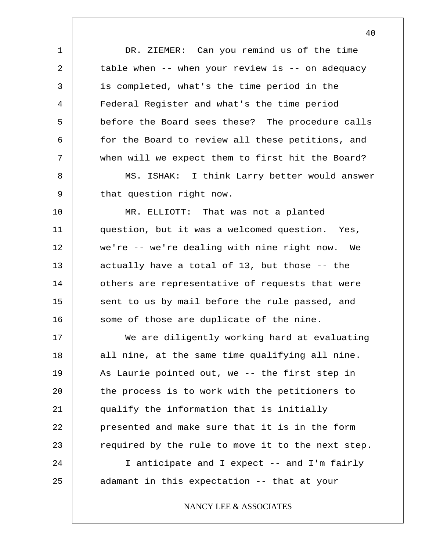1 2 3 4 5 6 7 8 9 10 11 12 13 14 15 16 17 18 19 20 21 22 23 24 25 DR. ZIEMER: Can you remind us of the time table when -- when your review is -- on adequacy is completed, what's the time period in the Federal Register and what's the time period before the Board sees these? The procedure calls for the Board to review all these petitions, and when will we expect them to first hit the Board? MS. ISHAK: I think Larry better would answer that question right now. MR. ELLIOTT: That was not a planted question, but it was a welcomed question. Yes, we're -- we're dealing with nine right now. We actually have a total of 13, but those -- the others are representative of requests that were sent to us by mail before the rule passed, and some of those are duplicate of the nine. We are diligently working hard at evaluating all nine, at the same time qualifying all nine. As Laurie pointed out, we -- the first step in the process is to work with the petitioners to qualify the information that is initially presented and make sure that it is in the form required by the rule to move it to the next step. I anticipate and I expect -- and I'm fairly adamant in this expectation -- that at your NANCY LEE & ASSOCIATES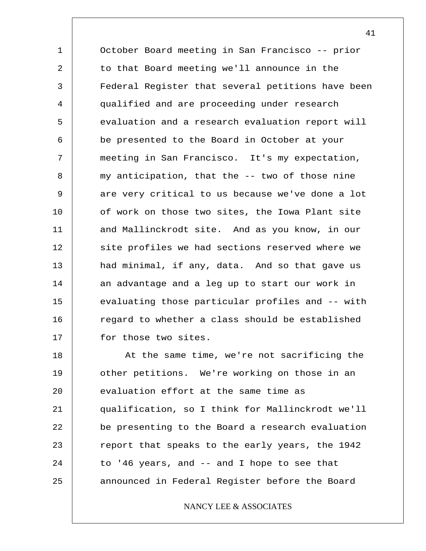1 2 3 4 5 6 7 8 9 10 11 12 13 14 15 16 17 October Board meeting in San Francisco -- prior to that Board meeting we'll announce in the Federal Register that several petitions have been qualified and are proceeding under research evaluation and a research evaluation report will be presented to the Board in October at your meeting in San Francisco. It's my expectation, my anticipation, that the -- two of those nine are very critical to us because we've done a lot of work on those two sites, the Iowa Plant site and Mallinckrodt site. And as you know, in our site profiles we had sections reserved where we had minimal, if any, data. And so that gave us an advantage and a leg up to start our work in evaluating those particular profiles and -- with regard to whether a class should be established for those two sites.

18 19 20 21 22 23 24 25 At the same time, we're not sacrificing the other petitions. We're working on those in an evaluation effort at the same time as qualification, so I think for Mallinckrodt we'll be presenting to the Board a research evaluation report that speaks to the early years, the 1942 to '46 years, and -- and I hope to see that announced in Federal Register before the Board

### NANCY LEE & ASSOCIATES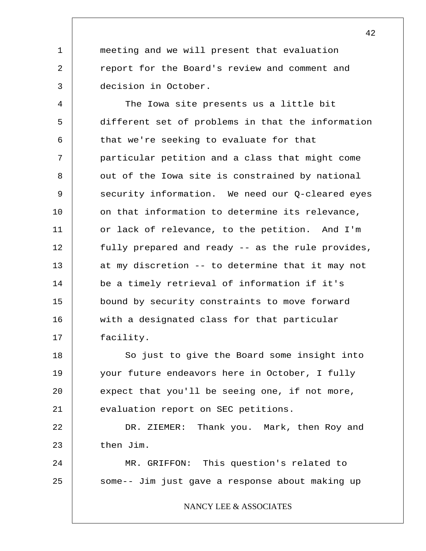meeting and we will present that evaluation report for the Board's review and comment and decision in October.

1

2

3

4 5 6 7 8 9 10 11 12 13 14 15 16 17 The Iowa site presents us a little bit different set of problems in that the information that we're seeking to evaluate for that particular petition and a class that might come out of the Iowa site is constrained by national security information. We need our Q-cleared eyes on that information to determine its relevance, or lack of relevance, to the petition. And I'm fully prepared and ready -- as the rule provides, at my discretion -- to determine that it may not be a timely retrieval of information if it's bound by security constraints to move forward with a designated class for that particular facility.

18 19 20 21 So just to give the Board some insight into your future endeavors here in October, I fully expect that you'll be seeing one, if not more, evaluation report on SEC petitions.

22 23 DR. ZIEMER: Thank you. Mark, then Roy and then Jim.

24 25 MR. GRIFFON: This question's related to some-- Jim just gave a response about making up

NANCY LEE & ASSOCIATES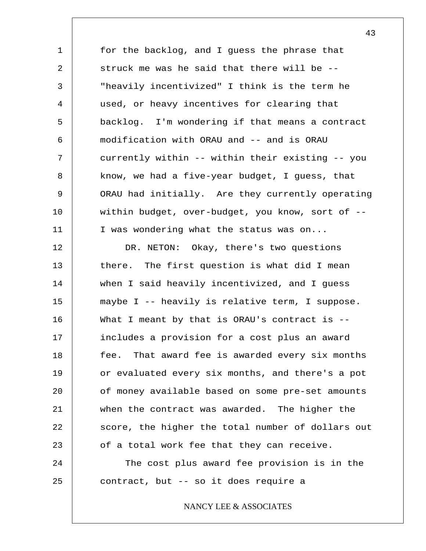1 2 3 4 5 6 7 8 9 10 11 for the backlog, and I guess the phrase that struck me was he said that there will be -- "heavily incentivized" I think is the term he used, or heavy incentives for clearing that backlog. I'm wondering if that means a contract modification with ORAU and -- and is ORAU currently within -- within their existing -- you know, we had a five-year budget, I guess, that ORAU had initially. Are they currently operating within budget, over-budget, you know, sort of -- I was wondering what the status was on...

12 13 14 15 16 17 18 19 20 21 22 23 24 DR. NETON: Okay, there's two questions there. The first question is what did I mean when I said heavily incentivized, and I guess maybe I -- heavily is relative term, I suppose. What I meant by that is ORAU's contract is -includes a provision for a cost plus an award fee. That award fee is awarded every six months or evaluated every six months, and there's a pot of money available based on some pre-set amounts when the contract was awarded. The higher the score, the higher the total number of dollars out of a total work fee that they can receive. The cost plus award fee provision is in the

contract, but -- so it does require a

25

NANCY LEE & ASSOCIATES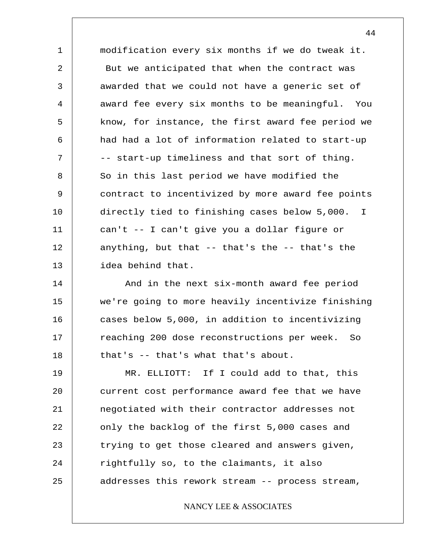1 2 3 4 5 6 7 8 9 10 11 12 13 modification every six months if we do tweak it. But we anticipated that when the contract was awarded that we could not have a generic set of award fee every six months to be meaningful. You know, for instance, the first award fee period we had had a lot of information related to start-up -- start-up timeliness and that sort of thing. So in this last period we have modified the contract to incentivized by more award fee points directly tied to finishing cases below 5,000. can't -- I can't give you a dollar figure or anything, but that -- that's the -- that's the idea behind that. I

14 15 16 17 18 And in the next six-month award fee period we're going to more heavily incentivize finishing cases below 5,000, in addition to incentivizing reaching 200 dose reconstructions per week. So that's -- that's what that's about.

19 20 21 22 23 24 25 MR. ELLIOTT: If I could add to that, this current cost performance award fee that we have negotiated with their contractor addresses not only the backlog of the first 5,000 cases and trying to get those cleared and answers given, rightfully so, to the claimants, it also addresses this rework stream -- process stream,

NANCY LEE & ASSOCIATES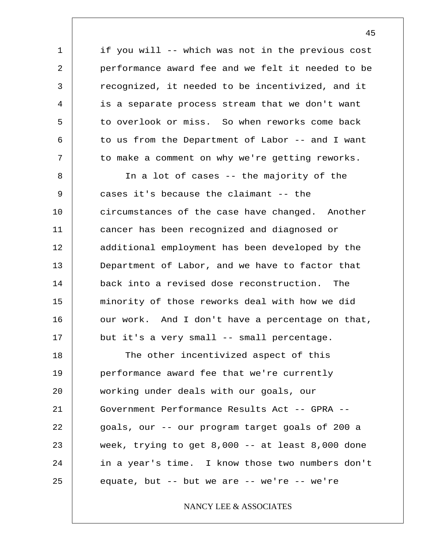1 2 3 4 5 6 7 8 9 10 11 12 13 14 15 16 17 18 19 20 21 22 23 24 25 if you will -- which was not in the previous cost performance award fee and we felt it needed to be recognized, it needed to be incentivized, and it is a separate process stream that we don't want to overlook or miss. So when reworks come back to us from the Department of Labor -- and I want to make a comment on why we're getting reworks. In a lot of cases -- the majority of the cases it's because the claimant -- the circumstances of the case have changed. Another cancer has been recognized and diagnosed or additional employment has been developed by the Department of Labor, and we have to factor that back into a revised dose reconstruction. The minority of those reworks deal with how we did our work. And I don't have a percentage on that, but it's a very small -- small percentage. The other incentivized aspect of this performance award fee that we're currently working under deals with our goals, our Government Performance Results Act -- GPRA - goals, our -- our program target goals of 200 a week, trying to get 8,000 -- at least 8,000 done in a year's time. I know those two numbers don't equate, but  $--$  but we are  $--$  we're  $--$  we're NANCY LEE & ASSOCIATES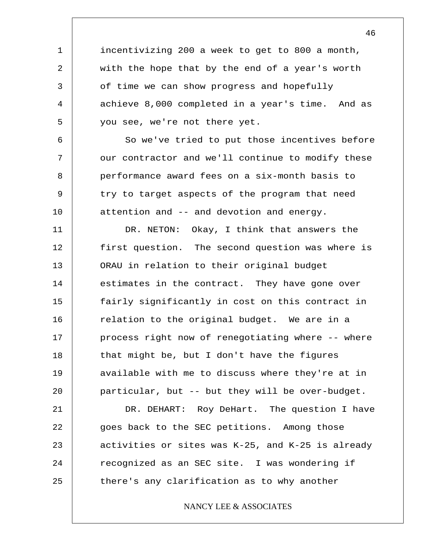incentivizing 200 a week to get to 800 a month, with the hope that by the end of a year's worth of time we can show progress and hopefully achieve 8,000 completed in a year's time. And as you see, we're not there yet.

1

2

3

4

5

6

7

8

9

10

So we've tried to put those incentives before our contractor and we'll continue to modify these performance award fees on a six-month basis to try to target aspects of the program that need attention and -- and devotion and energy.

11 12 13 14 15 16 17 18 19 20 DR. NETON: Okay, I think that answers the first question. The second question was where is ORAU in relation to their original budget estimates in the contract. They have gone over fairly significantly in cost on this contract in relation to the original budget. We are in a process right now of renegotiating where -- where that might be, but I don't have the figures available with me to discuss where they're at in particular, but -- but they will be over-budget.

21 22 23 24 25 DR. DEHART: Roy DeHart. The question I have goes back to the SEC petitions. Among those activities or sites was K-25, and K-25 is already recognized as an SEC site. I was wondering if there's any clarification as to why another

#### NANCY LEE & ASSOCIATES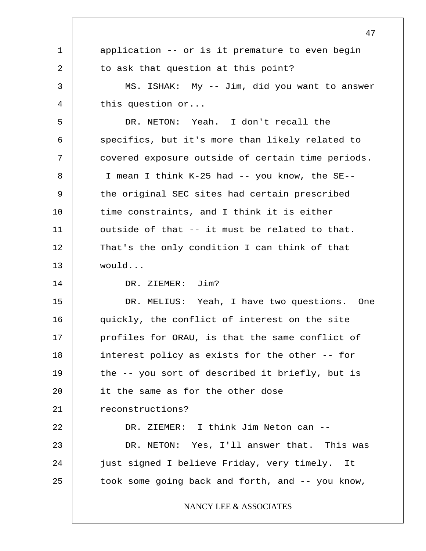|              | 47                                                |
|--------------|---------------------------------------------------|
| $\mathbf{1}$ | application -- or is it premature to even begin   |
| 2            | to ask that question at this point?               |
| 3            | MS. ISHAK: My -- Jim, did you want to answer      |
| 4            | this question $or$                                |
| 5            | DR. NETON: Yeah. I don't recall the               |
| 6            | specifics, but it's more than likely related to   |
| 7            | covered exposure outside of certain time periods. |
| 8            | I mean I think K-25 had -- you know, the SE--     |
| 9            | the original SEC sites had certain prescribed     |
| 10           | time constraints, and I think it is either        |
| 11           | outside of that -- it must be related to that.    |
| 12           | That's the only condition I can think of that     |
| 13           | would                                             |
| 14           | DR. ZIEMER: Jim?                                  |
| 15           | DR. MELIUS: Yeah, I have two questions. One       |
| 16           | quickly, the conflict of interest on the site     |
| 17           | profiles for ORAU, is that the same conflict of   |
| 18           | interest policy as exists for the other -- for    |
| 19           | the -- you sort of described it briefly, but is   |
| 20           | it the same as for the other dose                 |
| 21           | reconstructions?                                  |
| 22           | DR. ZIEMER: I think Jim Neton can --              |
| 23           | DR. NETON: Yes, I'll answer that. This was        |
| 24           | just signed I believe Friday, very timely. It     |
| 25           | took some going back and forth, and -- you know,  |
|              | NANCY LEE & ASSOCIATES                            |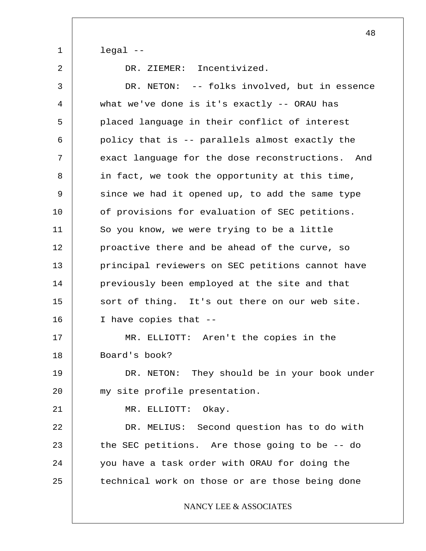legal --

1

2

DR. ZIEMER: Incentivized.

3 4 5 6 7 8 9 10 11 12 13 14 15 16 17 18 19 20 21 22 23 24 25 DR. NETON: -- folks involved, but in essence what we've done is it's exactly -- ORAU has placed language in their conflict of interest policy that is -- parallels almost exactly the exact language for the dose reconstructions. And in fact, we took the opportunity at this time, since we had it opened up, to add the same type of provisions for evaluation of SEC petitions. So you know, we were trying to be a little proactive there and be ahead of the curve, so principal reviewers on SEC petitions cannot have previously been employed at the site and that sort of thing. It's out there on our web site. I have copies that -- MR. ELLIOTT: Aren't the copies in the Board's book? DR. NETON: They should be in your book under my site profile presentation. MR. ELLIOTT: Okay. DR. MELIUS: Second question has to do with the SEC petitions. Are those going to be -- do you have a task order with ORAU for doing the technical work on those or are those being done NANCY LEE & ASSOCIATES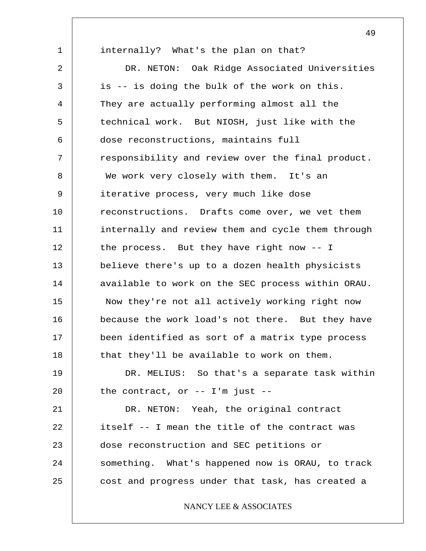1 2 3 4 5 6 7 8 9 10 11 12 13 14 15 16 17 18 19 20 21 22 23 24 25 internally? What's the plan on that? DR. NETON: Oak Ridge Associated Universities is -- is doing the bulk of the work on this. They are actually performing almost all the technical work. But NIOSH, just like with the dose reconstructions, maintains full responsibility and review over the final product. We work very closely with them. It's an iterative process, very much like dose reconstructions. Drafts come over, we vet them internally and review them and cycle them through the process. But they have right now -- I believe there's up to a dozen health physicists available to work on the SEC process within ORAU. Now they're not all actively working right now because the work load's not there. But they have been identified as sort of a matrix type process that they'll be available to work on them. DR. MELIUS: So that's a separate task within the contract, or -- I'm just -- DR. NETON: Yeah, the original contract itself -- I mean the title of the contract was dose reconstruction and SEC petitions or something. What's happened now is ORAU, to track cost and progress under that task, has created a NANCY LEE & ASSOCIATES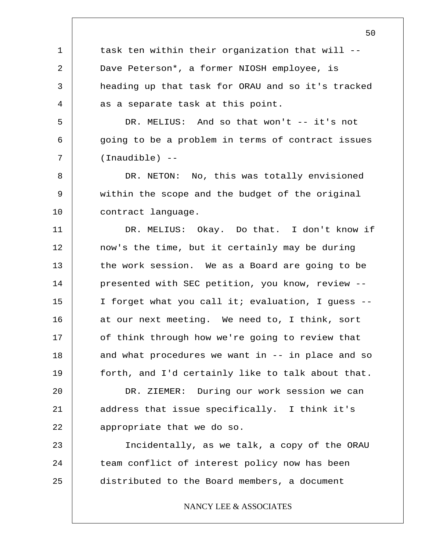task ten within their organization that will -- Dave Peterson\*, a former NIOSH employee, is heading up that task for ORAU and so it's tracked as a separate task at this point.

1

2

3

4

5

6

7

DR. MELIUS: And so that won't -- it's not going to be a problem in terms of contract issues (Inaudible) --

8 9 10 DR. NETON: No, this was totally envisioned within the scope and the budget of the original contract language.

11 12 13 14 15 16 17 18 19 DR. MELIUS: Okay. Do that. I don't know if now's the time, but it certainly may be during the work session. We as a Board are going to be presented with SEC petition, you know, review -- I forget what you call it; evaluation, I guess - at our next meeting. We need to, I think, sort of think through how we're going to review that and what procedures we want in -- in place and so forth, and I'd certainly like to talk about that.

20 21 22 DR. ZIEMER: During our work session we can address that issue specifically. I think it's appropriate that we do so.

23 24 25 Incidentally, as we talk, a copy of the ORAU team conflict of interest policy now has been distributed to the Board members, a document

NANCY LEE & ASSOCIATES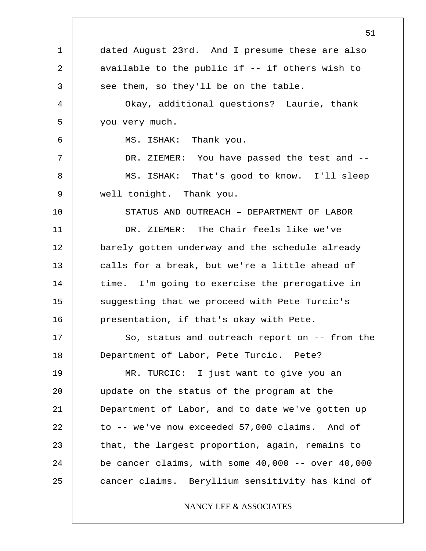1 2 3 4 5 6 7 8 9 10 11 12 13 14 15 16 17 18 19 20 21 22 23 24 25 51 dated August 23rd. And I presume these are also available to the public if -- if others wish to see them, so they'll be on the table. Okay, additional questions? Laurie, thank you very much. MS. ISHAK: Thank you. DR. ZIEMER: You have passed the test and --MS. ISHAK: That's good to know. I'll sleep well tonight. Thank you. STATUS AND OUTREACH – DEPARTMENT OF LABOR DR. ZIEMER: The Chair feels like we've barely gotten underway and the schedule already calls for a break, but we're a little ahead of time. I'm going to exercise the prerogative in suggesting that we proceed with Pete Turcic's presentation, if that's okay with Pete. So, status and outreach report on -- from the Department of Labor, Pete Turcic. Pete? MR. TURCIC: I just want to give you an update on the status of the program at the Department of Labor, and to date we've gotten up to -- we've now exceeded 57,000 claims. And of that, the largest proportion, again, remains to be cancer claims, with some  $40,000$  -- over  $40,000$ cancer claims. Beryllium sensitivity has kind of NANCY LEE & ASSOCIATES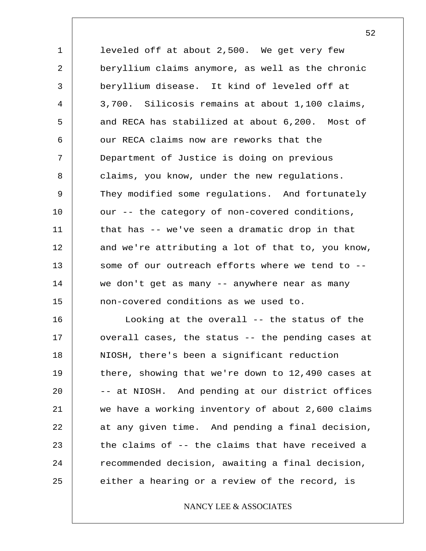1 2 3 4 5 6 7 8 9 10 11 12 13 14 15 leveled off at about 2,500. We get very few beryllium claims anymore, as well as the chronic beryllium disease. It kind of leveled off at 3,700. Silicosis remains at about 1,100 claims, and RECA has stabilized at about 6,200. Most of our RECA claims now are reworks that the Department of Justice is doing on previous claims, you know, under the new regulations. They modified some regulations. And fortunately our -- the category of non-covered conditions, that has -- we've seen a dramatic drop in that and we're attributing a lot of that to, you know, some of our outreach efforts where we tend to - we don't get as many -- anywhere near as many non-covered conditions as we used to.

16 17 18 19 20 21 22 23 24 25 Looking at the overall -- the status of the overall cases, the status -- the pending cases at NIOSH, there's been a significant reduction there, showing that we're down to 12,490 cases at -- at NIOSH. And pending at our district offices we have a working inventory of about 2,600 claims at any given time. And pending a final decision, the claims of -- the claims that have received a recommended decision, awaiting a final decision, either a hearing or a review of the record, is

### NANCY LEE & ASSOCIATES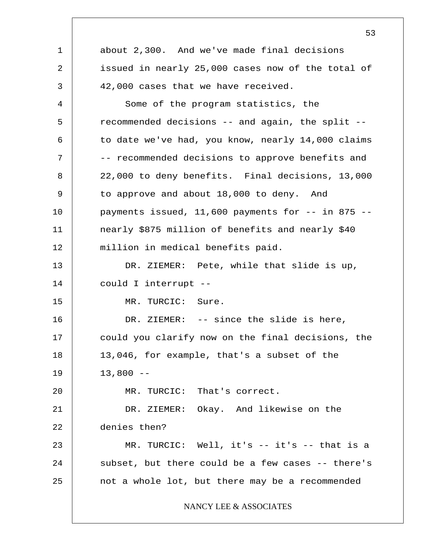1 2 3 4 5 6 7 8 9 10 11 12 13 14 15 16 17 18 19 20 21 22 23 24 25 53 about 2,300. And we've made final decisions issued in nearly 25,000 cases now of the total of 42,000 cases that we have received. Some of the program statistics, the recommended decisions -- and again, the split - to date we've had, you know, nearly 14,000 claims -- recommended decisions to approve benefits and 22,000 to deny benefits. Final decisions, 13,000 to approve and about 18,000 to deny. And payments issued,  $11,600$  payments for  $--$  in 875  $-$ nearly \$875 million of benefits and nearly \$40 million in medical benefits paid. DR. ZIEMER: Pete, while that slide is up, could I interrupt -- MR. TURCIC: Sure. DR. ZIEMER: -- since the slide is here, could you clarify now on the final decisions, the 13,046, for example, that's a subset of the  $13,800 - -$ MR. TURCIC: That's correct. DR. ZIEMER: Okay. And likewise on the denies then? MR. TURCIC: Well, it's -- it's -- that is a subset, but there could be a few cases -- there's not a whole lot, but there may be a recommended NANCY LEE & ASSOCIATES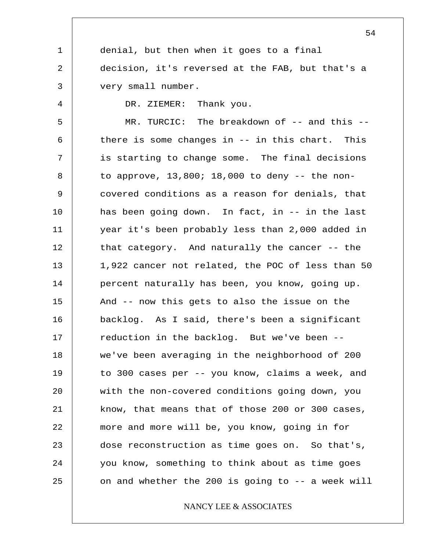1 2 3 4 5 6 7 8 9 10 11 12 13 14 15 16 17 18 19 20 21 22 23 24 25 54 denial, but then when it goes to a final decision, it's reversed at the FAB, but that's a very small number. DR. ZIEMER: Thank you. MR. TURCIC: The breakdown of -- and this -there is some changes in -- in this chart. This is starting to change some. The final decisions to approve,  $13,800$ ;  $18,000$  to deny  $-$  the noncovered conditions as a reason for denials, that has been going down. In fact, in -- in the last year it's been probably less than 2,000 added in that category. And naturally the cancer -- the 1,922 cancer not related, the POC of less than 50 percent naturally has been, you know, going up. And -- now this gets to also the issue on the backlog. As I said, there's been a significant reduction in the backlog. But we've been - we've been averaging in the neighborhood of 200 to 300 cases per -- you know, claims a week, and with the non-covered conditions going down, you know, that means that of those 200 or 300 cases, more and more will be, you know, going in for dose reconstruction as time goes on. So that's, you know, something to think about as time goes on and whether the 200 is going to -- a week will NANCY LEE & ASSOCIATES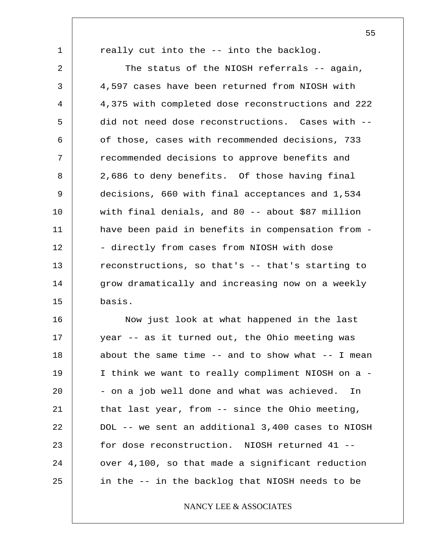1 2 3 4 5 6 7 8 9 10 11 12 13 14 15 really cut into the -- into the backlog. The status of the NIOSH referrals -- again, 4,597 cases have been returned from NIOSH with 4,375 with completed dose reconstructions and 222 did not need dose reconstructions. Cases with - of those, cases with recommended decisions, 733 recommended decisions to approve benefits and 2,686 to deny benefits. Of those having final decisions, 660 with final acceptances and 1,534 with final denials, and 80 -- about \$87 million have been paid in benefits in compensation from - - directly from cases from NIOSH with dose reconstructions, so that's -- that's starting to grow dramatically and increasing now on a weekly basis.

16 17 18 19 20 21 22 23 24 25 Now just look at what happened in the last year -- as it turned out, the Ohio meeting was about the same time  $-$  and to show what  $-$ - I mean I think we want to really compliment NIOSH on a - - on a job well done and what was achieved. In that last year, from -- since the Ohio meeting, DOL -- we sent an additional 3,400 cases to NIOSH for dose reconstruction. NIOSH returned 41 - over 4,100, so that made a significant reduction in the -- in the backlog that NIOSH needs to be

### NANCY LEE & ASSOCIATES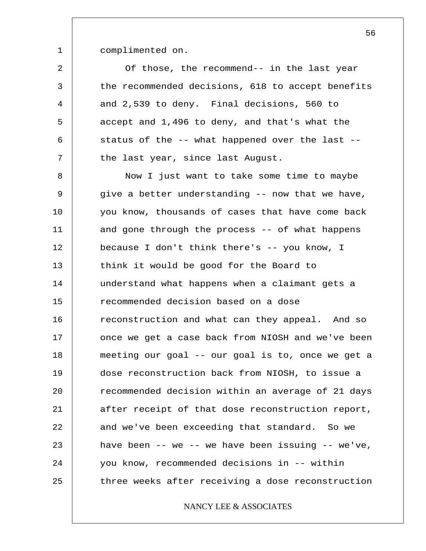complimented on.

1

2 3 4 5 6 7 Of those, the recommend-- in the last year the recommended decisions, 618 to accept benefits and 2,539 to deny. Final decisions, 560 to accept and 1,496 to deny, and that's what the status of the -- what happened over the last - the last year, since last August.

8 9 10 11 12 13 14 15 16 17 18 19 20 21 22 23 24 25 Now I just want to take some time to maybe give a better understanding -- now that we have, you know, thousands of cases that have come back and gone through the process -- of what happens because I don't think there's -- you know, I think it would be good for the Board to understand what happens when a claimant gets a recommended decision based on a dose reconstruction and what can they appeal. And so once we get a case back from NIOSH and we've been meeting our goal -- our goal is to, once we get a dose reconstruction back from NIOSH, to issue a recommended decision within an average of 21 days after receipt of that dose reconstruction report, and we've been exceeding that standard. So we have been  $--$  we  $--$  we have been issuing  $--$  we've, you know, recommended decisions in -- within three weeks after receiving a dose reconstruction

### NANCY LEE & ASSOCIATES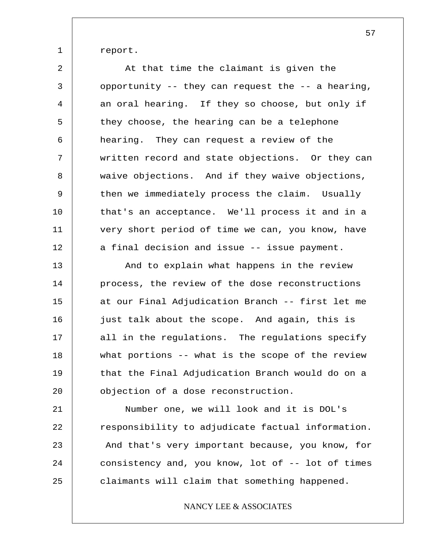report.

1

2 3 4 5 6 7 8 9 10 11 12 13 At that time the claimant is given the opportunity -- they can request the -- a hearing, an oral hearing. If they so choose, but only if they choose, the hearing can be a telephone hearing. They can request a review of the written record and state objections. Or they can waive objections. And if they waive objections, then we immediately process the claim. Usually that's an acceptance. We'll process it and in a very short period of time we can, you know, have a final decision and issue -- issue payment. And to explain what happens in the review

14 15 16 17 18 19 20 process, the review of the dose reconstructions at our Final Adjudication Branch -- first let me just talk about the scope. And again, this is all in the regulations. The regulations specify what portions -- what is the scope of the review that the Final Adjudication Branch would do on a objection of a dose reconstruction.

21 22 23 24 25 Number one, we will look and it is DOL's responsibility to adjudicate factual information. And that's very important because, you know, for consistency and, you know, lot of -- lot of times claimants will claim that something happened.

### NANCY LEE & ASSOCIATES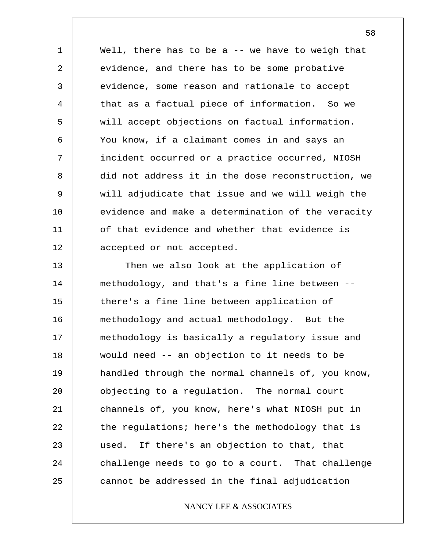1 2 3 4 5 6 7 8 9 10 11 12 Well, there has to be  $a - -$  we have to weigh that evidence, and there has to be some probative evidence, some reason and rationale to accept that as a factual piece of information. So we will accept objections on factual information. You know, if a claimant comes in and says an incident occurred or a practice occurred, NIOSH did not address it in the dose reconstruction, we will adjudicate that issue and we will weigh the evidence and make a determination of the veracity of that evidence and whether that evidence is accepted or not accepted.

13 14 15 16 17 18 19 20 21 22 23 24 25 Then we also look at the application of methodology, and that's a fine line between - there's a fine line between application of methodology and actual methodology. But the methodology is basically a regulatory issue and would need -- an objection to it needs to be handled through the normal channels of, you know, objecting to a regulation. The normal court channels of, you know, here's what NIOSH put in the regulations; here's the methodology that is used. If there's an objection to that, that challenge needs to go to a court. That challenge cannot be addressed in the final adjudication

### NANCY LEE & ASSOCIATES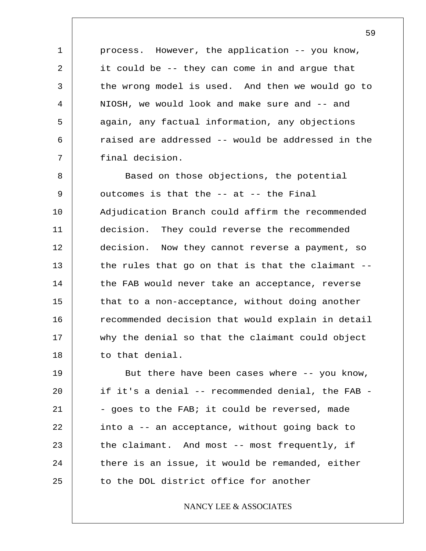process. However, the application -- you know, it could be -- they can come in and argue that the wrong model is used. And then we would go to NIOSH, we would look and make sure and -- and again, any factual information, any objections raised are addressed -- would be addressed in the final decision.

1

2

3

4

5

6

7

8 9 10 11 12 13 14 15 16 17 18 Based on those objections, the potential outcomes is that the -- at -- the Final Adjudication Branch could affirm the recommended decision. They could reverse the recommended decision. Now they cannot reverse a payment, so the rules that go on that is that the claimant - the FAB would never take an acceptance, reverse that to a non-acceptance, without doing another recommended decision that would explain in detail why the denial so that the claimant could object to that denial.

19 20 21 22 23 24 25 But there have been cases where -- you know, if it's a denial -- recommended denial, the FAB - - goes to the FAB; it could be reversed, made into a -- an acceptance, without going back to the claimant. And most -- most frequently, if there is an issue, it would be remanded, either to the DOL district office for another

### NANCY LEE & ASSOCIATES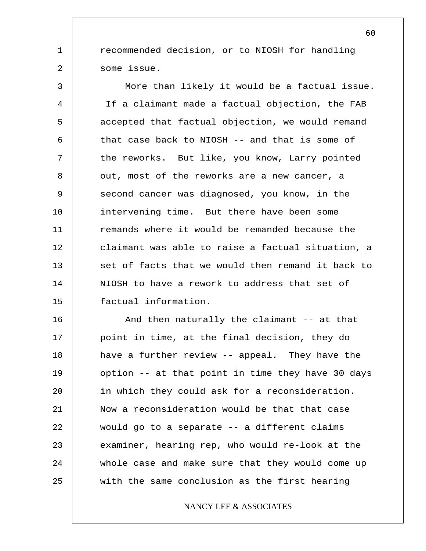recommended decision, or to NIOSH for handling some issue.

1

2

3 4 5 6 7 8 9 10 11 12 13 14 15 More than likely it would be a factual issue. If a claimant made a factual objection, the FAB accepted that factual objection, we would remand that case back to NIOSH -- and that is some of the reworks. But like, you know, Larry pointed out, most of the reworks are a new cancer, a second cancer was diagnosed, you know, in the intervening time. But there have been some remands where it would be remanded because the claimant was able to raise a factual situation, a set of facts that we would then remand it back to NIOSH to have a rework to address that set of factual information.

16 17 18 19 20 21 22 23 24 25 And then naturally the claimant -- at that point in time, at the final decision, they do have a further review -- appeal. They have the option -- at that point in time they have 30 days in which they could ask for a reconsideration. Now a reconsideration would be that that case would go to a separate -- a different claims examiner, hearing rep, who would re-look at the whole case and make sure that they would come up with the same conclusion as the first hearing

### NANCY LEE & ASSOCIATES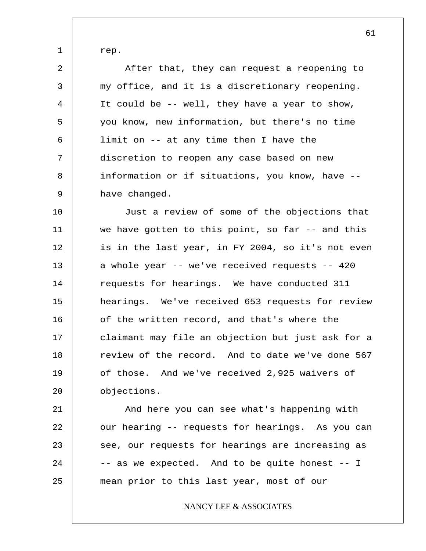rep.

1

2 3 4 5 6 7 8 9 After that, they can request a reopening to my office, and it is a discretionary reopening. It could be -- well, they have a year to show, you know, new information, but there's no time limit on -- at any time then I have the discretion to reopen any case based on new information or if situations, you know, have - have changed.

10 11 12 13 14 15 16 17 18 19 20 Just a review of some of the objections that we have gotten to this point, so far  $-$  and this is in the last year, in FY 2004, so it's not even a whole year -- we've received requests -- 420 requests for hearings. We have conducted 311 hearings. We've received 653 requests for review of the written record, and that's where the claimant may file an objection but just ask for a review of the record. And to date we've done 567 of those. And we've received 2,925 waivers of objections.

21 22 23 24 25 And here you can see what's happening with our hearing -- requests for hearings. As you can see, our requests for hearings are increasing as -- as we expected. And to be quite honest -- I mean prior to this last year, most of our

NANCY LEE & ASSOCIATES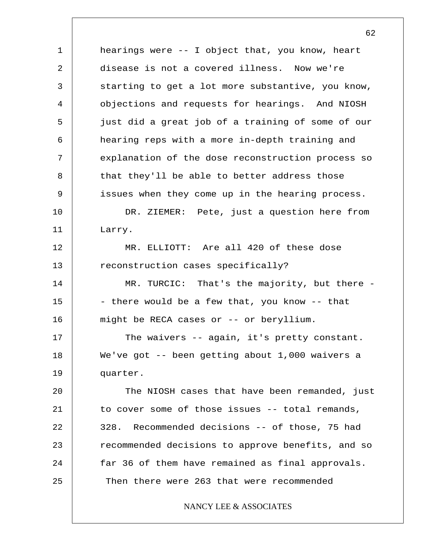1 2 3 4 5 6 7 8 9 10 11 12 13 14 15 16 17 18 19 20 21 22 23 24 25 hearings were -- I object that, you know, heart disease is not a covered illness. Now we're starting to get a lot more substantive, you know, objections and requests for hearings. And NIOSH just did a great job of a training of some of our hearing reps with a more in-depth training and explanation of the dose reconstruction process so that they'll be able to better address those issues when they come up in the hearing process. DR. ZIEMER: Pete, just a question here from Larry. MR. ELLIOTT: Are all 420 of these dose reconstruction cases specifically? MR. TURCIC: That's the majority, but there -- there would be a few that, you know -- that might be RECA cases or -- or beryllium. The waivers -- again, it's pretty constant. We've got -- been getting about 1,000 waivers a quarter. The NIOSH cases that have been remanded, just to cover some of those issues -- total remands, 328. Recommended decisions -- of those, 75 had recommended decisions to approve benefits, and so far 36 of them have remained as final approvals. Then there were 263 that were recommended NANCY LEE & ASSOCIATES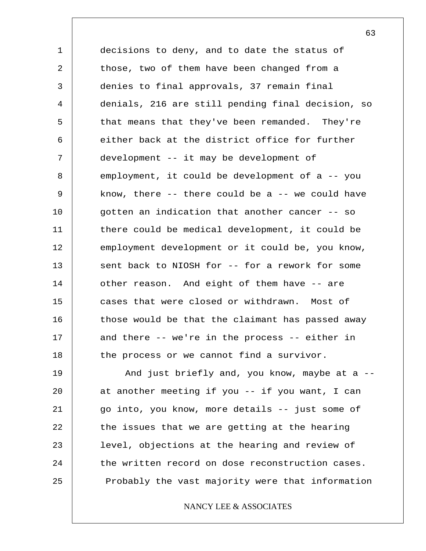1 2 3 4 5 6 7 8 9 10 11 12 13 14 15 16 17 18 decisions to deny, and to date the status of those, two of them have been changed from a denies to final approvals, 37 remain final denials, 216 are still pending final decision, so that means that they've been remanded. They're either back at the district office for further development -- it may be development of employment, it could be development of a -- you know, there  $--$  there could be a  $--$  we could have gotten an indication that another cancer -- so there could be medical development, it could be employment development or it could be, you know, sent back to NIOSH for -- for a rework for some other reason. And eight of them have -- are cases that were closed or withdrawn. Most of those would be that the claimant has passed away and there -- we're in the process -- either in the process or we cannot find a survivor.

19 20 21 22 23 24 25 And just briefly and, you know, maybe at a - at another meeting if you -- if you want, I can go into, you know, more details -- just some of the issues that we are getting at the hearing level, objections at the hearing and review of the written record on dose reconstruction cases. Probably the vast majority were that information

NANCY LEE & ASSOCIATES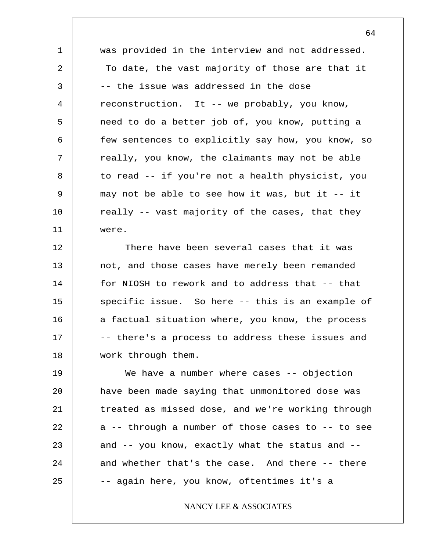1 2 3 4 5 6 7 8 9 10 11 was provided in the interview and not addressed. To date, the vast majority of those are that it -- the issue was addressed in the dose reconstruction. It -- we probably, you know, need to do a better job of, you know, putting a few sentences to explicitly say how, you know, so really, you know, the claimants may not be able to read -- if you're not a health physicist, you may not be able to see how it was, but it -- it really -- vast majority of the cases, that they were.

12 13 14 15 16 17 18 There have been several cases that it was not, and those cases have merely been remanded for NIOSH to rework and to address that -- that specific issue. So here -- this is an example of a factual situation where, you know, the process -- there's a process to address these issues and work through them.

19 20 21 22 23 24 25 We have a number where cases -- objection have been made saying that unmonitored dose was treated as missed dose, and we're working through a -- through a number of those cases to -- to see and -- you know, exactly what the status and - and whether that's the case. And there -- there -- again here, you know, oftentimes it's a

### NANCY LEE & ASSOCIATES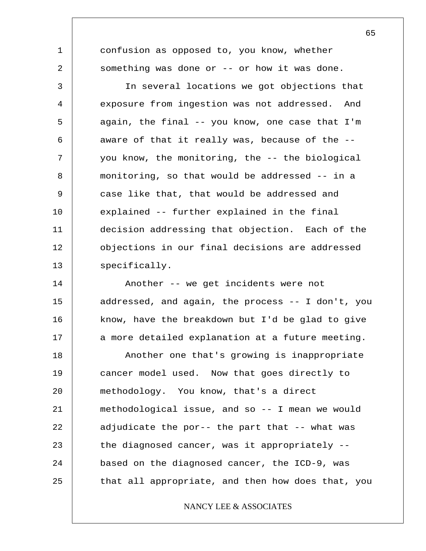confusion as opposed to, you know, whether something was done or -- or how it was done.

1

2

3 4 5 6 7 8 9 10 11 12 13 In several locations we got objections that exposure from ingestion was not addressed. And again, the final -- you know, one case that I'm aware of that it really was, because of the - you know, the monitoring, the -- the biological monitoring, so that would be addressed -- in a case like that, that would be addressed and explained -- further explained in the final decision addressing that objection. Each of the objections in our final decisions are addressed specifically.

14 15 16 17 18 19 20 21 22 23 24 25 Another -- we get incidents were not addressed, and again, the process -- I don't, you know, have the breakdown but I'd be glad to give a more detailed explanation at a future meeting. Another one that's growing is inappropriate cancer model used. Now that goes directly to methodology. You know, that's a direct methodological issue, and so -- I mean we would adjudicate the por-- the part that -- what was the diagnosed cancer, was it appropriately - based on the diagnosed cancer, the ICD-9, was that all appropriate, and then how does that, you

## NANCY LEE & ASSOCIATES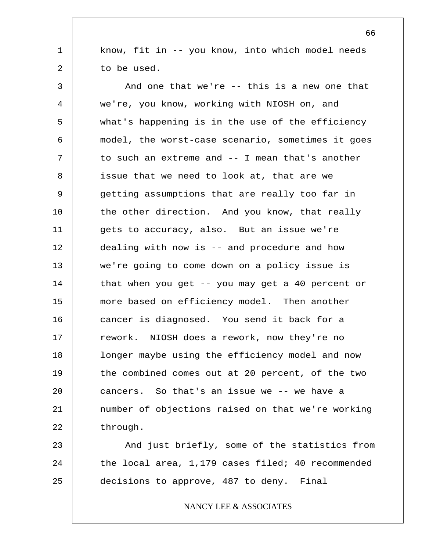know, fit in -- you know, into which model needs to be used.

1

2

3 4 5 6 7 8 9 10 11 12 13 14 15 16 17 18 19 20 21 22 And one that we're -- this is a new one that we're, you know, working with NIOSH on, and what's happening is in the use of the efficiency model, the worst-case scenario, sometimes it goes to such an extreme and -- I mean that's another issue that we need to look at, that are we getting assumptions that are really too far in the other direction. And you know, that really gets to accuracy, also. But an issue we're dealing with now is -- and procedure and how we're going to come down on a policy issue is that when you get -- you may get a 40 percent or more based on efficiency model. Then another cancer is diagnosed. You send it back for a rework. NIOSH does a rework, now they're no longer maybe using the efficiency model and now the combined comes out at 20 percent, of the two cancers. So that's an issue we -- we have a number of objections raised on that we're working through.

23 24 25 And just briefly, some of the statistics from the local area, 1,179 cases filed; 40 recommended decisions to approve, 487 to deny. Final

NANCY LEE & ASSOCIATES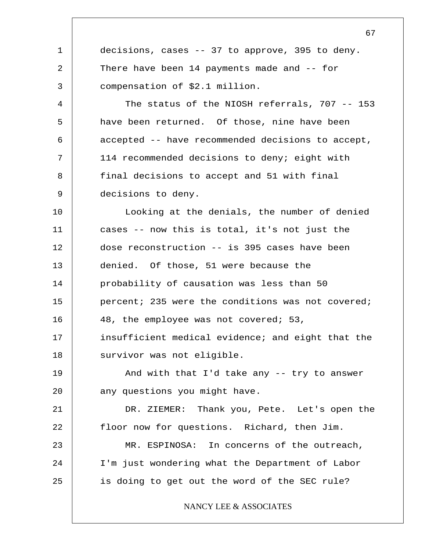1 2 3 4 5 6 7 8 9 10 11 12 13 14 15 16 17 18 19 20 21 22 23 24 25 67 decisions, cases -- 37 to approve, 395 to deny. There have been 14 payments made and -- for compensation of \$2.1 million. The status of the NIOSH referrals, 707 -- 153 have been returned. Of those, nine have been accepted -- have recommended decisions to accept, 114 recommended decisions to deny; eight with final decisions to accept and 51 with final decisions to deny. Looking at the denials, the number of denied cases -- now this is total, it's not just the dose reconstruction -- is 395 cases have been denied. Of those, 51 were because the probability of causation was less than 50 percent; 235 were the conditions was not covered; 48, the employee was not covered; 53, insufficient medical evidence; and eight that the survivor was not eligible. And with that I'd take any -- try to answer any questions you might have. DR. ZIEMER: Thank you, Pete. Let's open the floor now for questions. Richard, then Jim. MR. ESPINOSA: In concerns of the outreach, I'm just wondering what the Department of Labor is doing to get out the word of the SEC rule? NANCY LEE & ASSOCIATES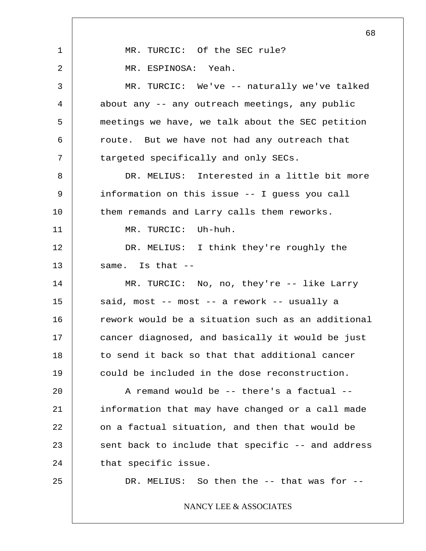1 2 3 4 5 6 7 8 9 10 11 12 13 14 15 16 17 18 19 20 21 22 23 24 25 68 MR. TURCIC: Of the SEC rule? MR. ESPINOSA: Yeah. MR. TURCIC: We've -- naturally we've talked about any -- any outreach meetings, any public meetings we have, we talk about the SEC petition route. But we have not had any outreach that targeted specifically and only SECs. DR. MELIUS: Interested in a little bit more information on this issue -- I guess you call them remands and Larry calls them reworks. MR. TURCIC: Uh-huh. DR. MELIUS: I think they're roughly the same. Is that -- MR. TURCIC: No, no, they're -- like Larry said, most -- most -- a rework -- usually a rework would be a situation such as an additional cancer diagnosed, and basically it would be just to send it back so that that additional cancer could be included in the dose reconstruction. A remand would be -- there's a factual - information that may have changed or a call made on a factual situation, and then that would be sent back to include that specific -- and address that specific issue. DR. MELIUS: So then the -- that was for --NANCY LEE & ASSOCIATES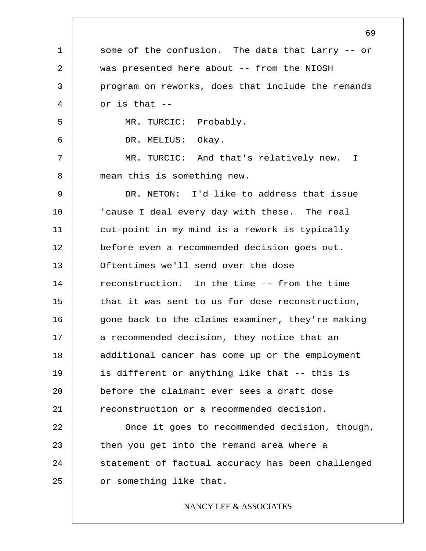1 2 3 4 5 6 7 8 9 10 11 12 13 14 15 16 17 18 19 20 21 22 23 24 25 69 some of the confusion. The data that Larry -- or was presented here about -- from the NIOSH program on reworks, does that include the remands or is that -- MR. TURCIC: Probably. DR. MELIUS: Okay. MR. TURCIC: And that's relatively new. I mean this is something new. DR. NETON: I'd like to address that issue 'cause I deal every day with these. The real cut-point in my mind is a rework is typically before even a recommended decision goes out. Oftentimes we'll send over the dose reconstruction. In the time -- from the time that it was sent to us for dose reconstruction, gone back to the claims examiner, they're making a recommended decision, they notice that an additional cancer has come up or the employment is different or anything like that -- this is before the claimant ever sees a draft dose reconstruction or a recommended decision. Once it goes to recommended decision, though, then you get into the remand area where a statement of factual accuracy has been challenged or something like that. NANCY LEE & ASSOCIATES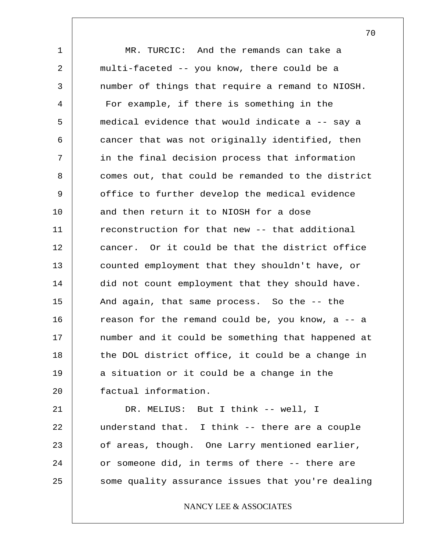1 2 3 4 5 6 7 8 9 10 11 12 13 14 15 16 17 18 19 20 21 MR. TURCIC: And the remands can take a multi-faceted -- you know, there could be a number of things that require a remand to NIOSH. For example, if there is something in the medical evidence that would indicate a -- say a cancer that was not originally identified, then in the final decision process that information comes out, that could be remanded to the district office to further develop the medical evidence and then return it to NIOSH for a dose reconstruction for that new -- that additional cancer. Or it could be that the district office counted employment that they shouldn't have, or did not count employment that they should have. And again, that same process. So the -- the reason for the remand could be, you know, a -- a number and it could be something that happened at the DOL district office, it could be a change in a situation or it could be a change in the factual information. DR. MELIUS: But I think -- well, I

22 23 24 25 understand that. I think -- there are a couple of areas, though. One Larry mentioned earlier, or someone did, in terms of there -- there are some quality assurance issues that you're dealing

NANCY LEE & ASSOCIATES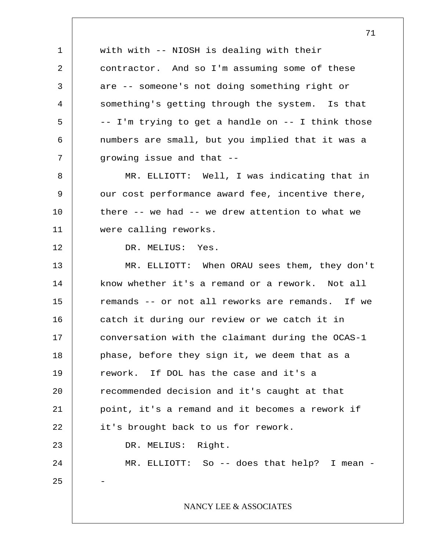1 2 3 4 5 6 7 8 9 10 11 12 13 14 15 16 17 18 19 20 21 22 23 24 25 with with -- NIOSH is dealing with their contractor. And so I'm assuming some of these are -- someone's not doing something right or something's getting through the system. Is that -- I'm trying to get a handle on -- I think those numbers are small, but you implied that it was a growing issue and that -- MR. ELLIOTT: Well, I was indicating that in our cost performance award fee, incentive there, there -- we had -- we drew attention to what we were calling reworks. DR. MELIUS: Yes. MR. ELLIOTT: When ORAU sees them, they don't know whether it's a remand or a rework. Not all remands -- or not all reworks are remands. If we catch it during our review or we catch it in conversation with the claimant during the OCAS-1 phase, before they sign it, we deem that as a rework. If DOL has the case and it's a recommended decision and it's caught at that point, it's a remand and it becomes a rework if it's brought back to us for rework. DR. MELIUS: Right. MR. ELLIOTT: So -- does that help? I mean -- NANCY LEE & ASSOCIATES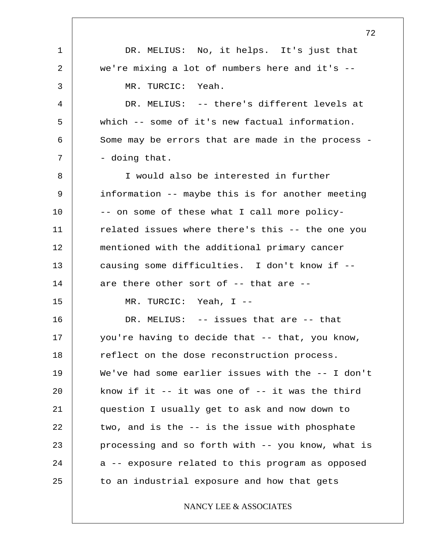1 2 3 4 5 6 7 8 9 10 11 12 13 14 15 16 17 18 19 20 21 22 23 24 25 72 DR. MELIUS: No, it helps. It's just that we're mixing a lot of numbers here and it's -- MR. TURCIC: Yeah. DR. MELIUS: -- there's different levels at which -- some of it's new factual information. Some may be errors that are made in the process - - doing that. I would also be interested in further information -- maybe this is for another meeting -- on some of these what I call more policyrelated issues where there's this -- the one you mentioned with the additional primary cancer causing some difficulties. I don't know if - are there other sort of -- that are -- MR. TURCIC: Yeah, I -- DR. MELIUS: -- issues that are -- that you're having to decide that -- that, you know, reflect on the dose reconstruction process. We've had some earlier issues with the -- I don't know if it  $-$  it was one of  $-$  it was the third question I usually get to ask and now down to two, and is the -- is the issue with phosphate processing and so forth with -- you know, what is a -- exposure related to this program as opposed to an industrial exposure and how that gets NANCY LEE & ASSOCIATES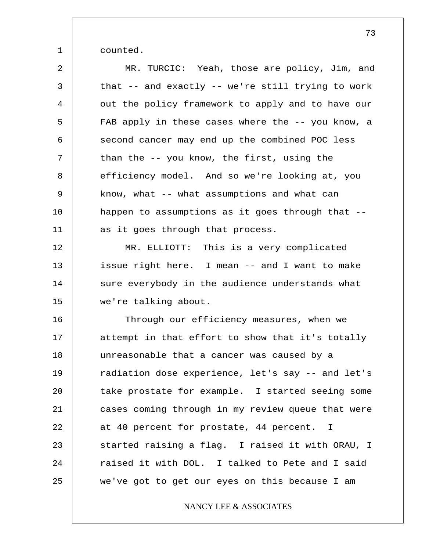1 counted.

2 3 4 5 6 7 8 9 10 11 12 13 14 15 16 17 18 19 20 21 22 23 24 25 MR. TURCIC: Yeah, those are policy, Jim, and that -- and exactly -- we're still trying to work out the policy framework to apply and to have our FAB apply in these cases where the -- you know, a second cancer may end up the combined POC less than the -- you know, the first, using the efficiency model. And so we're looking at, you know, what -- what assumptions and what can happen to assumptions as it goes through that - as it goes through that process. MR. ELLIOTT: This is a very complicated issue right here. I mean -- and I want to make sure everybody in the audience understands what we're talking about. Through our efficiency measures, when we attempt in that effort to show that it's totally unreasonable that a cancer was caused by a radiation dose experience, let's say -- and let's take prostate for example. I started seeing some cases coming through in my review queue that were at 40 percent for prostate, 44 percent. I started raising a flag. I raised it with ORAU, I raised it with DOL. I talked to Pete and I said we've got to get our eyes on this because I am

NANCY LEE & ASSOCIATES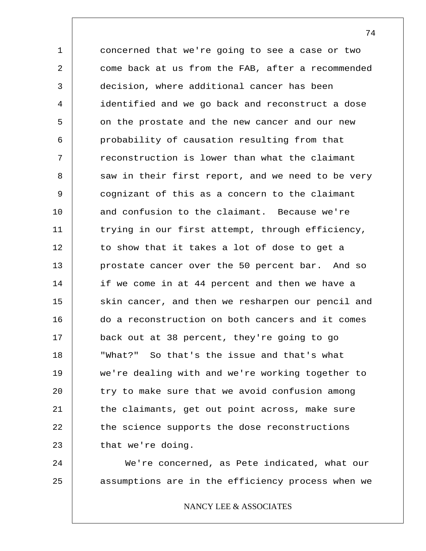1 2 3 4 5 6 7 8 9 10 11 12 13 14 15 16 17 18 19 20 21 22 23 concerned that we're going to see a case or two come back at us from the FAB, after a recommended decision, where additional cancer has been identified and we go back and reconstruct a dose on the prostate and the new cancer and our new probability of causation resulting from that reconstruction is lower than what the claimant saw in their first report, and we need to be very cognizant of this as a concern to the claimant and confusion to the claimant. Because we're trying in our first attempt, through efficiency, to show that it takes a lot of dose to get a prostate cancer over the 50 percent bar. And so if we come in at 44 percent and then we have a skin cancer, and then we resharpen our pencil and do a reconstruction on both cancers and it comes back out at 38 percent, they're going to go "What?" So that's the issue and that's what we're dealing with and we're working together to try to make sure that we avoid confusion among the claimants, get out point across, make sure the science supports the dose reconstructions that we're doing.

24 25 We're concerned, as Pete indicated, what our assumptions are in the efficiency process when we

NANCY LEE & ASSOCIATES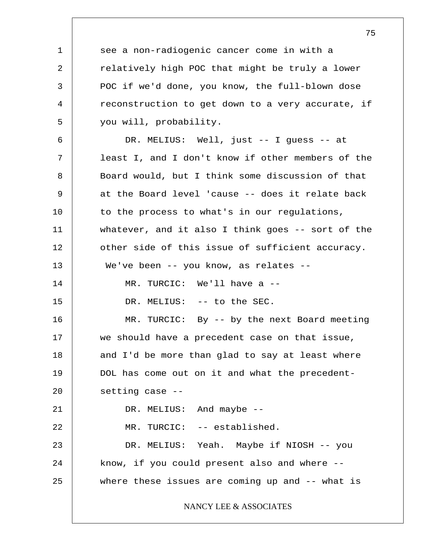1 2 3 4 5 6 7 8 9 10 11 12 13 14 15 16 17 18 19 20 21 22 23 24 25 see a non-radiogenic cancer come in with a relatively high POC that might be truly a lower POC if we'd done, you know, the full-blown dose reconstruction to get down to a very accurate, if you will, probability. DR. MELIUS: Well, just -- I guess -- at least I, and I don't know if other members of the Board would, but I think some discussion of that at the Board level 'cause -- does it relate back to the process to what's in our regulations, whatever, and it also I think goes -- sort of the other side of this issue of sufficient accuracy. We've been -- you know, as relates --MR. TURCIC: We'll have a -- DR. MELIUS: -- to the SEC. MR. TURCIC: By -- by the next Board meeting we should have a precedent case on that issue, and I'd be more than glad to say at least where DOL has come out on it and what the precedentsetting case -- DR. MELIUS: And maybe -- MR. TURCIC: -- established. DR. MELIUS: Yeah. Maybe if NIOSH -- you know, if you could present also and where - where these issues are coming up and -- what is NANCY LEE & ASSOCIATES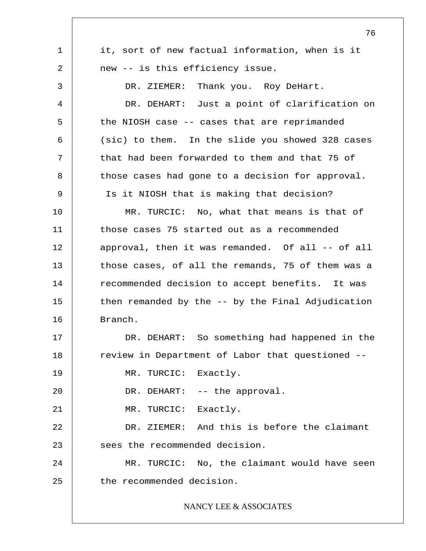1 2 3 4 5 6 7 8 9 10 11 12 13 14 15 16 17 18 19 20 21 22 23 24 25 76 it, sort of new factual information, when is it new -- is this efficiency issue. DR. ZIEMER: Thank you. Roy DeHart. DR. DEHART: Just a point of clarification on the NIOSH case -- cases that are reprimanded (sic) to them. In the slide you showed 328 cases that had been forwarded to them and that 75 of those cases had gone to a decision for approval. Is it NIOSH that is making that decision? MR. TURCIC: No, what that means is that of those cases 75 started out as a recommended approval, then it was remanded. Of all -- of all those cases, of all the remands, 75 of them was a recommended decision to accept benefits. It was then remanded by the -- by the Final Adjudication Branch. DR. DEHART: So something had happened in the review in Department of Labor that questioned -- MR. TURCIC: Exactly. DR. DEHART: -- the approval. MR. TURCIC: Exactly. DR. ZIEMER: And this is before the claimant sees the recommended decision. MR. TURCIC: No, the claimant would have seen the recommended decision. NANCY LEE & ASSOCIATES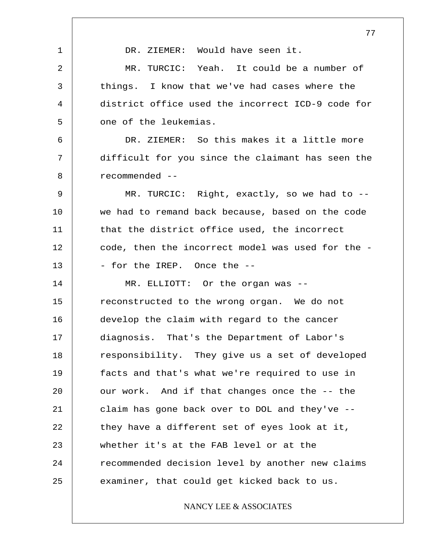1 2 3 4 5 6 7 8 9 10 11 12 13 14 15 16 17 18 19 20 21 22 23 24 25 DR. ZIEMER: Would have seen it. MR. TURCIC: Yeah. It could be a number of things. I know that we've had cases where the district office used the incorrect ICD-9 code for one of the leukemias. DR. ZIEMER: So this makes it a little more difficult for you since the claimant has seen the recommended -- MR. TURCIC: Right, exactly, so we had to - we had to remand back because, based on the code that the district office used, the incorrect code, then the incorrect model was used for the - - for the IREP. Once the -- MR. ELLIOTT: Or the organ was - reconstructed to the wrong organ. We do not develop the claim with regard to the cancer diagnosis. That's the Department of Labor's responsibility. They give us a set of developed facts and that's what we're required to use in our work. And if that changes once the -- the claim has gone back over to DOL and they've - they have a different set of eyes look at it, whether it's at the FAB level or at the recommended decision level by another new claims examiner, that could get kicked back to us.

## NANCY LEE & ASSOCIATES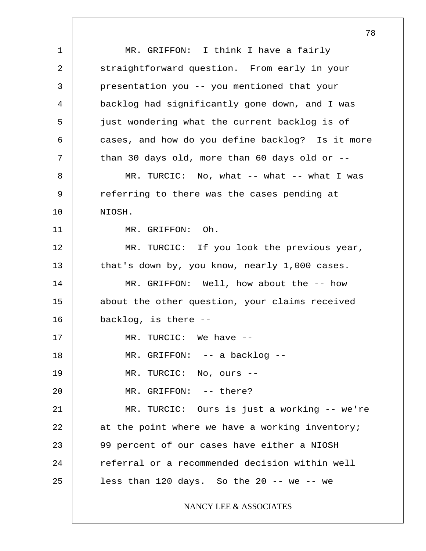1 2 3 4 5 6 7 8 9 10 11 12 13 14 15 16 17 18 19 20 21 22 23 24 25 MR. GRIFFON: I think I have a fairly straightforward question. From early in your presentation you -- you mentioned that your backlog had significantly gone down, and I was just wondering what the current backlog is of cases, and how do you define backlog? Is it more than 30 days old, more than 60 days old or -- MR. TURCIC: No, what -- what -- what I was referring to there was the cases pending at NIOSH. MR. GRIFFON: Oh. MR. TURCIC: If you look the previous year, that's down by, you know, nearly 1,000 cases. MR. GRIFFON: Well, how about the -- how about the other question, your claims received backlog, is there -- MR. TURCIC: We have -- MR. GRIFFON: -- a backlog -- MR. TURCIC: No, ours -- MR. GRIFFON: -- there? MR. TURCIC: Ours is just a working -- we're at the point where we have a working inventory; 99 percent of our cases have either a NIOSH referral or a recommended decision within well less than  $120$  days. So the  $20$  -- we -- we NANCY LEE & ASSOCIATES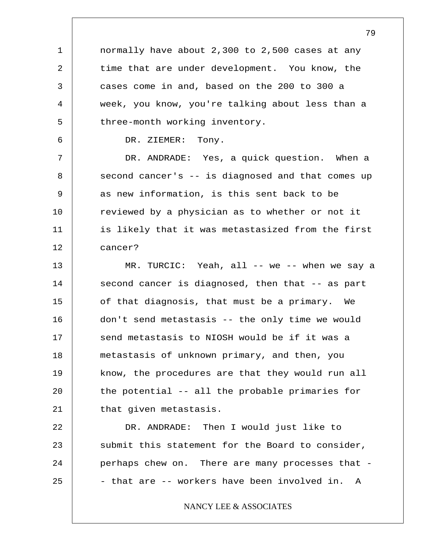1 2 3 4 5 6 7 8 9 10 11 12 13 14 15 16 17 18 19 20 21 22 23 24 25 normally have about 2,300 to 2,500 cases at any time that are under development. You know, the cases come in and, based on the 200 to 300 a week, you know, you're talking about less than a three-month working inventory. DR. ZIEMER: Tony. DR. ANDRADE: Yes, a quick question. When a second cancer's -- is diagnosed and that comes up as new information, is this sent back to be reviewed by a physician as to whether or not it is likely that it was metastasized from the first cancer? MR. TURCIC: Yeah, all -- we -- when we say a second cancer is diagnosed, then that -- as part of that diagnosis, that must be a primary. We don't send metastasis -- the only time we would send metastasis to NIOSH would be if it was a metastasis of unknown primary, and then, you know, the procedures are that they would run all the potential -- all the probable primaries for that given metastasis. DR. ANDRADE: Then I would just like to submit this statement for the Board to consider, perhaps chew on. There are many processes that - - that are -- workers have been involved in. A NANCY LEE & ASSOCIATES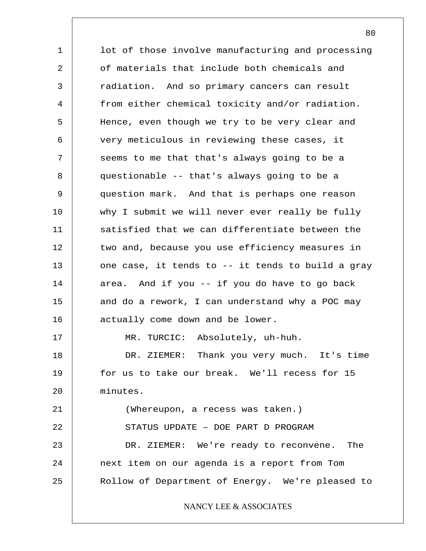1 2 3 4 5 6 7 8 9 10 11 12 13 14 15 16 17 18 19 20 21 22 23 24 25 lot of those involve manufacturing and processing of materials that include both chemicals and radiation. And so primary cancers can result from either chemical toxicity and/or radiation. Hence, even though we try to be very clear and very meticulous in reviewing these cases, it seems to me that that's always going to be a questionable -- that's always going to be a question mark. And that is perhaps one reason why I submit we will never ever really be fully satisfied that we can differentiate between the two and, because you use efficiency measures in one case, it tends to -- it tends to build a gray area. And if you -- if you do have to go back and do a rework, I can understand why a POC may actually come down and be lower. MR. TURCIC: Absolutely, uh-huh. DR. ZIEMER: Thank you very much. It's time for us to take our break. We'll recess for 15 minutes. (Whereupon, a recess was taken.) STATUS UPDATE – DOE PART D PROGRAM DR. ZIEMER: We're ready to reconvene. The next item on our agenda is a report from Tom Rollow of Department of Energy. We're pleased to NANCY LEE & ASSOCIATES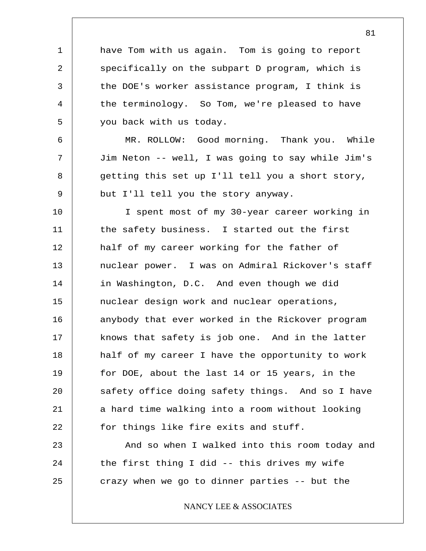have Tom with us again. Tom is going to report specifically on the subpart D program, which is the DOE's worker assistance program, I think is the terminology. So Tom, we're pleased to have you back with us today.

1

2

3

4

5

6

7

8

9

MR. ROLLOW: Good morning. Thank you. While Jim Neton -- well, I was going to say while Jim's getting this set up I'll tell you a short story, but I'll tell you the story anyway.

10 11 12 13 14 15 16 17 18 19 20 21 22 I spent most of my 30-year career working in the safety business. I started out the first half of my career working for the father of nuclear power. I was on Admiral Rickover's staff in Washington, D.C. And even though we did nuclear design work and nuclear operations, anybody that ever worked in the Rickover program knows that safety is job one. And in the latter half of my career I have the opportunity to work for DOE, about the last 14 or 15 years, in the safety office doing safety things. And so I have a hard time walking into a room without looking for things like fire exits and stuff.

23 24 25 And so when I walked into this room today and the first thing I did -- this drives my wife crazy when we go to dinner parties -- but the

NANCY LEE & ASSOCIATES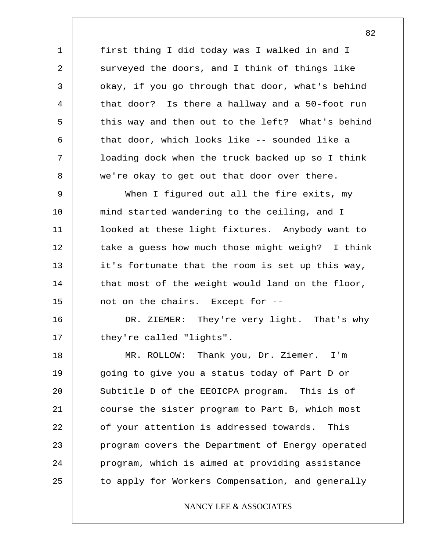first thing I did today was I walked in and I surveyed the doors, and I think of things like okay, if you go through that door, what's behind that door? Is there a hallway and a 50-foot run this way and then out to the left? What's behind that door, which looks like -- sounded like a loading dock when the truck backed up so I think we're okay to get out that door over there.

1

2

3

4

5

6

7

8

9 10 11 12 13 14 15 When I figured out all the fire exits, my mind started wandering to the ceiling, and I looked at these light fixtures. Anybody want to take a guess how much those might weigh? I think it's fortunate that the room is set up this way, that most of the weight would land on the floor, not on the chairs. Except for --

16 17 DR. ZIEMER: They're very light. That's why they're called "lights".

18 19 20 21 22 23 24 25 MR. ROLLOW: Thank you, Dr. Ziemer. I'm going to give you a status today of Part D or Subtitle D of the EEOICPA program. This is of course the sister program to Part B, which most of your attention is addressed towards. This program covers the Department of Energy operated program, which is aimed at providing assistance to apply for Workers Compensation, and generally

## NANCY LEE & ASSOCIATES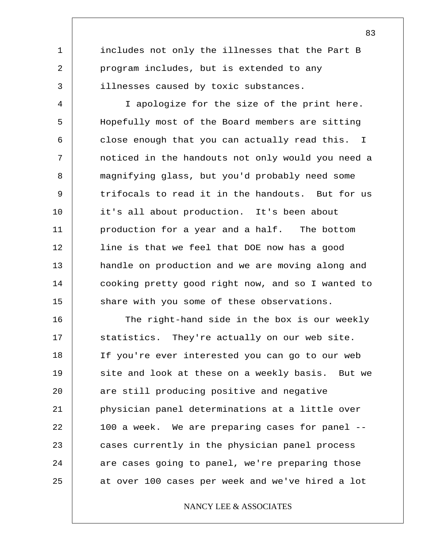includes not only the illnesses that the Part B program includes, but is extended to any illnesses caused by toxic substances.

1

2

3

4 5 6 7 8 9 10 11 12 13 14 15 I apologize for the size of the print here. Hopefully most of the Board members are sitting close enough that you can actually read this. I noticed in the handouts not only would you need a magnifying glass, but you'd probably need some trifocals to read it in the handouts. But for us it's all about production. It's been about production for a year and a half. The bottom line is that we feel that DOE now has a good handle on production and we are moving along and cooking pretty good right now, and so I wanted to share with you some of these observations.

16 17 18 19 20 21 22 23 24 25 The right-hand side in the box is our weekly statistics. They're actually on our web site. If you're ever interested you can go to our web site and look at these on a weekly basis. But we are still producing positive and negative physician panel determinations at a little over 100 a week. We are preparing cases for panel - cases currently in the physician panel process are cases going to panel, we're preparing those at over 100 cases per week and we've hired a lot

## NANCY LEE & ASSOCIATES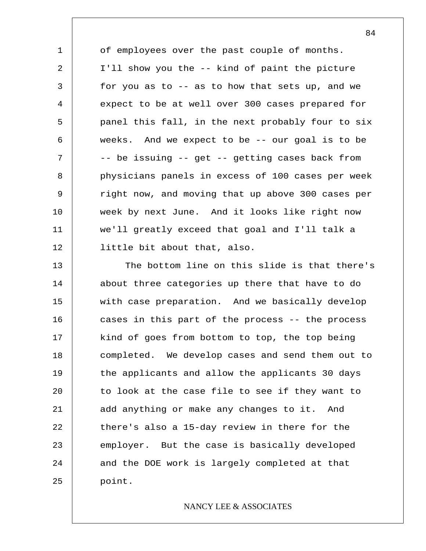1 2 3 4 5 6 7 8 9 10 11 12 of employees over the past couple of months. I'll show you the -- kind of paint the picture for you as to  $-$ - as to how that sets up, and we expect to be at well over 300 cases prepared for panel this fall, in the next probably four to six weeks. And we expect to be -- our goal is to be -- be issuing -- get -- getting cases back from physicians panels in excess of 100 cases per week right now, and moving that up above 300 cases per week by next June. And it looks like right now we'll greatly exceed that goal and I'll talk a little bit about that, also.

13 14 15 16 17 18 19 20 21 22 23 24 25 The bottom line on this slide is that there's about three categories up there that have to do with case preparation. And we basically develop cases in this part of the process -- the process kind of goes from bottom to top, the top being completed. We develop cases and send them out to the applicants and allow the applicants 30 days to look at the case file to see if they want to add anything or make any changes to it. And there's also a 15-day review in there for the employer. But the case is basically developed and the DOE work is largely completed at that point.

## NANCY LEE & ASSOCIATES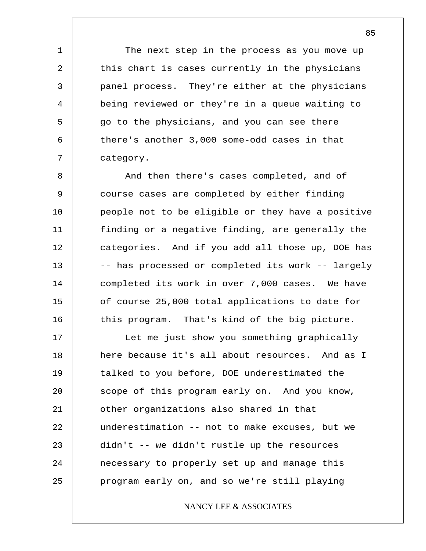The next step in the process as you move up this chart is cases currently in the physicians panel process. They're either at the physicians being reviewed or they're in a queue waiting to go to the physicians, and you can see there there's another 3,000 some-odd cases in that category.

1

2

3

4

5

6

7

8 9 10 11 12 13 14 15 16 And then there's cases completed, and of course cases are completed by either finding people not to be eligible or they have a positive finding or a negative finding, are generally the categories. And if you add all those up, DOE has -- has processed or completed its work -- largely completed its work in over 7,000 cases. We have of course 25,000 total applications to date for this program. That's kind of the big picture.

17 18 19 20 21 22 23 24 25 Let me just show you something graphically here because it's all about resources. And as I talked to you before, DOE underestimated the scope of this program early on. And you know, other organizations also shared in that underestimation -- not to make excuses, but we didn't -- we didn't rustle up the resources necessary to properly set up and manage this program early on, and so we're still playing

## NANCY LEE & ASSOCIATES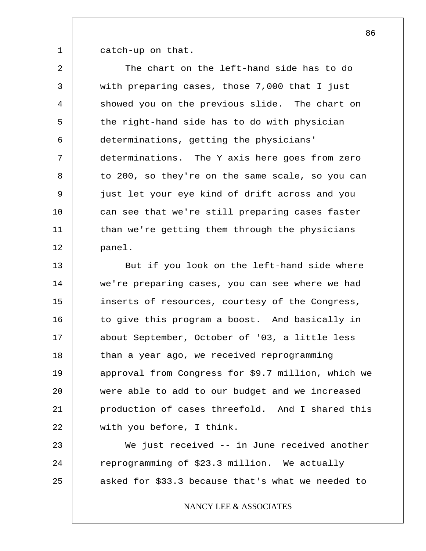1 catch-up on that.

2 3 4 5 6 7 8 9 10 11 12 The chart on the left-hand side has to do with preparing cases, those 7,000 that I just showed you on the previous slide. The chart on the right-hand side has to do with physician determinations, getting the physicians' determinations. The Y axis here goes from zero to 200, so they're on the same scale, so you can just let your eye kind of drift across and you can see that we're still preparing cases faster than we're getting them through the physicians panel.

13 14 15 16 17 18 19 20 21 22 But if you look on the left-hand side where we're preparing cases, you can see where we had inserts of resources, courtesy of the Congress, to give this program a boost. And basically in about September, October of '03, a little less than a year ago, we received reprogramming approval from Congress for \$9.7 million, which we were able to add to our budget and we increased production of cases threefold. And I shared this with you before, I think.

23 24 25 We just received -- in June received another reprogramming of \$23.3 million. We actually asked for \$33.3 because that's what we needed to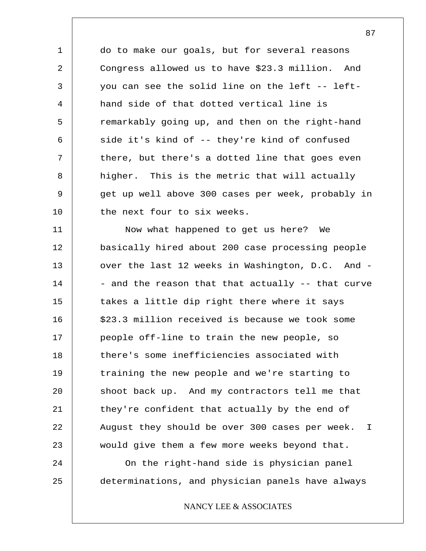do to make our goals, but for several reasons Congress allowed us to have \$23.3 million. And you can see the solid line on the left -- lefthand side of that dotted vertical line is remarkably going up, and then on the right-hand side it's kind of -- they're kind of confused there, but there's a dotted line that goes even higher. This is the metric that will actually get up well above 300 cases per week, probably in the next four to six weeks.

1

2

3

4

5

6

7

8

9

10

11 12 13 14 15 16 17 18 19 20 21 22 23 24 25 Now what happened to get us here? We basically hired about 200 case processing people over the last 12 weeks in Washington, D.C. And - - and the reason that that actually -- that curve takes a little dip right there where it says \$23.3 million received is because we took some people off-line to train the new people, so there's some inefficiencies associated with training the new people and we're starting to shoot back up. And my contractors tell me that they're confident that actually by the end of August they should be over 300 cases per week. I would give them a few more weeks beyond that. On the right-hand side is physician panel determinations, and physician panels have always

NANCY LEE & ASSOCIATES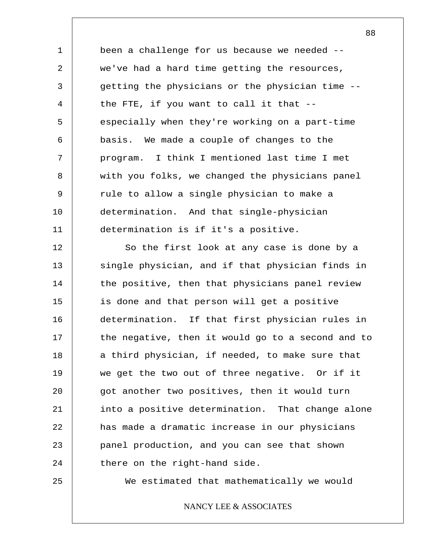1 2 3 4 5 6 7 8 9 10 11 been a challenge for us because we needed - we've had a hard time getting the resources, getting the physicians or the physician time - the FTE, if you want to call it that - especially when they're working on a part-time basis. We made a couple of changes to the program. I think I mentioned last time I met with you folks, we changed the physicians panel rule to allow a single physician to make a determination. And that single-physician determination is if it's a positive.

12 13 14 15 16 17 18 19 20 21 22 23 24 So the first look at any case is done by a single physician, and if that physician finds in the positive, then that physicians panel review is done and that person will get a positive determination. If that first physician rules in the negative, then it would go to a second and to a third physician, if needed, to make sure that we get the two out of three negative. Or if it got another two positives, then it would turn into a positive determination. That change alone has made a dramatic increase in our physicians panel production, and you can see that shown there on the right-hand side.

25

We estimated that mathematically we would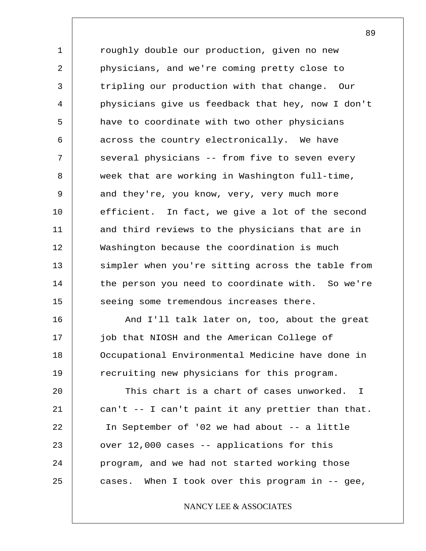1 2 3 4 5 6 7 8 9 10 11 12 13 14 15 roughly double our production, given no new physicians, and we're coming pretty close to tripling our production with that change. Our physicians give us feedback that hey, now I don't have to coordinate with two other physicians across the country electronically. We have several physicians -- from five to seven every week that are working in Washington full-time, and they're, you know, very, very much more efficient. In fact, we give a lot of the second and third reviews to the physicians that are in Washington because the coordination is much simpler when you're sitting across the table from the person you need to coordinate with. So we're seeing some tremendous increases there.

16 17 18 19 And I'll talk later on, too, about the great job that NIOSH and the American College of Occupational Environmental Medicine have done in recruiting new physicians for this program.

20 21 22 23 24 25 This chart is a chart of cases unworked. I can't -- I can't paint it any prettier than that. In September of '02 we had about -- a little over 12,000 cases -- applications for this program, and we had not started working those cases. When I took over this program in -- gee,

NANCY LEE & ASSOCIATES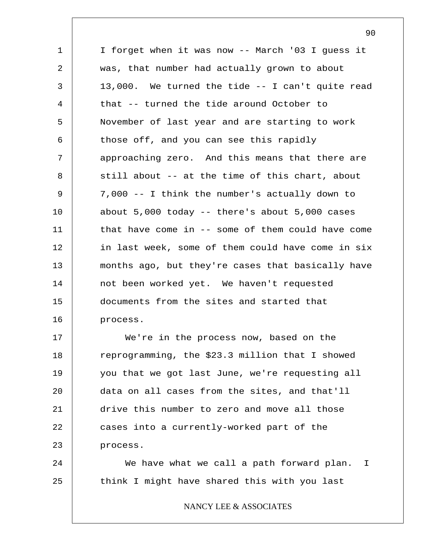1 2 3 4 5 6 7 8 9 10 11 12 13 14 15 16 I forget when it was now -- March '03 I guess it was, that number had actually grown to about 13,000. We turned the tide -- I can't quite read that -- turned the tide around October to November of last year and are starting to work those off, and you can see this rapidly approaching zero. And this means that there are still about -- at the time of this chart, about 7,000 -- I think the number's actually down to about 5,000 today -- there's about 5,000 cases that have come in -- some of them could have come in last week, some of them could have come in six months ago, but they're cases that basically have not been worked yet. We haven't requested documents from the sites and started that process.

17 18 19 20 21 22 23 We're in the process now, based on the reprogramming, the \$23.3 million that I showed you that we got last June, we're requesting all data on all cases from the sites, and that'll drive this number to zero and move all those cases into a currently-worked part of the process.

24 25 We have what we call a path forward plan. think I might have shared this with you last I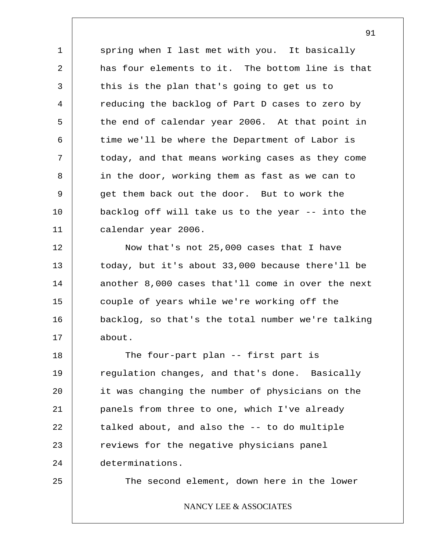1 2 3 4 5 6 7 8 9 10 11 spring when I last met with you. It basically has four elements to it. The bottom line is that this is the plan that's going to get us to reducing the backlog of Part D cases to zero by the end of calendar year 2006. At that point in time we'll be where the Department of Labor is today, and that means working cases as they come in the door, working them as fast as we can to get them back out the door. But to work the backlog off will take us to the year -- into the calendar year 2006.

12 13 14 15 16 17 Now that's not 25,000 cases that I have today, but it's about 33,000 because there'll be another 8,000 cases that'll come in over the next couple of years while we're working off the backlog, so that's the total number we're talking about.

18 19 20 21 22 23 24 The four-part plan -- first part is regulation changes, and that's done. Basically it was changing the number of physicians on the panels from three to one, which I've already talked about, and also the -- to do multiple reviews for the negative physicians panel determinations.

25

The second element, down here in the lower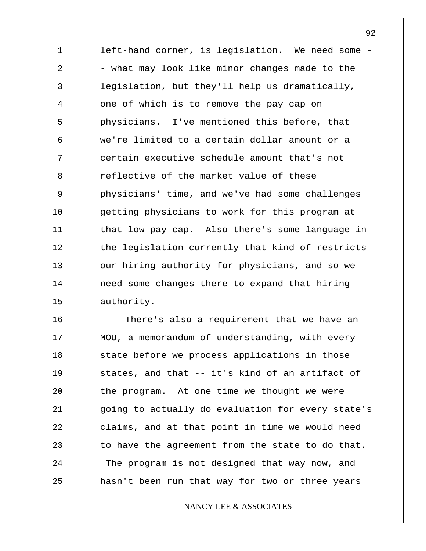1 2 3 4 5 6 7 8 9 10 11 12 13 14 15 left-hand corner, is legislation. We need some - - what may look like minor changes made to the legislation, but they'll help us dramatically, one of which is to remove the pay cap on physicians. I've mentioned this before, that we're limited to a certain dollar amount or a certain executive schedule amount that's not reflective of the market value of these physicians' time, and we've had some challenges getting physicians to work for this program at that low pay cap. Also there's some language in the legislation currently that kind of restricts our hiring authority for physicians, and so we need some changes there to expand that hiring authority.

16 17 18 19 20 21 22 23 24 25 There's also a requirement that we have an MOU, a memorandum of understanding, with every state before we process applications in those states, and that -- it's kind of an artifact of the program. At one time we thought we were going to actually do evaluation for every state's claims, and at that point in time we would need to have the agreement from the state to do that. The program is not designed that way now, and hasn't been run that way for two or three years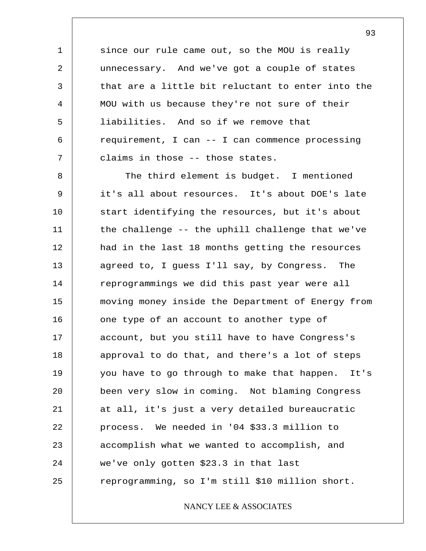since our rule came out, so the MOU is really unnecessary. And we've got a couple of states that are a little bit reluctant to enter into the MOU with us because they're not sure of their liabilities. And so if we remove that requirement, I can -- I can commence processing claims in those -- those states.

1

2

3

4

5

6

7

8 9 10 11 12 13 14 15 16 17 18 19 20 21 22 23 24 25 The third element is budget. I mentioned it's all about resources. It's about DOE's late start identifying the resources, but it's about the challenge -- the uphill challenge that we've had in the last 18 months getting the resources agreed to, I guess I'll say, by Congress. The reprogrammings we did this past year were all moving money inside the Department of Energy from one type of an account to another type of account, but you still have to have Congress's approval to do that, and there's a lot of steps you have to go through to make that happen. It's been very slow in coming. Not blaming Congress at all, it's just a very detailed bureaucratic process. We needed in '04 \$33.3 million to accomplish what we wanted to accomplish, and we've only gotten \$23.3 in that last reprogramming, so I'm still \$10 million short.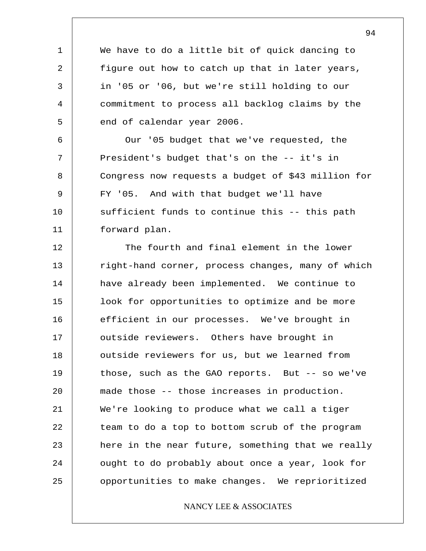We have to do a little bit of quick dancing to figure out how to catch up that in later years, in '05 or '06, but we're still holding to our commitment to process all backlog claims by the end of calendar year 2006.

1

2

3

4

5

6

8

9

7 10 11 Our '05 budget that we've requested, the President's budget that's on the -- it's in Congress now requests a budget of \$43 million for FY '05. And with that budget we'll have sufficient funds to continue this -- this path forward plan.

12 13 14 15 16 17 18 19 20 21 22 23 24 25 The fourth and final element in the lower right-hand corner, process changes, many of which have already been implemented. We continue to look for opportunities to optimize and be more efficient in our processes. We've brought in outside reviewers. Others have brought in outside reviewers for us, but we learned from those, such as the GAO reports. But -- so we've made those -- those increases in production. We're looking to produce what we call a tiger team to do a top to bottom scrub of the program here in the near future, something that we really ought to do probably about once a year, look for opportunities to make changes. We reprioritized

## NANCY LEE & ASSOCIATES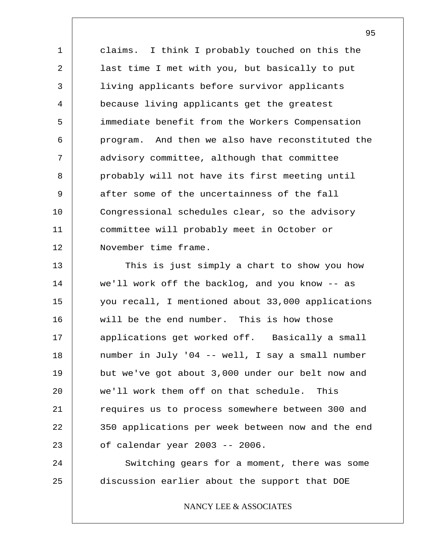1 2 3 4 5 6 7 8 9 10 11 12 claims. I think I probably touched on this the last time I met with you, but basically to put living applicants before survivor applicants because living applicants get the greatest immediate benefit from the Workers Compensation program. And then we also have reconstituted the advisory committee, although that committee probably will not have its first meeting until after some of the uncertainness of the fall Congressional schedules clear, so the advisory committee will probably meet in October or November time frame.

13 14 15 16 17 18 19 20 21 22 23 This is just simply a chart to show you how we'll work off the backlog, and you know -- as you recall, I mentioned about 33,000 applications will be the end number. This is how those applications get worked off. Basically a small number in July '04 -- well, I say a small number but we've got about 3,000 under our belt now and we'll work them off on that schedule. This requires us to process somewhere between 300 and 350 applications per week between now and the end of calendar year 2003 -- 2006.

24 25 Switching gears for a moment, there was some discussion earlier about the support that DOE

NANCY LEE & ASSOCIATES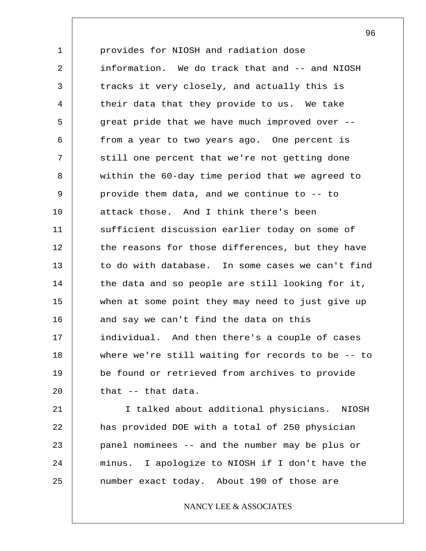1 2 3 4 5 6 7 8 9 10 11 12 13 14 15 16 17 18 19 20 provides for NIOSH and radiation dose information. We do track that and -- and NIOSH tracks it very closely, and actually this is their data that they provide to us. We take great pride that we have much improved over - from a year to two years ago. One percent is still one percent that we're not getting done within the 60-day time period that we agreed to provide them data, and we continue to -- to attack those. And I think there's been sufficient discussion earlier today on some of the reasons for those differences, but they have to do with database. In some cases we can't find the data and so people are still looking for it, when at some point they may need to just give up and say we can't find the data on this individual. And then there's a couple of cases where we're still waiting for records to be -- to be found or retrieved from archives to provide that -- that data.

21 22 23 24 25 I talked about additional physicians. NIOSH has provided DOE with a total of 250 physician panel nominees -- and the number may be plus or minus. I apologize to NIOSH if I don't have the number exact today. About 190 of those are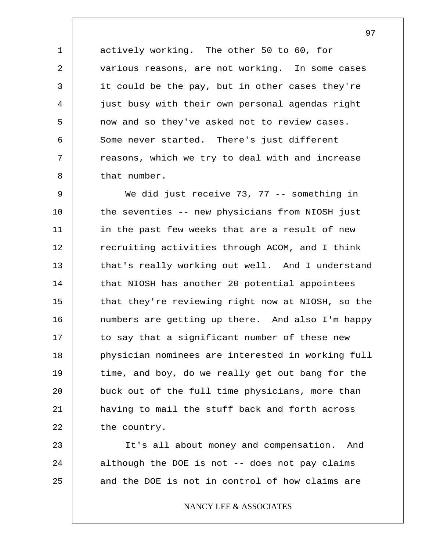actively working. The other 50 to 60, for various reasons, are not working. In some cases it could be the pay, but in other cases they're just busy with their own personal agendas right now and so they've asked not to review cases. Some never started. There's just different reasons, which we try to deal with and increase that number.

1

2

3

4

5

6

7

8

9 10 11 12 13 14 15 16 17 18 19 20 21 22 We did just receive 73, 77 -- something in the seventies -- new physicians from NIOSH just in the past few weeks that are a result of new recruiting activities through ACOM, and I think that's really working out well. And I understand that NIOSH has another 20 potential appointees that they're reviewing right now at NIOSH, so the numbers are getting up there. And also I'm happy to say that a significant number of these new physician nominees are interested in working full time, and boy, do we really get out bang for the buck out of the full time physicians, more than having to mail the stuff back and forth across the country.

23 24 25 It's all about money and compensation. And although the DOE is not -- does not pay claims and the DOE is not in control of how claims are

## NANCY LEE & ASSOCIATES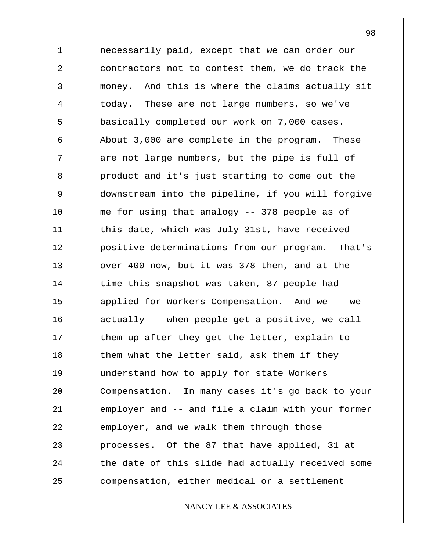1 2 3 4 5 6 7 8 9 10 11 12 13 14 15 16 17 18 19 20 21 22 23 24 25 necessarily paid, except that we can order our contractors not to contest them, we do track the money. And this is where the claims actually sit today. These are not large numbers, so we've basically completed our work on 7,000 cases. About 3,000 are complete in the program. These are not large numbers, but the pipe is full of product and it's just starting to come out the downstream into the pipeline, if you will forgive me for using that analogy -- 378 people as of this date, which was July 31st, have received positive determinations from our program. That's over 400 now, but it was 378 then, and at the time this snapshot was taken, 87 people had applied for Workers Compensation. And we -- we actually -- when people get a positive, we call them up after they get the letter, explain to them what the letter said, ask them if they understand how to apply for state Workers Compensation. In many cases it's go back to your employer and -- and file a claim with your former employer, and we walk them through those processes. Of the 87 that have applied, 31 at the date of this slide had actually received some compensation, either medical or a settlement

NANCY LEE & ASSOCIATES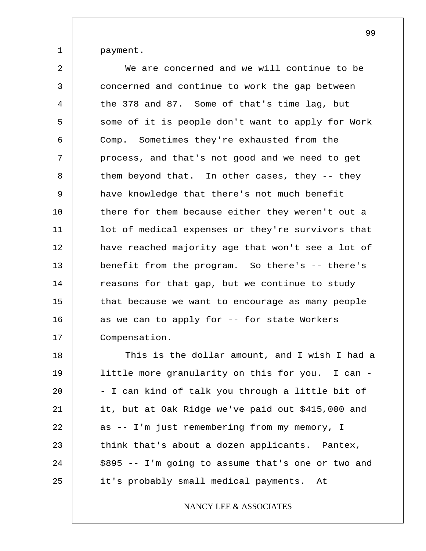1 payment.

2 3 4 5 6 7 8 9 10 11 12 13 14 15 16 17 We are concerned and we will continue to be concerned and continue to work the gap between the 378 and 87. Some of that's time lag, but some of it is people don't want to apply for Work Comp. Sometimes they're exhausted from the process, and that's not good and we need to get them beyond that. In other cases, they -- they have knowledge that there's not much benefit there for them because either they weren't out a lot of medical expenses or they're survivors that have reached majority age that won't see a lot of benefit from the program. So there's -- there's reasons for that gap, but we continue to study that because we want to encourage as many people as we can to apply for -- for state Workers Compensation.

18 19 20 21 22 23 24 25 This is the dollar amount, and I wish I had a little more granularity on this for you. I can - - I can kind of talk you through a little bit of it, but at Oak Ridge we've paid out \$415,000 and as -- I'm just remembering from my memory, I think that's about a dozen applicants. Pantex, \$895 -- I'm going to assume that's one or two and it's probably small medical payments. At

## NANCY LEE & ASSOCIATES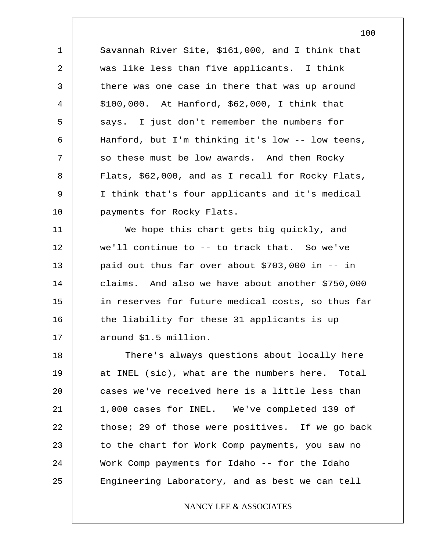1 2 3 4 5 6 7 8 9 10 Savannah River Site, \$161,000, and I think that was like less than five applicants. I think there was one case in there that was up around \$100,000. At Hanford, \$62,000, I think that says. I just don't remember the numbers for Hanford, but I'm thinking it's low -- low teens, so these must be low awards. And then Rocky Flats, \$62,000, and as I recall for Rocky Flats, I think that's four applicants and it's medical payments for Rocky Flats.

11 12 13 14 15 16 17 We hope this chart gets big quickly, and we'll continue to -- to track that. So we've paid out thus far over about \$703,000 in -- in claims. And also we have about another \$750,000 in reserves for future medical costs, so thus far the liability for these 31 applicants is up around \$1.5 million.

18 19 20 21 22 23 24 25 There's always questions about locally here at INEL (sic), what are the numbers here. Total cases we've received here is a little less than 1,000 cases for INEL. We've completed 139 of those; 29 of those were positives. If we go back to the chart for Work Comp payments, you saw no Work Comp payments for Idaho -- for the Idaho Engineering Laboratory, and as best we can tell

## NANCY LEE & ASSOCIATES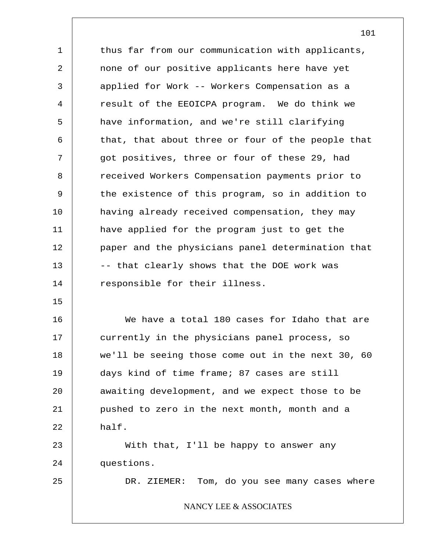1 2 3 4 5 6 7 8 9 10 11 12 13 14 15 16 17 18 19 20 21 22 23 thus far from our communication with applicants, none of our positive applicants here have yet applied for Work -- Workers Compensation as a result of the EEOICPA program. We do think we have information, and we're still clarifying that, that about three or four of the people that got positives, three or four of these 29, had received Workers Compensation payments prior to the existence of this program, so in addition to having already received compensation, they may have applied for the program just to get the paper and the physicians panel determination that -- that clearly shows that the DOE work was responsible for their illness. We have a total 180 cases for Idaho that are currently in the physicians panel process, so we'll be seeing those come out in the next 30, 60 days kind of time frame; 87 cases are still awaiting development, and we expect those to be pushed to zero in the next month, month and a half. With that, I'll be happy to answer any

24 questions.

25

DR. ZIEMER: Tom, do you see many cases where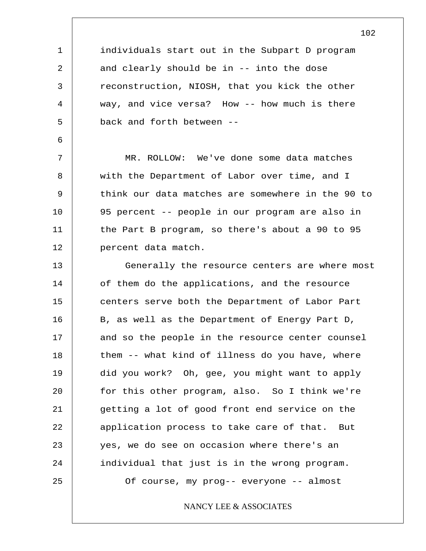individuals start out in the Subpart D program and clearly should be in -- into the dose reconstruction, NIOSH, that you kick the other way, and vice versa? How -- how much is there back and forth between --

MR. ROLLOW: We've done some data matches with the Department of Labor over time, and I think our data matches are somewhere in the 90 to 95 percent -- people in our program are also in the Part B program, so there's about a 90 to 95 percent data match.

13 14 15 16 17 18 19 20 21 22 23 24 25 Generally the resource centers are where most of them do the applications, and the resource centers serve both the Department of Labor Part B, as well as the Department of Energy Part D, and so the people in the resource center counsel them -- what kind of illness do you have, where did you work? Oh, gee, you might want to apply for this other program, also. So I think we're getting a lot of good front end service on the application process to take care of that. But yes, we do see on occasion where there's an individual that just is in the wrong program. Of course, my prog-- everyone -- almost

NANCY LEE & ASSOCIATES

# 10 11

1

2

3

4

5

6

7

8

9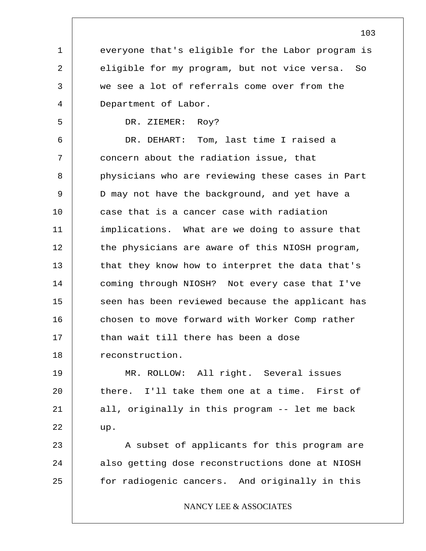everyone that's eligible for the Labor program is eligible for my program, but not vice versa. So we see a lot of referrals come over from the Department of Labor.

DR. ZIEMER: Roy?

1

2

3

4

5

6 7 8 9 10 11 12 13 14 15 16 17 18 DR. DEHART: Tom, last time I raised a concern about the radiation issue, that physicians who are reviewing these cases in Part D may not have the background, and yet have a case that is a cancer case with radiation implications. What are we doing to assure that the physicians are aware of this NIOSH program, that they know how to interpret the data that's coming through NIOSH? Not every case that I've seen has been reviewed because the applicant has chosen to move forward with Worker Comp rather than wait till there has been a dose reconstruction.

19 20 21 22 MR. ROLLOW: All right. Several issues there. I'll take them one at a time. First of all, originally in this program -- let me back up.

23 24 25 A subset of applicants for this program are also getting dose reconstructions done at NIOSH for radiogenic cancers. And originally in this

## NANCY LEE & ASSOCIATES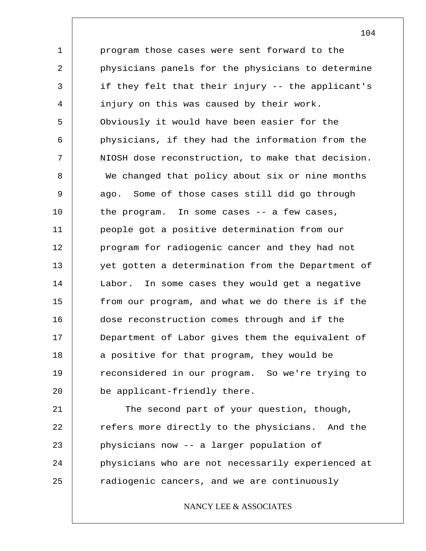1 2 3 4 5 6 7 8 9 10 11 12 13 14 15 16 17 18 19 20 program those cases were sent forward to the physicians panels for the physicians to determine if they felt that their injury -- the applicant's injury on this was caused by their work. Obviously it would have been easier for the physicians, if they had the information from the NIOSH dose reconstruction, to make that decision. We changed that policy about six or nine months ago. Some of those cases still did go through the program. In some cases -- a few cases, people got a positive determination from our program for radiogenic cancer and they had not yet gotten a determination from the Department of Labor. In some cases they would get a negative from our program, and what we do there is if the dose reconstruction comes through and if the Department of Labor gives them the equivalent of a positive for that program, they would be reconsidered in our program. So we're trying to be applicant-friendly there.

21 22 23 24 25 The second part of your question, though, refers more directly to the physicians. And the physicians now -- a larger population of physicians who are not necessarily experienced at radiogenic cancers, and we are continuously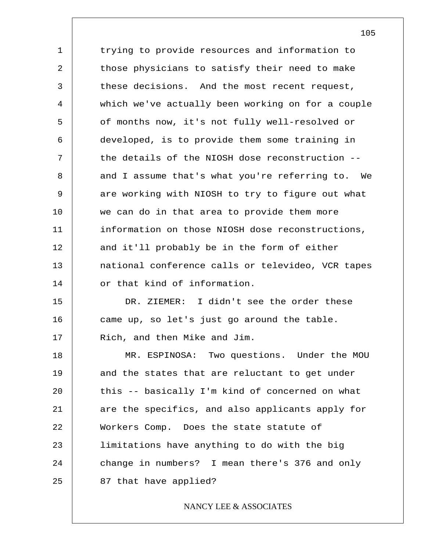1 2 3 4 5 6 7 8 9 10 11 12 13 14 15 16 17 18 19 20 trying to provide resources and information to those physicians to satisfy their need to make these decisions. And the most recent request, which we've actually been working on for a couple of months now, it's not fully well-resolved or developed, is to provide them some training in the details of the NIOSH dose reconstruction - and I assume that's what you're referring to. We are working with NIOSH to try to figure out what we can do in that area to provide them more information on those NIOSH dose reconstructions, and it'll probably be in the form of either national conference calls or televideo, VCR tapes or that kind of information. DR. ZIEMER: I didn't see the order these came up, so let's just go around the table. Rich, and then Mike and Jim. MR. ESPINOSA: Two questions. Under the MOU and the states that are reluctant to get under this -- basically I'm kind of concerned on what

21 22 23 24 25 are the specifics, and also applicants apply for Workers Comp. Does the state statute of limitations have anything to do with the big change in numbers? I mean there's 376 and only 87 that have applied?

## NANCY LEE & ASSOCIATES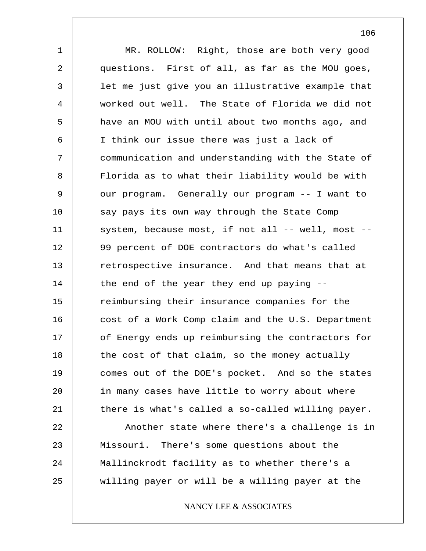1 2 3 4 5 6 7 8 9 10 11 12 13 14 15 16 17 18 19 20 21 22 23 24 25 MR. ROLLOW: Right, those are both very good questions. First of all, as far as the MOU goes, let me just give you an illustrative example that worked out well. The State of Florida we did not have an MOU with until about two months ago, and I think our issue there was just a lack of communication and understanding with the State of Florida as to what their liability would be with our program. Generally our program -- I want to say pays its own way through the State Comp system, because most, if not all  $--$  well, most  $--$ 99 percent of DOE contractors do what's called retrospective insurance. And that means that at the end of the year they end up paying - reimbursing their insurance companies for the cost of a Work Comp claim and the U.S. Department of Energy ends up reimbursing the contractors for the cost of that claim, so the money actually comes out of the DOE's pocket. And so the states in many cases have little to worry about where there is what's called a so-called willing payer. Another state where there's a challenge is in Missouri. There's some questions about the Mallinckrodt facility as to whether there's a willing payer or will be a willing payer at the

## NANCY LEE & ASSOCIATES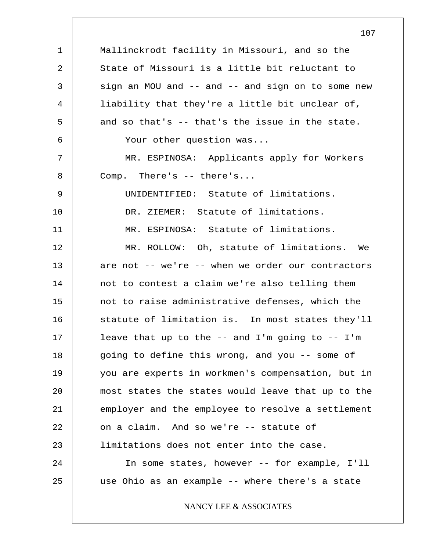1 2 3 4 5 6 7 8 9 10 11 12 13 14 15 16 17 18 19 20 21 22 23 24 25 Mallinckrodt facility in Missouri, and so the State of Missouri is a little bit reluctant to sign an MOU and  $--$  and  $--$  and sign on to some new liability that they're a little bit unclear of, and so that's -- that's the issue in the state. Your other question was... MR. ESPINOSA: Applicants apply for Workers Comp. There's -- there's... UNIDENTIFIED: Statute of limitations. DR. ZIEMER: Statute of limitations. MR. ESPINOSA: Statute of limitations. MR. ROLLOW: Oh, statute of limitations. We are not -- we're -- when we order our contractors not to contest a claim we're also telling them not to raise administrative defenses, which the statute of limitation is. In most states they'll leave that up to the  $--$  and I'm going to  $--$  I'm going to define this wrong, and you -- some of you are experts in workmen's compensation, but in most states the states would leave that up to the employer and the employee to resolve a settlement on a claim. And so we're -- statute of limitations does not enter into the case. In some states, however -- for example, I'll use Ohio as an example -- where there's a state NANCY LEE & ASSOCIATES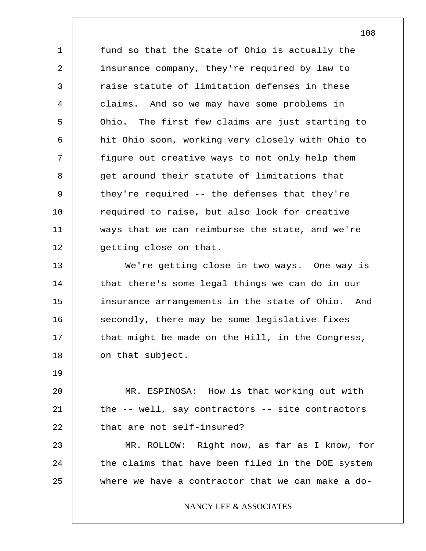1 2 3 4 5 6 7 8 9 10 11 12 13 14 15 16 17 18 19 20 21 22 23 fund so that the State of Ohio is actually the insurance company, they're required by law to raise statute of limitation defenses in these claims. And so we may have some problems in Ohio. The first few claims are just starting to hit Ohio soon, working very closely with Ohio to figure out creative ways to not only help them get around their statute of limitations that they're required -- the defenses that they're required to raise, but also look for creative ways that we can reimburse the state, and we're getting close on that. We're getting close in two ways. One way is that there's some legal things we can do in our insurance arrangements in the state of Ohio. And secondly, there may be some legislative fixes that might be made on the Hill, in the Congress, on that subject. MR. ESPINOSA: How is that working out with the -- well, say contractors -- site contractors that are not self-insured? MR. ROLLOW: Right now, as far as I know, for

24 25 the claims that have been filed in the DOE system where we have a contractor that we can make a do-

NANCY LEE & ASSOCIATES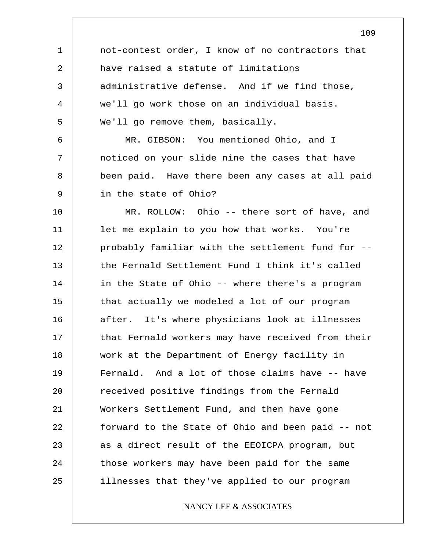1 2 3 4 5 6 7 8 9 10 11 12 13 14 15 16 17 18 19 20 21 22 23 24 25 not-contest order, I know of no contractors that have raised a statute of limitations administrative defense. And if we find those, we'll go work those on an individual basis. We'll go remove them, basically. MR. GIBSON: You mentioned Ohio, and I noticed on your slide nine the cases that have been paid. Have there been any cases at all paid in the state of Ohio? MR. ROLLOW: Ohio -- there sort of have, and let me explain to you how that works. You're probably familiar with the settlement fund for - the Fernald Settlement Fund I think it's called in the State of Ohio -- where there's a program that actually we modeled a lot of our program after. It's where physicians look at illnesses that Fernald workers may have received from their work at the Department of Energy facility in Fernald. And a lot of those claims have -- have received positive findings from the Fernald Workers Settlement Fund, and then have gone forward to the State of Ohio and been paid -- not as a direct result of the EEOICPA program, but those workers may have been paid for the same illnesses that they've applied to our program NANCY LEE & ASSOCIATES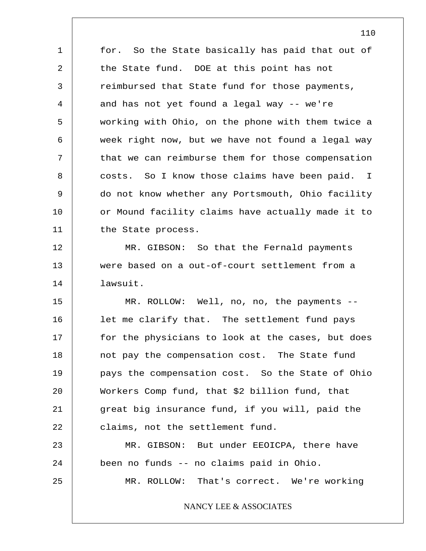1 2 3 4 5 6 7 8 9 10 11 12 13 14 for. So the State basically has paid that out of the State fund. DOE at this point has not reimbursed that State fund for those payments, and has not yet found a legal way -- we're working with Ohio, on the phone with them twice a week right now, but we have not found a legal way that we can reimburse them for those compensation costs. So I know those claims have been paid. I do not know whether any Portsmouth, Ohio facility or Mound facility claims have actually made it to the State process. MR. GIBSON: So that the Fernald payments were based on a out-of-court settlement from a lawsuit.

15 16 17 18 19 20 21 22 23 MR. ROLLOW: Well, no, no, the payments - let me clarify that. The settlement fund pays for the physicians to look at the cases, but does not pay the compensation cost. The State fund pays the compensation cost. So the State of Ohio Workers Comp fund, that \$2 billion fund, that great big insurance fund, if you will, paid the claims, not the settlement fund. MR. GIBSON: But under EEOICPA, there have

24 25 been no funds -- no claims paid in Ohio. MR. ROLLOW: That's correct. We're working

NANCY LEE & ASSOCIATES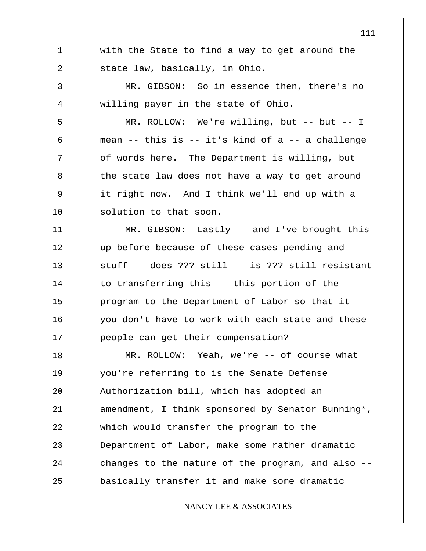|    | ⊥⊥⊥                                               |
|----|---------------------------------------------------|
| 1  | with the State to find a way to get around the    |
| 2  | state law, basically, in Ohio.                    |
| 3  | MR. GIBSON: So in essence then, there's no        |
| 4  | willing payer in the state of Ohio.               |
| 5  | MR. ROLLOW: We're willing, but -- but -- I        |
| 6  | mean -- this is -- it's kind of a -- a challenge  |
| 7  | of words here. The Department is willing, but     |
| 8  | the state law does not have a way to get around   |
| 9  | it right now. And I think we'll end up with a     |
| 10 | solution to that soon.                            |
| 11 | MR. GIBSON: Lastly -- and I've brought this       |
| 12 | up before because of these cases pending and      |
| 13 | stuff -- does ??? still -- is ??? still resistant |
| 14 | to transferring this -- this portion of the       |
| 15 | program to the Department of Labor so that it --  |
| 16 | you don't have to work with each state and these  |
| 17 | people can get their compensation?                |
| 18 | MR. ROLLOW: Yeah, we're -- of course what         |
| 19 | you're referring to is the Senate Defense         |
| 20 | Authorization bill, which has adopted an          |
| 21 | amendment, I think sponsored by Senator Bunning*, |
| 22 | which would transfer the program to the           |
| 23 | Department of Labor, make some rather dramatic    |
| 24 | changes to the nature of the program, and also -- |
| 25 | basically transfer it and make some dramatic      |
|    | NANCY LEE & ASSOCIATES                            |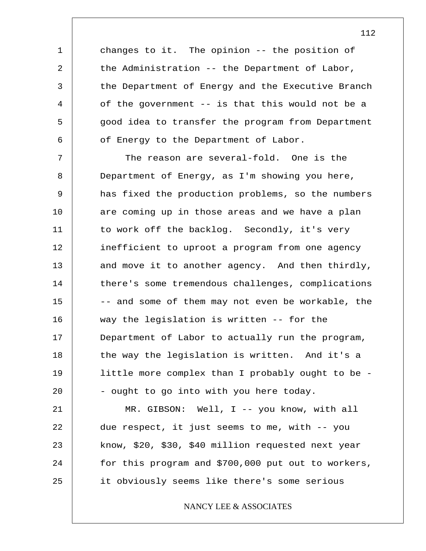changes to it. The opinion -- the position of the Administration -- the Department of Labor, the Department of Energy and the Executive Branch of the government -- is that this would not be a good idea to transfer the program from Department of Energy to the Department of Labor.

1

2

3

4

5

6

7 8 9 10 11 12 13 14 15 16 17 18 19 20 The reason are several-fold. One is the Department of Energy, as I'm showing you here, has fixed the production problems, so the numbers are coming up in those areas and we have a plan to work off the backlog. Secondly, it's very inefficient to uproot a program from one agency and move it to another agency. And then thirdly, there's some tremendous challenges, complications -- and some of them may not even be workable, the way the legislation is written -- for the Department of Labor to actually run the program, the way the legislation is written. And it's a little more complex than I probably ought to be - - ought to go into with you here today.

21 22 23 24 25 MR. GIBSON: Well, I -- you know, with all due respect, it just seems to me, with -- you know, \$20, \$30, \$40 million requested next year for this program and \$700,000 put out to workers, it obviously seems like there's some serious

NANCY LEE & ASSOCIATES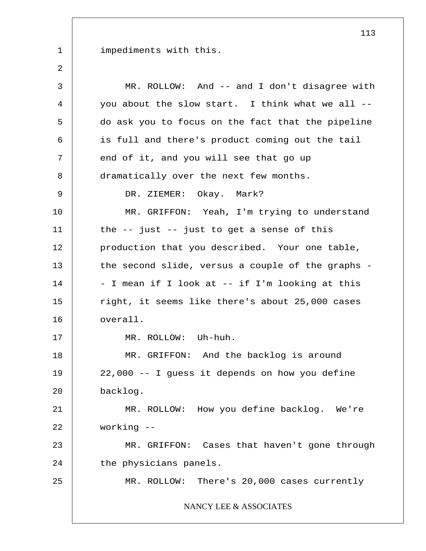impediments with this.

1

| 3              | MR. ROLLOW: And -- and I don't disagree with      |
|----------------|---------------------------------------------------|
| $\overline{4}$ | you about the slow start. I think what we all --  |
| 5              | do ask you to focus on the fact that the pipeline |
| 6              | is full and there's product coming out the tail   |
| 7              | end of it, and you will see that go up            |
| 8              | dramatically over the next few months.            |
| 9              | DR. ZIEMER: Okay. Mark?                           |
| 10             | MR. GRIFFON: Yeah, I'm trying to understand       |
| 11             | the $-$ just $-$ just to get a sense of this      |
| 12             | production that you described. Your one table,    |
| 13             | the second slide, versus a couple of the graphs - |
| 14             | - I mean if I look at -- if I'm looking at this   |
| 15             | right, it seems like there's about 25,000 cases   |
| 16             | overall.                                          |
| 17             | MR. ROLLOW: Uh-huh.                               |
| 18             | MR. GRIFFON: And the backlog is around            |
| 19             | 22,000 -- I guess it depends on how you define    |
| 20             | backlog.                                          |
| 21             | MR. ROLLOW: How you define backlog. We're         |
| 22             | working --                                        |
| 23             | MR. GRIFFON: Cases that haven't gone through      |
| 24             | the physicians panels.                            |
| 25             | MR. ROLLOW: There's 20,000 cases currently        |
|                | NANCY LEE & ASSOCIATES                            |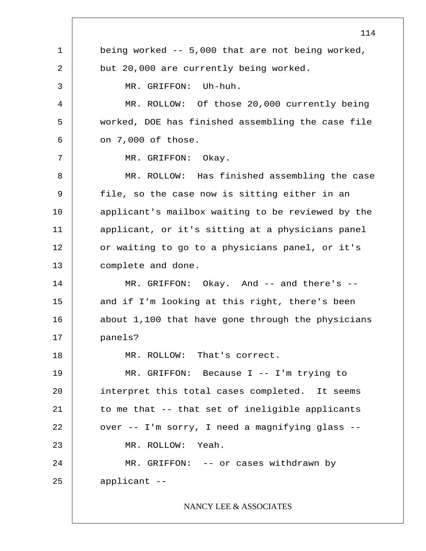1 2 3 4 5 6 7 8 9 10 11 12 13 14 15 16 17 18 19 20 21 22 23 24 25 114 being worked -- 5,000 that are not being worked, but 20,000 are currently being worked. MR. GRIFFON: Uh-huh. MR. ROLLOW: Of those 20,000 currently being worked, DOE has finished assembling the case file on 7,000 of those. MR. GRIFFON: Okay. MR. ROLLOW: Has finished assembling the case file, so the case now is sitting either in an applicant's mailbox waiting to be reviewed by the applicant, or it's sitting at a physicians panel or waiting to go to a physicians panel, or it's complete and done. MR. GRIFFON: Okay. And -- and there's -and if I'm looking at this right, there's been about 1,100 that have gone through the physicians panels? MR. ROLLOW: That's correct. MR. GRIFFON: Because I -- I'm trying to interpret this total cases completed. It seems to me that -- that set of ineligible applicants over -- I'm sorry, I need a magnifying glass -- MR. ROLLOW: Yeah. MR. GRIFFON: -- or cases withdrawn by applicant -- NANCY LEE & ASSOCIATES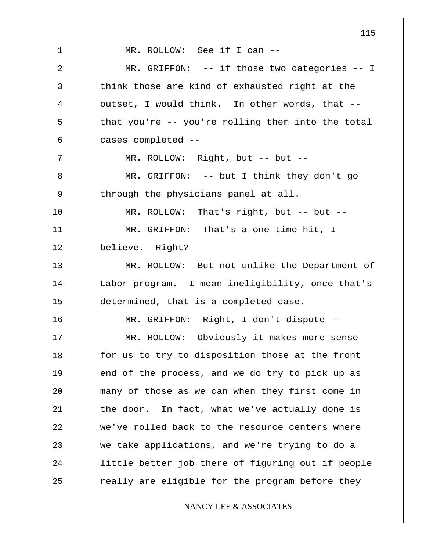1 2 3 4 5 6 7 8 9 10 11 12 13 14 15 16 17 18 19 20 21 22 23 24 25 115 MR. ROLLOW: See if I can -- MR. GRIFFON: -- if those two categories -- I think those are kind of exhausted right at the outset, I would think. In other words, that - that you're -- you're rolling them into the total cases completed -- MR. ROLLOW: Right, but -- but --MR. GRIFFON: -- but I think they don't go through the physicians panel at all. MR. ROLLOW: That's right, but -- but --MR. GRIFFON: That's a one-time hit, I believe. Right? MR. ROLLOW: But not unlike the Department of Labor program. I mean ineligibility, once that's determined, that is a completed case. MR. GRIFFON: Right, I don't dispute -- MR. ROLLOW: Obviously it makes more sense for us to try to disposition those at the front end of the process, and we do try to pick up as many of those as we can when they first come in the door. In fact, what we've actually done is we've rolled back to the resource centers where we take applications, and we're trying to do a little better job there of figuring out if people really are eligible for the program before they NANCY LEE & ASSOCIATES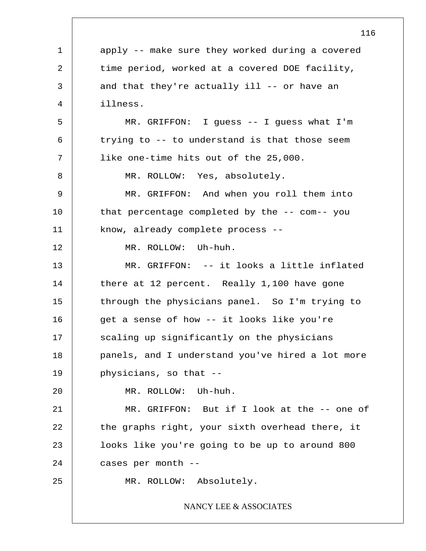1 2 3 4 5 6 7 8 9 10 11 12 13 14 15 16 17 18 19 20 21 22 23 24 25 116 apply -- make sure they worked during a covered time period, worked at a covered DOE facility, and that they're actually ill -- or have an illness. MR. GRIFFON: I guess -- I guess what I'm trying to -- to understand is that those seem like one-time hits out of the 25,000. MR. ROLLOW: Yes, absolutely. MR. GRIFFON: And when you roll them into that percentage completed by the -- com-- you know, already complete process -- MR. ROLLOW: Uh-huh. MR. GRIFFON: -- it looks a little inflated there at 12 percent. Really 1,100 have gone through the physicians panel. So I'm trying to get a sense of how -- it looks like you're scaling up significantly on the physicians panels, and I understand you've hired a lot more physicians, so that -- MR. ROLLOW: Uh-huh. MR. GRIFFON: But if I look at the -- one of the graphs right, your sixth overhead there, it looks like you're going to be up to around 800 cases per month -- MR. ROLLOW: Absolutely. NANCY LEE & ASSOCIATES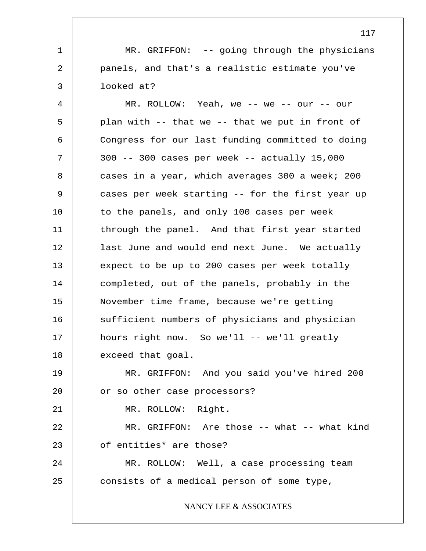MR. GRIFFON: -- going through the physicians panels, and that's a realistic estimate you've looked at?

1

2

3

25

4 5 6 7 8 9 10 11 12 13 14 15 16 17 18 19 20 21 22 23 24 MR. ROLLOW: Yeah, we -- we -- our -- our plan with -- that we -- that we put in front of Congress for our last funding committed to doing 300 -- 300 cases per week -- actually 15,000 cases in a year, which averages 300 a week; 200 cases per week starting -- for the first year up to the panels, and only 100 cases per week through the panel. And that first year started last June and would end next June. We actually expect to be up to 200 cases per week totally completed, out of the panels, probably in the November time frame, because we're getting sufficient numbers of physicians and physician hours right now. So we'll -- we'll greatly exceed that goal. MR. GRIFFON: And you said you've hired 200 or so other case processors? MR. ROLLOW: Right. MR. GRIFFON: Are those -- what -- what kind of entities\* are those? MR. ROLLOW: Well, a case processing team

consists of a medical person of some type,

NANCY LEE & ASSOCIATES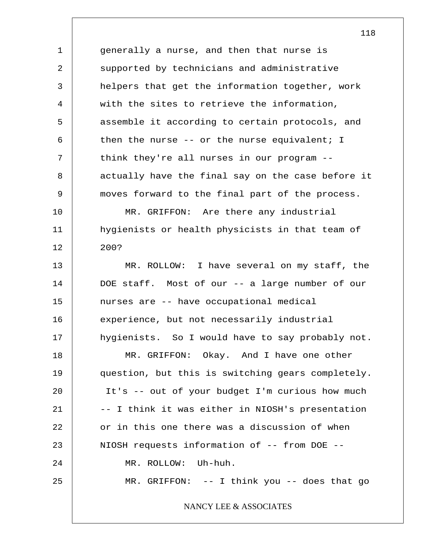1 2 3 4 5 6 7 8 9 10 11 12 13 14 15 16 17 18 19 20 21 22 23 24 25 generally a nurse, and then that nurse is supported by technicians and administrative helpers that get the information together, work with the sites to retrieve the information, assemble it according to certain protocols, and then the nurse  $--$  or the nurse equivalent; I think they're all nurses in our program - actually have the final say on the case before it moves forward to the final part of the process. MR. GRIFFON: Are there any industrial hygienists or health physicists in that team of 200? MR. ROLLOW: I have several on my staff, the DOE staff. Most of our -- a large number of our nurses are -- have occupational medical experience, but not necessarily industrial hygienists. So I would have to say probably not. MR. GRIFFON: Okay. And I have one other question, but this is switching gears completely. It's -- out of your budget I'm curious how much -- I think it was either in NIOSH's presentation or in this one there was a discussion of when NIOSH requests information of -- from DOE -- MR. ROLLOW: Uh-huh. MR. GRIFFON: -- I think you -- does that go NANCY LEE & ASSOCIATES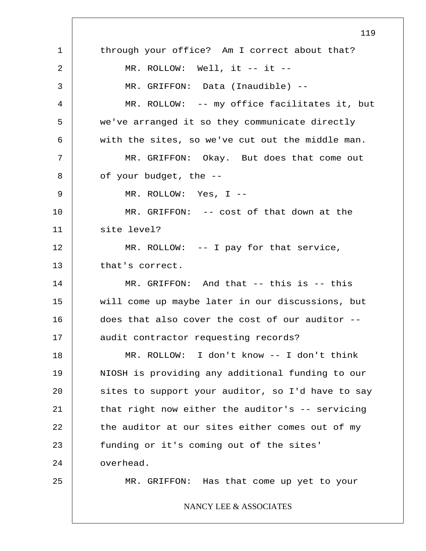1 2 3 4 5 6 7 8 9 10 11 12 13 14 15 16 17 18 19 20 21 22 23 24 25 119 through your office? Am I correct about that? MR. ROLLOW: Well, it -- it --MR. GRIFFON: Data (Inaudible) -- MR. ROLLOW: -- my office facilitates it, but we've arranged it so they communicate directly with the sites, so we've cut out the middle man. MR. GRIFFON: Okay. But does that come out of your budget, the -- MR. ROLLOW: Yes, I -- MR. GRIFFON: -- cost of that down at the site level? MR. ROLLOW: -- I pay for that service, that's correct. MR. GRIFFON: And that -- this is -- this will come up maybe later in our discussions, but does that also cover the cost of our auditor - audit contractor requesting records? MR. ROLLOW: I don't know -- I don't think NIOSH is providing any additional funding to our sites to support your auditor, so I'd have to say that right now either the auditor's -- servicing the auditor at our sites either comes out of my funding or it's coming out of the sites' overhead. MR. GRIFFON: Has that come up yet to your NANCY LEE & ASSOCIATES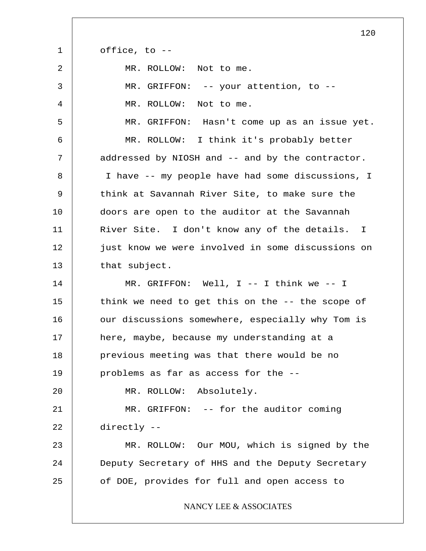| $\mathbf{1}$ | office, to --                                     |
|--------------|---------------------------------------------------|
| 2            | MR. ROLLOW: Not to me.                            |
| 3            | MR. GRIFFON: -- your attention, to --             |
| 4            | MR. ROLLOW: Not to me.                            |
| 5            | MR. GRIFFON: Hasn't come up as an issue yet.      |
| 6            | MR. ROLLOW: I think it's probably better          |
| 7            | addressed by NIOSH and -- and by the contractor.  |
| 8            | I have -- my people have had some discussions, I  |
| 9            | think at Savannah River Site, to make sure the    |
| 10           | doors are open to the auditor at the Savannah     |
| 11           | River Site. I don't know any of the details. I    |
| 12           | just know we were involved in some discussions on |
| 13           | that subject.                                     |
| 14           | MR. GRIFFON: Well, I -- I think we -- I           |
| 15           | think we need to get this on the -- the scope of  |
| 16           | our discussions somewhere, especially why Tom is  |
| 17           | here, maybe, because my understanding at a        |
| 18           | previous meeting was that there would be no       |
| 19           | problems as far as access for the --              |
| 20           | MR. ROLLOW: Absolutely.                           |
| 21           | MR. GRIFFON: -- for the auditor coming            |
| 22           | directly --                                       |
| 23           | MR. ROLLOW: Our MOU, which is signed by the       |
| 24           | Deputy Secretary of HHS and the Deputy Secretary  |
| 25           | of DOE, provides for full and open access to      |
|              | NANCY LEE & ASSOCIATES                            |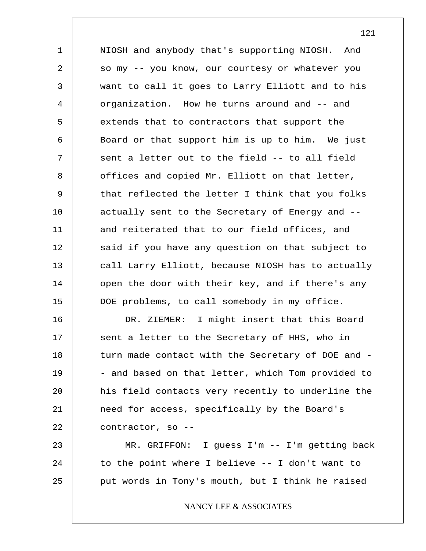1 2 3 4 5 6 7 8 9 10 11 12 13 14 15 NIOSH and anybody that's supporting NIOSH. And so my -- you know, our courtesy or whatever you want to call it goes to Larry Elliott and to his organization. How he turns around and -- and extends that to contractors that support the Board or that support him is up to him. We just sent a letter out to the field -- to all field offices and copied Mr. Elliott on that letter, that reflected the letter I think that you folks actually sent to the Secretary of Energy and - and reiterated that to our field offices, and said if you have any question on that subject to call Larry Elliott, because NIOSH has to actually open the door with their key, and if there's any DOE problems, to call somebody in my office.

16 17 18 19 20 21 22 DR. ZIEMER: I might insert that this Board sent a letter to the Secretary of HHS, who in turn made contact with the Secretary of DOE and - - and based on that letter, which Tom provided to his field contacts very recently to underline the need for access, specifically by the Board's contractor, so --

23 24 25 MR. GRIFFON: I guess I'm -- I'm getting back to the point where I believe -- I don't want to put words in Tony's mouth, but I think he raised

NANCY LEE & ASSOCIATES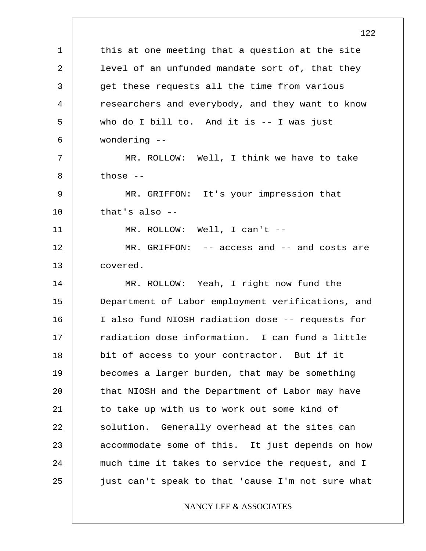1 2 3 4 5 6 7 8 9 10 11 12 13 14 15 16 17 18 19 20 21 22 23 24 25 122 this at one meeting that a question at the site level of an unfunded mandate sort of, that they get these requests all the time from various researchers and everybody, and they want to know who do I bill to. And it is -- I was just wondering -- MR. ROLLOW: Well, I think we have to take those -- MR. GRIFFON: It's your impression that that's also -- MR. ROLLOW: Well, I can't -- MR. GRIFFON: -- access and -- and costs are covered. MR. ROLLOW: Yeah, I right now fund the Department of Labor employment verifications, and I also fund NIOSH radiation dose -- requests for radiation dose information. I can fund a little bit of access to your contractor. But if it becomes a larger burden, that may be something that NIOSH and the Department of Labor may have to take up with us to work out some kind of solution. Generally overhead at the sites can accommodate some of this. It just depends on how much time it takes to service the request, and I just can't speak to that 'cause I'm not sure what NANCY LEE & ASSOCIATES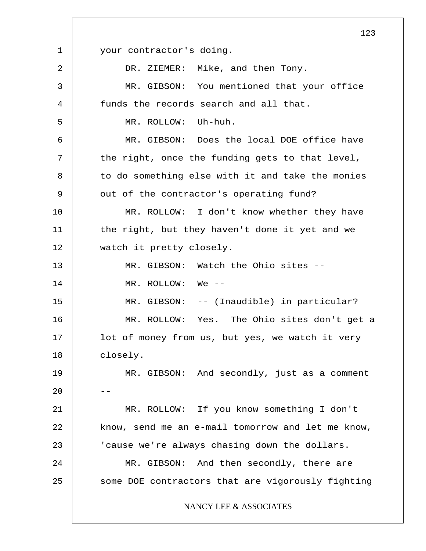1 2 3 4 5 6 7 8 9 10 11 12 13 14 15 16 17 18 19 20 21 22 23 24 25 your contractor's doing. DR. ZIEMER: Mike, and then Tony. MR. GIBSON: You mentioned that your office funds the records search and all that. MR. ROLLOW: Uh-huh. MR. GIBSON: Does the local DOE office have the right, once the funding gets to that level, to do something else with it and take the monies out of the contractor's operating fund? MR. ROLLOW: I don't know whether they have the right, but they haven't done it yet and we watch it pretty closely. MR. GIBSON: Watch the Ohio sites -- MR. ROLLOW: We -- MR. GIBSON: -- (Inaudible) in particular? MR. ROLLOW: Yes. The Ohio sites don't get a lot of money from us, but yes, we watch it very closely. MR. GIBSON: And secondly, just as a comment -- MR. ROLLOW: If you know something I don't know, send me an e-mail tomorrow and let me know, 'cause we're always chasing down the dollars. MR. GIBSON: And then secondly, there are some DOE contractors that are vigorously fighting NANCY LEE & ASSOCIATES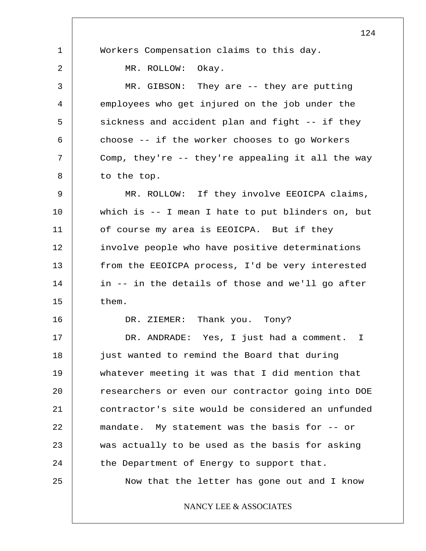|    | 124                                               |
|----|---------------------------------------------------|
| 1  | Workers Compensation claims to this day.          |
| 2  | MR. ROLLOW:<br>Okay.                              |
| 3  | MR. GIBSON: They are $-$ - they are putting       |
| 4  | employees who get injured on the job under the    |
| 5  | sickness and accident plan and fight -- if they   |
| 6  | choose -- if the worker chooses to go Workers     |
| 7  | Comp, they're -- they're appealing it all the way |
| 8  | to the top.                                       |
| 9  | MR. ROLLOW: If they involve EEOICPA claims,       |
| 10 | which is -- I mean I hate to put blinders on, but |
| 11 | of course my area is EEOICPA. But if they         |
| 12 | involve people who have positive determinations   |
| 13 | from the EEOICPA process, I'd be very interested  |
| 14 | in -- in the details of those and we'll go after  |
| 15 | them.                                             |
| 16 | DR. ZIEMER: Thank you. Tony?                      |
| 17 | DR. ANDRADE: Yes, I just had a comment. I         |
| 18 | just wanted to remind the Board that during       |
| 19 | whatever meeting it was that I did mention that   |
| 20 | researchers or even our contractor going into DOE |
| 21 | contractor's site would be considered an unfunded |
| 22 | mandate. My statement was the basis for -- or     |
| 23 | was actually to be used as the basis for asking   |
| 24 | the Department of Energy to support that.         |
| 25 | Now that the letter has gone out and I know       |
|    | NANCY LEE & ASSOCIATES                            |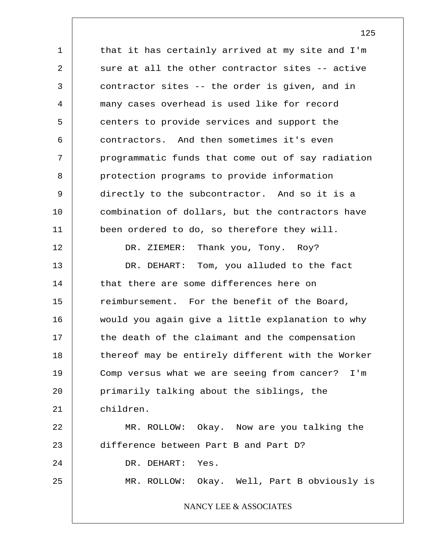1 2 3 4 5 6 7 8 9 10 11 12 13 14 15 16 17 18 19 20 21 22 23 24 25 that it has certainly arrived at my site and I'm sure at all the other contractor sites -- active contractor sites -- the order is given, and in many cases overhead is used like for record centers to provide services and support the contractors. And then sometimes it's even programmatic funds that come out of say radiation protection programs to provide information directly to the subcontractor. And so it is a combination of dollars, but the contractors have been ordered to do, so therefore they will. DR. ZIEMER: Thank you, Tony. Roy? DR. DEHART: Tom, you alluded to the fact that there are some differences here on reimbursement. For the benefit of the Board, would you again give a little explanation to why the death of the claimant and the compensation thereof may be entirely different with the Worker Comp versus what we are seeing from cancer? I'm primarily talking about the siblings, the children. MR. ROLLOW: Okay. Now are you talking the difference between Part B and Part D? DR. DEHART: Yes. MR. ROLLOW: Okay. Well, Part B obviously is NANCY LEE & ASSOCIATES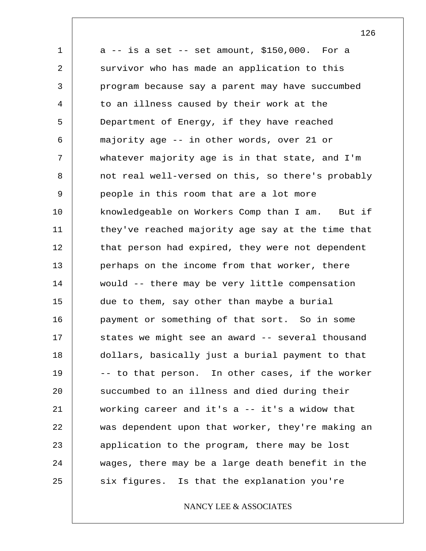1 2 3 4 5 6 7 8 9 10 11 12 13 14 15 16 17 18 19 20 21 22 23 24 25  $a$  -- is a set -- set amount, \$150,000. For a survivor who has made an application to this program because say a parent may have succumbed to an illness caused by their work at the Department of Energy, if they have reached majority age -- in other words, over 21 or whatever majority age is in that state, and I'm not real well-versed on this, so there's probably people in this room that are a lot more knowledgeable on Workers Comp than I am. But if they've reached majority age say at the time that that person had expired, they were not dependent perhaps on the income from that worker, there would -- there may be very little compensation due to them, say other than maybe a burial payment or something of that sort. So in some states we might see an award -- several thousand dollars, basically just a burial payment to that -- to that person. In other cases, if the worker succumbed to an illness and died during their working career and it's a -- it's a widow that was dependent upon that worker, they're making an application to the program, there may be lost wages, there may be a large death benefit in the six figures. Is that the explanation you're

NANCY LEE & ASSOCIATES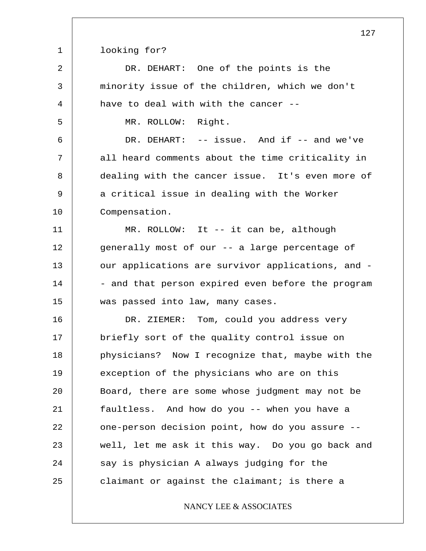1 looking for?

2

3

4

5

6

7

8

9

10

DR. DEHART: One of the points is the minority issue of the children, which we don't have to deal with with the cancer --

MR. ROLLOW: Right.

DR. DEHART: -- issue. And if -- and we've all heard comments about the time criticality in dealing with the cancer issue. It's even more of a critical issue in dealing with the Worker Compensation.

11 12 13 14 15 MR. ROLLOW: It -- it can be, although generally most of our -- a large percentage of our applications are survivor applications, and - - and that person expired even before the program was passed into law, many cases.

16 17 18 19 20 21 22 23 24 25 DR. ZIEMER: Tom, could you address very briefly sort of the quality control issue on physicians? Now I recognize that, maybe with the exception of the physicians who are on this Board, there are some whose judgment may not be faultless. And how do you -- when you have a one-person decision point, how do you assure - well, let me ask it this way. Do you go back and say is physician A always judging for the claimant or against the claimant; is there a

NANCY LEE & ASSOCIATES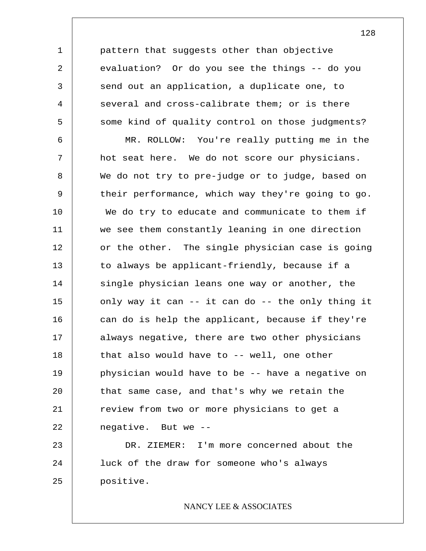pattern that suggests other than objective evaluation? Or do you see the things -- do you send out an application, a duplicate one, to several and cross-calibrate them; or is there some kind of quality control on those judgments?

1

2

3

4

5

6 7 8 9 10 11 12 13 14 15 16 17 18 19 20 21 22 23 MR. ROLLOW: You're really putting me in the hot seat here. We do not score our physicians. We do not try to pre-judge or to judge, based on their performance, which way they're going to go. We do try to educate and communicate to them if we see them constantly leaning in one direction or the other. The single physician case is going to always be applicant-friendly, because if a single physician leans one way or another, the only way it can -- it can do -- the only thing it can do is help the applicant, because if they're always negative, there are two other physicians that also would have to -- well, one other physician would have to be -- have a negative on that same case, and that's why we retain the review from two or more physicians to get a negative. But we -- DR. ZIEMER: I'm more concerned about the

24 25 luck of the draw for someone who's always positive.

# NANCY LEE & ASSOCIATES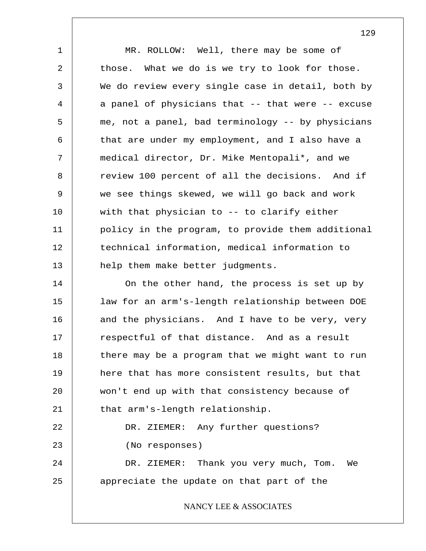1 2 3 4 5 6 7 8 9 10 11 12 13 14 15 16 17 18 19 20 21 22 23 24 25 MR. ROLLOW: Well, there may be some of those. What we do is we try to look for those. We do review every single case in detail, both by a panel of physicians that -- that were -- excuse me, not a panel, bad terminology -- by physicians that are under my employment, and I also have a medical director, Dr. Mike Mentopali\*, and we review 100 percent of all the decisions. And if we see things skewed, we will go back and work with that physician to -- to clarify either policy in the program, to provide them additional technical information, medical information to help them make better judgments. On the other hand, the process is set up by law for an arm's-length relationship between DOE and the physicians. And I have to be very, very respectful of that distance. And as a result there may be a program that we might want to run here that has more consistent results, but that won't end up with that consistency because of that arm's-length relationship. DR. ZIEMER: Any further questions? (No responses) DR. ZIEMER: Thank you very much, Tom. We appreciate the update on that part of the

### NANCY LEE & ASSOCIATES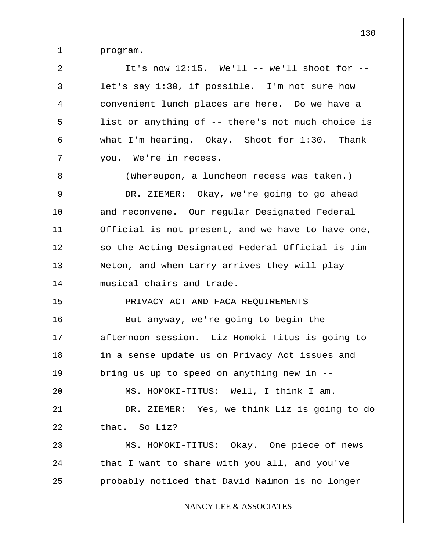program.

1

2 3 4 5 6 7 8 9 10 11 12 13 14 15 16 17 18 19 20 21 22 23 24 25 It's now  $12:15$ . We'll -- we'll shoot for -let's say 1:30, if possible. I'm not sure how convenient lunch places are here. Do we have a list or anything of -- there's not much choice is what I'm hearing. Okay. Shoot for 1:30. Thank you. We're in recess. (Whereupon, a luncheon recess was taken.) DR. ZIEMER: Okay, we're going to go ahead and reconvene. Our regular Designated Federal Official is not present, and we have to have one, so the Acting Designated Federal Official is Jim Neton, and when Larry arrives they will play musical chairs and trade. PRIVACY ACT AND FACA REQUIREMENTS But anyway, we're going to begin the afternoon session. Liz Homoki-Titus is going to in a sense update us on Privacy Act issues and bring us up to speed on anything new in -- MS. HOMOKI-TITUS: Well, I think I am. DR. ZIEMER: Yes, we think Liz is going to do that. So Liz? MS. HOMOKI-TITUS: Okay. One piece of news that I want to share with you all, and you've probably noticed that David Naimon is no longer NANCY LEE & ASSOCIATES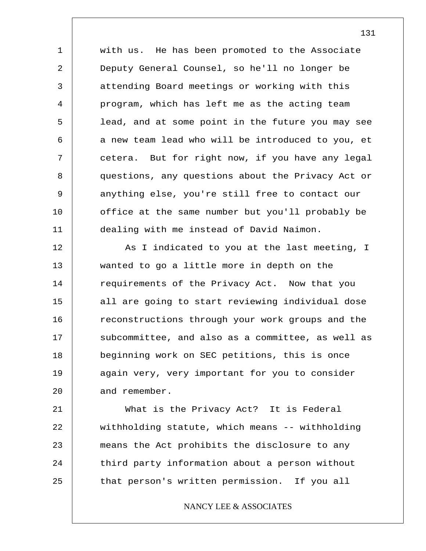1 2 3 4 5 6 7 8 9 10 11 with us. He has been promoted to the Associate Deputy General Counsel, so he'll no longer be attending Board meetings or working with this program, which has left me as the acting team lead, and at some point in the future you may see a new team lead who will be introduced to you, et cetera. But for right now, if you have any legal questions, any questions about the Privacy Act or anything else, you're still free to contact our office at the same number but you'll probably be dealing with me instead of David Naimon.

12 13 14 15 16 17 18 19 20 As I indicated to you at the last meeting, I wanted to go a little more in depth on the requirements of the Privacy Act. Now that you all are going to start reviewing individual dose reconstructions through your work groups and the subcommittee, and also as a committee, as well as beginning work on SEC petitions, this is once again very, very important for you to consider and remember.

21 22 23 24 25 What is the Privacy Act? It is Federal withholding statute, which means -- withholding means the Act prohibits the disclosure to any third party information about a person without that person's written permission. If you all

### NANCY LEE & ASSOCIATES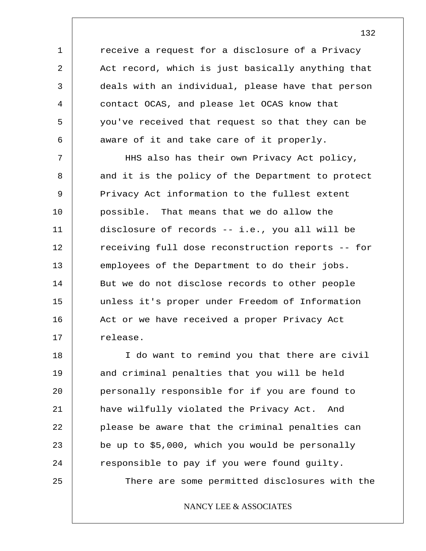receive a request for a disclosure of a Privacy Act record, which is just basically anything that deals with an individual, please have that person contact OCAS, and please let OCAS know that you've received that request so that they can be aware of it and take care of it properly.

1

2

3

4

5

6

7 8 9 10 11 12 13 14 15 16 17 HHS also has their own Privacy Act policy, and it is the policy of the Department to protect Privacy Act information to the fullest extent possible. That means that we do allow the disclosure of records -- i.e., you all will be receiving full dose reconstruction reports -- for employees of the Department to do their jobs. But we do not disclose records to other people unless it's proper under Freedom of Information Act or we have received a proper Privacy Act release.

18 19 20 21 22 23 24 25 I do want to remind you that there are civil and criminal penalties that you will be held personally responsible for if you are found to have wilfully violated the Privacy Act. And please be aware that the criminal penalties can be up to \$5,000, which you would be personally responsible to pay if you were found guilty. There are some permitted disclosures with the

NANCY LEE & ASSOCIATES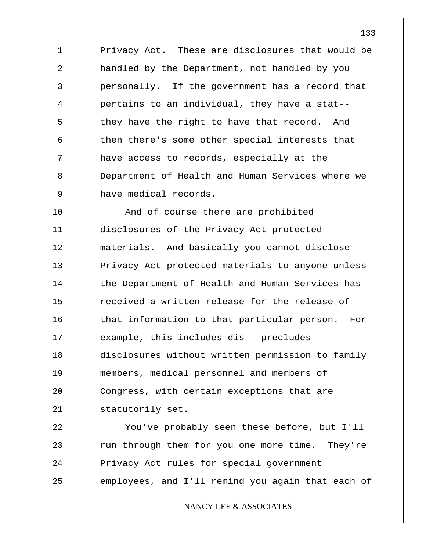1 2 3 4 5 6 7 8 9 Privacy Act. These are disclosures that would be handled by the Department, not handled by you personally. If the government has a record that pertains to an individual, they have a stat- they have the right to have that record. And then there's some other special interests that have access to records, especially at the Department of Health and Human Services where we have medical records.

10 11 12 13 14 15 16 17 18 19 20 21 And of course there are prohibited disclosures of the Privacy Act-protected materials. And basically you cannot disclose Privacy Act-protected materials to anyone unless the Department of Health and Human Services has received a written release for the release of that information to that particular person. For example, this includes dis-- precludes disclosures without written permission to family members, medical personnel and members of Congress, with certain exceptions that are statutorily set.

22 23 24 25 You've probably seen these before, but I'll run through them for you one more time. They're Privacy Act rules for special government employees, and I'll remind you again that each of

NANCY LEE & ASSOCIATES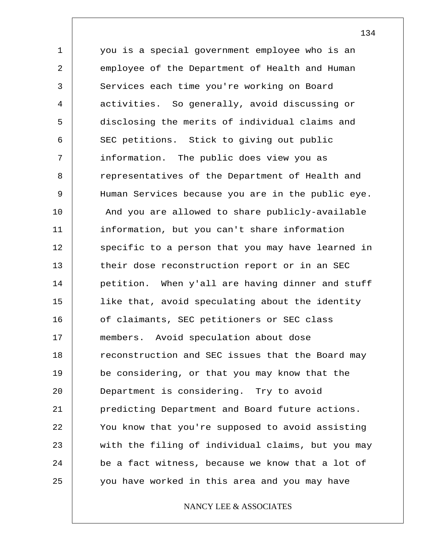1 2 3 4 5 6 7 8 9 10 11 12 13 14 15 16 17 18 19 20 21 22 23 24 25 you is a special government employee who is an employee of the Department of Health and Human Services each time you're working on Board activities. So generally, avoid discussing or disclosing the merits of individual claims and SEC petitions. Stick to giving out public information. The public does view you as representatives of the Department of Health and Human Services because you are in the public eye. And you are allowed to share publicly-available information, but you can't share information specific to a person that you may have learned in their dose reconstruction report or in an SEC petition. When y'all are having dinner and stuff like that, avoid speculating about the identity of claimants, SEC petitioners or SEC class members. Avoid speculation about dose reconstruction and SEC issues that the Board may be considering, or that you may know that the Department is considering. Try to avoid predicting Department and Board future actions. You know that you're supposed to avoid assisting with the filing of individual claims, but you may be a fact witness, because we know that a lot of you have worked in this area and you may have

# NANCY LEE & ASSOCIATES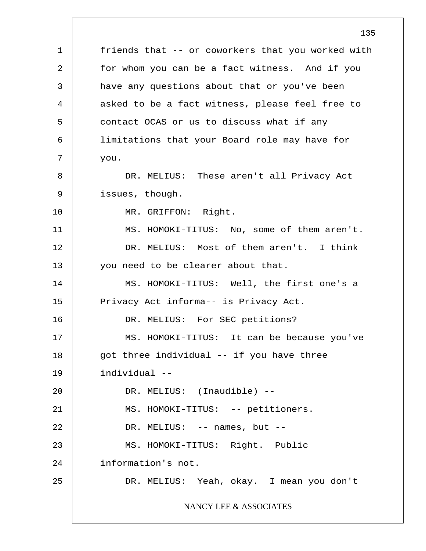1 2 3 4 5 6 7 8 9 10 11 12 13 14 15 16 17 18 19 20 21 22 23 24 25 135 friends that -- or coworkers that you worked with for whom you can be a fact witness. And if you have any questions about that or you've been asked to be a fact witness, please feel free to contact OCAS or us to discuss what if any limitations that your Board role may have for you. DR. MELIUS: These aren't all Privacy Act issues, though. MR. GRIFFON: Right. MS. HOMOKI-TITUS: No, some of them aren't. DR. MELIUS: Most of them aren't. I think you need to be clearer about that. MS. HOMOKI-TITUS: Well, the first one's a Privacy Act informa-- is Privacy Act. DR. MELIUS: For SEC petitions? MS. HOMOKI-TITUS: It can be because you've got three individual -- if you have three individual -- DR. MELIUS: (Inaudible) -- MS. HOMOKI-TITUS: -- petitioners. DR. MELIUS: -- names, but -- MS. HOMOKI-TITUS: Right. Public information's not. DR. MELIUS: Yeah, okay. I mean you don't NANCY LEE & ASSOCIATES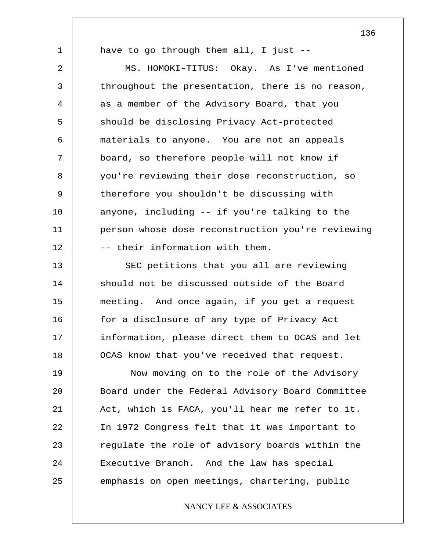1

have to go through them all, I just --

2 3 4 5 6 7 8 9 10 11 12 MS. HOMOKI-TITUS: Okay. As I've mentioned throughout the presentation, there is no reason, as a member of the Advisory Board, that you should be disclosing Privacy Act-protected materials to anyone. You are not an appeals board, so therefore people will not know if you're reviewing their dose reconstruction, so therefore you shouldn't be discussing with anyone, including -- if you're talking to the person whose dose reconstruction you're reviewing -- their information with them.

13 14 15 16 17 18 SEC petitions that you all are reviewing should not be discussed outside of the Board meeting. And once again, if you get a request for a disclosure of any type of Privacy Act information, please direct them to OCAS and let OCAS know that you've received that request.

19 20 21 22 23 24 25 Now moving on to the role of the Advisory Board under the Federal Advisory Board Committee Act, which is FACA, you'll hear me refer to it. In 1972 Congress felt that it was important to regulate the role of advisory boards within the Executive Branch. And the law has special emphasis on open meetings, chartering, public

# NANCY LEE & ASSOCIATES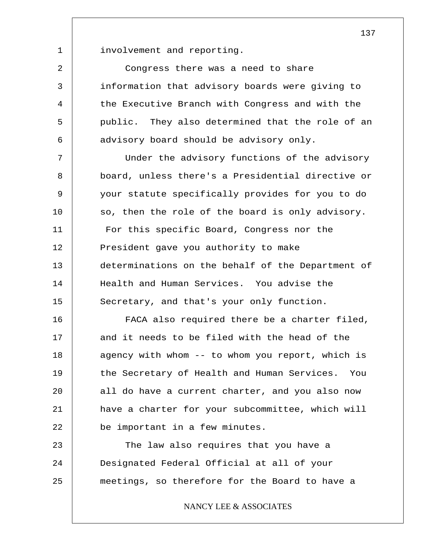involvement and reporting.

1

2

3

4

5

6

Congress there was a need to share information that advisory boards were giving to the Executive Branch with Congress and with the public. They also determined that the role of an advisory board should be advisory only.

7 8 9 10 11 12 13 14 15 Under the advisory functions of the advisory board, unless there's a Presidential directive or your statute specifically provides for you to do so, then the role of the board is only advisory. For this specific Board, Congress nor the President gave you authority to make determinations on the behalf of the Department of Health and Human Services. You advise the Secretary, and that's your only function.

16 17 18 19 20 21 22 FACA also required there be a charter filed, and it needs to be filed with the head of the agency with whom -- to whom you report, which is the Secretary of Health and Human Services. You all do have a current charter, and you also now have a charter for your subcommittee, which will be important in a few minutes.

23 24 25 The law also requires that you have a Designated Federal Official at all of your meetings, so therefore for the Board to have a

NANCY LEE & ASSOCIATES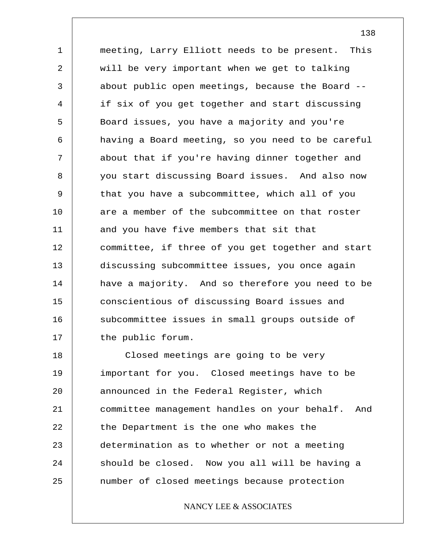1 2 3 4 5 6 7 8 9 10 11 12 13 14 15 16 17 meeting, Larry Elliott needs to be present. This will be very important when we get to talking about public open meetings, because the Board - if six of you get together and start discussing Board issues, you have a majority and you're having a Board meeting, so you need to be careful about that if you're having dinner together and you start discussing Board issues. And also now that you have a subcommittee, which all of you are a member of the subcommittee on that roster and you have five members that sit that committee, if three of you get together and start discussing subcommittee issues, you once again have a majority. And so therefore you need to be conscientious of discussing Board issues and subcommittee issues in small groups outside of the public forum.

18 19 20 21 22 23 24 25 Closed meetings are going to be very important for you. Closed meetings have to be announced in the Federal Register, which committee management handles on your behalf. And the Department is the one who makes the determination as to whether or not a meeting should be closed. Now you all will be having a number of closed meetings because protection

# NANCY LEE & ASSOCIATES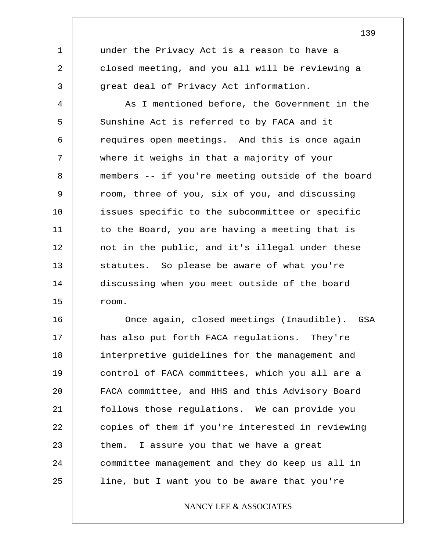under the Privacy Act is a reason to have a closed meeting, and you all will be reviewing a great deal of Privacy Act information.

1

2

3

4 5 6 7 8 9 10 11 12 13 14 15 As I mentioned before, the Government in the Sunshine Act is referred to by FACA and it requires open meetings. And this is once again where it weighs in that a majority of your members -- if you're meeting outside of the board room, three of you, six of you, and discussing issues specific to the subcommittee or specific to the Board, you are having a meeting that is not in the public, and it's illegal under these statutes. So please be aware of what you're discussing when you meet outside of the board room.

16 17 18 19 20 21 22 23 24 25 Once again, closed meetings (Inaudible). GSA has also put forth FACA regulations. They're interpretive guidelines for the management and control of FACA committees, which you all are a FACA committee, and HHS and this Advisory Board follows those regulations. We can provide you copies of them if you're interested in reviewing them. I assure you that we have a great committee management and they do keep us all in line, but I want you to be aware that you're

NANCY LEE & ASSOCIATES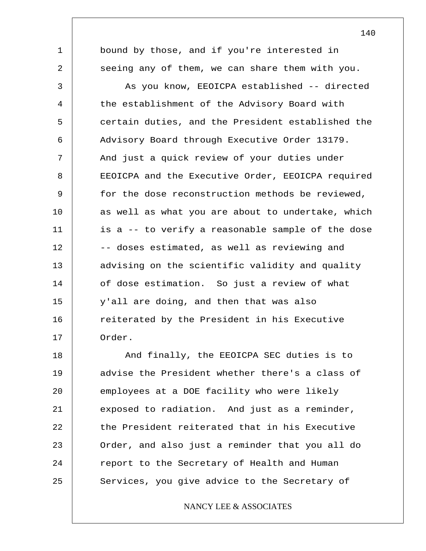bound by those, and if you're interested in seeing any of them, we can share them with you.

1

2

3 4 5 6 7 8 9 10 11 12 13 14 15 16 17 As you know, EEOICPA established -- directed the establishment of the Advisory Board with certain duties, and the President established the Advisory Board through Executive Order 13179. And just a quick review of your duties under EEOICPA and the Executive Order, EEOICPA required for the dose reconstruction methods be reviewed, as well as what you are about to undertake, which is a -- to verify a reasonable sample of the dose -- doses estimated, as well as reviewing and advising on the scientific validity and quality of dose estimation. So just a review of what y'all are doing, and then that was also reiterated by the President in his Executive Order.

18 19 20 21 22 23 24 25 And finally, the EEOICPA SEC duties is to advise the President whether there's a class of employees at a DOE facility who were likely exposed to radiation. And just as a reminder, the President reiterated that in his Executive Order, and also just a reminder that you all do report to the Secretary of Health and Human Services, you give advice to the Secretary of

NANCY LEE & ASSOCIATES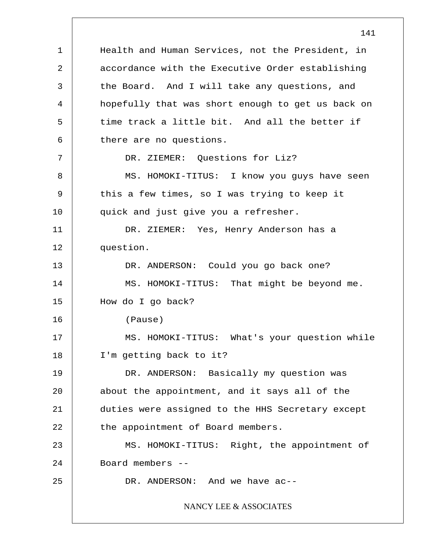1 2 3 4 5 6 7 8 9 10 11 12 13 14 15 16 17 18 19 20 21 22 23 24 25 Health and Human Services, not the President, in accordance with the Executive Order establishing the Board. And I will take any questions, and hopefully that was short enough to get us back on time track a little bit. And all the better if there are no questions. DR. ZIEMER: Ouestions for Liz? MS. HOMOKI-TITUS: I know you guys have seen this a few times, so I was trying to keep it quick and just give you a refresher. DR. ZIEMER: Yes, Henry Anderson has a question. DR. ANDERSON: Could you go back one? MS. HOMOKI-TITUS: That might be beyond me. How do I go back? (Pause) MS. HOMOKI-TITUS: What's your question while I'm getting back to it? DR. ANDERSON: Basically my question was about the appointment, and it says all of the duties were assigned to the HHS Secretary except the appointment of Board members. MS. HOMOKI-TITUS: Right, the appointment of Board members -- DR. ANDERSON: And we have ac-- NANCY LEE & ASSOCIATES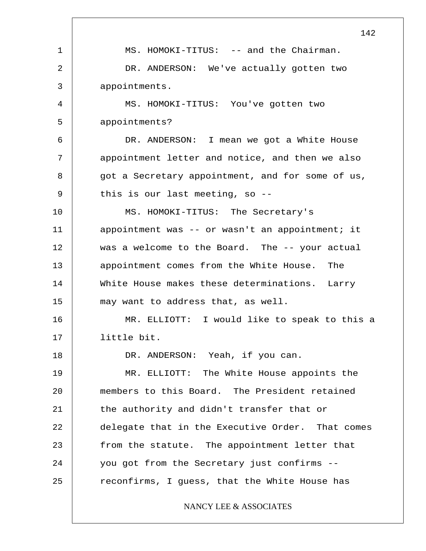1 2 3 4 5 6 7 8 9 10 11 12 13 14 15 16 17 18 19 20 21 22 23 24 25 142 MS. HOMOKI-TITUS: -- and the Chairman. DR. ANDERSON: We've actually gotten two appointments. MS. HOMOKI-TITUS: You've gotten two appointments? DR. ANDERSON: I mean we got a White House appointment letter and notice, and then we also got a Secretary appointment, and for some of us, this is our last meeting, so -- MS. HOMOKI-TITUS: The Secretary's appointment was -- or wasn't an appointment; it was a welcome to the Board. The -- your actual appointment comes from the White House. The White House makes these determinations. Larry may want to address that, as well. MR. ELLIOTT: I would like to speak to this a little bit. DR. ANDERSON: Yeah, if you can. MR. ELLIOTT: The White House appoints the members to this Board. The President retained the authority and didn't transfer that or delegate that in the Executive Order. That comes from the statute. The appointment letter that you got from the Secretary just confirms - reconfirms, I guess, that the White House has NANCY LEE & ASSOCIATES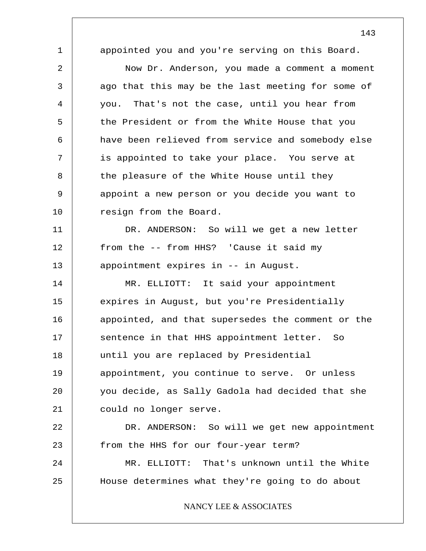1 2 3 4 5 6 7 8 9 10 11 12 13 14 15 16 17 18 19 20 21 22 23 24 25 appointed you and you're serving on this Board. Now Dr. Anderson, you made a comment a moment ago that this may be the last meeting for some of you. That's not the case, until you hear from the President or from the White House that you have been relieved from service and somebody else is appointed to take your place. You serve at the pleasure of the White House until they appoint a new person or you decide you want to resign from the Board. DR. ANDERSON: So will we get a new letter from the -- from HHS? 'Cause it said my appointment expires in -- in August. MR. ELLIOTT: It said your appointment expires in August, but you're Presidentially appointed, and that supersedes the comment or the sentence in that HHS appointment letter. So until you are replaced by Presidential appointment, you continue to serve. Or unless you decide, as Sally Gadola had decided that she could no longer serve. DR. ANDERSON: So will we get new appointment from the HHS for our four-year term? MR. ELLIOTT: That's unknown until the White House determines what they're going to do about NANCY LEE & ASSOCIATES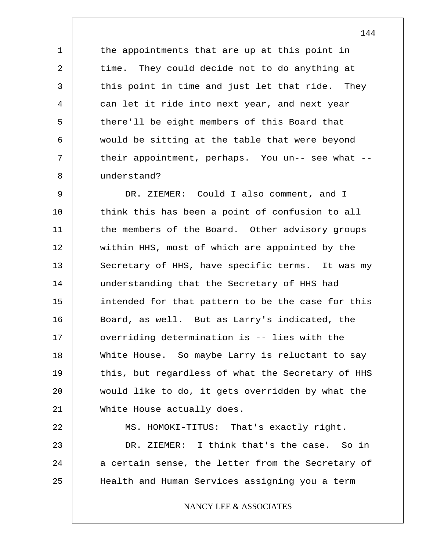the appointments that are up at this point in time. They could decide not to do anything at this point in time and just let that ride. They can let it ride into next year, and next year there'll be eight members of this Board that would be sitting at the table that were beyond their appointment, perhaps. You un-- see what - understand?

1

2

3

4

5

6

7

8

9 10 11 12 13 14 15 16 17 18 19 20 21 DR. ZIEMER: Could I also comment, and I think this has been a point of confusion to all the members of the Board. Other advisory groups within HHS, most of which are appointed by the Secretary of HHS, have specific terms. It was my understanding that the Secretary of HHS had intended for that pattern to be the case for this Board, as well. But as Larry's indicated, the overriding determination is -- lies with the White House. So maybe Larry is reluctant to say this, but regardless of what the Secretary of HHS would like to do, it gets overridden by what the White House actually does.

22 23 24 25 MS. HOMOKI-TITUS: That's exactly right. DR. ZIEMER: I think that's the case. So in a certain sense, the letter from the Secretary of Health and Human Services assigning you a term

# NANCY LEE & ASSOCIATES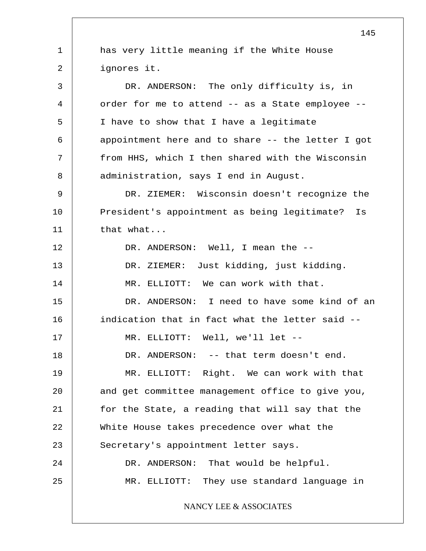1 2 3 4 5 6 7 8 9 10 11 12 13 14 15 16 17 18 19 20 21 22 23 24 25 145 has very little meaning if the White House ignores it. DR. ANDERSON: The only difficulty is, in order for me to attend -- as a State employee -- I have to show that I have a legitimate appointment here and to share -- the letter I got from HHS, which I then shared with the Wisconsin administration, says I end in August. DR. ZIEMER: Wisconsin doesn't recognize the President's appointment as being legitimate? Is that what... DR. ANDERSON: Well, I mean the --DR. ZIEMER: Just kidding, just kidding. MR. ELLIOTT: We can work with that. DR. ANDERSON: I need to have some kind of an indication that in fact what the letter said -- MR. ELLIOTT: Well, we'll let -- DR. ANDERSON: -- that term doesn't end. MR. ELLIOTT: Right. We can work with that and get committee management office to give you, for the State, a reading that will say that the White House takes precedence over what the Secretary's appointment letter says. DR. ANDERSON: That would be helpful. MR. ELLIOTT: They use standard language in NANCY LEE & ASSOCIATES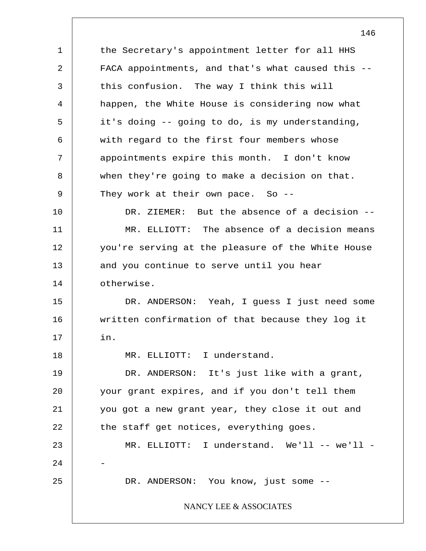1 2 3 4 5 6 7 8 9 10 11 12 13 14 15 16 17 18 19 20 21 22 23 24 25 the Secretary's appointment letter for all HHS FACA appointments, and that's what caused this - this confusion. The way I think this will happen, the White House is considering now what it's doing -- going to do, is my understanding, with regard to the first four members whose appointments expire this month. I don't know when they're going to make a decision on that. They work at their own pace. So --DR. ZIEMER: But the absence of a decision -- MR. ELLIOTT: The absence of a decision means you're serving at the pleasure of the White House and you continue to serve until you hear otherwise. DR. ANDERSON: Yeah, I guess I just need some written confirmation of that because they log it in. MR. ELLIOTT: I understand. DR. ANDERSON: It's just like with a grant, your grant expires, and if you don't tell them you got a new grant year, they close it out and the staff get notices, everything goes. MR. ELLIOTT: I understand. We'll -- we'll -- DR. ANDERSON: You know, just some --NANCY LEE & ASSOCIATES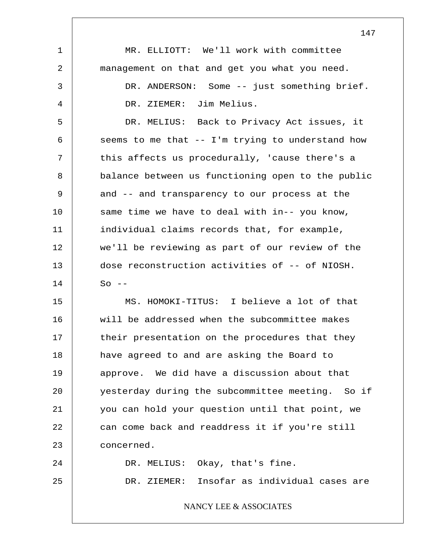|    | 147                                               |
|----|---------------------------------------------------|
| 1  | MR. ELLIOTT: We'll work with committee            |
| 2  | management on that and get you what you need.     |
| 3  | DR. ANDERSON: Some -- just something brief.       |
| 4  | DR. ZIEMER: Jim Melius.                           |
| 5  | DR. MELIUS: Back to Privacy Act issues, it        |
| 6  | seems to me that -- I'm trying to understand how  |
| 7  | this affects us procedurally, 'cause there's a    |
| 8  | balance between us functioning open to the public |
| 9  | and -- and transparency to our process at the     |
| 10 | same time we have to deal with in-- you know,     |
| 11 | individual claims records that, for example,      |
| 12 | we'll be reviewing as part of our review of the   |
| 13 | dose reconstruction activities of -- of NIOSH.    |
| 14 | $So --$                                           |
| 15 | MS. HOMOKI-TITUS: I believe a lot of that         |
| 16 | will be addressed when the subcommittee makes     |
| 17 | their presentation on the procedures that they    |
| 18 | have agreed to and are asking the Board to        |
| 19 | approve. We did have a discussion about that      |
| 20 | yesterday during the subcommittee meeting. So if  |
| 21 | you can hold your question until that point, we   |
| 22 | can come back and readdress it if you're still    |
| 23 | concerned.                                        |
| 24 | DR. MELIUS: Okay, that's fine.                    |
| 25 | DR. ZIEMER: Insofar as individual cases are       |
|    | NANCY LEE & ASSOCIATES                            |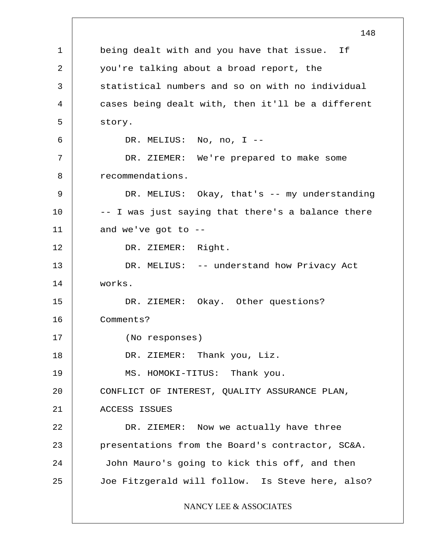1 2 3 4 5 6 7 8 9 10 11 12 13 14 15 16 17 18 19 20 21 22 23 24 25 148 being dealt with and you have that issue. If you're talking about a broad report, the statistical numbers and so on with no individual cases being dealt with, then it'll be a different story. DR. MELIUS: No, no, I -- DR. ZIEMER: We're prepared to make some recommendations. DR. MELIUS: Okay, that's -- my understanding -- I was just saying that there's a balance there and we've got to  $-$ -DR. ZIEMER: Right. DR. MELIUS: -- understand how Privacy Act works. DR. ZIEMER: Okay. Other questions? Comments? (No responses) DR. ZIEMER: Thank you, Liz. MS. HOMOKI-TITUS: Thank you. CONFLICT OF INTEREST, QUALITY ASSURANCE PLAN, ACCESS ISSUES DR. ZIEMER: Now we actually have three presentations from the Board's contractor, SC&A. John Mauro's going to kick this off, and then Joe Fitzgerald will follow. Is Steve here, also? NANCY LEE & ASSOCIATES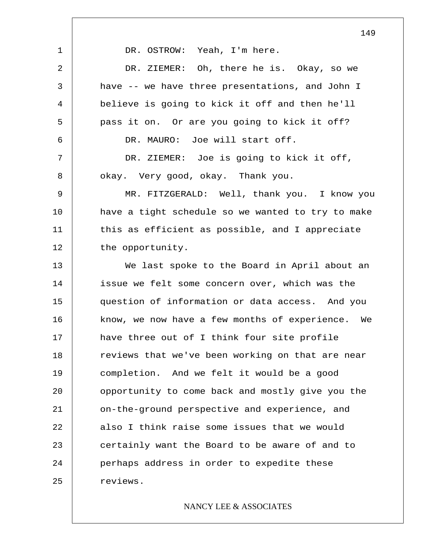1 2 3 4 5 6 7 8 9 10 11 12 13 14 15 16 17 18 19 20 21 22 23 24 25 DR. OSTROW: Yeah, I'm here. DR. ZIEMER: Oh, there he is. Okay, so we have -- we have three presentations, and John I believe is going to kick it off and then he'll pass it on. Or are you going to kick it off? DR. MAURO: Joe will start off. DR. ZIEMER: Joe is going to kick it off, okay. Very good, okay. Thank you. MR. FITZGERALD: Well, thank you. I know you have a tight schedule so we wanted to try to make this as efficient as possible, and I appreciate the opportunity. We last spoke to the Board in April about an issue we felt some concern over, which was the question of information or data access. And you know, we now have a few months of experience. We have three out of I think four site profile reviews that we've been working on that are near completion. And we felt it would be a good opportunity to come back and mostly give you the on-the-ground perspective and experience, and also I think raise some issues that we would certainly want the Board to be aware of and to perhaps address in order to expedite these reviews.

# NANCY LEE & ASSOCIATES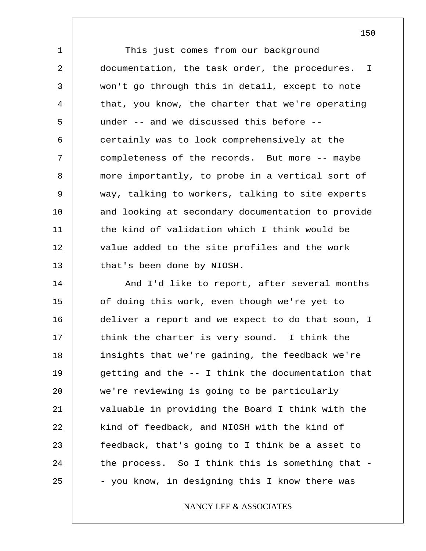1 2 3 4 5 6 7 8 9 10 11 12 13 This just comes from our background documentation, the task order, the procedures. I won't go through this in detail, except to note that, you know, the charter that we're operating under -- and we discussed this before - certainly was to look comprehensively at the completeness of the records. But more -- maybe more importantly, to probe in a vertical sort of way, talking to workers, talking to site experts and looking at secondary documentation to provide the kind of validation which I think would be value added to the site profiles and the work that's been done by NIOSH.

14 15 16 17 18 19 20 21 22 23 24 25 And I'd like to report, after several months of doing this work, even though we're yet to deliver a report and we expect to do that soon, I think the charter is very sound. I think the insights that we're gaining, the feedback we're getting and the -- I think the documentation that we're reviewing is going to be particularly valuable in providing the Board I think with the kind of feedback, and NIOSH with the kind of feedback, that's going to I think be a asset to the process. So I think this is something that - - you know, in designing this I know there was

# NANCY LEE & ASSOCIATES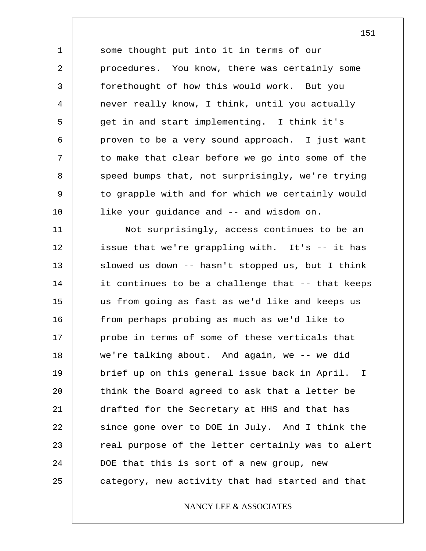1 2 3 4 5 6 7 8 9 10 some thought put into it in terms of our procedures. You know, there was certainly some forethought of how this would work. But you never really know, I think, until you actually get in and start implementing. I think it's proven to be a very sound approach. I just want to make that clear before we go into some of the speed bumps that, not surprisingly, we're trying to grapple with and for which we certainly would like your guidance and -- and wisdom on.

11 12 13 14 15 16 17 18 19 20 21 22 23 24 25 Not surprisingly, access continues to be an issue that we're grappling with. It's -- it has slowed us down -- hasn't stopped us, but I think it continues to be a challenge that -- that keeps us from going as fast as we'd like and keeps us from perhaps probing as much as we'd like to probe in terms of some of these verticals that we're talking about. And again, we -- we did brief up on this general issue back in April. think the Board agreed to ask that a letter be drafted for the Secretary at HHS and that has since gone over to DOE in July. And I think the real purpose of the letter certainly was to alert DOE that this is sort of a new group, new category, new activity that had started and that I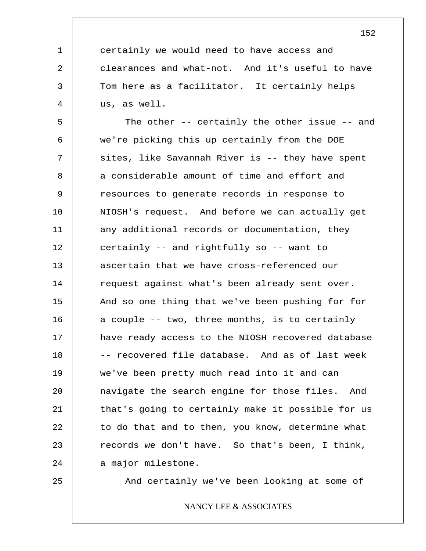certainly we would need to have access and clearances and what-not. And it's useful to have Tom here as a facilitator. It certainly helps us, as well.

5 6 7 8 9 10 11 12 13 14 15 16 17 18 19 20 21 22 23 24 The other -- certainly the other issue -- and we're picking this up certainly from the DOE sites, like Savannah River is -- they have spent a considerable amount of time and effort and resources to generate records in response to NIOSH's request. And before we can actually get any additional records or documentation, they certainly -- and rightfully so -- want to ascertain that we have cross-referenced our request against what's been already sent over. And so one thing that we've been pushing for for a couple -- two, three months, is to certainly have ready access to the NIOSH recovered database -- recovered file database. And as of last week we've been pretty much read into it and can navigate the search engine for those files. And that's going to certainly make it possible for us to do that and to then, you know, determine what records we don't have. So that's been, I think, a major milestone.

25

1

2

3

4

And certainly we've been looking at some of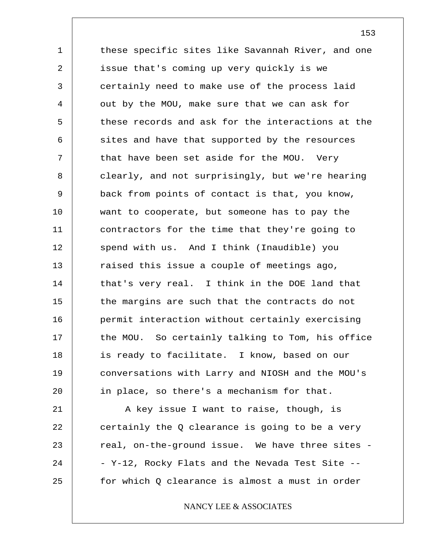1 2 3 4 5 6 7 8 9 10 11 12 13 14 15 16 17 18 19 20 these specific sites like Savannah River, and one issue that's coming up very quickly is we certainly need to make use of the process laid out by the MOU, make sure that we can ask for these records and ask for the interactions at the sites and have that supported by the resources that have been set aside for the MOU. Very clearly, and not surprisingly, but we're hearing back from points of contact is that, you know, want to cooperate, but someone has to pay the contractors for the time that they're going to spend with us. And I think (Inaudible) you raised this issue a couple of meetings ago, that's very real. I think in the DOE land that the margins are such that the contracts do not permit interaction without certainly exercising the MOU. So certainly talking to Tom, his office is ready to facilitate. I know, based on our conversations with Larry and NIOSH and the MOU's in place, so there's a mechanism for that.

21 22 23 24 25 A key issue I want to raise, though, is certainly the Q clearance is going to be a very real, on-the-ground issue. We have three sites - - Y-12, Rocky Flats and the Nevada Test Site - for which Q clearance is almost a must in order

# NANCY LEE & ASSOCIATES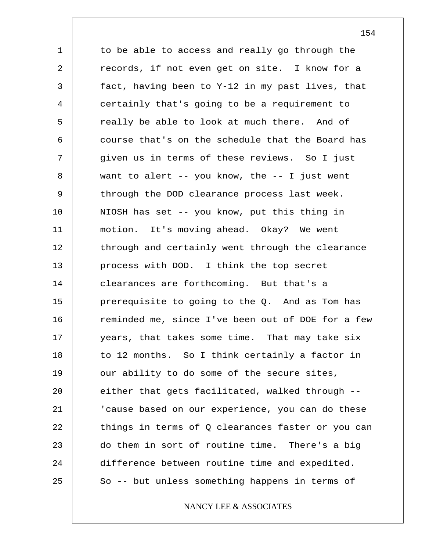1 2 3 4 5 6 7 8 9 10 11 12 13 14 15 16 17 18 19 20 21 22 23 24 25 to be able to access and really go through the records, if not even get on site. I know for a fact, having been to Y-12 in my past lives, that certainly that's going to be a requirement to really be able to look at much there. And of course that's on the schedule that the Board has given us in terms of these reviews. So I just want to alert  $-$ - you know, the  $-$ - I just went through the DOD clearance process last week. NIOSH has set -- you know, put this thing in motion. It's moving ahead. Okay? We went through and certainly went through the clearance process with DOD. I think the top secret clearances are forthcoming. But that's a prerequisite to going to the Q. And as Tom has reminded me, since I've been out of DOE for a few years, that takes some time. That may take six to 12 months. So I think certainly a factor in our ability to do some of the secure sites, either that gets facilitated, walked through -- 'cause based on our experience, you can do these things in terms of Q clearances faster or you can do them in sort of routine time. There's a big difference between routine time and expedited. So -- but unless something happens in terms of

NANCY LEE & ASSOCIATES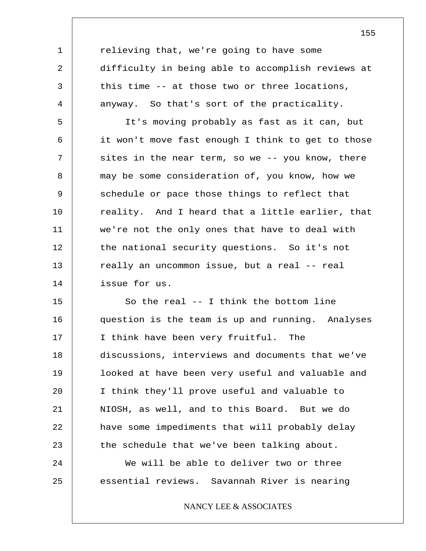relieving that, we're going to have some difficulty in being able to accomplish reviews at this time -- at those two or three locations, anyway. So that's sort of the practicality.

1

2

3

4

5 6 7 8 9 10 11 12 13 14 It's moving probably as fast as it can, but it won't move fast enough I think to get to those sites in the near term, so we -- you know, there may be some consideration of, you know, how we schedule or pace those things to reflect that reality. And I heard that a little earlier, that we're not the only ones that have to deal with the national security questions. So it's not really an uncommon issue, but a real -- real issue for us.

15 16 17 18 19 20 21 22 23 24 25 So the real -- I think the bottom line question is the team is up and running. Analyses I think have been very fruitful. The discussions, interviews and documents that we've looked at have been very useful and valuable and I think they'll prove useful and valuable to NIOSH, as well, and to this Board. But we do have some impediments that will probably delay the schedule that we've been talking about. We will be able to deliver two or three essential reviews. Savannah River is nearing

NANCY LEE & ASSOCIATES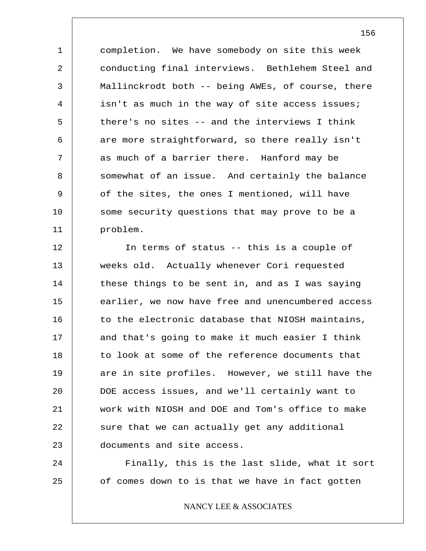1 2 3 4 5 6 7 8 9 10 11 completion. We have somebody on site this week conducting final interviews. Bethlehem Steel and Mallinckrodt both -- being AWEs, of course, there isn't as much in the way of site access issues; there's no sites -- and the interviews I think are more straightforward, so there really isn't as much of a barrier there. Hanford may be somewhat of an issue. And certainly the balance of the sites, the ones I mentioned, will have some security questions that may prove to be a problem.

12 13 14 15 16 17 18 19 20 21 22 23 In terms of status -- this is a couple of weeks old. Actually whenever Cori requested these things to be sent in, and as I was saying earlier, we now have free and unencumbered access to the electronic database that NIOSH maintains, and that's going to make it much easier I think to look at some of the reference documents that are in site profiles. However, we still have the DOE access issues, and we'll certainly want to work with NIOSH and DOE and Tom's office to make sure that we can actually get any additional documents and site access.

Finally, this is the last slide, what it sort of comes down to is that we have in fact gotten

24

25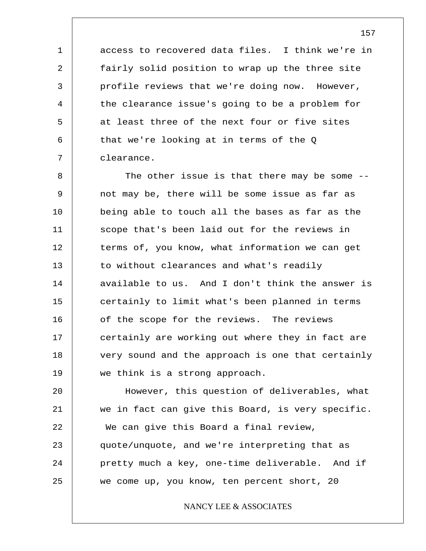access to recovered data files. I think we're in fairly solid position to wrap up the three site profile reviews that we're doing now. However, the clearance issue's going to be a problem for at least three of the next four or five sites that we're looking at in terms of the Q clearance.

1

2

3

4

5

6

7

8 9 10 11 12 13 14 15 16 17 18 19 The other issue is that there may be some -not may be, there will be some issue as far as being able to touch all the bases as far as the scope that's been laid out for the reviews in terms of, you know, what information we can get to without clearances and what's readily available to us. And I don't think the answer is certainly to limit what's been planned in terms of the scope for the reviews. The reviews certainly are working out where they in fact are very sound and the approach is one that certainly we think is a strong approach.

20 21 22 23 24 25 However, this question of deliverables, what we in fact can give this Board, is very specific. We can give this Board a final review, quote/unquote, and we're interpreting that as pretty much a key, one-time deliverable. And if we come up, you know, ten percent short, 20

## NANCY LEE & ASSOCIATES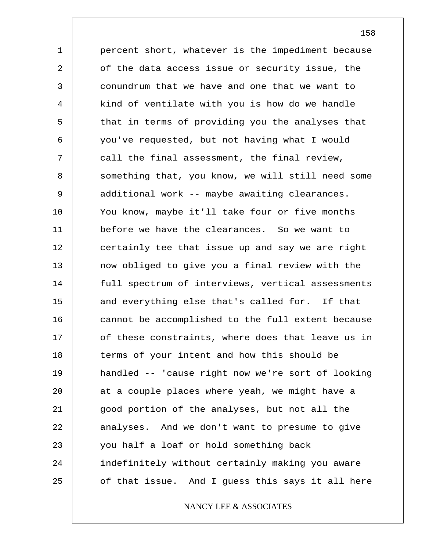1 2 3 4 5 6 7 8 9 10 11 12 13 14 15 16 17 18 19 20 21 22 23 24 25 percent short, whatever is the impediment because of the data access issue or security issue, the conundrum that we have and one that we want to kind of ventilate with you is how do we handle that in terms of providing you the analyses that you've requested, but not having what I would call the final assessment, the final review, something that, you know, we will still need some additional work -- maybe awaiting clearances. You know, maybe it'll take four or five months before we have the clearances. So we want to certainly tee that issue up and say we are right now obliged to give you a final review with the full spectrum of interviews, vertical assessments and everything else that's called for. If that cannot be accomplished to the full extent because of these constraints, where does that leave us in terms of your intent and how this should be handled -- 'cause right now we're sort of looking at a couple places where yeah, we might have a good portion of the analyses, but not all the analyses. And we don't want to presume to give you half a loaf or hold something back indefinitely without certainly making you aware of that issue. And I guess this says it all here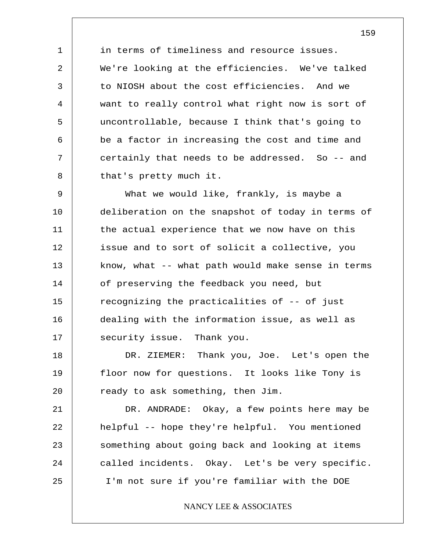in terms of timeliness and resource issues. We're looking at the efficiencies. We've talked to NIOSH about the cost efficiencies. And we want to really control what right now is sort of uncontrollable, because I think that's going to be a factor in increasing the cost and time and certainly that needs to be addressed. So -- and that's pretty much it.

1

2

3

4

5

6

7

8

9 10 11 12 13 14 15 16 17 What we would like, frankly, is maybe a deliberation on the snapshot of today in terms of the actual experience that we now have on this issue and to sort of solicit a collective, you know, what -- what path would make sense in terms of preserving the feedback you need, but recognizing the practicalities of -- of just dealing with the information issue, as well as security issue. Thank you.

18 19 20 DR. ZIEMER: Thank you, Joe. Let's open the floor now for questions. It looks like Tony is ready to ask something, then Jim.

21 22 23 24 25 DR. ANDRADE: Okay, a few points here may be helpful -- hope they're helpful. You mentioned something about going back and looking at items called incidents. Okay. Let's be very specific. I'm not sure if you're familiar with the DOE

# NANCY LEE & ASSOCIATES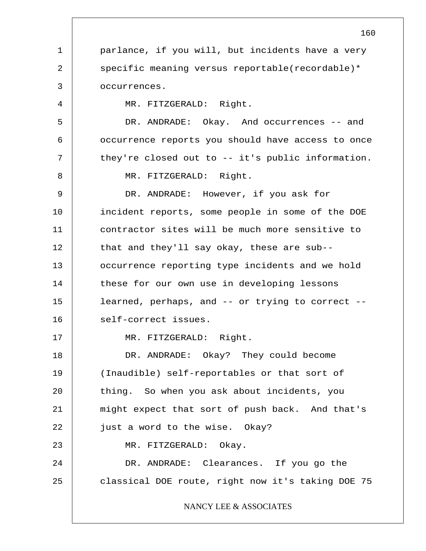1 2 3 4 5 6 7 8 9 10 11 12 13 14 15 16 17 18 19 20 21 22 23 24 25 160 parlance, if you will, but incidents have a very specific meaning versus reportable(recordable)\* occurrences. MR. FITZGERALD: Right. DR. ANDRADE: Okay. And occurrences -- and occurrence reports you should have access to once they're closed out to -- it's public information. MR. FITZGERALD: Right. DR. ANDRADE: However, if you ask for incident reports, some people in some of the DOE contractor sites will be much more sensitive to that and they'll say okay, these are sub- occurrence reporting type incidents and we hold these for our own use in developing lessons learned, perhaps, and -- or trying to correct - self-correct issues. MR. FITZGERALD: Right. DR. ANDRADE: Okay? They could become (Inaudible) self-reportables or that sort of thing. So when you ask about incidents, you might expect that sort of push back. And that's just a word to the wise. Okay? MR. FITZGERALD: Okay. DR. ANDRADE: Clearances. If you go the classical DOE route, right now it's taking DOE 75 NANCY LEE & ASSOCIATES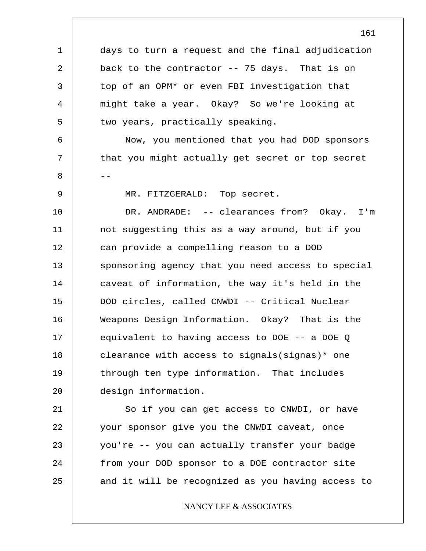1 2 3 4 5 6 7 8 -- 9 10 11 12 13 14 15 16 17 18 19 20 21 22 23 24 days to turn a request and the final adjudication back to the contractor -- 75 days. That is on top of an OPM\* or even FBI investigation that might take a year. Okay? So we're looking at two years, practically speaking. Now, you mentioned that you had DOD sponsors that you might actually get secret or top secret MR. FITZGERALD: Top secret. DR. ANDRADE: -- clearances from? Okay. I'm not suggesting this as a way around, but if you can provide a compelling reason to a DOD sponsoring agency that you need access to special caveat of information, the way it's held in the DOD circles, called CNWDI -- Critical Nuclear Weapons Design Information. Okay? That is the equivalent to having access to DOE -- a DOE Q clearance with access to signals(signas)\* one through ten type information. That includes design information. So if you can get access to CNWDI, or have your sponsor give you the CNWDI caveat, once you're -- you can actually transfer your badge from your DOD sponsor to a DOE contractor site

25

NANCY LEE & ASSOCIATES

and it will be recognized as you having access to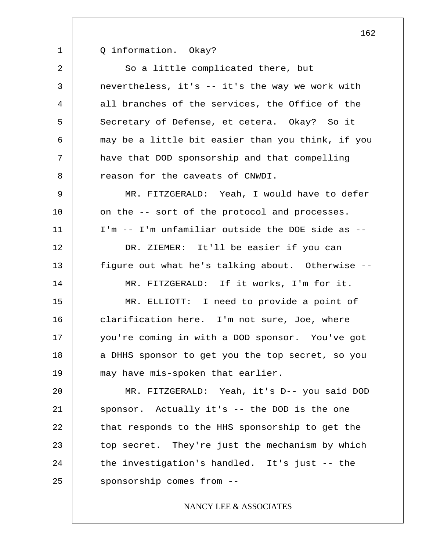1

Q information. Okay?

2 3 4 5 6 7 8 9 10 11 12 13 14 So a little complicated there, but nevertheless, it's -- it's the way we work with all branches of the services, the Office of the Secretary of Defense, et cetera. Okay? So it may be a little bit easier than you think, if you have that DOD sponsorship and that compelling reason for the caveats of CNWDI. MR. FITZGERALD: Yeah, I would have to defer on the -- sort of the protocol and processes. I'm -- I'm unfamiliar outside the DOE side as -- DR. ZIEMER: It'll be easier if you can figure out what he's talking about. Otherwise -- MR. FITZGERALD: If it works, I'm for it.

15 16 17 18 19 MR. ELLIOTT: I need to provide a point of clarification here. I'm not sure, Joe, where you're coming in with a DOD sponsor. You've got a DHHS sponsor to get you the top secret, so you may have mis-spoken that earlier.

20 21 22 23 24 25 MR. FITZGERALD: Yeah, it's D-- you said DOD sponsor. Actually it's -- the DOD is the one that responds to the HHS sponsorship to get the top secret. They're just the mechanism by which the investigation's handled. It's just -- the sponsorship comes from --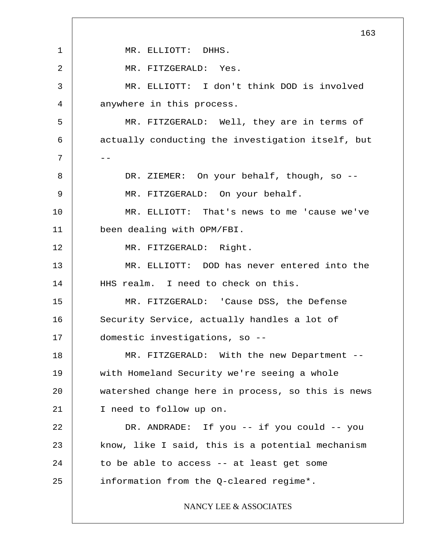1 2 3 4 5 6  $7$  --8 9 10 11 12 13 14 15 16 17 18 19 20 21 22 23 24 25 163 MR. ELLIOTT: DHHS. MR. FITZGERALD: Yes. MR. ELLIOTT: I don't think DOD is involved anywhere in this process. MR. FITZGERALD: Well, they are in terms of actually conducting the investigation itself, but DR. ZIEMER: On your behalf, though, so --MR. FITZGERALD: On your behalf. MR. ELLIOTT: That's news to me 'cause we've been dealing with OPM/FBI. MR. FITZGERALD: Right. MR. ELLIOTT: DOD has never entered into the HHS realm. I need to check on this. MR. FITZGERALD: 'Cause DSS, the Defense Security Service, actually handles a lot of domestic investigations, so -- MR. FITZGERALD: With the new Department -with Homeland Security we're seeing a whole watershed change here in process, so this is news I need to follow up on. DR. ANDRADE: If you -- if you could -- you know, like I said, this is a potential mechanism to be able to access -- at least get some information from the Q-cleared regime\*. NANCY LEE & ASSOCIATES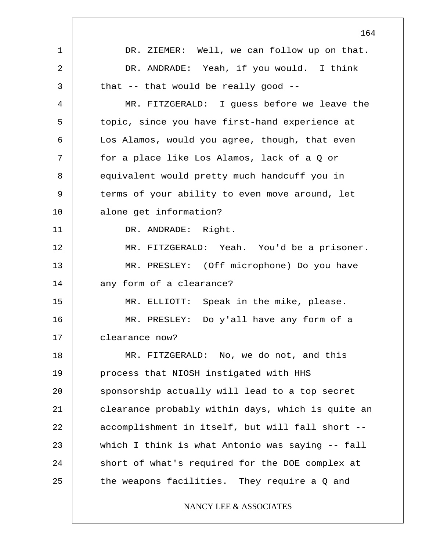1 2 3 4 5 6 7 8 9 10 11 12 13 14 15 16 17 18 19 20 21 22 23 24 25 164 DR. ZIEMER: Well, we can follow up on that. DR. ANDRADE: Yeah, if you would. I think that -- that would be really good -- MR. FITZGERALD: I guess before we leave the topic, since you have first-hand experience at Los Alamos, would you agree, though, that even for a place like Los Alamos, lack of a Q or equivalent would pretty much handcuff you in terms of your ability to even move around, let alone get information? DR. ANDRADE: Right. MR. FITZGERALD: Yeah. You'd be a prisoner. MR. PRESLEY: (Off microphone) Do you have any form of a clearance? MR. ELLIOTT: Speak in the mike, please. MR. PRESLEY: Do y'all have any form of a clearance now? MR. FITZGERALD: No, we do not, and this process that NIOSH instigated with HHS sponsorship actually will lead to a top secret clearance probably within days, which is quite an accomplishment in itself, but will fall short - which I think is what Antonio was saying -- fall short of what's required for the DOE complex at the weapons facilities. They require a Q and NANCY LEE & ASSOCIATES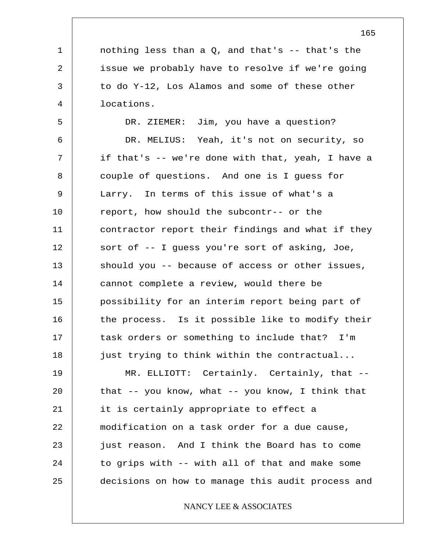1 2 3 4 5 6 7 8 9 10 11 12 13 14 15 16 17 18 19 20 21 22 23 24 25 nothing less than a  $Q$ , and that's  $-$ - that's the issue we probably have to resolve if we're going to do Y-12, Los Alamos and some of these other locations. DR. ZIEMER: Jim, you have a question? DR. MELIUS: Yeah, it's not on security, so if that's -- we're done with that, yeah, I have a couple of questions. And one is I guess for Larry. In terms of this issue of what's a report, how should the subcontr-- or the contractor report their findings and what if they sort of -- I guess you're sort of asking, Joe, should you -- because of access or other issues, cannot complete a review, would there be possibility for an interim report being part of the process. Is it possible like to modify their task orders or something to include that? I'm just trying to think within the contractual... MR. ELLIOTT: Certainly. Certainly, that - that  $-$ - you know, what  $-$ - you know, I think that it is certainly appropriate to effect a modification on a task order for a due cause, just reason. And I think the Board has to come to grips with -- with all of that and make some decisions on how to manage this audit process and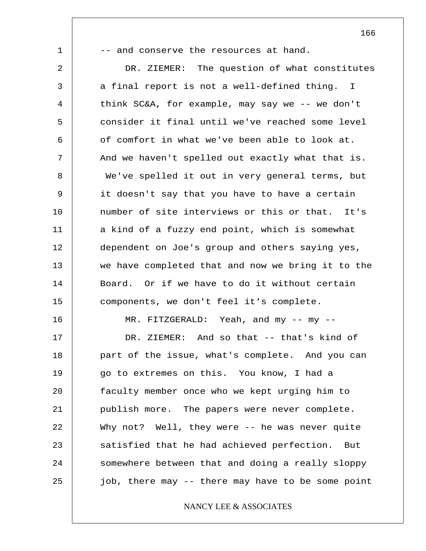1 2 3 4 5 6 7 8 9 10 11 12 13 14 15 16 17 18 19 20 21 22 23 24 25 -- and conserve the resources at hand. DR. ZIEMER: The question of what constitutes a final report is not a well-defined thing. I think SC&A, for example, may say we -- we don't consider it final until we've reached some level of comfort in what we've been able to look at. And we haven't spelled out exactly what that is. We've spelled it out in very general terms, but it doesn't say that you have to have a certain number of site interviews or this or that. It's a kind of a fuzzy end point, which is somewhat dependent on Joe's group and others saying yes, we have completed that and now we bring it to the Board. Or if we have to do it without certain components, we don't feel it's complete. MR. FITZGERALD: Yeah, and my -- my --DR. ZIEMER: And so that -- that's kind of part of the issue, what's complete. And you can go to extremes on this. You know, I had a faculty member once who we kept urging him to publish more. The papers were never complete. Why not? Well, they were -- he was never quite satisfied that he had achieved perfection. But somewhere between that and doing a really sloppy job, there may -- there may have to be some point

# NANCY LEE & ASSOCIATES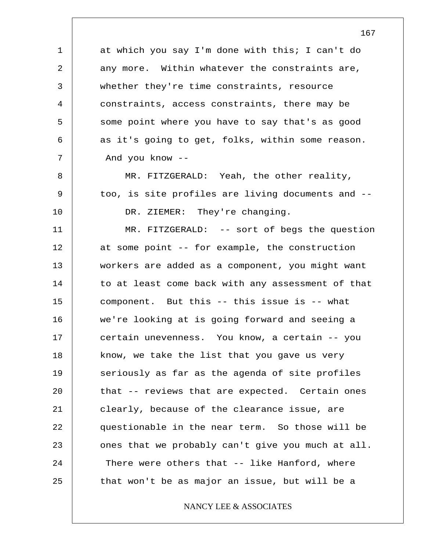at which you say I'm done with this; I can't do any more. Within whatever the constraints are, whether they're time constraints, resource constraints, access constraints, there may be some point where you have to say that's as good as it's going to get, folks, within some reason. And you know --

1

2

3

4

5

6

7

8

9

10

MR. FITZGERALD: Yeah, the other reality, too, is site profiles are living documents and -- DR. ZIEMER: They're changing.

11 12 13 14 15 16 17 18 19 20 21 22 23 24 25 MR. FITZGERALD: -- sort of begs the question at some point -- for example, the construction workers are added as a component, you might want to at least come back with any assessment of that component. But this -- this issue is -- what we're looking at is going forward and seeing a certain unevenness. You know, a certain -- you know, we take the list that you gave us very seriously as far as the agenda of site profiles that -- reviews that are expected. Certain ones clearly, because of the clearance issue, are questionable in the near term. So those will be ones that we probably can't give you much at all. There were others that -- like Hanford, where that won't be as major an issue, but will be a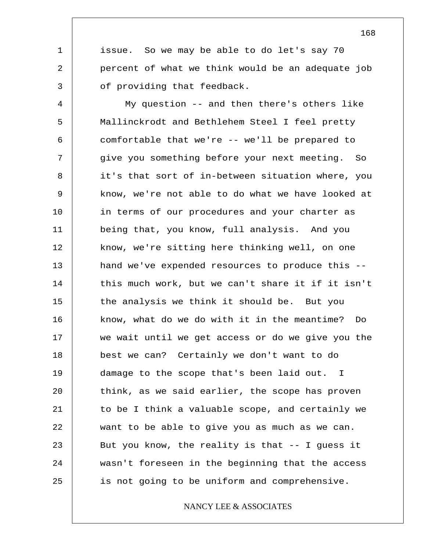issue. So we may be able to do let's say 70 percent of what we think would be an adequate job of providing that feedback.

1

2

3

4 5 6 7 8 9 10 11 12 13 14 15 16 17 18 19 20 21 22 23 24 25 My question -- and then there's others like Mallinckrodt and Bethlehem Steel I feel pretty comfortable that we're -- we'll be prepared to give you something before your next meeting. So it's that sort of in-between situation where, you know, we're not able to do what we have looked at in terms of our procedures and your charter as being that, you know, full analysis. And you know, we're sitting here thinking well, on one hand we've expended resources to produce this - this much work, but we can't share it if it isn't the analysis we think it should be. But you know, what do we do with it in the meantime? Do we wait until we get access or do we give you the best we can? Certainly we don't want to do damage to the scope that's been laid out. I think, as we said earlier, the scope has proven to be I think a valuable scope, and certainly we want to be able to give you as much as we can. But you know, the reality is that  $-$ - I guess it wasn't foreseen in the beginning that the access is not going to be uniform and comprehensive.

# NANCY LEE & ASSOCIATES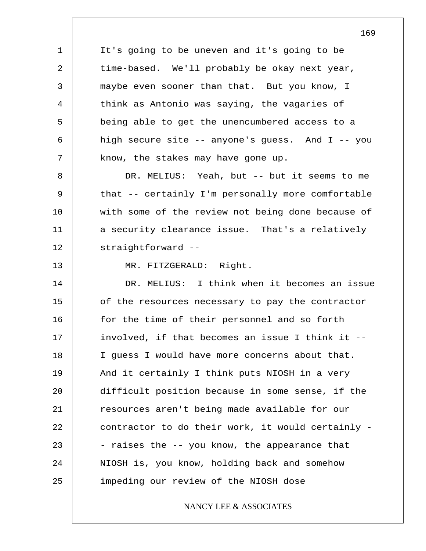1 2 3 4 5 6 7 8 9 10 11 12 13 14 15 16 17 18 19 20 21 22 23 24 25 It's going to be uneven and it's going to be time-based. We'll probably be okay next year, maybe even sooner than that. But you know, I think as Antonio was saying, the vagaries of being able to get the unencumbered access to a high secure site -- anyone's guess. And I -- you know, the stakes may have gone up. DR. MELIUS: Yeah, but -- but it seems to me that -- certainly I'm personally more comfortable with some of the review not being done because of a security clearance issue. That's a relatively straightforward -- MR. FITZGERALD: Right. DR. MELIUS: I think when it becomes an issue of the resources necessary to pay the contractor for the time of their personnel and so forth involved, if that becomes an issue I think it -- I guess I would have more concerns about that. And it certainly I think puts NIOSH in a very difficult position because in some sense, if the resources aren't being made available for our contractor to do their work, it would certainly - - raises the -- you know, the appearance that NIOSH is, you know, holding back and somehow impeding our review of the NIOSH dose NANCY LEE & ASSOCIATES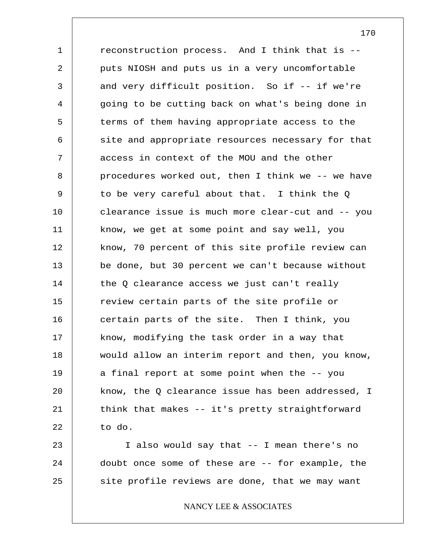1 2 3 4 5 6 7 8 9 10 11 12 13 14 15 16 17 18 19 20 21 22 23 reconstruction process. And I think that is - puts NIOSH and puts us in a very uncomfortable and very difficult position. So if -- if we're going to be cutting back on what's being done in terms of them having appropriate access to the site and appropriate resources necessary for that access in context of the MOU and the other procedures worked out, then I think we -- we have to be very careful about that. I think the Q clearance issue is much more clear-cut and -- you know, we get at some point and say well, you know, 70 percent of this site profile review can be done, but 30 percent we can't because without the Q clearance access we just can't really review certain parts of the site profile or certain parts of the site. Then I think, you know, modifying the task order in a way that would allow an interim report and then, you know, a final report at some point when the -- you know, the Q clearance issue has been addressed, I think that makes -- it's pretty straightforward to do.

24 25 I also would say that -- I mean there's no doubt once some of these are -- for example, the site profile reviews are done, that we may want

# NANCY LEE & ASSOCIATES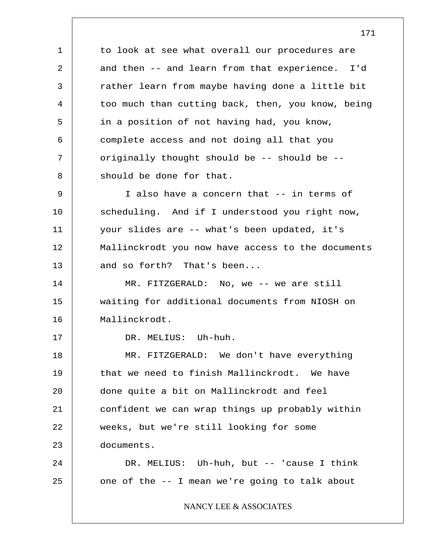1 2 3 4 5 6 7 8 9 10 11 12 13 14 15 16 17 18 19 20 21 22 23 24 25 to look at see what overall our procedures are and then -- and learn from that experience. I'd rather learn from maybe having done a little bit too much than cutting back, then, you know, being in a position of not having had, you know, complete access and not doing all that you originally thought should be -- should be - should be done for that. I also have a concern that -- in terms of scheduling. And if I understood you right now, your slides are -- what's been updated, it's Mallinckrodt you now have access to the documents and so forth? That's been... MR. FITZGERALD: No, we -- we are still waiting for additional documents from NIOSH on Mallinckrodt. DR. MELIUS: Uh-huh. MR. FITZGERALD: We don't have everything that we need to finish Mallinckrodt. We have done quite a bit on Mallinckrodt and feel confident we can wrap things up probably within weeks, but we're still looking for some documents. DR. MELIUS: Uh-huh, but -- 'cause I think one of the -- I mean we're going to talk about NANCY LEE & ASSOCIATES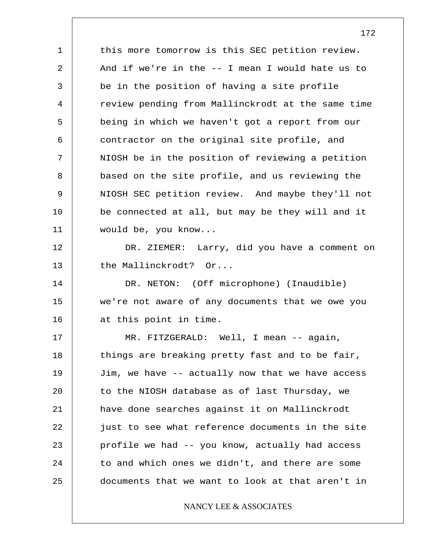1 2 3 4 5 6 7 8 9 10 11 12 13 14 15 16 17 18 19 20 21 22 23 24 25 this more tomorrow is this SEC petition review. And if we're in the -- I mean I would hate us to be in the position of having a site profile review pending from Mallinckrodt at the same time being in which we haven't got a report from our contractor on the original site profile, and NIOSH be in the position of reviewing a petition based on the site profile, and us reviewing the NIOSH SEC petition review. And maybe they'll not be connected at all, but may be they will and it would be, you know... DR. ZIEMER: Larry, did you have a comment on the Mallinckrodt? Or... DR. NETON: (Off microphone) (Inaudible) we're not aware of any documents that we owe you at this point in time. MR. FITZGERALD: Well, I mean -- again, things are breaking pretty fast and to be fair, Jim, we have -- actually now that we have access to the NIOSH database as of last Thursday, we have done searches against it on Mallinckrodt just to see what reference documents in the site profile we had -- you know, actually had access to and which ones we didn't, and there are some documents that we want to look at that aren't in NANCY LEE & ASSOCIATES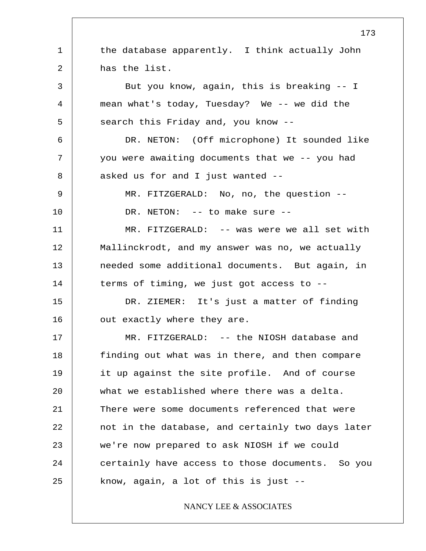1 2 3 4 5 6 7 8 9 10 11 12 13 14 15 16 17 18 19 20 21 22 23 24 25 173 the database apparently. I think actually John has the list. But you know, again, this is breaking -- I mean what's today, Tuesday? We -- we did the search this Friday and, you know -- DR. NETON: (Off microphone) It sounded like you were awaiting documents that we -- you had asked us for and I just wanted -- MR. FITZGERALD: No, no, the question -- DR. NETON: -- to make sure --MR. FITZGERALD: -- was were we all set with Mallinckrodt, and my answer was no, we actually needed some additional documents. But again, in terms of timing, we just got access to -- DR. ZIEMER: It's just a matter of finding out exactly where they are. MR. FITZGERALD: -- the NIOSH database and finding out what was in there, and then compare it up against the site profile. And of course what we established where there was a delta. There were some documents referenced that were not in the database, and certainly two days later we're now prepared to ask NIOSH if we could certainly have access to those documents. So you know, again, a lot of this is just -- NANCY LEE & ASSOCIATES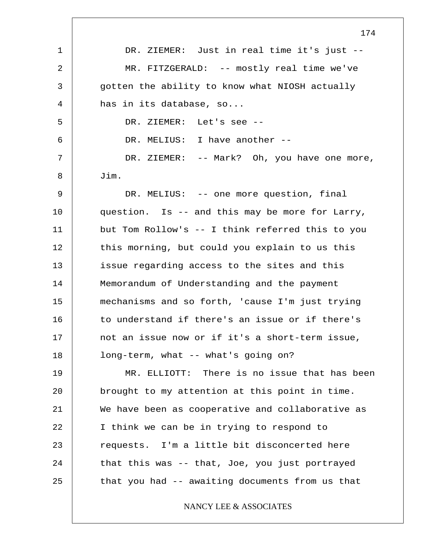|              | 174                                              |
|--------------|--------------------------------------------------|
| $\mathbf{1}$ | DR. ZIEMER: Just in real time it's just --       |
| 2            | MR. FITZGERALD: -- mostly real time we've        |
| 3            | gotten the ability to know what NIOSH actually   |
| 4            | has in its database, so                          |
| 5            | DR. ZIEMER:<br>Let's see --                      |
| 6            | DR. MELIUS: I have another --                    |
| 7            | DR. ZIEMER: -- Mark? Oh, you have one more,      |
| 8            | Jim.                                             |
| 9            | DR. MELIUS: -- one more question, final          |
| 10           | question. Is -- and this may be more for Larry,  |
| 11           | but Tom Rollow's -- I think referred this to you |
| 12           | this morning, but could you explain to us this   |
| 13           | issue regarding access to the sites and this     |
| 14           | Memorandum of Understanding and the payment      |
| 15           | mechanisms and so forth, 'cause I'm just trying  |
| 16           | to understand if there's an issue or if there's  |
| 17           | not an issue now or if it's a short-term issue,  |
| 18           | long-term, what -- what's going on?              |
| 19           | MR. ELLIOTT: There is no issue that has been     |
| 20           | brought to my attention at this point in time.   |
| 21           | We have been as cooperative and collaborative as |
| 22           | I think we can be in trying to respond to        |
| 23           | requests. I'm a little bit disconcerted here     |
| 24           | that this was -- that, Joe, you just portrayed   |
| 25           | that you had -- awaiting documents from us that  |
|              | NANCY LEE & ASSOCIATES                           |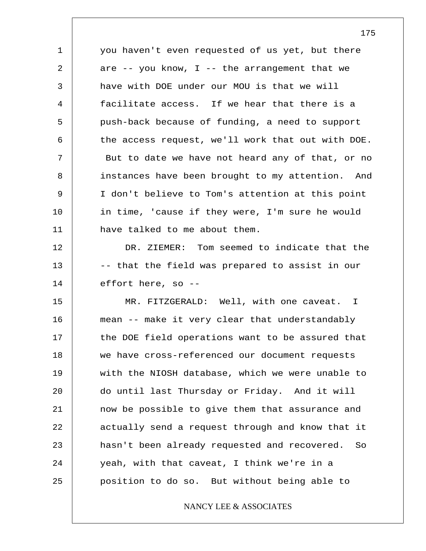1 2 3 4 5 6 7 8 9 10 11 you haven't even requested of us yet, but there are  $--$  you know, I  $--$  the arrangement that we have with DOE under our MOU is that we will facilitate access. If we hear that there is a push-back because of funding, a need to support the access request, we'll work that out with DOE. But to date we have not heard any of that, or no instances have been brought to my attention. And I don't believe to Tom's attention at this point in time, 'cause if they were, I'm sure he would have talked to me about them.

12 13 14 DR. ZIEMER: Tom seemed to indicate that the -- that the field was prepared to assist in our effort here, so --

15 16 17 18 19 20 21 22 23 24 25 MR. FITZGERALD: Well, with one caveat. I mean -- make it very clear that understandably the DOE field operations want to be assured that we have cross-referenced our document requests with the NIOSH database, which we were unable to do until last Thursday or Friday. And it will now be possible to give them that assurance and actually send a request through and know that it hasn't been already requested and recovered. So yeah, with that caveat, I think we're in a position to do so. But without being able to

# NANCY LEE & ASSOCIATES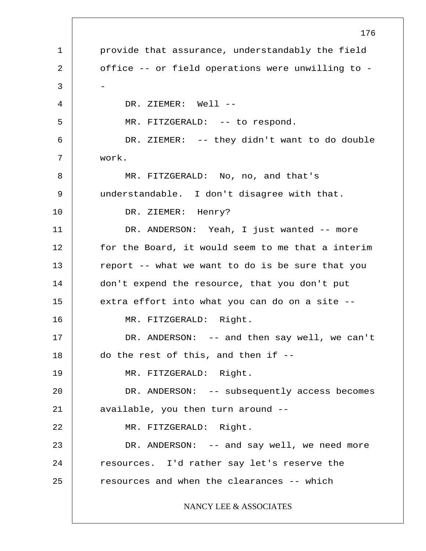1 2 3 4 5 6 7 8 9 10 11 12 13 14 15 16 17 18 19 20 21 22 23 24 25 176 provide that assurance, understandably the field office -- or field operations were unwilling to - - DR. ZIEMER: Well --MR. FITZGERALD: -- to respond. DR. ZIEMER: -- they didn't want to do double work. MR. FITZGERALD: No, no, and that's understandable. I don't disagree with that. DR. ZIEMER: Henry? DR. ANDERSON: Yeah, I just wanted -- more for the Board, it would seem to me that a interim report -- what we want to do is be sure that you don't expend the resource, that you don't put extra effort into what you can do on a site -- MR. FITZGERALD: Right. DR. ANDERSON: -- and then say well, we can't do the rest of this, and then if -- MR. FITZGERALD: Right. DR. ANDERSON: -- subsequently access becomes available, you then turn around -- MR. FITZGERALD: Right. DR. ANDERSON: -- and say well, we need more resources. I'd rather say let's reserve the resources and when the clearances -- which NANCY LEE & ASSOCIATES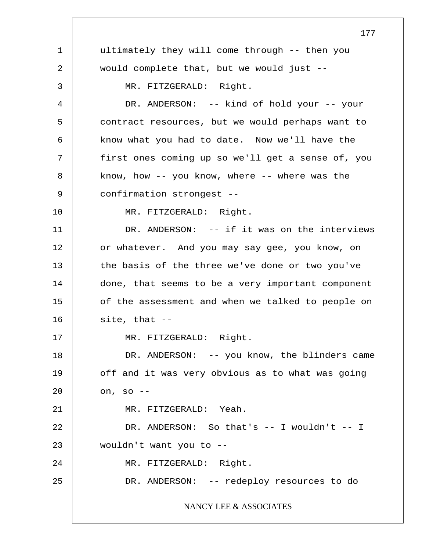1 2 3 4 5 6 7 8 9 10 11 12 13 14 15 16 17 18 19 20 21 22 23 24 25 177 ultimately they will come through -- then you would complete that, but we would just -- MR. FITZGERALD: Right. DR. ANDERSON: -- kind of hold your -- your contract resources, but we would perhaps want to know what you had to date. Now we'll have the first ones coming up so we'll get a sense of, you know, how -- you know, where -- where was the confirmation strongest -- MR. FITZGERALD: Right. DR. ANDERSON: -- if it was on the interviews or whatever. And you may say gee, you know, on the basis of the three we've done or two you've done, that seems to be a very important component of the assessment and when we talked to people on site, that -- MR. FITZGERALD: Right. DR. ANDERSON: -- you know, the blinders came off and it was very obvious as to what was going on, so -- MR. FITZGERALD: Yeah. DR. ANDERSON: So that's -- I wouldn't -- I wouldn't want you to -- MR. FITZGERALD: Right. DR. ANDERSON: -- redeploy resources to do NANCY LEE & ASSOCIATES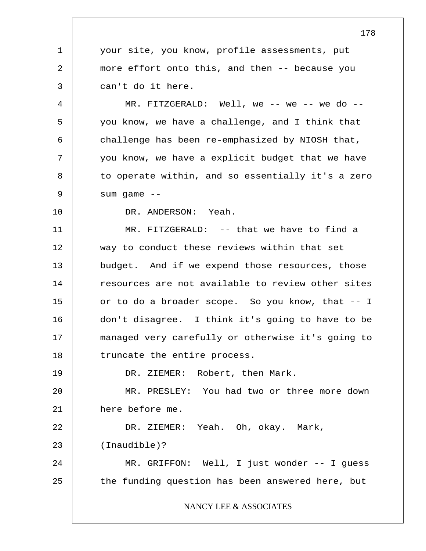1 2 3 4 5 6 7 8 9 10 11 12 13 14 15 16 17 18 19 20 21 22 23 24 25 178 your site, you know, profile assessments, put more effort onto this, and then -- because you can't do it here.  $MR.$  FITZGERALD: Well, we -- we -- we do -you know, we have a challenge, and I think that challenge has been re-emphasized by NIOSH that, you know, we have a explicit budget that we have to operate within, and so essentially it's a zero sum game --DR. ANDERSON: Yeah. MR. FITZGERALD: -- that we have to find a way to conduct these reviews within that set budget. And if we expend those resources, those resources are not available to review other sites or to do a broader scope. So you know, that -- I don't disagree. I think it's going to have to be managed very carefully or otherwise it's going to truncate the entire process. DR. ZIEMER: Robert, then Mark. MR. PRESLEY: You had two or three more down here before me. DR. ZIEMER: Yeah. Oh, okay. Mark, (Inaudible)? MR. GRIFFON: Well, I just wonder -- I guess the funding question has been answered here, but NANCY LEE & ASSOCIATES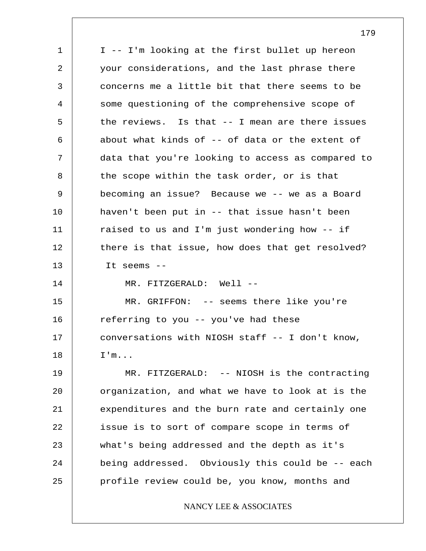1 2 3 4 5 6 7 8 9 10 11 12 13 14 15 16 17 18 19 20 21 22 23 24 25 I -- I'm looking at the first bullet up hereon your considerations, and the last phrase there concerns me a little bit that there seems to be some questioning of the comprehensive scope of the reviews. Is that -- I mean are there issues about what kinds of -- of data or the extent of data that you're looking to access as compared to the scope within the task order, or is that becoming an issue? Because we -- we as a Board haven't been put in -- that issue hasn't been raised to us and I'm just wondering how -- if there is that issue, how does that get resolved? It seems -- MR. FITZGERALD: Well --MR. GRIFFON: -- seems there like you're referring to you -- you've had these conversations with NIOSH staff -- I don't know, I'm... MR. FITZGERALD: -- NIOSH is the contracting organization, and what we have to look at is the expenditures and the burn rate and certainly one issue is to sort of compare scope in terms of what's being addressed and the depth as it's being addressed. Obviously this could be -- each profile review could be, you know, months and NANCY LEE & ASSOCIATES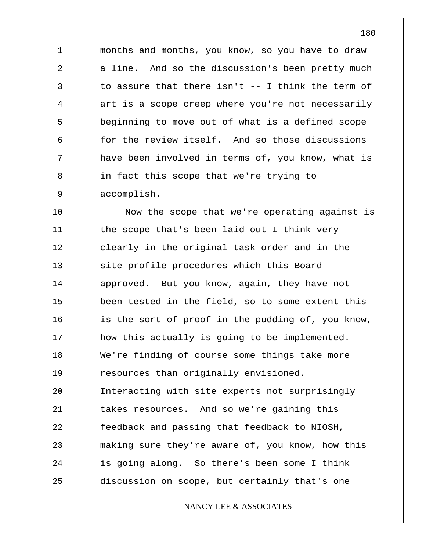months and months, you know, so you have to draw a line. And so the discussion's been pretty much to assure that there isn't -- I think the term of art is a scope creep where you're not necessarily beginning to move out of what is a defined scope for the review itself. And so those discussions have been involved in terms of, you know, what is in fact this scope that we're trying to accomplish.

1

2

3

4

5

6

7

8

9

10 11 12 13 14 15 16 17 18 19 20 21 22 23 24 25 Now the scope that we're operating against is the scope that's been laid out I think very clearly in the original task order and in the site profile procedures which this Board approved. But you know, again, they have not been tested in the field, so to some extent this is the sort of proof in the pudding of, you know, how this actually is going to be implemented. We're finding of course some things take more resources than originally envisioned. Interacting with site experts not surprisingly takes resources. And so we're gaining this feedback and passing that feedback to NIOSH, making sure they're aware of, you know, how this is going along. So there's been some I think discussion on scope, but certainly that's one

# NANCY LEE & ASSOCIATES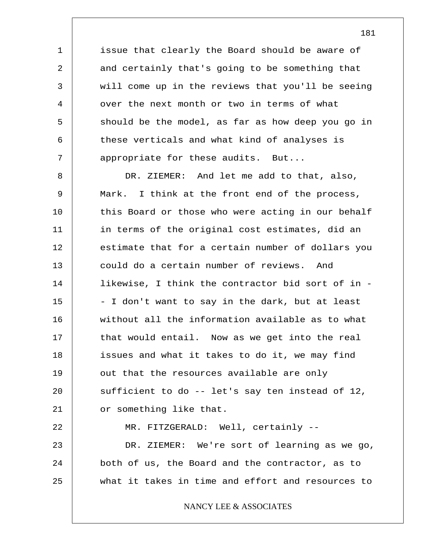issue that clearly the Board should be aware of and certainly that's going to be something that will come up in the reviews that you'll be seeing over the next month or two in terms of what should be the model, as far as how deep you go in these verticals and what kind of analyses is appropriate for these audits. But...

1

2

3

4

5

6

7

8 9 10 11 12 13 14 15 16 17 18 19 20 21 22 23 24 25 DR. ZIEMER: And let me add to that, also, Mark. I think at the front end of the process, this Board or those who were acting in our behalf in terms of the original cost estimates, did an estimate that for a certain number of dollars you could do a certain number of reviews. And likewise, I think the contractor bid sort of in - - I don't want to say in the dark, but at least without all the information available as to what that would entail. Now as we get into the real issues and what it takes to do it, we may find out that the resources available are only sufficient to do -- let's say ten instead of 12, or something like that. MR. FITZGERALD: Well, certainly -- DR. ZIEMER: We're sort of learning as we go, both of us, the Board and the contractor, as to what it takes in time and effort and resources to NANCY LEE & ASSOCIATES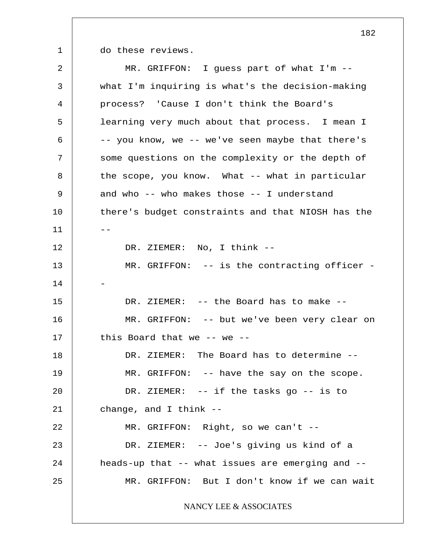1

do these reviews.

2 3 4 5 6 7 8 9 10  $11$ 12 13 14 15 16 17 18 19 20 21 22 23 24 25 MR. GRIFFON: I guess part of what I'm - what I'm inquiring is what's the decision-making process? 'Cause I don't think the Board's learning very much about that process. I mean I -- you know, we -- we've seen maybe that there's some questions on the complexity or the depth of the scope, you know. What -- what in particular and who -- who makes those -- I understand there's budget constraints and that NIOSH has the DR. ZIEMER: No, I think -- MR. GRIFFON: -- is the contracting officer -- DR. ZIEMER: -- the Board has to make --MR. GRIFFON: -- but we've been very clear on this Board that we -- we -- DR. ZIEMER: The Board has to determine --MR. GRIFFON: -- have the say on the scope. DR. ZIEMER: -- if the tasks go -- is to change, and I think -- MR. GRIFFON: Right, so we can't -- DR. ZIEMER: -- Joe's giving us kind of a heads-up that -- what issues are emerging and -- MR. GRIFFON: But I don't know if we can wait NANCY LEE & ASSOCIATES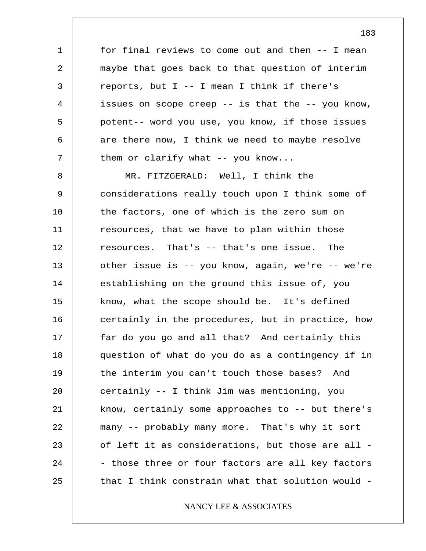for final reviews to come out and then -- I mean maybe that goes back to that question of interim reports, but I -- I mean I think if there's issues on scope creep -- is that the -- you know, potent-- word you use, you know, if those issues are there now, I think we need to maybe resolve them or clarify what -- you know...

1

2

3

4

5

6

7

8 9 10 11 12 13 14 15 16 17 18 19 20 21 22 23 24 25 MR. FITZGERALD: Well, I think the considerations really touch upon I think some of the factors, one of which is the zero sum on resources, that we have to plan within those resources. That's -- that's one issue. The other issue is -- you know, again, we're -- we're establishing on the ground this issue of, you know, what the scope should be. It's defined certainly in the procedures, but in practice, how far do you go and all that? And certainly this question of what do you do as a contingency if in the interim you can't touch those bases? And certainly -- I think Jim was mentioning, you know, certainly some approaches to -- but there's many -- probably many more. That's why it sort of left it as considerations, but those are all - - those three or four factors are all key factors that I think constrain what that solution would -

# NANCY LEE & ASSOCIATES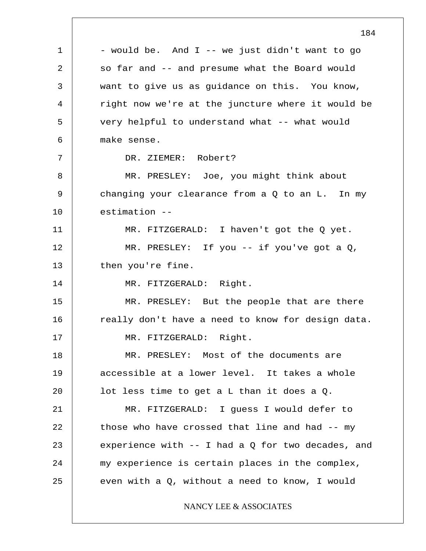1 2 3 4 5 6 7 8 9 10 11 12 13 14 15 16 17 18 19 20 21 22 23 24 25 184 - would be. And I -- we just didn't want to go so far and -- and presume what the Board would want to give us as guidance on this. You know, right now we're at the juncture where it would be very helpful to understand what -- what would make sense. DR. ZIEMER: Robert? MR. PRESLEY: Joe, you might think about changing your clearance from a Q to an L. In my estimation -- MR. FITZGERALD: I haven't got the Q yet. MR. PRESLEY: If you -- if you've got a Q, then you're fine. MR. FITZGERALD: Right. MR. PRESLEY: But the people that are there really don't have a need to know for design data. MR. FITZGERALD: Right. MR. PRESLEY: Most of the documents are accessible at a lower level. It takes a whole lot less time to get a L than it does a Q. MR. FITZGERALD: I guess I would defer to those who have crossed that line and had -- my experience with  $-$  I had a Q for two decades, and my experience is certain places in the complex, even with a Q, without a need to know, I would NANCY LEE & ASSOCIATES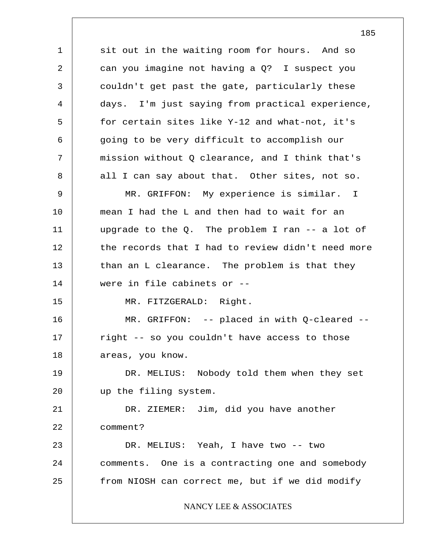1 2 3 4 5 6 7 8 9 10 11 12 13 14 15 16 17 18 19 20 21 22 23 24 25 sit out in the waiting room for hours. And so can you imagine not having a Q? I suspect you couldn't get past the gate, particularly these days. I'm just saying from practical experience, for certain sites like Y-12 and what-not, it's going to be very difficult to accomplish our mission without Q clearance, and I think that's all I can say about that. Other sites, not so. MR. GRIFFON: My experience is similar. I mean I had the L and then had to wait for an upgrade to the  $Q$ . The problem I ran  $-$  a lot of the records that I had to review didn't need more than an L clearance. The problem is that they were in file cabinets or -- MR. FITZGERALD: Right. MR. GRIFFON: -- placed in with Q-cleared - right -- so you couldn't have access to those areas, you know. DR. MELIUS: Nobody told them when they set up the filing system. DR. ZIEMER: Jim, did you have another comment? DR. MELIUS: Yeah, I have two -- two comments. One is a contracting one and somebody from NIOSH can correct me, but if we did modify NANCY LEE & ASSOCIATES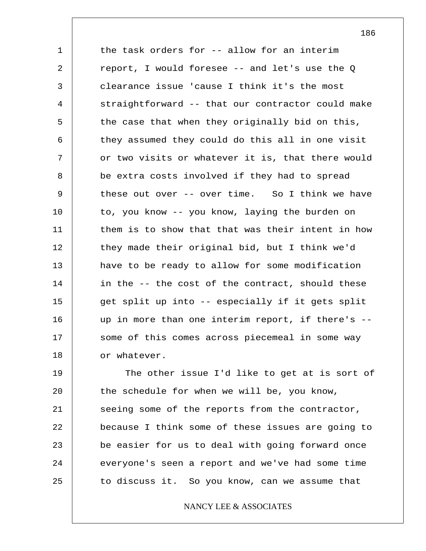1 2 3 4 5 6 7 8 9 10 11 12 13 14 15 16 17 18 the task orders for -- allow for an interim report, I would foresee -- and let's use the Q clearance issue 'cause I think it's the most straightforward -- that our contractor could make the case that when they originally bid on this, they assumed they could do this all in one visit or two visits or whatever it is, that there would be extra costs involved if they had to spread these out over -- over time. So I think we have to, you know -- you know, laying the burden on them is to show that that was their intent in how they made their original bid, but I think we'd have to be ready to allow for some modification in the -- the cost of the contract, should these get split up into -- especially if it gets split up in more than one interim report, if there's - some of this comes across piecemeal in some way or whatever.

19 20 21 22 23 24 25 The other issue I'd like to get at is sort of the schedule for when we will be, you know, seeing some of the reports from the contractor, because I think some of these issues are going to be easier for us to deal with going forward once everyone's seen a report and we've had some time to discuss it. So you know, can we assume that

# NANCY LEE & ASSOCIATES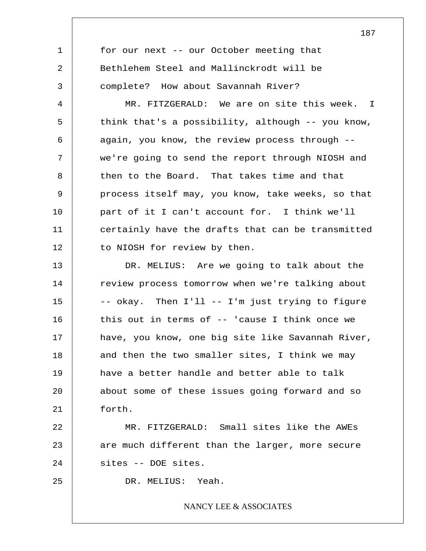1 2 3 4 5 6 7 8 9 10 11 12 13 14 15 16 17 18 19 20 21 22 23 24 25 for our next -- our October meeting that Bethlehem Steel and Mallinckrodt will be complete? How about Savannah River? MR. FITZGERALD: We are on site this week. I think that's a possibility, although -- you know, again, you know, the review process through - we're going to send the report through NIOSH and then to the Board. That takes time and that process itself may, you know, take weeks, so that part of it I can't account for. I think we'll certainly have the drafts that can be transmitted to NIOSH for review by then. DR. MELIUS: Are we going to talk about the review process tomorrow when we're talking about -- okay. Then I'll -- I'm just trying to figure this out in terms of -- 'cause I think once we have, you know, one big site like Savannah River, and then the two smaller sites, I think we may have a better handle and better able to talk about some of these issues going forward and so forth. MR. FITZGERALD: Small sites like the AWEs are much different than the larger, more secure sites -- DOE sites. DR. MELIUS: Yeah. NANCY LEE & ASSOCIATES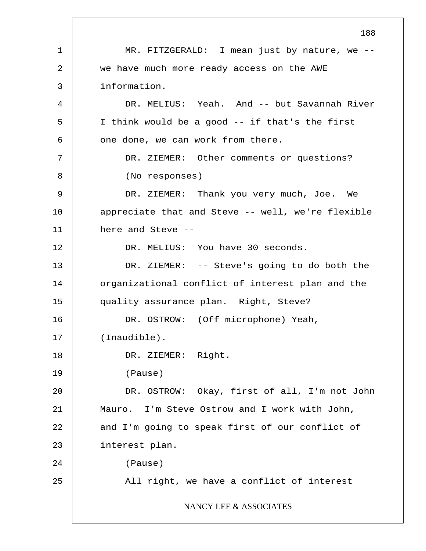1 2 3 4 5 6 7 8 9 10 11 12 13 14 15 16 17 18 19 20 21 22 23 24 25 188 MR. FITZGERALD: I mean just by nature, we -we have much more ready access on the AWE information. DR. MELIUS: Yeah. And -- but Savannah River I think would be a good -- if that's the first one done, we can work from there. DR. ZIEMER: Other comments or questions? (No responses) DR. ZIEMER: Thank you very much, Joe. We appreciate that and Steve -- well, we're flexible here and Steve -- DR. MELIUS: You have 30 seconds. DR. ZIEMER: -- Steve's going to do both the organizational conflict of interest plan and the quality assurance plan. Right, Steve? DR. OSTROW: (Off microphone) Yeah, (Inaudible). DR. ZIEMER: Right. (Pause) DR. OSTROW: Okay, first of all, I'm not John Mauro. I'm Steve Ostrow and I work with John, and I'm going to speak first of our conflict of interest plan. (Pause) All right, we have a conflict of interest NANCY LEE & ASSOCIATES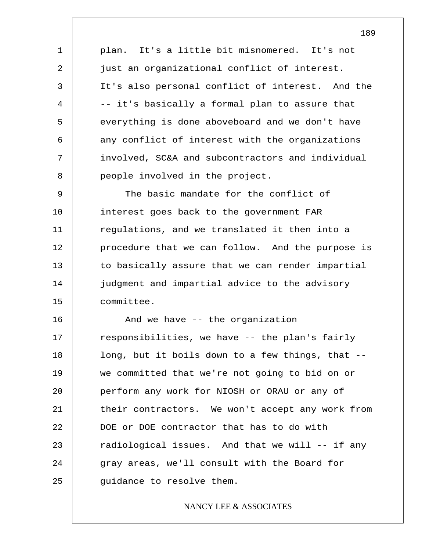1 2 3 4 5 6 7 8 plan. It's a little bit misnomered. It's not just an organizational conflict of interest. It's also personal conflict of interest. And the -- it's basically a formal plan to assure that everything is done aboveboard and we don't have any conflict of interest with the organizations involved, SC&A and subcontractors and individual people involved in the project.

9 10 11 12 13 14 15 The basic mandate for the conflict of interest goes back to the government FAR regulations, and we translated it then into a procedure that we can follow. And the purpose is to basically assure that we can render impartial judgment and impartial advice to the advisory committee.

16 17 18 19 20 21 22 23 24 25 And we have -- the organization responsibilities, we have -- the plan's fairly long, but it boils down to a few things, that - we committed that we're not going to bid on or perform any work for NIOSH or ORAU or any of their contractors. We won't accept any work from DOE or DOE contractor that has to do with radiological issues. And that we will -- if any gray areas, we'll consult with the Board for guidance to resolve them.

## NANCY LEE & ASSOCIATES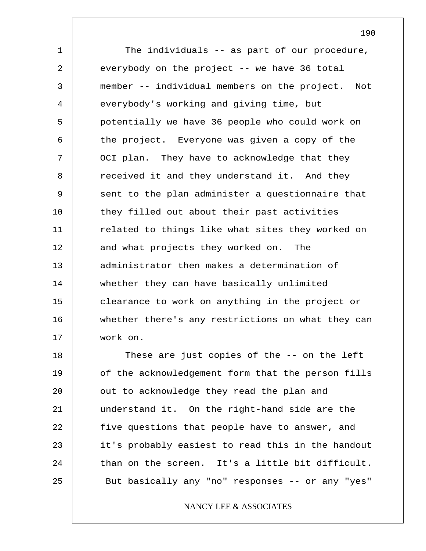1 2 3 4 5 6 7 8 9 10 11 12 13 14 15 16 17 The individuals -- as part of our procedure, everybody on the project -- we have 36 total member -- individual members on the project. Not everybody's working and giving time, but potentially we have 36 people who could work on the project. Everyone was given a copy of the OCI plan. They have to acknowledge that they received it and they understand it. And they sent to the plan administer a questionnaire that they filled out about their past activities related to things like what sites they worked on and what projects they worked on. The administrator then makes a determination of whether they can have basically unlimited clearance to work on anything in the project or whether there's any restrictions on what they can work on.

18 19 20 21 22 23 24 25 These are just copies of the -- on the left of the acknowledgement form that the person fills out to acknowledge they read the plan and understand it. On the right-hand side are the five questions that people have to answer, and it's probably easiest to read this in the handout than on the screen. It's a little bit difficult. But basically any "no" responses -- or any "yes"

# NANCY LEE & ASSOCIATES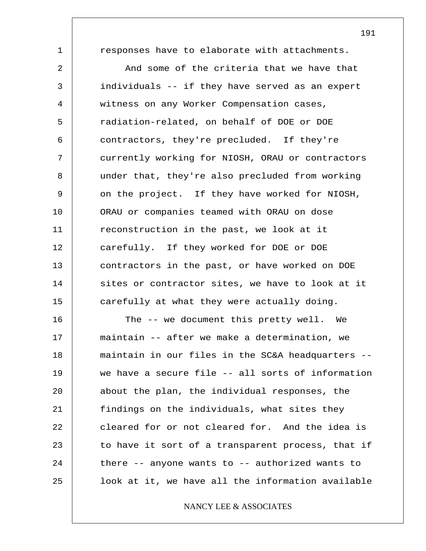1

responses have to elaborate with attachments.

2 3 4 5 6 7 8 9 10 11 12 13 14 15 And some of the criteria that we have that individuals -- if they have served as an expert witness on any Worker Compensation cases, radiation-related, on behalf of DOE or DOE contractors, they're precluded. If they're currently working for NIOSH, ORAU or contractors under that, they're also precluded from working on the project. If they have worked for NIOSH, ORAU or companies teamed with ORAU on dose reconstruction in the past, we look at it carefully. If they worked for DOE or DOE contractors in the past, or have worked on DOE sites or contractor sites, we have to look at it carefully at what they were actually doing.

16 17 18 19 20 21 22 23 24 25 The -- we document this pretty well. We maintain -- after we make a determination, we maintain in our files in the SC&A headquarters - we have a secure file -- all sorts of information about the plan, the individual responses, the findings on the individuals, what sites they cleared for or not cleared for. And the idea is to have it sort of a transparent process, that if there -- anyone wants to -- authorized wants to look at it, we have all the information available

# NANCY LEE & ASSOCIATES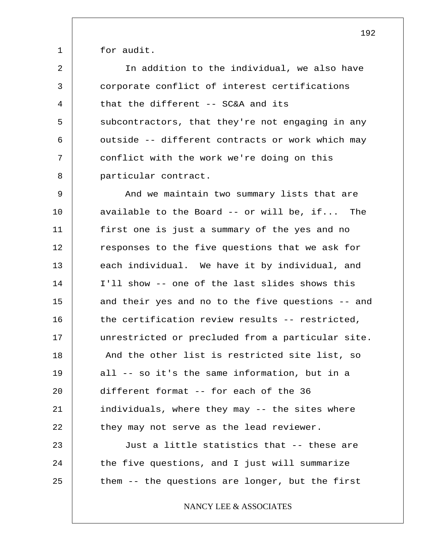for audit.

1

2 3 4 5 6 7 8 In addition to the individual, we also have corporate conflict of interest certifications that the different -- SC&A and its subcontractors, that they're not engaging in any outside -- different contracts or work which may conflict with the work we're doing on this particular contract.

9 10 11 12 13 14 15 16 17 18 19 20 21 22 And we maintain two summary lists that are available to the Board -- or will be, if... The first one is just a summary of the yes and no responses to the five questions that we ask for each individual. We have it by individual, and I'll show -- one of the last slides shows this and their yes and no to the five questions -- and the certification review results -- restricted, unrestricted or precluded from a particular site. And the other list is restricted site list, so all -- so it's the same information, but in a different format -- for each of the 36 individuals, where they may -- the sites where they may not serve as the lead reviewer.

23 24 25 Just a little statistics that -- these are the five questions, and I just will summarize them -- the questions are longer, but the first

NANCY LEE & ASSOCIATES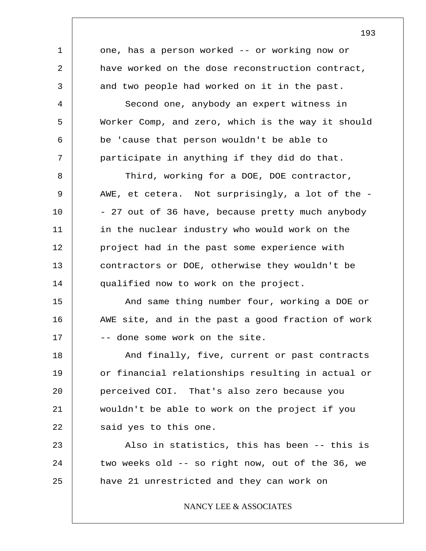1 2 3 4 5 6 7 8 9 10 11 12 13 14 15 16 17 18 19 20 21 22 23 24 25 one, has a person worked -- or working now or have worked on the dose reconstruction contract, and two people had worked on it in the past. Second one, anybody an expert witness in Worker Comp, and zero, which is the way it should be 'cause that person wouldn't be able to participate in anything if they did do that. Third, working for a DOE, DOE contractor, AWE, et cetera. Not surprisingly, a lot of the - - 27 out of 36 have, because pretty much anybody in the nuclear industry who would work on the project had in the past some experience with contractors or DOE, otherwise they wouldn't be qualified now to work on the project. And same thing number four, working a DOE or AWE site, and in the past a good fraction of work -- done some work on the site. And finally, five, current or past contracts or financial relationships resulting in actual or perceived COI. That's also zero because you wouldn't be able to work on the project if you said yes to this one. Also in statistics, this has been -- this is two weeks old -- so right now, out of the 36, we have 21 unrestricted and they can work on NANCY LEE & ASSOCIATES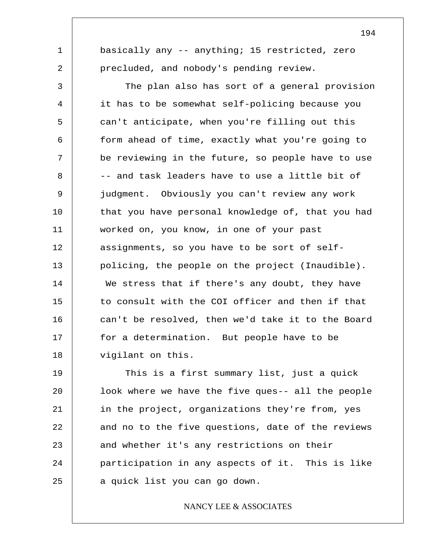basically any -- anything; 15 restricted, zero precluded, and nobody's pending review.

1

2

3 4 5 6 7 8 9 10 11 12 13 14 15 16 17 18 The plan also has sort of a general provision it has to be somewhat self-policing because you can't anticipate, when you're filling out this form ahead of time, exactly what you're going to be reviewing in the future, so people have to use -- and task leaders have to use a little bit of judgment. Obviously you can't review any work that you have personal knowledge of, that you had worked on, you know, in one of your past assignments, so you have to be sort of selfpolicing, the people on the project (Inaudible). We stress that if there's any doubt, they have to consult with the COI officer and then if that can't be resolved, then we'd take it to the Board for a determination. But people have to be vigilant on this.

19 20 21 22 23 24 25 This is a first summary list, just a quick look where we have the five ques-- all the people in the project, organizations they're from, yes and no to the five questions, date of the reviews and whether it's any restrictions on their participation in any aspects of it. This is like a quick list you can go down.

# NANCY LEE & ASSOCIATES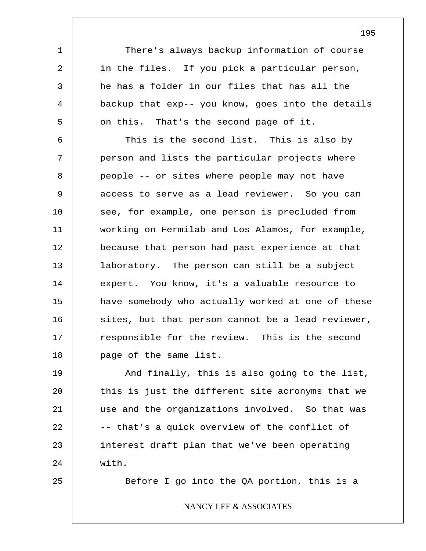There's always backup information of course in the files. If you pick a particular person, he has a folder in our files that has all the backup that exp-- you know, goes into the details on this. That's the second page of it.

6 7 8 9 10 11 12 13 14 15 16 17 18 This is the second list. This is also by person and lists the particular projects where people -- or sites where people may not have access to serve as a lead reviewer. So you can see, for example, one person is precluded from working on Fermilab and Los Alamos, for example, because that person had past experience at that laboratory. The person can still be a subject expert. You know, it's a valuable resource to have somebody who actually worked at one of these sites, but that person cannot be a lead reviewer, responsible for the review. This is the second page of the same list.

19 20 21 22 23 24 And finally, this is also going to the list, this is just the different site acronyms that we use and the organizations involved. So that was -- that's a quick overview of the conflict of interest draft plan that we've been operating with.

25

1

2

3

4

5

Before I go into the QA portion, this is a

## NANCY LEE & ASSOCIATES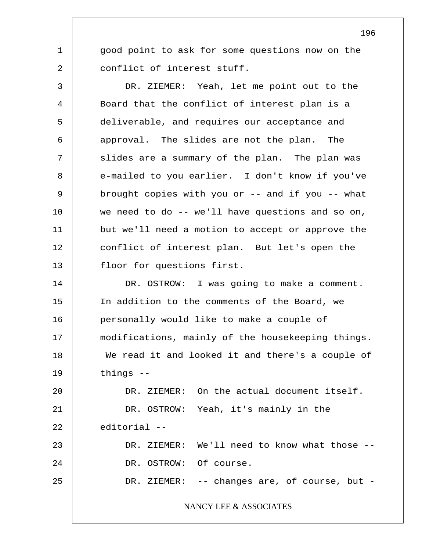good point to ask for some questions now on the conflict of interest stuff.

1

2

3 4 5 6 7 8 9 10 11 12 13 14 DR. ZIEMER: Yeah, let me point out to the Board that the conflict of interest plan is a deliverable, and requires our acceptance and approval. The slides are not the plan. The slides are a summary of the plan. The plan was e-mailed to you earlier. I don't know if you've brought copies with you or -- and if you -- what we need to do -- we'll have questions and so on, but we'll need a motion to accept or approve the conflict of interest plan. But let's open the floor for questions first. DR. OSTROW: I was going to make a comment.

15 16 17 18 19 In addition to the comments of the Board, we personally would like to make a couple of modifications, mainly of the housekeeping things. We read it and looked it and there's a couple of things --

20 21 22 23 24 25 DR. ZIEMER: On the actual document itself. DR. OSTROW: Yeah, it's mainly in the editorial -- DR. ZIEMER: We'll need to know what those -- DR. OSTROW: Of course. DR. ZIEMER: -- changes are, of course, but -

NANCY LEE & ASSOCIATES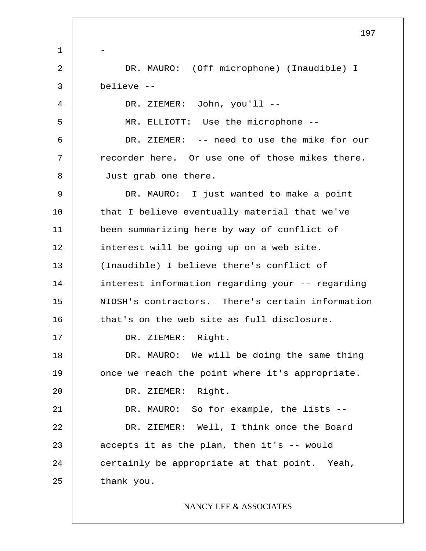1 2 3 4 5 6 7 8 9 10 11 12 13 14 15 16 17 18 19 20 21 22 23 24 25 197 - DR. MAURO: (Off microphone) (Inaudible) I believe -- DR. ZIEMER: John, you'll -- MR. ELLIOTT: Use the microphone -- DR. ZIEMER: -- need to use the mike for our recorder here. Or use one of those mikes there. Just grab one there. DR. MAURO: I just wanted to make a point that I believe eventually material that we've been summarizing here by way of conflict of interest will be going up on a web site. (Inaudible) I believe there's conflict of interest information regarding your -- regarding NIOSH's contractors. There's certain information that's on the web site as full disclosure. DR. ZIEMER: Right. DR. MAURO: We will be doing the same thing once we reach the point where it's appropriate. DR. ZIEMER: Right. DR. MAURO: So for example, the lists --DR. ZIEMER: Well, I think once the Board accepts it as the plan, then it's -- would certainly be appropriate at that point. Yeah, thank you. NANCY LEE & ASSOCIATES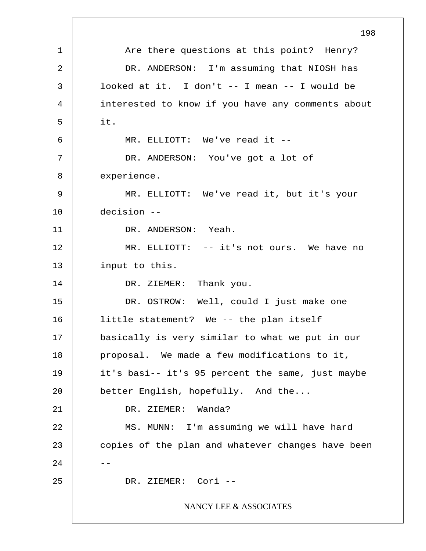1 2 3 4 5 6 7 8 9 10 11 12 13 14 15 16 17 18 19 20 21 22 23  $24$ 25 198 Are there questions at this point? Henry? DR. ANDERSON: I'm assuming that NIOSH has looked at it. I don't -- I mean -- I would be interested to know if you have any comments about it. MR. ELLIOTT: We've read it -- DR. ANDERSON: You've got a lot of experience. MR. ELLIOTT: We've read it, but it's your decision -- DR. ANDERSON: Yeah. MR. ELLIOTT: -- it's not ours. We have no input to this. DR. ZIEMER: Thank you. DR. OSTROW: Well, could I just make one little statement? We -- the plan itself basically is very similar to what we put in our proposal. We made a few modifications to it, it's basi-- it's 95 percent the same, just maybe better English, hopefully. And the... DR. ZIEMER: Wanda? MS. MUNN: I'm assuming we will have hard copies of the plan and whatever changes have been DR. ZIEMER: Cori -- NANCY LEE & ASSOCIATES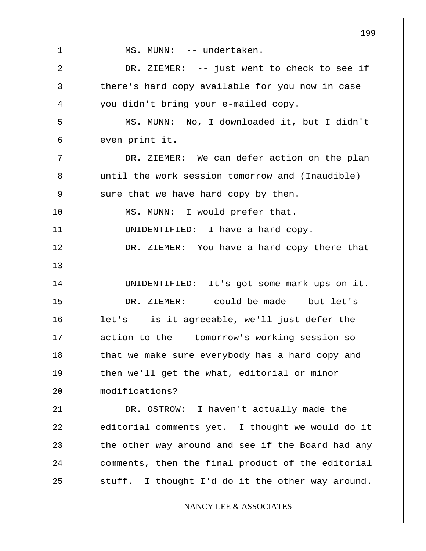1 2 3 4 5 6 7 8 9 10 11 12  $13$ 14 15 16 17 18 19 20 21 22 23 24 25 199 MS. MUNN: -- undertaken. DR. ZIEMER: -- just went to check to see if there's hard copy available for you now in case you didn't bring your e-mailed copy. MS. MUNN: No, I downloaded it, but I didn't even print it. DR. ZIEMER: We can defer action on the plan until the work session tomorrow and (Inaudible) sure that we have hard copy by then. MS. MUNN: I would prefer that. UNIDENTIFIED: I have a hard copy. DR. ZIEMER: You have a hard copy there that UNIDENTIFIED: It's got some mark-ups on it. DR. ZIEMER: -- could be made -- but let's - let's -- is it agreeable, we'll just defer the action to the -- tomorrow's working session so that we make sure everybody has a hard copy and then we'll get the what, editorial or minor modifications? DR. OSTROW: I haven't actually made the editorial comments yet. I thought we would do it the other way around and see if the Board had any comments, then the final product of the editorial stuff. I thought I'd do it the other way around. NANCY LEE & ASSOCIATES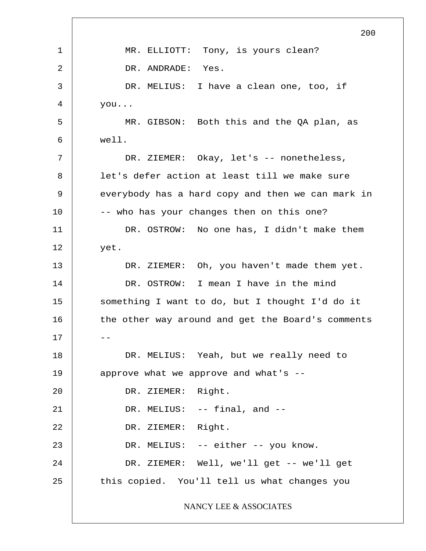1 2 3 4 5 6 7 8 9 10 11 12 13 14 15 16  $17$   $-$ 18 19 20 21 22 23 24 25 200 MR. ELLIOTT: Tony, is yours clean? DR. ANDRADE: Yes. DR. MELIUS: I have a clean one, too, if you... MR. GIBSON: Both this and the QA plan, as well. DR. ZIEMER: Okay, let's -- nonetheless, let's defer action at least till we make sure everybody has a hard copy and then we can mark in -- who has your changes then on this one? DR. OSTROW: No one has, I didn't make them yet. DR. ZIEMER: Oh, you haven't made them yet. DR. OSTROW: I mean I have in the mind something I want to do, but I thought I'd do it the other way around and get the Board's comments DR. MELIUS: Yeah, but we really need to approve what we approve and what's -- DR. ZIEMER: Right. DR. MELIUS: -- final, and --DR. ZIEMER: Right. DR. MELIUS: -- either -- you know. DR. ZIEMER: Well, we'll get -- we'll get this copied. You'll tell us what changes you NANCY LEE & ASSOCIATES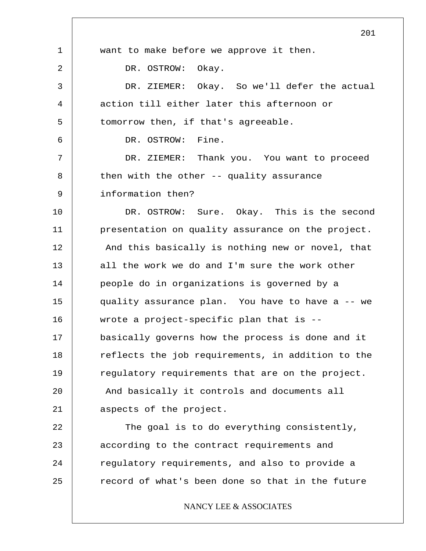1 2 3 4 5 6 7 8 9 10 11 12 13 14 15 16 17 18 19 20 21 22 23 24 25 201 want to make before we approve it then. DR. OSTROW: Okay. DR. ZIEMER: Okay. So we'll defer the actual action till either later this afternoon or tomorrow then, if that's agreeable. DR. OSTROW: Fine. DR. ZIEMER: Thank you. You want to proceed then with the other -- quality assurance information then? DR. OSTROW: Sure. Okay. This is the second presentation on quality assurance on the project. And this basically is nothing new or novel, that all the work we do and I'm sure the work other people do in organizations is governed by a quality assurance plan. You have to have a -- we wrote a project-specific plan that is - basically governs how the process is done and it reflects the job requirements, in addition to the regulatory requirements that are on the project. And basically it controls and documents all aspects of the project. The goal is to do everything consistently, according to the contract requirements and regulatory requirements, and also to provide a record of what's been done so that in the future NANCY LEE & ASSOCIATES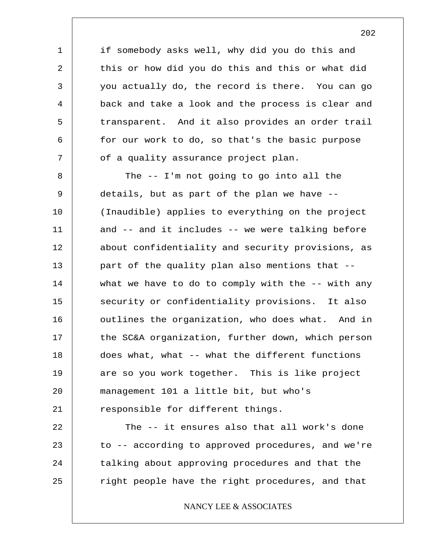if somebody asks well, why did you do this and this or how did you do this and this or what did you actually do, the record is there. You can go back and take a look and the process is clear and transparent. And it also provides an order trail for our work to do, so that's the basic purpose of a quality assurance project plan.

1

2

3

4

5

6

7

8 9 10 11 12 13 14 15 16 17 18 19 20 21 The -- I'm not going to go into all the details, but as part of the plan we have -- (Inaudible) applies to everything on the project and -- and it includes -- we were talking before about confidentiality and security provisions, as part of the quality plan also mentions that - what we have to do to comply with the -- with any security or confidentiality provisions. It also outlines the organization, who does what. And in the SC&A organization, further down, which person does what, what -- what the different functions are so you work together. This is like project management 101 a little bit, but who's responsible for different things.

22 23 24 25 The -- it ensures also that all work's done to -- according to approved procedures, and we're talking about approving procedures and that the right people have the right procedures, and that

# NANCY LEE & ASSOCIATES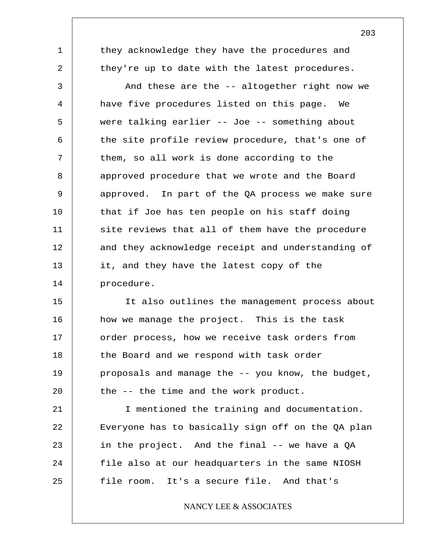they acknowledge they have the procedures and they're up to date with the latest procedures.

1

2

3 4 5 6 7 8 9 10 11 12 13 14 And these are the -- altogether right now we have five procedures listed on this page. We were talking earlier -- Joe -- something about the site profile review procedure, that's one of them, so all work is done according to the approved procedure that we wrote and the Board approved. In part of the QA process we make sure that if Joe has ten people on his staff doing site reviews that all of them have the procedure and they acknowledge receipt and understanding of it, and they have the latest copy of the procedure.

15 16 17 18 19 20 It also outlines the management process about how we manage the project. This is the task order process, how we receive task orders from the Board and we respond with task order proposals and manage the -- you know, the budget, the -- the time and the work product.

21 22 23 24 25 I mentioned the training and documentation. Everyone has to basically sign off on the QA plan in the project. And the final -- we have a QA file also at our headquarters in the same NIOSH file room. It's a secure file. And that's

# NANCY LEE & ASSOCIATES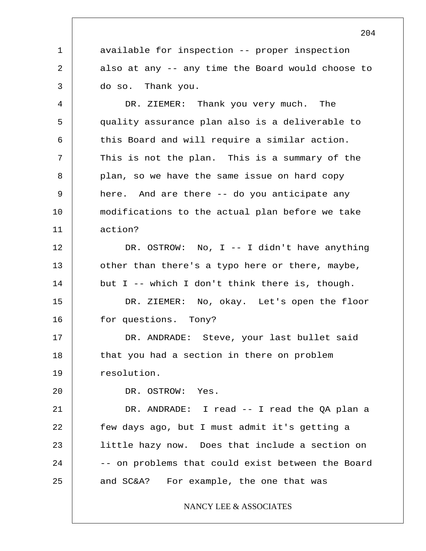available for inspection -- proper inspection also at any -- any time the Board would choose to do so. Thank you.

4 5 6 7 8 9 10 11 DR. ZIEMER: Thank you very much. The quality assurance plan also is a deliverable to this Board and will require a similar action. This is not the plan. This is a summary of the plan, so we have the same issue on hard copy here. And are there -- do you anticipate any modifications to the actual plan before we take action?

12 13 14 DR. OSTROW: No, I -- I didn't have anything other than there's a typo here or there, maybe, but I -- which I don't think there is, though.

15 16 DR. ZIEMER: No, okay. Let's open the floor for questions. Tony?

17 18 19 DR. ANDRADE: Steve, your last bullet said that you had a section in there on problem resolution.

20

1

2

3

DR. OSTROW: Yes.

21 22 23 24 25 DR. ANDRADE: I read -- I read the QA plan a few days ago, but I must admit it's getting a little hazy now. Does that include a section on -- on problems that could exist between the Board and SC&A? For example, the one that was

NANCY LEE & ASSOCIATES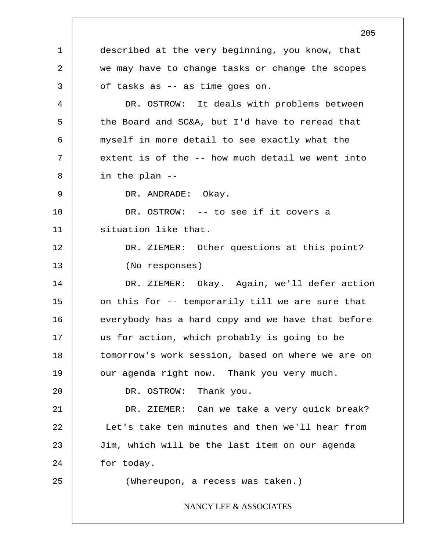1 2 3 4 5 6 7 8 9 10 11 12 13 14 15 16 17 18 19 20 21 22 23 24 25 205 described at the very beginning, you know, that we may have to change tasks or change the scopes of tasks as -- as time goes on. DR. OSTROW: It deals with problems between the Board and SC&A, but I'd have to reread that myself in more detail to see exactly what the extent is of the -- how much detail we went into in the plan -- DR. ANDRADE: Okay. DR. OSTROW: -- to see if it covers a situation like that. DR. ZIEMER: Other questions at this point? (No responses) DR. ZIEMER: Okay. Again, we'll defer action on this for -- temporarily till we are sure that everybody has a hard copy and we have that before us for action, which probably is going to be tomorrow's work session, based on where we are on our agenda right now. Thank you very much. DR. OSTROW: Thank you. DR. ZIEMER: Can we take a very quick break? Let's take ten minutes and then we'll hear from Jim, which will be the last item on our agenda for today. (Whereupon, a recess was taken.) NANCY LEE & ASSOCIATES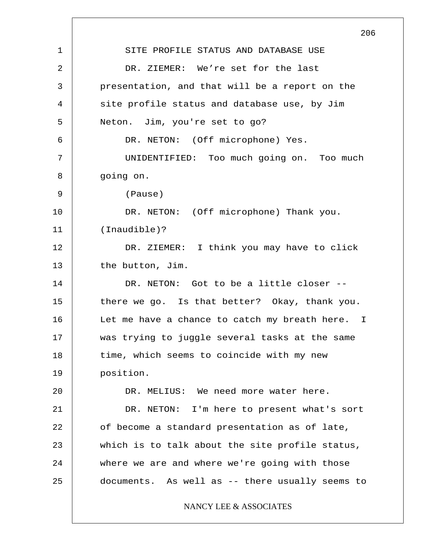1 2 3 4 5 6 7 8 9 10 11 12 13 14 15 16 17 18 19 20 21 22 23 24 25 206 SITE PROFILE STATUS AND DATABASE USE DR. ZIEMER: We're set for the last presentation, and that will be a report on the site profile status and database use, by Jim Neton. Jim, you're set to go? DR. NETON: (Off microphone) Yes. UNIDENTIFIED: Too much going on. Too much going on. (Pause) DR. NETON: (Off microphone) Thank you. (Inaudible)? DR. ZIEMER: I think you may have to click the button, Jim. DR. NETON: Got to be a little closer -there we go. Is that better? Okay, thank you. Let me have a chance to catch my breath here. I was trying to juggle several tasks at the same time, which seems to coincide with my new position. DR. MELIUS: We need more water here. DR. NETON: I'm here to present what's sort of become a standard presentation as of late, which is to talk about the site profile status, where we are and where we're going with those documents. As well as -- there usually seems to NANCY LEE & ASSOCIATES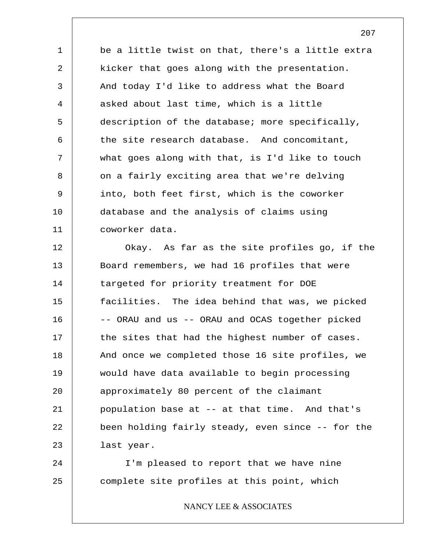1 2 3 4 5 6 7 8 9 10 11 be a little twist on that, there's a little extra kicker that goes along with the presentation. And today I'd like to address what the Board asked about last time, which is a little description of the database; more specifically, the site research database. And concomitant, what goes along with that, is I'd like to touch on a fairly exciting area that we're delving into, both feet first, which is the coworker database and the analysis of claims using coworker data.

12 13 14 15 16 17 18 19 20 21 22 23 Okay. As far as the site profiles go, if the Board remembers, we had 16 profiles that were targeted for priority treatment for DOE facilities. The idea behind that was, we picked -- ORAU and us -- ORAU and OCAS together picked the sites that had the highest number of cases. And once we completed those 16 site profiles, we would have data available to begin processing approximately 80 percent of the claimant population base at -- at that time. And that's been holding fairly steady, even since -- for the last year.

24 25 I'm pleased to report that we have nine complete site profiles at this point, which

NANCY LEE & ASSOCIATES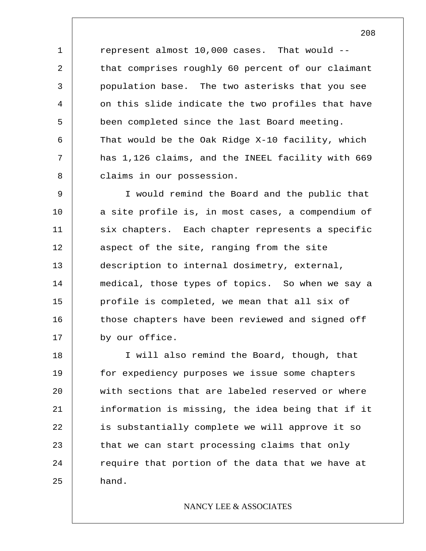represent almost 10,000 cases. That would - that comprises roughly 60 percent of our claimant population base. The two asterisks that you see on this slide indicate the two profiles that have been completed since the last Board meeting. That would be the Oak Ridge X-10 facility, which has 1,126 claims, and the INEEL facility with 669 claims in our possession.

1

2

3

4

5

6

7

8

9 10 11 12 13 14 15 16 17 I would remind the Board and the public that a site profile is, in most cases, a compendium of six chapters. Each chapter represents a specific aspect of the site, ranging from the site description to internal dosimetry, external, medical, those types of topics. So when we say a profile is completed, we mean that all six of those chapters have been reviewed and signed off by our office.

18 19 20 21 22 23 24 25 I will also remind the Board, though, that for expediency purposes we issue some chapters with sections that are labeled reserved or where information is missing, the idea being that if it is substantially complete we will approve it so that we can start processing claims that only require that portion of the data that we have at hand.

# NANCY LEE & ASSOCIATES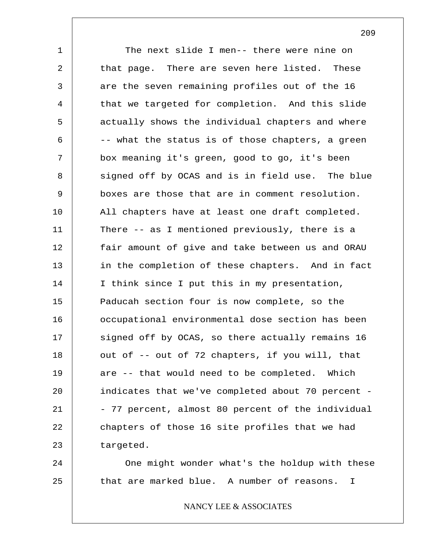1 2 3 4 5 6 7 8 9 10 11 12 13 14 15 16 17 18 19 20 21 22 23 The next slide I men-- there were nine on that page. There are seven here listed. These are the seven remaining profiles out of the 16 that we targeted for completion. And this slide actually shows the individual chapters and where -- what the status is of those chapters, a green box meaning it's green, good to go, it's been signed off by OCAS and is in field use. The blue boxes are those that are in comment resolution. All chapters have at least one draft completed. There -- as I mentioned previously, there is a fair amount of give and take between us and ORAU in the completion of these chapters. And in fact I think since I put this in my presentation, Paducah section four is now complete, so the occupational environmental dose section has been signed off by OCAS, so there actually remains 16 out of -- out of 72 chapters, if you will, that are -- that would need to be completed. Which indicates that we've completed about 70 percent - - 77 percent, almost 80 percent of the individual chapters of those 16 site profiles that we had targeted.

24 25 One might wonder what's the holdup with these that are marked blue. A number of reasons. I

NANCY LEE & ASSOCIATES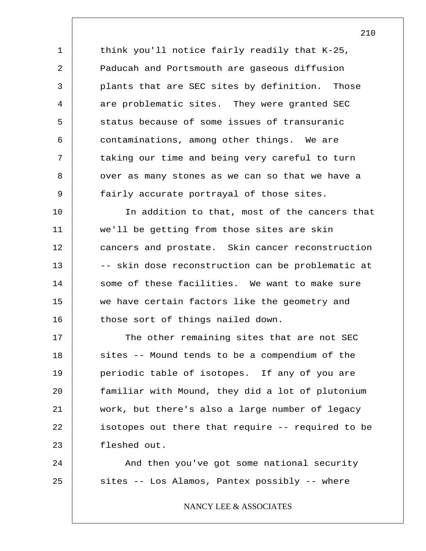think you'll notice fairly readily that K-25, Paducah and Portsmouth are gaseous diffusion plants that are SEC sites by definition. Those are problematic sites. They were granted SEC status because of some issues of transuranic contaminations, among other things. We are taking our time and being very careful to turn over as many stones as we can so that we have a fairly accurate portrayal of those sites.

1

2

3

4

5

6

7

8

9

24

25

10 11 12 13 14 15 16 In addition to that, most of the cancers that we'll be getting from those sites are skin cancers and prostate. Skin cancer reconstruction -- skin dose reconstruction can be problematic at some of these facilities. We want to make sure we have certain factors like the geometry and those sort of things nailed down.

17 18 19 20 21 22 23 The other remaining sites that are not SEC sites -- Mound tends to be a compendium of the periodic table of isotopes. If any of you are familiar with Mound, they did a lot of plutonium work, but there's also a large number of legacy isotopes out there that require -- required to be fleshed out.

And then you've got some national security sites -- Los Alamos, Pantex possibly -- where

NANCY LEE & ASSOCIATES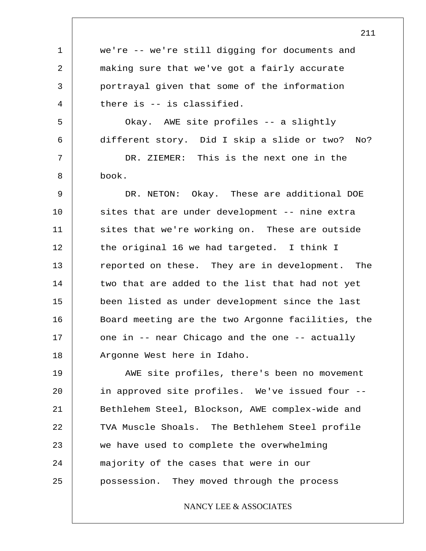1 2 3 4 5 6 7 8 9 10 11 12 13 14 15 16 17 18 19 20 21 22 23 24 25 we're -- we're still digging for documents and making sure that we've got a fairly accurate portrayal given that some of the information there is -- is classified. Okay. AWE site profiles -- a slightly different story. Did I skip a slide or two? No? DR. ZIEMER: This is the next one in the book. DR. NETON: Okay. These are additional DOE sites that are under development -- nine extra sites that we're working on. These are outside the original 16 we had targeted. I think I reported on these. They are in development. The two that are added to the list that had not yet been listed as under development since the last Board meeting are the two Argonne facilities, the one in -- near Chicago and the one -- actually Argonne West here in Idaho. AWE site profiles, there's been no movement in approved site profiles. We've issued four -- Bethlehem Steel, Blockson, AWE complex-wide and TVA Muscle Shoals. The Bethlehem Steel profile we have used to complete the overwhelming majority of the cases that were in our possession. They moved through the process NANCY LEE & ASSOCIATES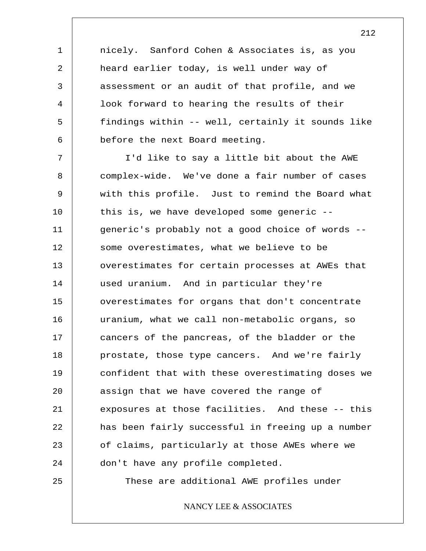nicely. Sanford Cohen & Associates is, as you heard earlier today, is well under way of assessment or an audit of that profile, and we look forward to hearing the results of their findings within -- well, certainly it sounds like before the next Board meeting.

1

2

3

4

5

6

7 8 9 10 11 12 13 14 15 16 17 18 19 20 21 22 23 24 25 I'd like to say a little bit about the AWE complex-wide. We've done a fair number of cases with this profile. Just to remind the Board what this is, we have developed some generic - generic's probably not a good choice of words - some overestimates, what we believe to be overestimates for certain processes at AWEs that used uranium. And in particular they're overestimates for organs that don't concentrate uranium, what we call non-metabolic organs, so cancers of the pancreas, of the bladder or the prostate, those type cancers. And we're fairly confident that with these overestimating doses we assign that we have covered the range of exposures at those facilities. And these -- this has been fairly successful in freeing up a number of claims, particularly at those AWEs where we don't have any profile completed. These are additional AWE profiles under

NANCY LEE & ASSOCIATES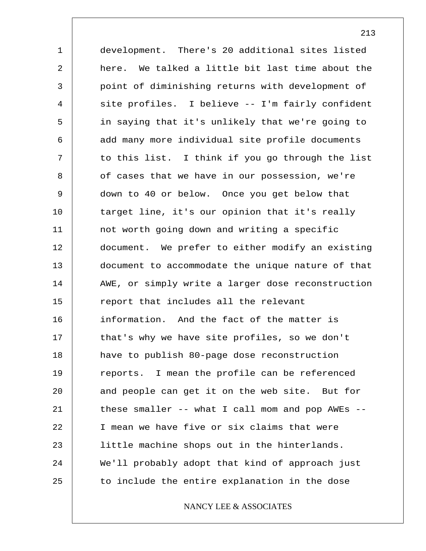1 2 3 4 5 6 7 8 9 10 11 12 13 14 15 16 17 18 19 20 21 22 23 24 25 development. There's 20 additional sites listed here. We talked a little bit last time about the point of diminishing returns with development of site profiles. I believe -- I'm fairly confident in saying that it's unlikely that we're going to add many more individual site profile documents to this list. I think if you go through the list of cases that we have in our possession, we're down to 40 or below. Once you get below that target line, it's our opinion that it's really not worth going down and writing a specific document. We prefer to either modify an existing document to accommodate the unique nature of that AWE, or simply write a larger dose reconstruction report that includes all the relevant information. And the fact of the matter is that's why we have site profiles, so we don't have to publish 80-page dose reconstruction reports. I mean the profile can be referenced and people can get it on the web site. But for these smaller -- what I call mom and pop AWEs -- I mean we have five or six claims that were little machine shops out in the hinterlands. We'll probably adopt that kind of approach just to include the entire explanation in the dose

NANCY LEE & ASSOCIATES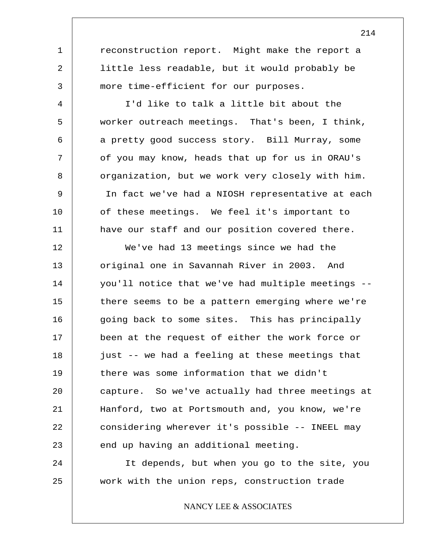reconstruction report. Might make the report a little less readable, but it would probably be more time-efficient for our purposes.

1

2

3

4

5

6

7

8

9

10

11

I'd like to talk a little bit about the worker outreach meetings. That's been, I think, a pretty good success story. Bill Murray, some of you may know, heads that up for us in ORAU's organization, but we work very closely with him. In fact we've had a NIOSH representative at each of these meetings. We feel it's important to have our staff and our position covered there.

12 13 14 15 16 17 18 19 20 21 22 23 We've had 13 meetings since we had the original one in Savannah River in 2003. And you'll notice that we've had multiple meetings - there seems to be a pattern emerging where we're going back to some sites. This has principally been at the request of either the work force or just -- we had a feeling at these meetings that there was some information that we didn't capture. So we've actually had three meetings at Hanford, two at Portsmouth and, you know, we're considering wherever it's possible -- INEEL may end up having an additional meeting.

24 25 It depends, but when you go to the site, you work with the union reps, construction trade

NANCY LEE & ASSOCIATES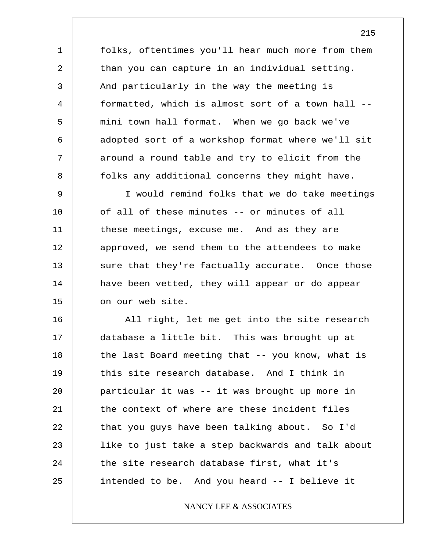folks, oftentimes you'll hear much more from them than you can capture in an individual setting. And particularly in the way the meeting is formatted, which is almost sort of a town hall - mini town hall format. When we go back we've adopted sort of a workshop format where we'll sit around a round table and try to elicit from the folks any additional concerns they might have.

1

2

3

4

5

6

7

8

9 10 11 12 13 14 15 I would remind folks that we do take meetings of all of these minutes -- or minutes of all these meetings, excuse me. And as they are approved, we send them to the attendees to make sure that they're factually accurate. Once those have been vetted, they will appear or do appear on our web site.

16 17 18 19 20 21 22 23 24 25 All right, let me get into the site research database a little bit. This was brought up at the last Board meeting that -- you know, what is this site research database. And I think in particular it was -- it was brought up more in the context of where are these incident files that you guys have been talking about. So I'd like to just take a step backwards and talk about the site research database first, what it's intended to be. And you heard -- I believe it

# NANCY LEE & ASSOCIATES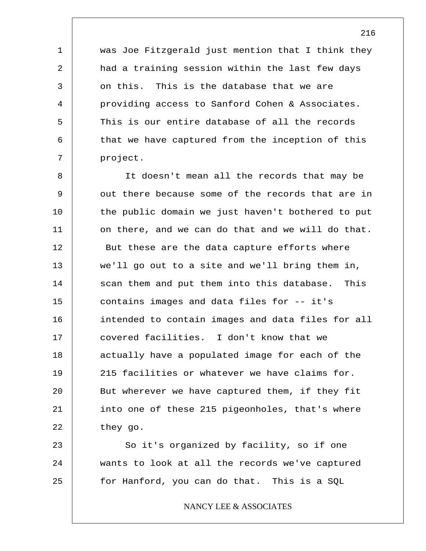was Joe Fitzgerald just mention that I think they had a training session within the last few days on this. This is the database that we are providing access to Sanford Cohen & Associates. This is our entire database of all the records that we have captured from the inception of this project.

1

2

3

4

5

6

7

8 9 10 11 12 13 14 15 16 17 18 19 20 21 22 It doesn't mean all the records that may be out there because some of the records that are in the public domain we just haven't bothered to put on there, and we can do that and we will do that. But these are the data capture efforts where we'll go out to a site and we'll bring them in, scan them and put them into this database. This contains images and data files for -- it's intended to contain images and data files for all covered facilities. I don't know that we actually have a populated image for each of the 215 facilities or whatever we have claims for. But wherever we have captured them, if they fit into one of these 215 pigeonholes, that's where they go.

23 24 25 So it's organized by facility, so if one wants to look at all the records we've captured for Hanford, you can do that. This is a SQL

NANCY LEE & ASSOCIATES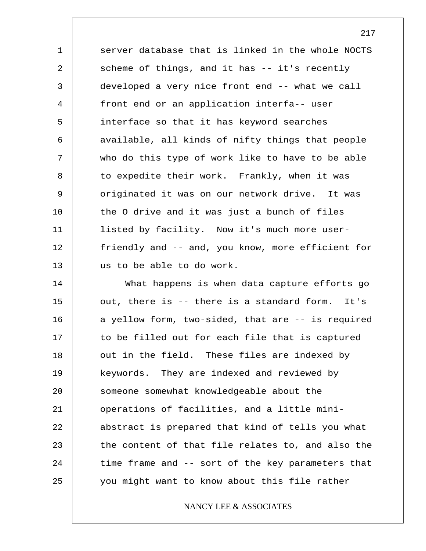1 2 3 4 5 6 7 8 9 10 11 12 13 server database that is linked in the whole NOCTS scheme of things, and it has -- it's recently developed a very nice front end -- what we call front end or an application interfa-- user interface so that it has keyword searches available, all kinds of nifty things that people who do this type of work like to have to be able to expedite their work. Frankly, when it was originated it was on our network drive. It was the O drive and it was just a bunch of files listed by facility. Now it's much more userfriendly and -- and, you know, more efficient for us to be able to do work.

14 15 16 17 18 19 20 21 22 23 24 25 What happens is when data capture efforts go out, there is -- there is a standard form. It's a yellow form, two-sided, that are -- is required to be filled out for each file that is captured out in the field. These files are indexed by keywords. They are indexed and reviewed by someone somewhat knowledgeable about the operations of facilities, and a little miniabstract is prepared that kind of tells you what the content of that file relates to, and also the time frame and -- sort of the key parameters that you might want to know about this file rather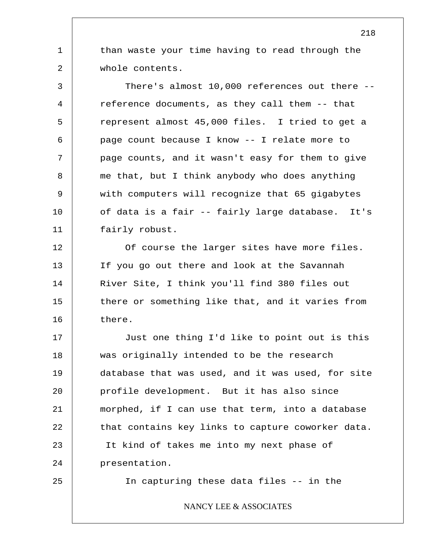than waste your time having to read through the whole contents.

3 4 5 6 7 8 9 10 11 There's almost 10,000 references out there - reference documents, as they call them -- that represent almost 45,000 files. I tried to get a page count because I know -- I relate more to page counts, and it wasn't easy for them to give me that, but I think anybody who does anything with computers will recognize that 65 gigabytes of data is a fair -- fairly large database. It's fairly robust.

12 13 14 15 16 Of course the larger sites have more files. If you go out there and look at the Savannah River Site, I think you'll find 380 files out there or something like that, and it varies from there.

17 18 19 20 21 22 23 24 Just one thing I'd like to point out is this was originally intended to be the research database that was used, and it was used, for site profile development. But it has also since morphed, if I can use that term, into a database that contains key links to capture coworker data. It kind of takes me into my next phase of presentation.

25

1

2

In capturing these data files -- in the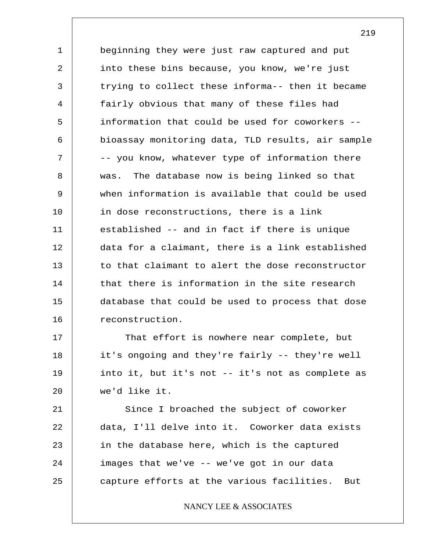1 2 3 4 5 6 7 8 9 10 11 12 13 14 15 16 beginning they were just raw captured and put into these bins because, you know, we're just trying to collect these informa-- then it became fairly obvious that many of these files had information that could be used for coworkers - bioassay monitoring data, TLD results, air sample -- you know, whatever type of information there was. The database now is being linked so that when information is available that could be used in dose reconstructions, there is a link established -- and in fact if there is unique data for a claimant, there is a link established to that claimant to alert the dose reconstructor that there is information in the site research database that could be used to process that dose reconstruction.

17 18 19 20 That effort is nowhere near complete, but it's ongoing and they're fairly -- they're well into it, but it's not -- it's not as complete as we'd like it.

21 22 23 24 25 Since I broached the subject of coworker data, I'll delve into it. Coworker data exists in the database here, which is the captured images that we've -- we've got in our data capture efforts at the various facilities. But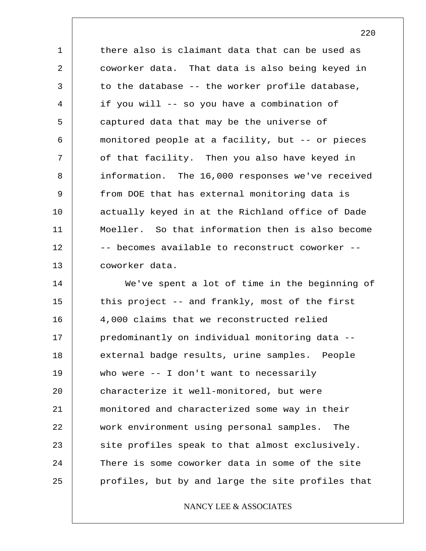1 2 3 4 5 6 7 8 9 10 11 12 13 there also is claimant data that can be used as coworker data. That data is also being keyed in to the database -- the worker profile database, if you will -- so you have a combination of captured data that may be the universe of monitored people at a facility, but -- or pieces of that facility. Then you also have keyed in information. The 16,000 responses we've received from DOE that has external monitoring data is actually keyed in at the Richland office of Dade Moeller. So that information then is also become -- becomes available to reconstruct coworker - coworker data.

14 15 16 17 18 19 20 21 22 23 24 25 We've spent a lot of time in the beginning of this project -- and frankly, most of the first 4,000 claims that we reconstructed relied predominantly on individual monitoring data - external badge results, urine samples. People who were -- I don't want to necessarily characterize it well-monitored, but were monitored and characterized some way in their work environment using personal samples. The site profiles speak to that almost exclusively. There is some coworker data in some of the site profiles, but by and large the site profiles that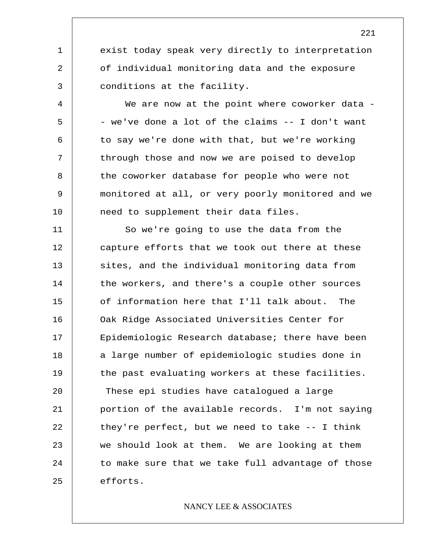exist today speak very directly to interpretation of individual monitoring data and the exposure conditions at the facility.

1

2

3

4

5

6

7

8

9

10

We are now at the point where coworker data -- we've done a lot of the claims -- I don't want to say we're done with that, but we're working through those and now we are poised to develop the coworker database for people who were not monitored at all, or very poorly monitored and we need to supplement their data files.

11 12 13 14 15 16 17 18 19 20 21 22 23 24 25 So we're going to use the data from the capture efforts that we took out there at these sites, and the individual monitoring data from the workers, and there's a couple other sources of information here that I'll talk about. The Oak Ridge Associated Universities Center for Epidemiologic Research database; there have been a large number of epidemiologic studies done in the past evaluating workers at these facilities. These epi studies have catalogued a large portion of the available records. I'm not saying they're perfect, but we need to take -- I think we should look at them. We are looking at them to make sure that we take full advantage of those efforts.

## NANCY LEE & ASSOCIATES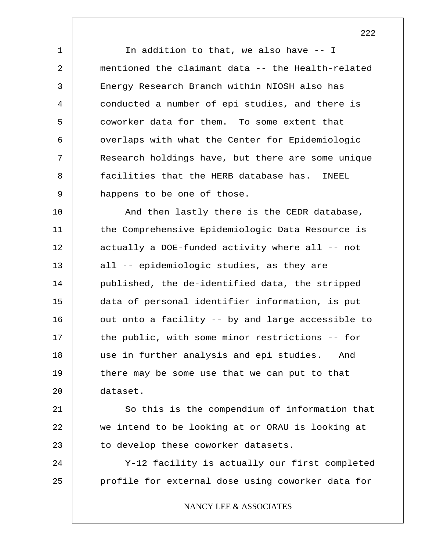In addition to that, we also have -- I mentioned the claimant data -- the Health-related Energy Research Branch within NIOSH also has conducted a number of epi studies, and there is coworker data for them. To some extent that overlaps with what the Center for Epidemiologic Research holdings have, but there are some unique facilities that the HERB database has. INEEL happens to be one of those.

1

2

3

4

5

6

7

8

9

10 11 12 13 14 15 16 17 18 19 20 And then lastly there is the CEDR database, the Comprehensive Epidemiologic Data Resource is actually a DOE-funded activity where all -- not all -- epidemiologic studies, as they are published, the de-identified data, the stripped data of personal identifier information, is put out onto a facility -- by and large accessible to the public, with some minor restrictions -- for use in further analysis and epi studies. And there may be some use that we can put to that dataset.

21 22 23 So this is the compendium of information that we intend to be looking at or ORAU is looking at to develop these coworker datasets.

24 25 Y-12 facility is actually our first completed profile for external dose using coworker data for

NANCY LEE & ASSOCIATES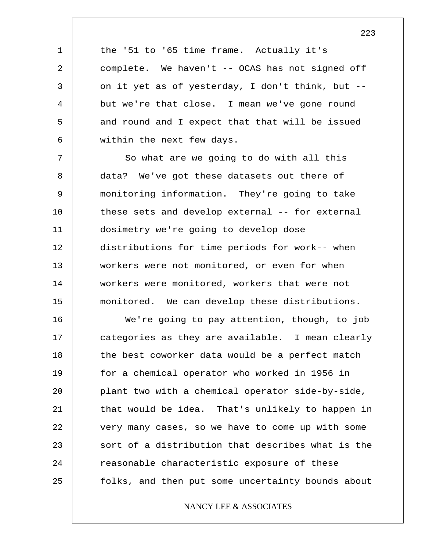the '51 to '65 time frame. Actually it's complete. We haven't -- OCAS has not signed off on it yet as of yesterday, I don't think, but - but we're that close. I mean we've gone round and round and I expect that that will be issued within the next few days.

1

2

3

4

5

6

7 8 9 10 11 12 13 14 15 So what are we going to do with all this data? We've got these datasets out there of monitoring information. They're going to take these sets and develop external -- for external dosimetry we're going to develop dose distributions for time periods for work-- when workers were not monitored, or even for when workers were monitored, workers that were not monitored. We can develop these distributions.

16 17 18 19 20 21 22 23 24 25 We're going to pay attention, though, to job categories as they are available. I mean clearly the best coworker data would be a perfect match for a chemical operator who worked in 1956 in plant two with a chemical operator side-by-side, that would be idea. That's unlikely to happen in very many cases, so we have to come up with some sort of a distribution that describes what is the reasonable characteristic exposure of these folks, and then put some uncertainty bounds about

## NANCY LEE & ASSOCIATES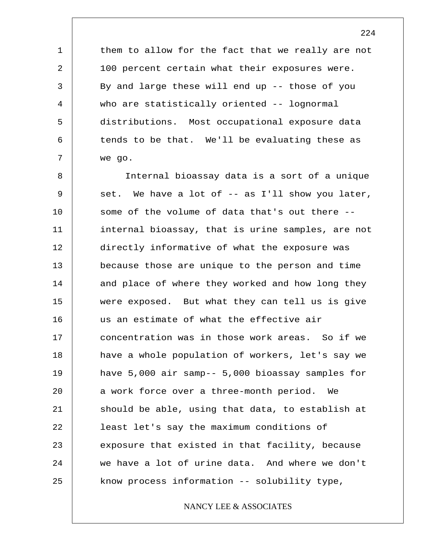them to allow for the fact that we really are not 100 percent certain what their exposures were. By and large these will end up -- those of you who are statistically oriented -- lognormal distributions. Most occupational exposure data tends to be that. We'll be evaluating these as we go.

1

2

3

4

5

6

7

8 9 10 11 12 13 14 15 16 17 18 19 20 21 22 23 24 25 Internal bioassay data is a sort of a unique set. We have a lot of -- as I'll show you later, some of the volume of data that's out there - internal bioassay, that is urine samples, are not directly informative of what the exposure was because those are unique to the person and time and place of where they worked and how long they were exposed. But what they can tell us is give us an estimate of what the effective air concentration was in those work areas. So if we have a whole population of workers, let's say we have 5,000 air samp-- 5,000 bioassay samples for a work force over a three-month period. We should be able, using that data, to establish at least let's say the maximum conditions of exposure that existed in that facility, because we have a lot of urine data. And where we don't know process information -- solubility type,

## NANCY LEE & ASSOCIATES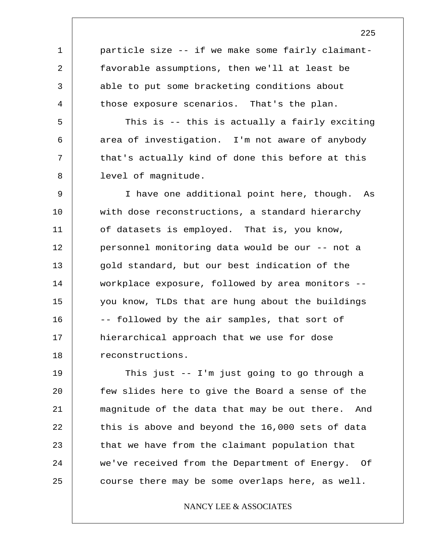particle size -- if we make some fairly claimantfavorable assumptions, then we'll at least be able to put some bracketing conditions about those exposure scenarios. That's the plan.

1

2

3

4

5

6

7

8

This is -- this is actually a fairly exciting area of investigation. I'm not aware of anybody that's actually kind of done this before at this level of magnitude.

9 10 11 12 13 14 15 16 17 18 I have one additional point here, though. As with dose reconstructions, a standard hierarchy of datasets is employed. That is, you know, personnel monitoring data would be our -- not a gold standard, but our best indication of the workplace exposure, followed by area monitors - you know, TLDs that are hung about the buildings -- followed by the air samples, that sort of hierarchical approach that we use for dose reconstructions.

19 20 21 22 23 24 25 This just -- I'm just going to go through a few slides here to give the Board a sense of the magnitude of the data that may be out there. And this is above and beyond the 16,000 sets of data that we have from the claimant population that we've received from the Department of Energy. Of course there may be some overlaps here, as well.

## NANCY LEE & ASSOCIATES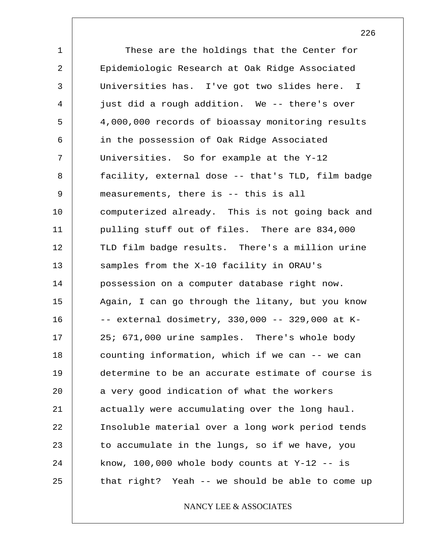1 2 3 4 5 6 7 8 9 10 11 12 13 14 15 16 17 18 19 20 21 22 23 24 25 These are the holdings that the Center for Epidemiologic Research at Oak Ridge Associated Universities has. I've got two slides here. I just did a rough addition. We -- there's over 4,000,000 records of bioassay monitoring results in the possession of Oak Ridge Associated Universities. So for example at the Y-12 facility, external dose -- that's TLD, film badge measurements, there is -- this is all computerized already. This is not going back and pulling stuff out of files. There are 834,000 TLD film badge results. There's a million urine samples from the X-10 facility in ORAU's possession on a computer database right now. Again, I can go through the litany, but you know -- external dosimetry, 330,000 -- 329,000 at K-25; 671,000 urine samples. There's whole body counting information, which if we can -- we can determine to be an accurate estimate of course is a very good indication of what the workers actually were accumulating over the long haul. Insoluble material over a long work period tends to accumulate in the lungs, so if we have, you know,  $100,000$  whole body counts at Y-12 -- is that right? Yeah -- we should be able to come up

## NANCY LEE & ASSOCIATES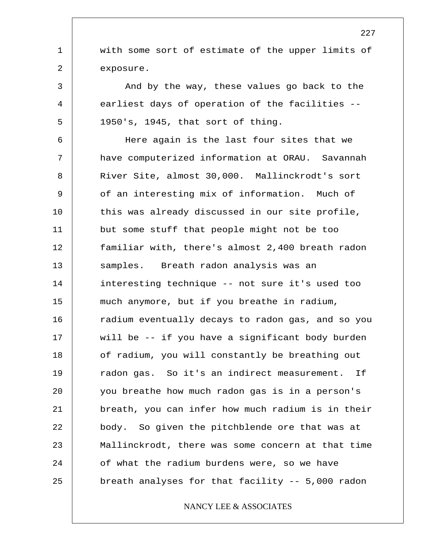with some sort of estimate of the upper limits of exposure.

1

2

3

4

5

And by the way, these values go back to the earliest days of operation of the facilities -- 1950's, 1945, that sort of thing.

6 7 8 9 10 11 12 13 14 15 16 17 18 19 20 21 22 23 24 25 Here again is the last four sites that we have computerized information at ORAU. Savannah River Site, almost 30,000. Mallinckrodt's sort of an interesting mix of information. Much of this was already discussed in our site profile, but some stuff that people might not be too familiar with, there's almost 2,400 breath radon samples. Breath radon analysis was an interesting technique -- not sure it's used too much anymore, but if you breathe in radium, radium eventually decays to radon gas, and so you will be -- if you have a significant body burden of radium, you will constantly be breathing out radon gas. So it's an indirect measurement. If you breathe how much radon gas is in a person's breath, you can infer how much radium is in their body. So given the pitchblende ore that was at Mallinckrodt, there was some concern at that time of what the radium burdens were, so we have breath analyses for that facility -- 5,000 radon

## NANCY LEE & ASSOCIATES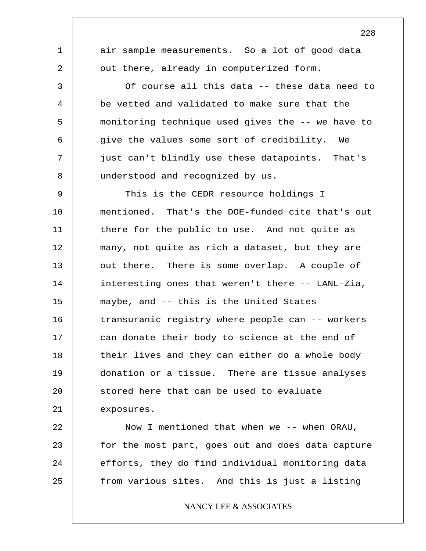1 2 3 4 5 6 7 8 9 10 11 12 13 14 15 16 17 18 19 20 21 22 23 air sample measurements. So a lot of good data out there, already in computerized form. Of course all this data -- these data need to be vetted and validated to make sure that the monitoring technique used gives the -- we have to give the values some sort of credibility. We just can't blindly use these datapoints. That's understood and recognized by us. This is the CEDR resource holdings I mentioned. That's the DOE-funded cite that's out there for the public to use. And not quite as many, not quite as rich a dataset, but they are out there. There is some overlap. A couple of interesting ones that weren't there -- LANL-Zia, maybe, and -- this is the United States transuranic registry where people can -- workers can donate their body to science at the end of their lives and they can either do a whole body donation or a tissue. There are tissue analyses stored here that can be used to evaluate exposures. Now I mentioned that when we -- when ORAU, for the most part, goes out and does data capture

24 25

### NANCY LEE & ASSOCIATES

efforts, they do find individual monitoring data

from various sites. And this is just a listing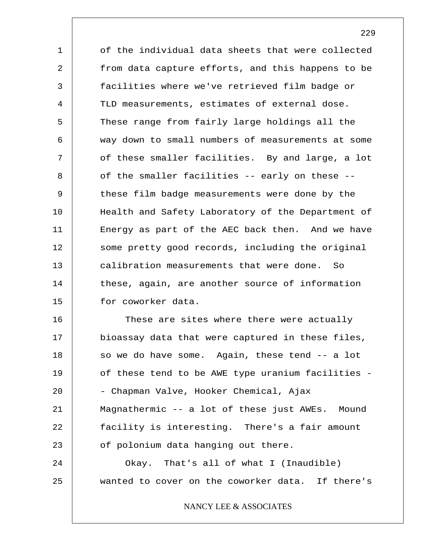1 2 3 4 5 6 7 8 9 10 11 12 13 14 15 of the individual data sheets that were collected from data capture efforts, and this happens to be facilities where we've retrieved film badge or TLD measurements, estimates of external dose. These range from fairly large holdings all the way down to small numbers of measurements at some of these smaller facilities. By and large, a lot of the smaller facilities -- early on these - these film badge measurements were done by the Health and Safety Laboratory of the Department of Energy as part of the AEC back then. And we have some pretty good records, including the original calibration measurements that were done. So these, again, are another source of information for coworker data.

16 17 18 19 20 21 22 23 24 25 These are sites where there were actually bioassay data that were captured in these files, so we do have some. Again, these tend -- a lot of these tend to be AWE type uranium facilities - - Chapman Valve, Hooker Chemical, Ajax Magnathermic -- a lot of these just AWEs. Mound facility is interesting. There's a fair amount of polonium data hanging out there. Okay. That's all of what I (Inaudible) wanted to cover on the coworker data. If there's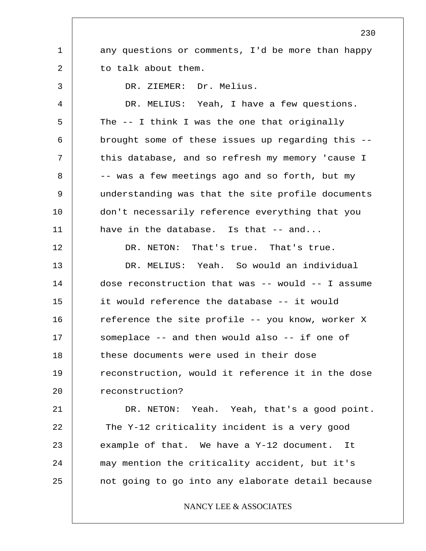1 2 3 4 5 6 7 8 9 10 11 12 13 14 15 16 17 18 19 20 21 22 23 24 25 230 any questions or comments, I'd be more than happy to talk about them. DR. ZIEMER: Dr. Melius. DR. MELIUS: Yeah, I have a few questions. The -- I think I was the one that originally brought some of these issues up regarding this - this database, and so refresh my memory 'cause I -- was a few meetings ago and so forth, but my understanding was that the site profile documents don't necessarily reference everything that you have in the database. Is that -- and... DR. NETON: That's true. That's true. DR. MELIUS: Yeah. So would an individual dose reconstruction that was -- would -- I assume it would reference the database -- it would reference the site profile -- you know, worker X someplace -- and then would also -- if one of these documents were used in their dose reconstruction, would it reference it in the dose reconstruction? DR. NETON: Yeah. Yeah, that's a good point. The Y-12 criticality incident is a very good example of that. We have a Y-12 document. It may mention the criticality accident, but it's not going to go into any elaborate detail because NANCY LEE & ASSOCIATES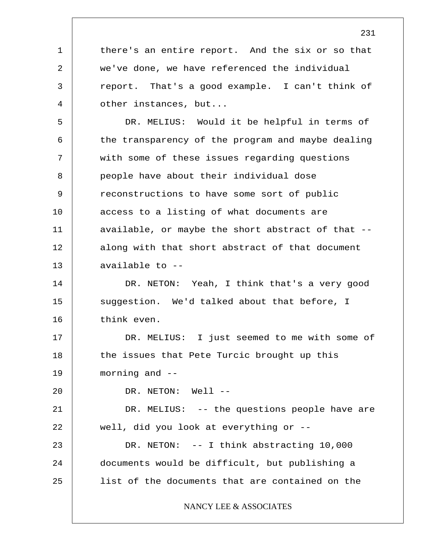1 2 3 4 there's an entire report. And the six or so that we've done, we have referenced the individual report. That's a good example. I can't think of other instances, but...

5 6 7 8 9 10 11 12 13 DR. MELIUS: Would it be helpful in terms of the transparency of the program and maybe dealing with some of these issues regarding questions people have about their individual dose reconstructions to have some sort of public access to a listing of what documents are available, or maybe the short abstract of that - along with that short abstract of that document available to --

14 15 16 DR. NETON: Yeah, I think that's a very good suggestion. We'd talked about that before, I think even.

17 18 19 DR. MELIUS: I just seemed to me with some of the issues that Pete Turcic brought up this morning and  $-$ 

DR. NETON: Well --

20

21 22 23 24 25 DR. MELIUS: -- the questions people have are well, did you look at everything or -- DR. NETON: -- I think abstracting 10,000 documents would be difficult, but publishing a list of the documents that are contained on the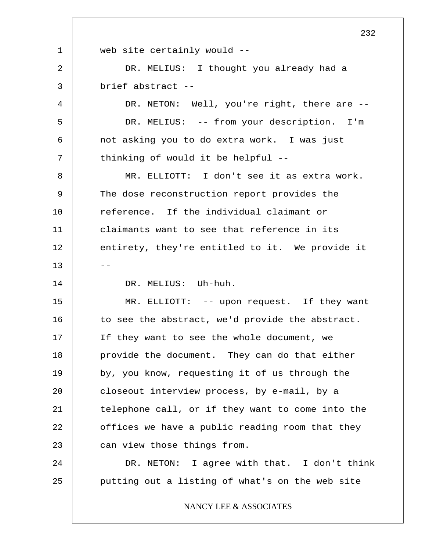1 2 3 4 5 6 7 8 9 10 11 12  $13$   $-$ 14 15 16 17 18 19 20 21 22 23 24 25 web site certainly would -- DR. MELIUS: I thought you already had a brief abstract -- DR. NETON: Well, you're right, there are -- DR. MELIUS: -- from your description. I'm not asking you to do extra work. I was just thinking of would it be helpful -- MR. ELLIOTT: I don't see it as extra work. The dose reconstruction report provides the reference. If the individual claimant or claimants want to see that reference in its entirety, they're entitled to it. We provide it DR. MELIUS: Uh-huh. MR. ELLIOTT: -- upon request. If they want to see the abstract, we'd provide the abstract. If they want to see the whole document, we provide the document. They can do that either by, you know, requesting it of us through the closeout interview process, by e-mail, by a telephone call, or if they want to come into the offices we have a public reading room that they can view those things from. DR. NETON: I agree with that. I don't think putting out a listing of what's on the web site NANCY LEE & ASSOCIATES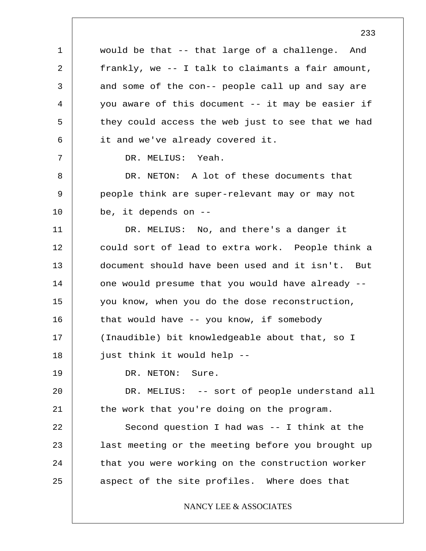1 2 3 4 5 6 7 8 9 10 11 12 13 14 15 16 17 18 19 20 21 22 23 24 25 would be that -- that large of a challenge. And frankly, we -- I talk to claimants a fair amount, and some of the con-- people call up and say are you aware of this document -- it may be easier if they could access the web just to see that we had it and we've already covered it. DR. MELIUS: Yeah. DR. NETON: A lot of these documents that people think are super-relevant may or may not be, it depends on -- DR. MELIUS: No, and there's a danger it could sort of lead to extra work. People think a document should have been used and it isn't. But one would presume that you would have already - you know, when you do the dose reconstruction, that would have -- you know, if somebody (Inaudible) bit knowledgeable about that, so I just think it would help -- DR. NETON: Sure. DR. MELIUS: -- sort of people understand all the work that you're doing on the program. Second question I had was -- I think at the last meeting or the meeting before you brought up that you were working on the construction worker aspect of the site profiles. Where does that NANCY LEE & ASSOCIATES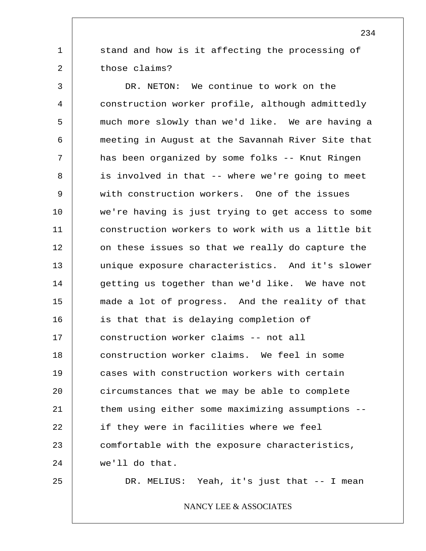stand and how is it affecting the processing of those claims?

3 4 5 6 7 8 9 10 11 12 13 14 15 16 17 18 19 20 21 22 23 24 DR. NETON: We continue to work on the construction worker profile, although admittedly much more slowly than we'd like. We are having a meeting in August at the Savannah River Site that has been organized by some folks -- Knut Ringen is involved in that -- where we're going to meet with construction workers. One of the issues we're having is just trying to get access to some construction workers to work with us a little bit on these issues so that we really do capture the unique exposure characteristics. And it's slower getting us together than we'd like. We have not made a lot of progress. And the reality of that is that that is delaying completion of construction worker claims -- not all construction worker claims. We feel in some cases with construction workers with certain circumstances that we may be able to complete them using either some maximizing assumptions - if they were in facilities where we feel comfortable with the exposure characteristics, we'll do that.

25

1

2

DR. MELIUS: Yeah, it's just that -- I mean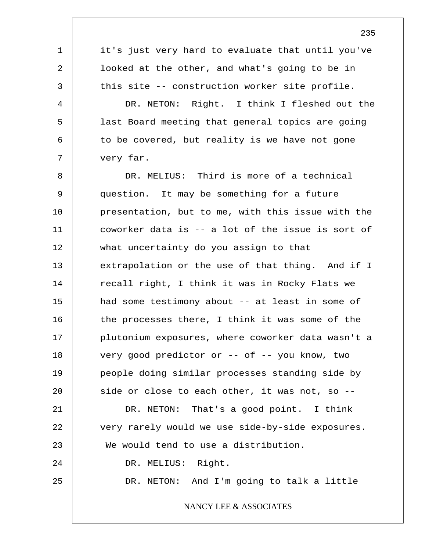1 2 3 4 5 6 7 8 9 10 11 12 13 14 15 16 17 18 19 20 21 22 23 24 25 it's just very hard to evaluate that until you've looked at the other, and what's going to be in this site -- construction worker site profile. DR. NETON: Right. I think I fleshed out the last Board meeting that general topics are going to be covered, but reality is we have not gone very far. DR. MELIUS: Third is more of a technical question. It may be something for a future presentation, but to me, with this issue with the coworker data is -- a lot of the issue is sort of what uncertainty do you assign to that extrapolation or the use of that thing. And if I recall right, I think it was in Rocky Flats we had some testimony about -- at least in some of the processes there, I think it was some of the plutonium exposures, where coworker data wasn't a very good predictor or -- of -- you know, two people doing similar processes standing side by side or close to each other, it was not, so -- DR. NETON: That's a good point. I think very rarely would we use side-by-side exposures. We would tend to use a distribution. DR. MELIUS: Right. DR. NETON: And I'm going to talk a little NANCY LEE & ASSOCIATES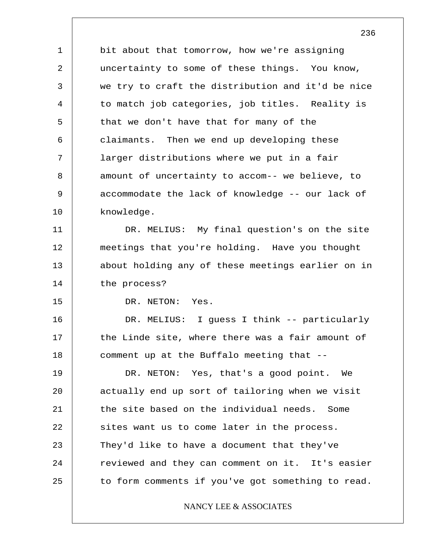1 2 3 4 5 6 7 8 9 10 bit about that tomorrow, how we're assigning uncertainty to some of these things. You know, we try to craft the distribution and it'd be nice to match job categories, job titles. Reality is that we don't have that for many of the claimants. Then we end up developing these larger distributions where we put in a fair amount of uncertainty to accom-- we believe, to accommodate the lack of knowledge -- our lack of knowledge.

11 12 13 14 DR. MELIUS: My final question's on the site meetings that you're holding. Have you thought about holding any of these meetings earlier on in the process?

15

DR. NETON: Yes.

16 17 18 DR. MELIUS: I guess I think -- particularly the Linde site, where there was a fair amount of comment up at the Buffalo meeting that --

19 20 21 22 23 24 25 DR. NETON: Yes, that's a good point. We actually end up sort of tailoring when we visit the site based on the individual needs. Some sites want us to come later in the process. They'd like to have a document that they've reviewed and they can comment on it. It's easier to form comments if you've got something to read.

NANCY LEE & ASSOCIATES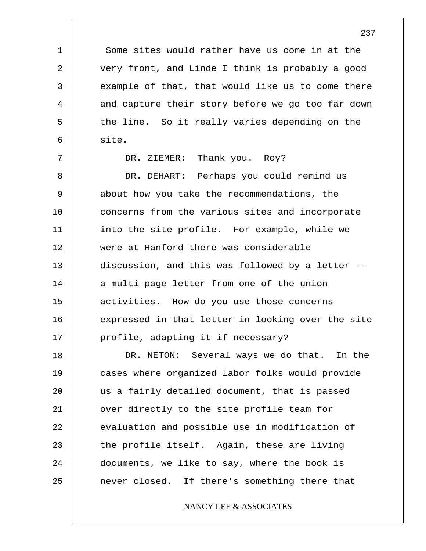Some sites would rather have us come in at the very front, and Linde I think is probably a good example of that, that would like us to come there and capture their story before we go too far down the line. So it really varies depending on the site.

DR. ZIEMER: Thank you. Roy?

1

2

3

4

5

6

7

8 9 10 11 12 13 14 15 16 17 DR. DEHART: Perhaps you could remind us about how you take the recommendations, the concerns from the various sites and incorporate into the site profile. For example, while we were at Hanford there was considerable discussion, and this was followed by a letter - a multi-page letter from one of the union activities. How do you use those concerns expressed in that letter in looking over the site profile, adapting it if necessary?

18 19 20 21 22 23 24 25 DR. NETON: Several ways we do that. In the cases where organized labor folks would provide us a fairly detailed document, that is passed over directly to the site profile team for evaluation and possible use in modification of the profile itself. Again, these are living documents, we like to say, where the book is never closed. If there's something there that

NANCY LEE & ASSOCIATES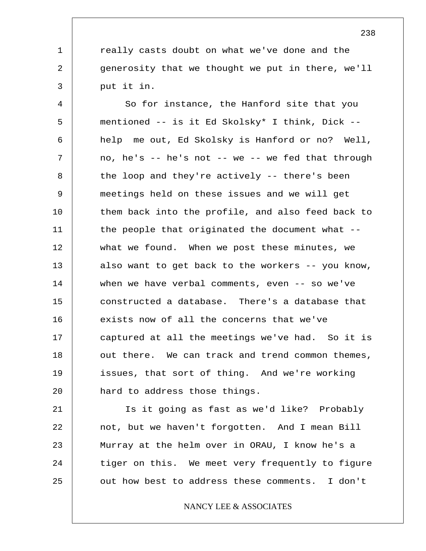really casts doubt on what we've done and the generosity that we thought we put in there, we'll put it in.

1

2

3

4 5 6 7 8 9 10 11 12 13 14 15 16 17 18 19 20 So for instance, the Hanford site that you mentioned -- is it Ed Skolsky\* I think, Dick - help me out, Ed Skolsky is Hanford or no? Well, no, he's  $-$  he's not  $-$  we  $-$  we fed that through the loop and they're actively -- there's been meetings held on these issues and we will get them back into the profile, and also feed back to the people that originated the document what - what we found. When we post these minutes, we also want to get back to the workers -- you know, when we have verbal comments, even -- so we've constructed a database. There's a database that exists now of all the concerns that we've captured at all the meetings we've had. So it is out there. We can track and trend common themes, issues, that sort of thing. And we're working hard to address those things.

21 22 23 24 25 Is it going as fast as we'd like? Probably not, but we haven't forgotten. And I mean Bill Murray at the helm over in ORAU, I know he's a tiger on this. We meet very frequently to figure out how best to address these comments. I don't

NANCY LEE & ASSOCIATES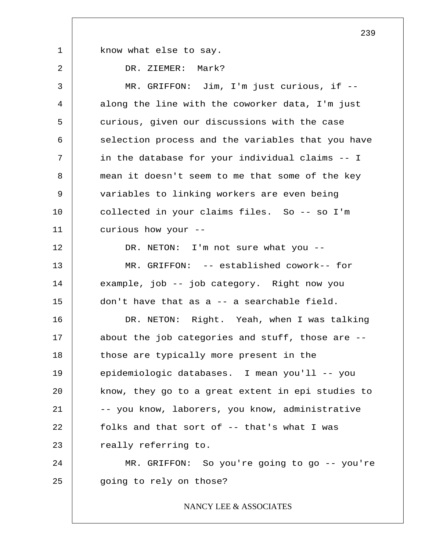know what else to say.

1

2

DR. ZIEMER: Mark?

3 4 5 6 7 8 9 10 11 12 13 14 15 16 17 18 19 20 21 22 23 24 25 MR. GRIFFON: Jim, I'm just curious, if - along the line with the coworker data, I'm just curious, given our discussions with the case selection process and the variables that you have in the database for your individual claims -- I mean it doesn't seem to me that some of the key variables to linking workers are even being collected in your claims files. So -- so I'm curious how your -- DR. NETON: I'm not sure what you --MR. GRIFFON: -- established cowork-- for example, job -- job category. Right now you don't have that as a -- a searchable field. DR. NETON: Right. Yeah, when I was talking about the job categories and stuff, those are - those are typically more present in the epidemiologic databases. I mean you'll -- you know, they go to a great extent in epi studies to -- you know, laborers, you know, administrative folks and that sort of -- that's what I was really referring to. MR. GRIFFON: So you're going to go -- you're going to rely on those?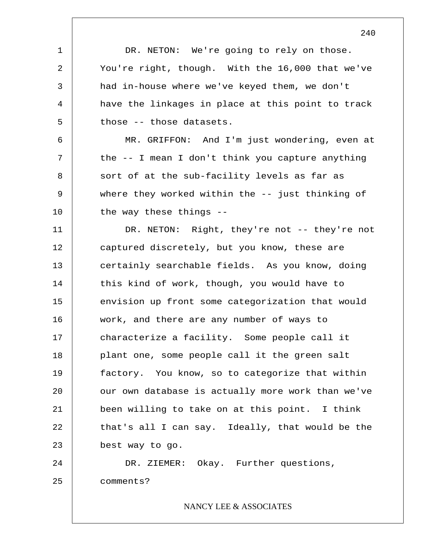1 2 3 4 5 6 7 8 9 10 11 12 13 14 15 16 17 18 19 20 21 22 23 24 25 DR. NETON: We're going to rely on those. You're right, though. With the 16,000 that we've had in-house where we've keyed them, we don't have the linkages in place at this point to track those -- those datasets. MR. GRIFFON: And I'm just wondering, even at the -- I mean I don't think you capture anything sort of at the sub-facility levels as far as where they worked within the -- just thinking of the way these things -- DR. NETON: Right, they're not -- they're not captured discretely, but you know, these are certainly searchable fields. As you know, doing this kind of work, though, you would have to envision up front some categorization that would work, and there are any number of ways to characterize a facility. Some people call it plant one, some people call it the green salt factory. You know, so to categorize that within our own database is actually more work than we've been willing to take on at this point. I think that's all I can say. Ideally, that would be the best way to go. DR. ZIEMER: Okay. Further questions, comments? NANCY LEE & ASSOCIATES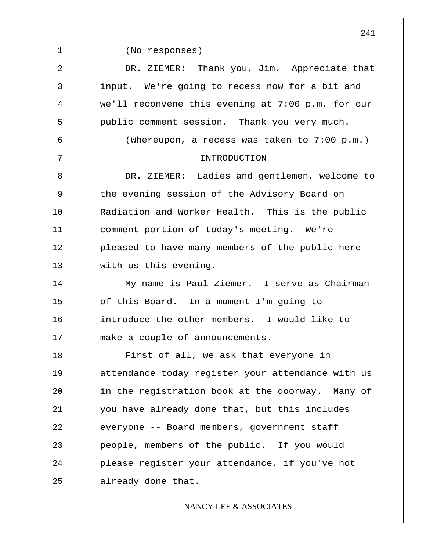|             | 241                                               |
|-------------|---------------------------------------------------|
| $\mathbf 1$ | (No responses)                                    |
| 2           | DR. ZIEMER: Thank you, Jim. Appreciate that       |
| 3           | input. We're going to recess now for a bit and    |
| 4           | we'll reconvene this evening at 7:00 p.m. for our |
| 5           | public comment session. Thank you very much.      |
| 6           | (Whereupon, a recess was taken to 7:00 p.m.)      |
| 7           | INTRODUCTION                                      |
| 8           | DR. ZIEMER: Ladies and gentlemen, welcome to      |
| 9           | the evening session of the Advisory Board on      |
| 10          | Radiation and Worker Health. This is the public   |
| 11          | comment portion of today's meeting. We're         |
| 12          | pleased to have many members of the public here   |
| 13          | with us this evening.                             |
| 14          | My name is Paul Ziemer. I serve as Chairman       |
| 15          | of this Board. In a moment I'm going to           |
| 16          | introduce the other members. I would like to      |
| 17          | make a couple of announcements.                   |
| 18          | First of all, we ask that everyone in             |
| 19          | attendance today register your attendance with us |
| 20          | in the registration book at the doorway. Many of  |
| 21          | you have already done that, but this includes     |
| 22          | everyone -- Board members, government staff       |
| 23          | people, members of the public. If you would       |
| 24          | please register your attendance, if you've not    |
| 25          | already done that.                                |
|             |                                                   |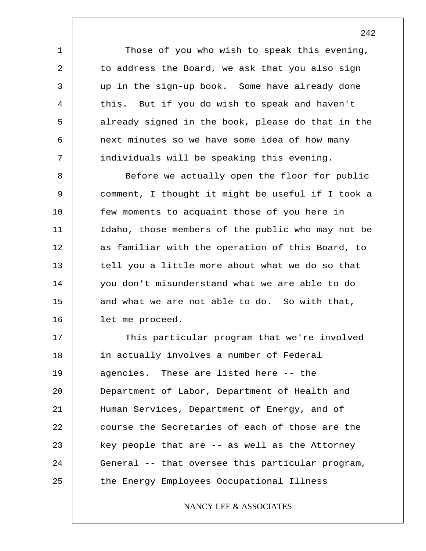Those of you who wish to speak this evening, to address the Board, we ask that you also sign up in the sign-up book. Some have already done this. But if you do wish to speak and haven't already signed in the book, please do that in the next minutes so we have some idea of how many individuals will be speaking this evening.

1

2

3

4

5

6

7

8 9 10 11 12 13 14 15 16 Before we actually open the floor for public comment, I thought it might be useful if I took a few moments to acquaint those of you here in Idaho, those members of the public who may not be as familiar with the operation of this Board, to tell you a little more about what we do so that you don't misunderstand what we are able to do and what we are not able to do. So with that, let me proceed.

17 18 19 20 21 22 23 24 25 This particular program that we're involved in actually involves a number of Federal agencies. These are listed here -- the Department of Labor, Department of Health and Human Services, Department of Energy, and of course the Secretaries of each of those are the key people that are -- as well as the Attorney General -- that oversee this particular program, the Energy Employees Occupational Illness

NANCY LEE & ASSOCIATES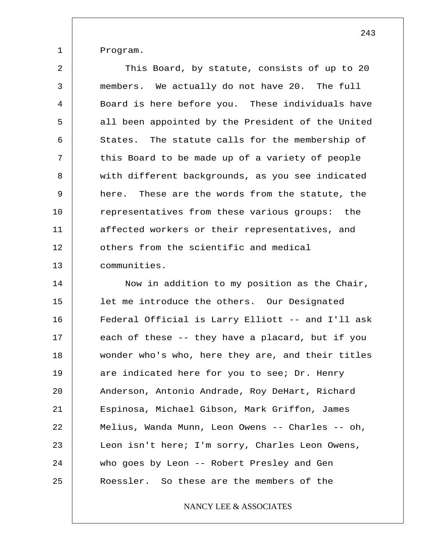Program.

1

2 3 4 5 6 7 8 9 10 11 12 13 This Board, by statute, consists of up to 20 members. We actually do not have 20. The full Board is here before you. These individuals have all been appointed by the President of the United States. The statute calls for the membership of this Board to be made up of a variety of people with different backgrounds, as you see indicated here. These are the words from the statute, the representatives from these various groups: the affected workers or their representatives, and others from the scientific and medical communities.

14 15 16 17 18 19 20 21 22 23 24 25 Now in addition to my position as the Chair, let me introduce the others. Our Designated Federal Official is Larry Elliott -- and I'll ask each of these -- they have a placard, but if you wonder who's who, here they are, and their titles are indicated here for you to see; Dr. Henry Anderson, Antonio Andrade, Roy DeHart, Richard Espinosa, Michael Gibson, Mark Griffon, James Melius, Wanda Munn, Leon Owens -- Charles -- oh, Leon isn't here; I'm sorry, Charles Leon Owens, who goes by Leon -- Robert Presley and Gen Roessler. So these are the members of the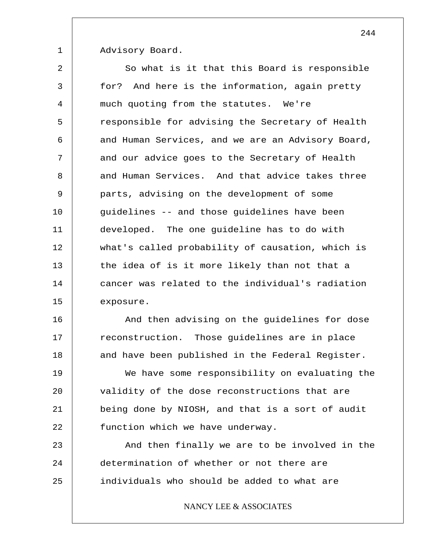Advisory Board.

1

2 3 4 5 6 7 8 9 10 11 12 13 14 15 So what is it that this Board is responsible for? And here is the information, again pretty much quoting from the statutes. We're responsible for advising the Secretary of Health and Human Services, and we are an Advisory Board, and our advice goes to the Secretary of Health and Human Services. And that advice takes three parts, advising on the development of some guidelines -- and those guidelines have been developed. The one guideline has to do with what's called probability of causation, which is the idea of is it more likely than not that a cancer was related to the individual's radiation exposure.

16 17 18 And then advising on the guidelines for dose reconstruction. Those guidelines are in place and have been published in the Federal Register.

19 20 21 22 We have some responsibility on evaluating the validity of the dose reconstructions that are being done by NIOSH, and that is a sort of audit function which we have underway.

23 24 25 And then finally we are to be involved in the determination of whether or not there are individuals who should be added to what are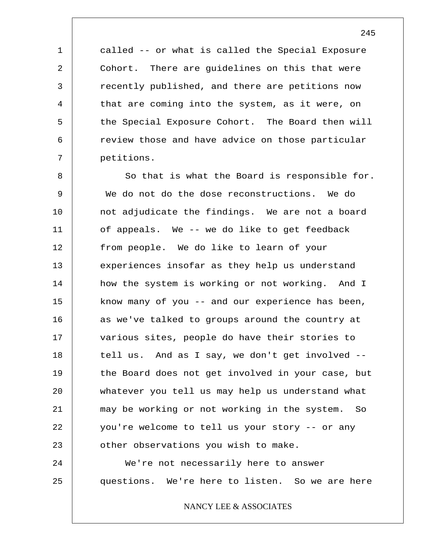called -- or what is called the Special Exposure Cohort. There are guidelines on this that were recently published, and there are petitions now that are coming into the system, as it were, on the Special Exposure Cohort. The Board then will review those and have advice on those particular petitions.

1

2

3

4

5

6

7

8 9 10 11 12 13 14 15 16 17 18 19 20 21 22 23 24 So that is what the Board is responsible for. We do not do the dose reconstructions. We do not adjudicate the findings. We are not a board of appeals. We -- we do like to get feedback from people. We do like to learn of your experiences insofar as they help us understand how the system is working or not working. And I know many of you -- and our experience has been, as we've talked to groups around the country at various sites, people do have their stories to tell us. And as I say, we don't get involved - the Board does not get involved in your case, but whatever you tell us may help us understand what may be working or not working in the system. So you're welcome to tell us your story -- or any other observations you wish to make. We're not necessarily here to answer

25 questions. We're here to listen. So we are here

NANCY LEE & ASSOCIATES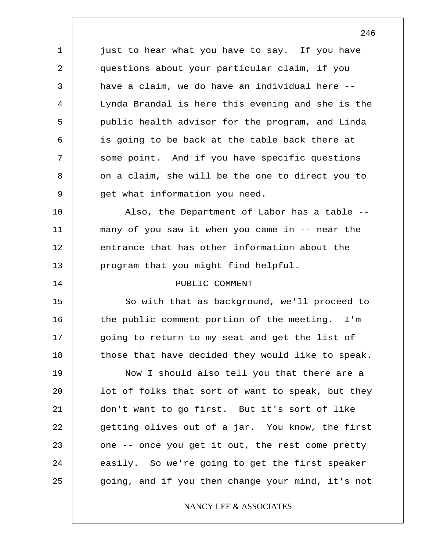just to hear what you have to say. If you have questions about your particular claim, if you have a claim, we do have an individual here -- Lynda Brandal is here this evening and she is the public health advisor for the program, and Linda is going to be back at the table back there at some point. And if you have specific questions on a claim, she will be the one to direct you to get what information you need.

1

2

3

4

5

6

7

8

9

14

10 11 12 13 Also, the Department of Labor has a table - many of you saw it when you came in -- near the entrance that has other information about the program that you might find helpful.

### PUBLIC COMMENT

15 16 17 18 So with that as background, we'll proceed to the public comment portion of the meeting. I'm going to return to my seat and get the list of those that have decided they would like to speak.

19 20 21 22 23 24 25 Now I should also tell you that there are a lot of folks that sort of want to speak, but they don't want to go first. But it's sort of like getting olives out of a jar. You know, the first one -- once you get it out, the rest come pretty easily. So we're going to get the first speaker going, and if you then change your mind, it's not

## NANCY LEE & ASSOCIATES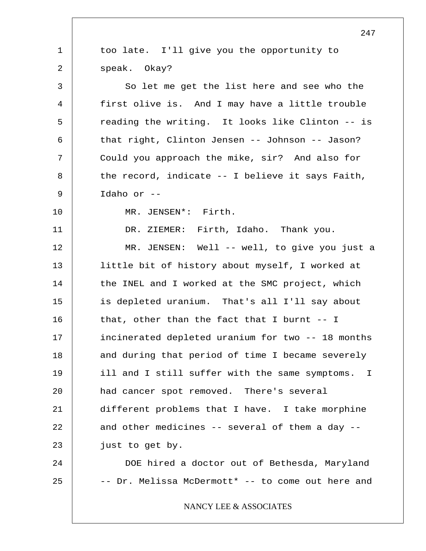|             | 247                                                |
|-------------|----------------------------------------------------|
| $\mathbf 1$ | too late. I'll give you the opportunity to         |
| 2           | speak. Okay?                                       |
| 3           | So let me get the list here and see who the        |
| 4           | first olive is. And I may have a little trouble    |
| 5           | reading the writing. It looks like Clinton -- is   |
| 6           | that right, Clinton Jensen -- Johnson -- Jason?    |
| 7           | Could you approach the mike, sir? And also for     |
| 8           | the record, indicate $--$ I believe it says Faith, |
| 9           | Idaho or --                                        |
| 10          | MR. JENSEN*: Firth.                                |
| 11          | DR. ZIEMER: Firth, Idaho. Thank you.               |
| 12          | MR. JENSEN: Well -- well, to give you just a       |
| 13          | little bit of history about myself, I worked at    |
| 14          | the INEL and I worked at the SMC project, which    |
| 15          | is depleted uranium. That's all I'll say about     |
| 16          | that, other than the fact that I burnt $-1$        |
| 17          | incinerated depleted uranium for two -- 18 months  |
| 18          | and during that period of time I became severely   |
| 19          | ill and I still suffer with the same symptoms. I   |
| 20          | had cancer spot removed. There's several           |
| 21          | different problems that I have. I take morphine    |
| 22          | and other medicines -- several of them a day --    |
| 23          | just to get by.                                    |
| 24          | DOE hired a doctor out of Bethesda, Maryland       |
| 25          | -- Dr. Melissa McDermott* -- to come out here and  |
|             | NANCY LEE & ASSOCIATES                             |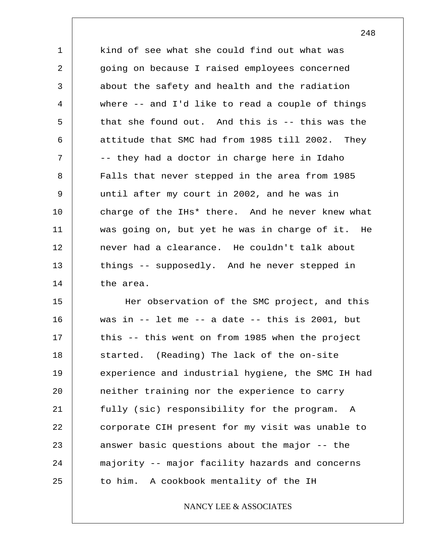1 2 3 4 5 6 7 8 9 10 11 12 13 14 kind of see what she could find out what was going on because I raised employees concerned about the safety and health and the radiation where -- and I'd like to read a couple of things that she found out. And this is -- this was the attitude that SMC had from 1985 till 2002. They -- they had a doctor in charge here in Idaho Falls that never stepped in the area from 1985 until after my court in 2002, and he was in charge of the IHs\* there. And he never knew what was going on, but yet he was in charge of it. He never had a clearance. He couldn't talk about things -- supposedly. And he never stepped in the area.

15 16 17 18 19 20 21 22 23 24 25 Her observation of the SMC project, and this was in  $--$  let me  $--$  a date  $--$  this is 2001, but this -- this went on from 1985 when the project started. (Reading) The lack of the on-site experience and industrial hygiene, the SMC IH had neither training nor the experience to carry fully (sic) responsibility for the program. A corporate CIH present for my visit was unable to answer basic questions about the major -- the majority -- major facility hazards and concerns to him. A cookbook mentality of the IH

## NANCY LEE & ASSOCIATES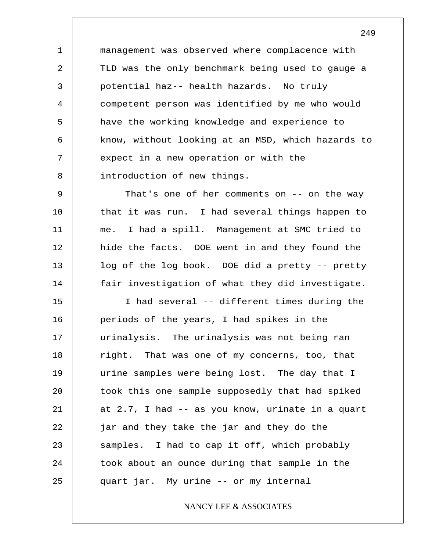1 2 3 4 5 6 7 8 management was observed where complacence with TLD was the only benchmark being used to gauge a potential haz-- health hazards. No truly competent person was identified by me who would have the working knowledge and experience to know, without looking at an MSD, which hazards to expect in a new operation or with the introduction of new things.

9 10 11 12 13 14 That's one of her comments on -- on the way that it was run. I had several things happen to me. I had a spill. Management at SMC tried to hide the facts. DOE went in and they found the log of the log book. DOE did a pretty -- pretty fair investigation of what they did investigate.

15 16 17 18 19 20 21 22 23 24 25 I had several -- different times during the periods of the years, I had spikes in the urinalysis. The urinalysis was not being ran right. That was one of my concerns, too, that urine samples were being lost. The day that I took this one sample supposedly that had spiked at 2.7, I had -- as you know, urinate in a quart jar and they take the jar and they do the samples. I had to cap it off, which probably took about an ounce during that sample in the quart jar. My urine -- or my internal

NANCY LEE & ASSOCIATES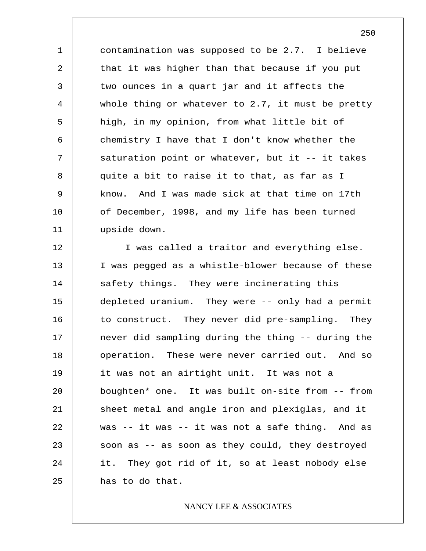1 2 3 4 5 6 7 8 9 10 11 contamination was supposed to be 2.7. I believe that it was higher than that because if you put two ounces in a quart jar and it affects the whole thing or whatever to 2.7, it must be pretty high, in my opinion, from what little bit of chemistry I have that I don't know whether the saturation point or whatever, but it -- it takes quite a bit to raise it to that, as far as I know. And I was made sick at that time on 17th of December, 1998, and my life has been turned upside down.

12 13 14 15 16 17 18 19 20 21 22 23 24 25 I was called a traitor and everything else. I was pegged as a whistle-blower because of these safety things. They were incinerating this depleted uranium. They were -- only had a permit to construct. They never did pre-sampling. They never did sampling during the thing -- during the operation. These were never carried out. And so it was not an airtight unit. It was not a boughten\* one. It was built on-site from -- from sheet metal and angle iron and plexiglas, and it was -- it was -- it was not a safe thing. And as soon as -- as soon as they could, they destroyed it. They got rid of it, so at least nobody else has to do that.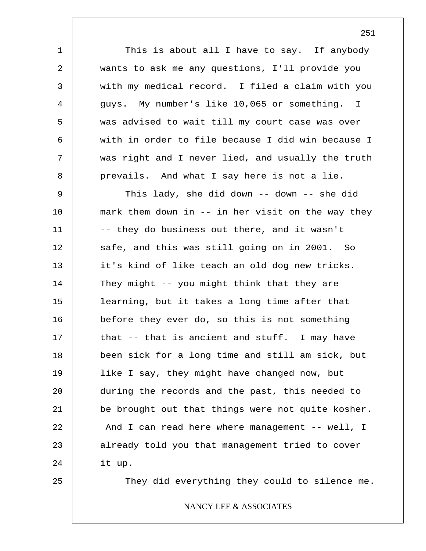This is about all I have to say. If anybody wants to ask me any questions, I'll provide you with my medical record. I filed a claim with you guys. My number's like 10,065 or something. I was advised to wait till my court case was over with in order to file because I did win because I was right and I never lied, and usually the truth prevails. And what I say here is not a lie.

9 10 11 12 13 14 15 16 17 18 19 20 21 22 23 24 This lady, she did down -- down -- she did mark them down in -- in her visit on the way they -- they do business out there, and it wasn't safe, and this was still going on in 2001. So it's kind of like teach an old dog new tricks. They might -- you might think that they are learning, but it takes a long time after that before they ever do, so this is not something that -- that is ancient and stuff. I may have been sick for a long time and still am sick, but like I say, they might have changed now, but during the records and the past, this needed to be brought out that things were not quite kosher. And I can read here where management -- well, I already told you that management tried to cover it up.

25

1

2

3

4

5

6

7

8

They did everything they could to silence me.

## NANCY LEE & ASSOCIATES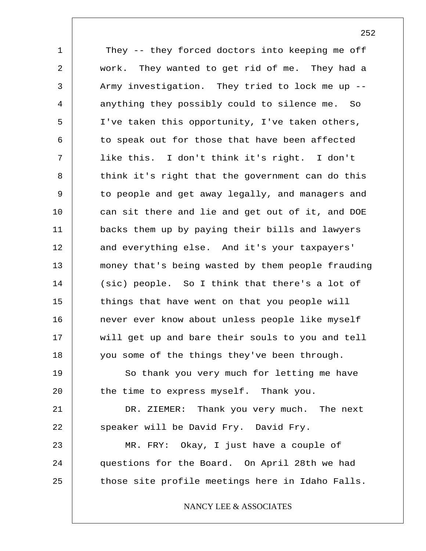1 2 3 4 5 6 7 8 9 10 11 12 13 14 15 16 17 18 19 20 21 22 23 24 25 They -- they forced doctors into keeping me off work. They wanted to get rid of me. They had a Army investigation. They tried to lock me up - anything they possibly could to silence me. So I've taken this opportunity, I've taken others, to speak out for those that have been affected like this. I don't think it's right. I don't think it's right that the government can do this to people and get away legally, and managers and can sit there and lie and get out of it, and DOE backs them up by paying their bills and lawyers and everything else. And it's your taxpayers' money that's being wasted by them people frauding (sic) people. So I think that there's a lot of things that have went on that you people will never ever know about unless people like myself will get up and bare their souls to you and tell you some of the things they've been through. So thank you very much for letting me have the time to express myself. Thank you. DR. ZIEMER: Thank you very much. The next speaker will be David Fry. David Fry. MR. FRY: Okay, I just have a couple of questions for the Board. On April 28th we had those site profile meetings here in Idaho Falls. NANCY LEE & ASSOCIATES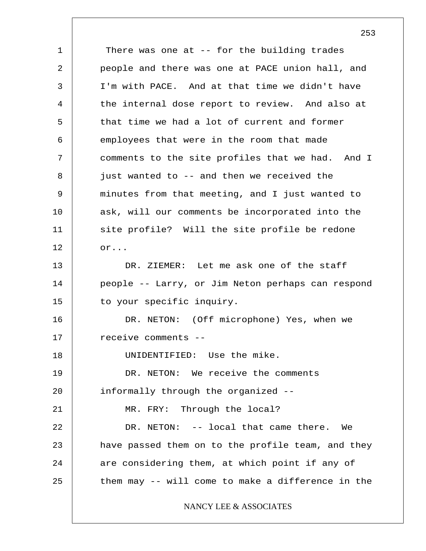1 2 3 4 5 6 7 8 9 10 11 12 13 14 15 16 17 18 19 20 21 22 23 24 25 There was one at -- for the building trades people and there was one at PACE union hall, and I'm with PACE. And at that time we didn't have the internal dose report to review. And also at that time we had a lot of current and former employees that were in the room that made comments to the site profiles that we had. And I just wanted to -- and then we received the minutes from that meeting, and I just wanted to ask, will our comments be incorporated into the site profile? Will the site profile be redone or... DR. ZIEMER: Let me ask one of the staff people -- Larry, or Jim Neton perhaps can respond to your specific inquiry. DR. NETON: (Off microphone) Yes, when we receive comments -- UNIDENTIFIED: Use the mike. DR. NETON: We receive the comments informally through the organized -- MR. FRY: Through the local? DR. NETON: -- local that came there. We have passed them on to the profile team, and they are considering them, at which point if any of them may -- will come to make a difference in the NANCY LEE & ASSOCIATES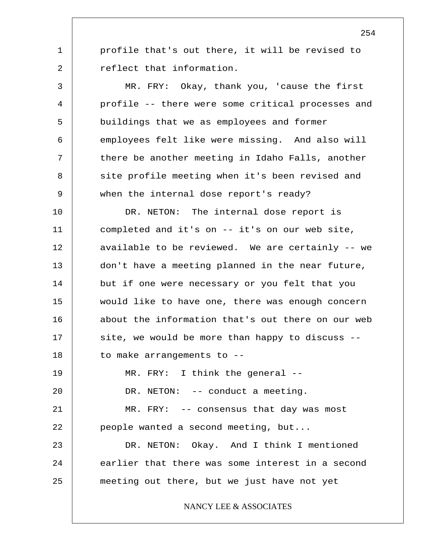profile that's out there, it will be revised to reflect that information.

1

2

22

3 4 5 6 7 8 9 MR. FRY: Okay, thank you, 'cause the first profile -- there were some critical processes and buildings that we as employees and former employees felt like were missing. And also will there be another meeting in Idaho Falls, another site profile meeting when it's been revised and when the internal dose report's ready?

10 11 12 13 14 15 16 17 18 19 20 21 DR. NETON: The internal dose report is completed and it's on -- it's on our web site, available to be reviewed. We are certainly -- we don't have a meeting planned in the near future, but if one were necessary or you felt that you would like to have one, there was enough concern about the information that's out there on our web site, we would be more than happy to discuss - to make arrangements to -- MR. FRY: I think the general -- DR. NETON: -- conduct a meeting. MR. FRY: -- consensus that day was most

people wanted a second meeting, but...

23 24 25 DR. NETON: Okay. And I think I mentioned earlier that there was some interest in a second meeting out there, but we just have not yet

NANCY LEE & ASSOCIATES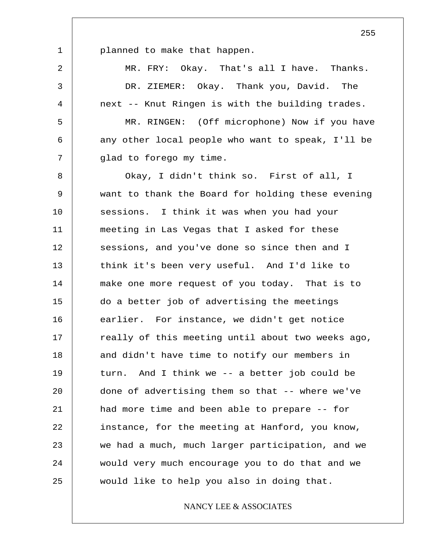planned to make that happen.

1

2 3 4 5 6 7 8 9 10 11 12 13 14 15 16 17 18 19 20 21 22 23 24 25 MR. FRY: Okay. That's all I have. Thanks. DR. ZIEMER: Okay. Thank you, David. The next -- Knut Ringen is with the building trades. MR. RINGEN: (Off microphone) Now if you have any other local people who want to speak, I'll be glad to forego my time. Okay, I didn't think so. First of all, I want to thank the Board for holding these evening sessions. I think it was when you had your meeting in Las Vegas that I asked for these sessions, and you've done so since then and I think it's been very useful. And I'd like to make one more request of you today. That is to do a better job of advertising the meetings earlier. For instance, we didn't get notice really of this meeting until about two weeks ago, and didn't have time to notify our members in turn. And I think we -- a better job could be done of advertising them so that -- where we've had more time and been able to prepare -- for instance, for the meeting at Hanford, you know, we had a much, much larger participation, and we would very much encourage you to do that and we would like to help you also in doing that.

### NANCY LEE & ASSOCIATES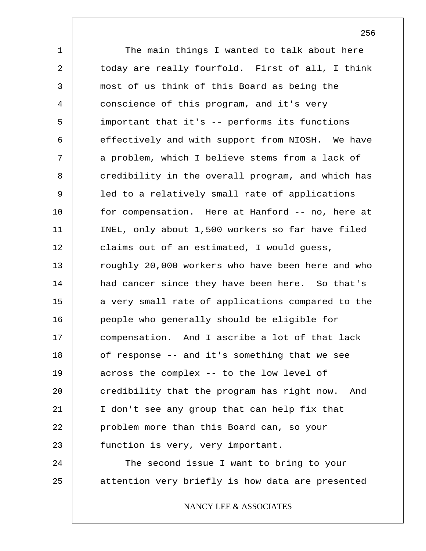1 2 3 4 5 6 7 8 9 10 11 12 13 14 15 16 17 18 19 20 21 22 23 24 25 The main things I wanted to talk about here today are really fourfold. First of all, I think most of us think of this Board as being the conscience of this program, and it's very important that it's -- performs its functions effectively and with support from NIOSH. We have a problem, which I believe stems from a lack of credibility in the overall program, and which has led to a relatively small rate of applications for compensation. Here at Hanford -- no, here at INEL, only about 1,500 workers so far have filed claims out of an estimated, I would guess, roughly 20,000 workers who have been here and who had cancer since they have been here. So that's a very small rate of applications compared to the people who generally should be eligible for compensation. And I ascribe a lot of that lack of response -- and it's something that we see across the complex -- to the low level of credibility that the program has right now. And I don't see any group that can help fix that problem more than this Board can, so your function is very, very important. The second issue I want to bring to your attention very briefly is how data are presented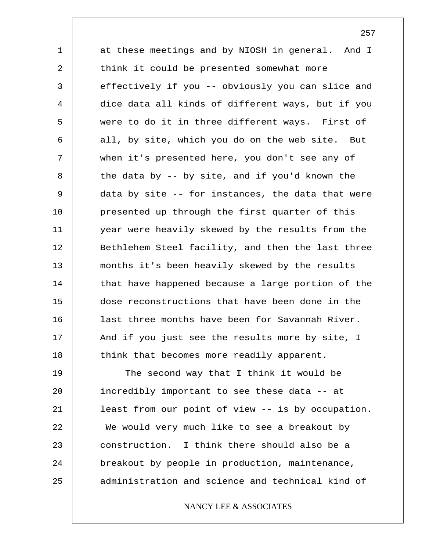1 2 3 4 5 6 7 8 9 10 11 12 13 14 15 16 17 18 at these meetings and by NIOSH in general. And I think it could be presented somewhat more effectively if you -- obviously you can slice and dice data all kinds of different ways, but if you were to do it in three different ways. First of all, by site, which you do on the web site. But when it's presented here, you don't see any of the data by -- by site, and if you'd known the data by site -- for instances, the data that were presented up through the first quarter of this year were heavily skewed by the results from the Bethlehem Steel facility, and then the last three months it's been heavily skewed by the results that have happened because a large portion of the dose reconstructions that have been done in the last three months have been for Savannah River. And if you just see the results more by site, I think that becomes more readily apparent.

19 20 21 22 23 24 25 The second way that I think it would be incredibly important to see these data -- at least from our point of view -- is by occupation. We would very much like to see a breakout by construction. I think there should also be a breakout by people in production, maintenance, administration and science and technical kind of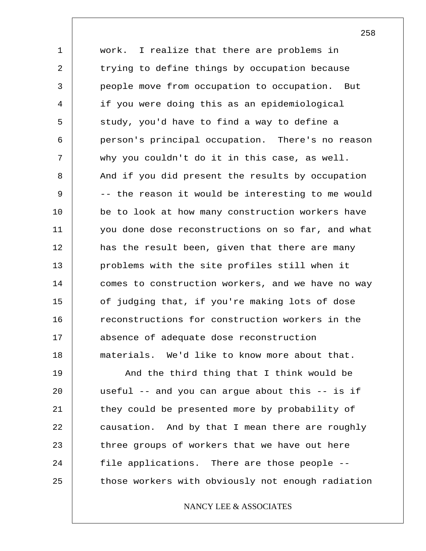1 2 3 4 5 6 7 8 9 10 11 12 13 14 15 16 17 18 work. I realize that there are problems in trying to define things by occupation because people move from occupation to occupation. But if you were doing this as an epidemiological study, you'd have to find a way to define a person's principal occupation. There's no reason why you couldn't do it in this case, as well. And if you did present the results by occupation -- the reason it would be interesting to me would be to look at how many construction workers have you done dose reconstructions on so far, and what has the result been, given that there are many problems with the site profiles still when it comes to construction workers, and we have no way of judging that, if you're making lots of dose reconstructions for construction workers in the absence of adequate dose reconstruction materials. We'd like to know more about that.

19 20 21 22 23 24 25 And the third thing that I think would be useful  $--$  and you can argue about this  $--$  is if they could be presented more by probability of causation. And by that I mean there are roughly three groups of workers that we have out here file applications. There are those people - those workers with obviously not enough radiation

### NANCY LEE & ASSOCIATES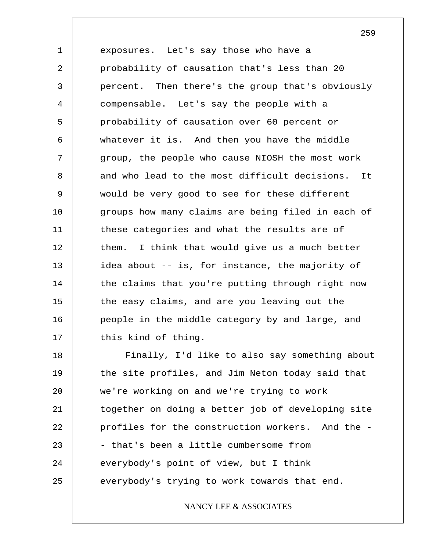1 2 3 4 5 6 7 8 9 10 11 12 13 14 15 16 17 exposures. Let's say those who have a probability of causation that's less than 20 percent. Then there's the group that's obviously compensable. Let's say the people with a probability of causation over 60 percent or whatever it is. And then you have the middle group, the people who cause NIOSH the most work and who lead to the most difficult decisions. It would be very good to see for these different groups how many claims are being filed in each of these categories and what the results are of them. I think that would give us a much better idea about -- is, for instance, the majority of the claims that you're putting through right now the easy claims, and are you leaving out the people in the middle category by and large, and this kind of thing.

18 19 20 21 22 23 24 25 Finally, I'd like to also say something about the site profiles, and Jim Neton today said that we're working on and we're trying to work together on doing a better job of developing site profiles for the construction workers. And the - - that's been a little cumbersome from everybody's point of view, but I think everybody's trying to work towards that end.

### NANCY LEE & ASSOCIATES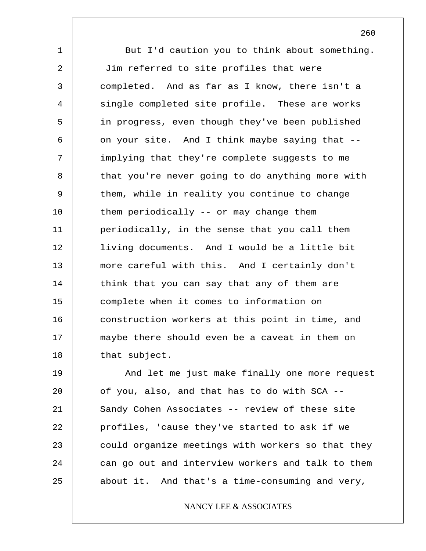1 2 3 4 5 6 7 8 9 10 11 12 13 14 15 16 17 18 But I'd caution you to think about something. Jim referred to site profiles that were completed. And as far as I know, there isn't a single completed site profile. These are works in progress, even though they've been published on your site. And I think maybe saying that - implying that they're complete suggests to me that you're never going to do anything more with them, while in reality you continue to change them periodically -- or may change them periodically, in the sense that you call them living documents. And I would be a little bit more careful with this. And I certainly don't think that you can say that any of them are complete when it comes to information on construction workers at this point in time, and maybe there should even be a caveat in them on that subject.

19 20 21 22 23 24 25 And let me just make finally one more request of you, also, and that has to do with SCA -- Sandy Cohen Associates -- review of these site profiles, 'cause they've started to ask if we could organize meetings with workers so that they can go out and interview workers and talk to them about it. And that's a time-consuming and very,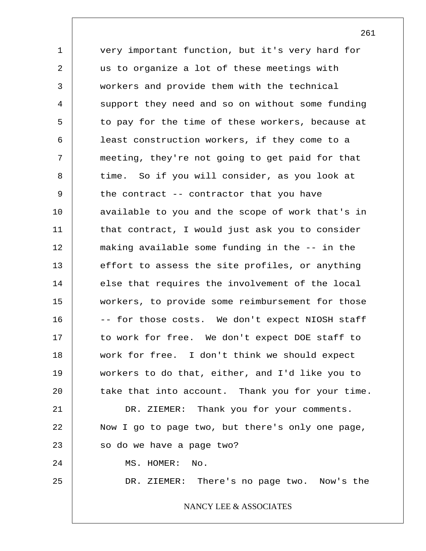1 2 3 4 5 6 7 8 9 10 11 12 13 14 15 16 17 18 19 20 21 22 23 24 25 very important function, but it's very hard for us to organize a lot of these meetings with workers and provide them with the technical support they need and so on without some funding to pay for the time of these workers, because at least construction workers, if they come to a meeting, they're not going to get paid for that time. So if you will consider, as you look at the contract -- contractor that you have available to you and the scope of work that's in that contract, I would just ask you to consider making available some funding in the -- in the effort to assess the site profiles, or anything else that requires the involvement of the local workers, to provide some reimbursement for those -- for those costs. We don't expect NIOSH staff to work for free. We don't expect DOE staff to work for free. I don't think we should expect workers to do that, either, and I'd like you to take that into account. Thank you for your time. DR. ZIEMER: Thank you for your comments. Now I go to page two, but there's only one page, so do we have a page two? MS. HOMER: No. DR. ZIEMER: There's no page two. Now's the NANCY LEE & ASSOCIATES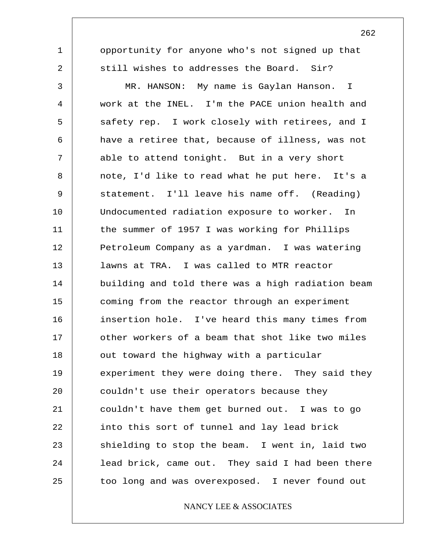1 2 3 4 5 6 7 8 9 10 11 12 13 14 15 16 17 18 19 20 21 22 23 24 25 opportunity for anyone who's not signed up that still wishes to addresses the Board. Sir? MR. HANSON: My name is Gaylan Hanson. I work at the INEL. I'm the PACE union health and safety rep. I work closely with retirees, and I have a retiree that, because of illness, was not able to attend tonight. But in a very short note, I'd like to read what he put here. It's a statement. I'll leave his name off. (Reading) Undocumented radiation exposure to worker. In the summer of 1957 I was working for Phillips Petroleum Company as a yardman. I was watering lawns at TRA. I was called to MTR reactor building and told there was a high radiation beam coming from the reactor through an experiment insertion hole. I've heard this many times from other workers of a beam that shot like two miles out toward the highway with a particular experiment they were doing there. They said they couldn't use their operators because they couldn't have them get burned out. I was to go into this sort of tunnel and lay lead brick shielding to stop the beam. I went in, laid two lead brick, came out. They said I had been there too long and was overexposed. I never found out

NANCY LEE & ASSOCIATES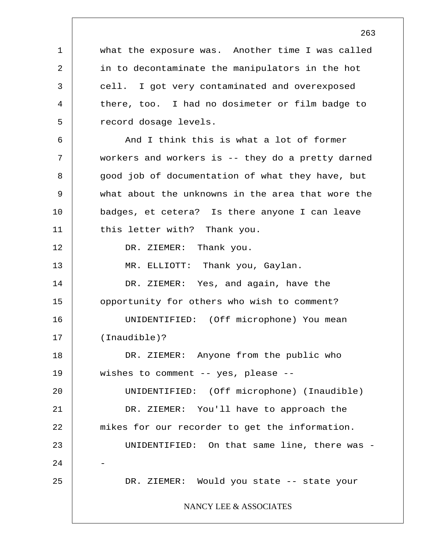1 2 3 4 5 6 7 8 9 10 11 12 13 14 15 16 17 18 19 20 21 22 23 24 25 what the exposure was. Another time I was called in to decontaminate the manipulators in the hot cell. I got very contaminated and overexposed there, too. I had no dosimeter or film badge to record dosage levels. And I think this is what a lot of former workers and workers is -- they do a pretty darned good job of documentation of what they have, but what about the unknowns in the area that wore the badges, et cetera? Is there anyone I can leave this letter with? Thank you. DR. ZIEMER: Thank you. MR. ELLIOTT: Thank you, Gaylan. DR. ZIEMER: Yes, and again, have the opportunity for others who wish to comment? UNIDENTIFIED: (Off microphone) You mean (Inaudible)? DR. ZIEMER: Anyone from the public who wishes to comment -- yes, please -- UNIDENTIFIED: (Off microphone) (Inaudible) DR. ZIEMER: You'll have to approach the mikes for our recorder to get the information. UNIDENTIFIED: On that same line, there was - - DR. ZIEMER: Would you state -- state your NANCY LEE & ASSOCIATES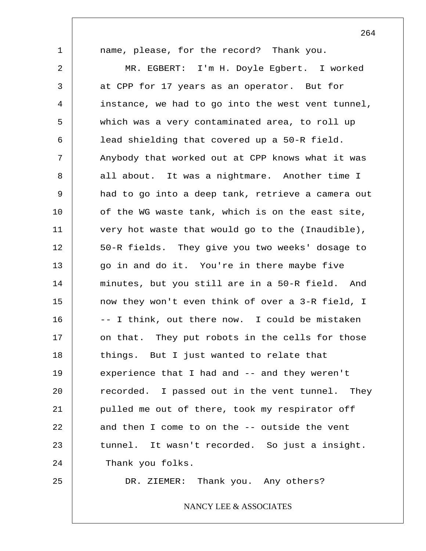1 2 3 4 5 6 7 8 9 10 11 12 13 14 15 16 17 18 19 20 21 22 23 24 25 name, please, for the record? Thank you. MR. EGBERT: I'm H. Doyle Egbert. I worked at CPP for 17 years as an operator. But for instance, we had to go into the west vent tunnel, which was a very contaminated area, to roll up lead shielding that covered up a 50-R field. Anybody that worked out at CPP knows what it was all about. It was a nightmare. Another time I had to go into a deep tank, retrieve a camera out of the WG waste tank, which is on the east site, very hot waste that would go to the (Inaudible), 50-R fields. They give you two weeks' dosage to go in and do it. You're in there maybe five minutes, but you still are in a 50-R field. And now they won't even think of over a 3-R field, I -- I think, out there now. I could be mistaken on that. They put robots in the cells for those things. But I just wanted to relate that experience that I had and -- and they weren't recorded. I passed out in the vent tunnel. They pulled me out of there, took my respirator off and then I come to on the -- outside the vent tunnel. It wasn't recorded. So just a insight. Thank you folks. DR. ZIEMER: Thank you. Any others?

NANCY LEE & ASSOCIATES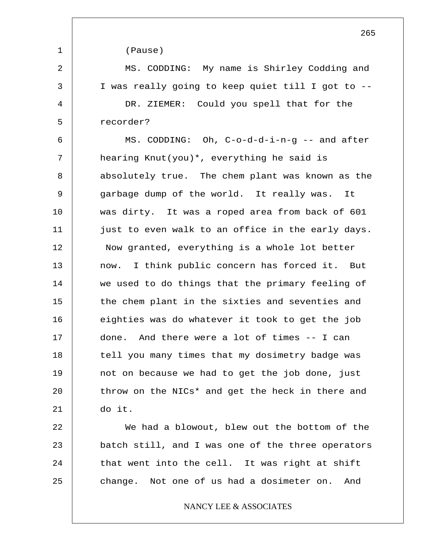1 2 3 4 5 6 7 8 9 10 11 12 13 14 15 16 17 18 19 20 21 22 23 24 25 (Pause) MS. CODDING: My name is Shirley Codding and I was really going to keep quiet till I got to -- DR. ZIEMER: Could you spell that for the recorder? MS. CODDING: Oh, C-o-d-d-i-n-g -- and after hearing Knut(you)\*, everything he said is absolutely true. The chem plant was known as the garbage dump of the world. It really was. It was dirty. It was a roped area from back of 601 just to even walk to an office in the early days. Now granted, everything is a whole lot better now. I think public concern has forced it. But we used to do things that the primary feeling of the chem plant in the sixties and seventies and eighties was do whatever it took to get the job done. And there were a lot of times -- I can tell you many times that my dosimetry badge was not on because we had to get the job done, just throw on the NICs\* and get the heck in there and do it. We had a blowout, blew out the bottom of the batch still, and I was one of the three operators that went into the cell. It was right at shift change. Not one of us had a dosimeter on. And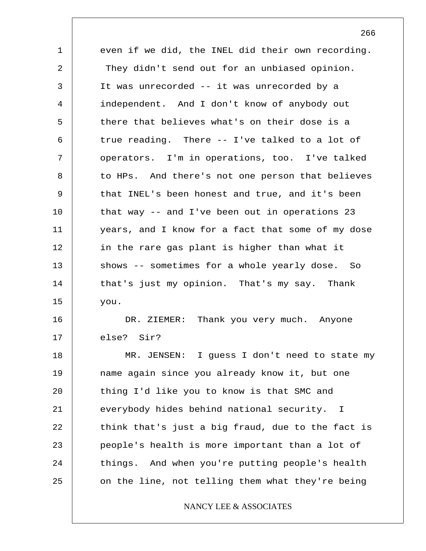| 1  | even if we did, the INEL did their own recording. |  |  |  |
|----|---------------------------------------------------|--|--|--|
| 2  | They didn't send out for an unbiased opinion.     |  |  |  |
| 3  | It was unrecorded -- it was unrecorded by a       |  |  |  |
| 4  | independent. And I don't know of anybody out      |  |  |  |
| 5  | there that believes what's on their dose is a     |  |  |  |
| 6  | true reading. There -- I've talked to a lot of    |  |  |  |
| 7  | operators. I'm in operations, too. I've talked    |  |  |  |
| 8  | to HPs. And there's not one person that believes  |  |  |  |
| 9  | that INEL's been honest and true, and it's been   |  |  |  |
| 10 | that way $-$ and I've been out in operations 23   |  |  |  |
| 11 | years, and I know for a fact that some of my dose |  |  |  |
| 12 | in the rare gas plant is higher than what it      |  |  |  |
| 13 | shows -- sometimes for a whole yearly dose. So    |  |  |  |
| 14 | that's just my opinion. That's my say. Thank      |  |  |  |
| 15 | you.                                              |  |  |  |
| 16 | DR. ZIEMER: Thank you very much. Anyone           |  |  |  |
| 17 | else? Sir?                                        |  |  |  |
| 18 | MR. JENSEN: I guess I don't need to state my      |  |  |  |
| 19 | name again since you already know it, but one     |  |  |  |
| 20 | thing I'd like you to know is that SMC and        |  |  |  |
| 21 | everybody hides behind national security. I       |  |  |  |
| 22 | think that's just a big fraud, due to the fact is |  |  |  |
| 23 | people's health is more important than a lot of   |  |  |  |
| 24 | things. And when you're putting people's health   |  |  |  |
| 25 | on the line, not telling them what they're being  |  |  |  |
|    | NANCY LEE & ASSOCIATES                            |  |  |  |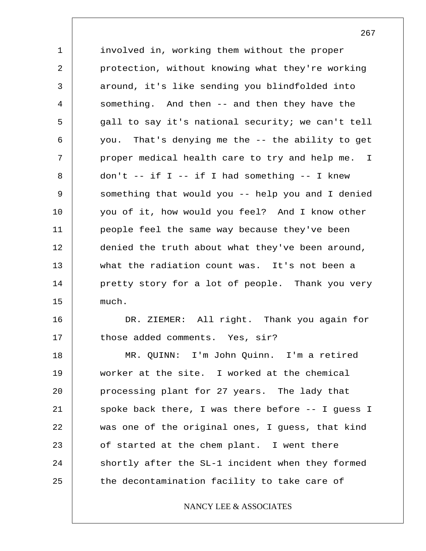1 2 3 4 5 6 7 8 9 10 11 12 13 14 15 16 17 18 19 20 involved in, working them without the proper protection, without knowing what they're working around, it's like sending you blindfolded into something. And then -- and then they have the gall to say it's national security; we can't tell you. That's denying me the -- the ability to get proper medical health care to try and help me. I don't  $--$  if I  $--$  if I had something  $--$  I knew something that would you -- help you and I denied you of it, how would you feel? And I know other people feel the same way because they've been denied the truth about what they've been around, what the radiation count was. It's not been a pretty story for a lot of people. Thank you very much. DR. ZIEMER: All right. Thank you again for those added comments. Yes, sir? MR. QUINN: I'm John Quinn. I'm a retired worker at the site. I worked at the chemical processing plant for 27 years. The lady that

21 22 23 24 25 spoke back there, I was there before -- I guess I was one of the original ones, I guess, that kind of started at the chem plant. I went there shortly after the SL-1 incident when they formed the decontamination facility to take care of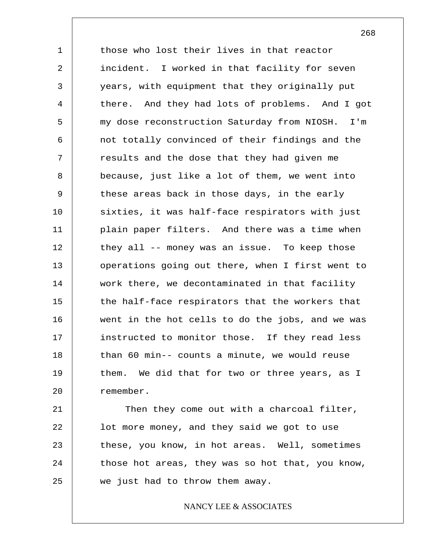1 2 3 4 5 6 7 8 9 10 11 12 13 14 15 16 17 18 19 20 those who lost their lives in that reactor incident. I worked in that facility for seven years, with equipment that they originally put there. And they had lots of problems. And I got my dose reconstruction Saturday from NIOSH. I'm not totally convinced of their findings and the results and the dose that they had given me because, just like a lot of them, we went into these areas back in those days, in the early sixties, it was half-face respirators with just plain paper filters. And there was a time when they all -- money was an issue. To keep those operations going out there, when I first went to work there, we decontaminated in that facility the half-face respirators that the workers that went in the hot cells to do the jobs, and we was instructed to monitor those. If they read less than 60 min-- counts a minute, we would reuse them. We did that for two or three years, as I remember.

21 22 23 24 25 Then they come out with a charcoal filter, lot more money, and they said we got to use these, you know, in hot areas. Well, sometimes those hot areas, they was so hot that, you know, we just had to throw them away.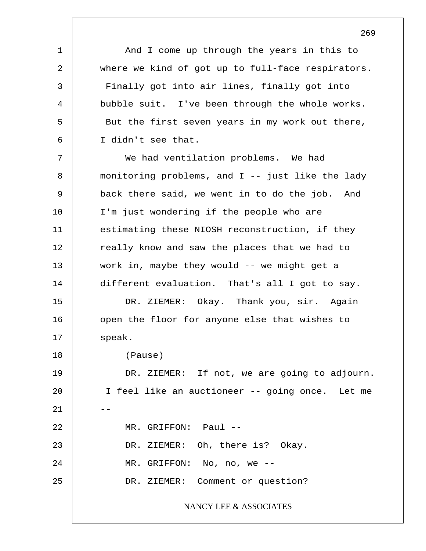And I come up through the years in this to where we kind of got up to full-face respirators. Finally got into air lines, finally got into bubble suit. I've been through the whole works. But the first seven years in my work out there, I didn't see that.

1

2

3

4

5

6

7 8 9 10 11 12 13 14 15 16 17 18 19 20  $21$ 22 23 24 25 We had ventilation problems. We had monitoring problems, and I -- just like the lady back there said, we went in to do the job. And I'm just wondering if the people who are estimating these NIOSH reconstruction, if they really know and saw the places that we had to work in, maybe they would -- we might get a different evaluation. That's all I got to say. DR. ZIEMER: Okay. Thank you, sir. Again open the floor for anyone else that wishes to speak. (Pause) DR. ZIEMER: If not, we are going to adjourn. I feel like an auctioneer -- going once. Let me MR. GRIFFON: Paul --DR. ZIEMER: Oh, there is? Okay. MR. GRIFFON: No, no, we -- DR. ZIEMER: Comment or question? NANCY LEE & ASSOCIATES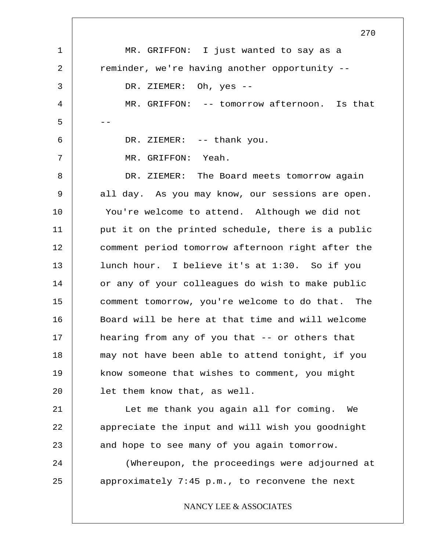1 2 3 4 5 6 7 8 9 10 11 12 13 14 15 16 17 18 19 20 21 22 23 24 25 270 MR. GRIFFON: I just wanted to say as a reminder, we're having another opportunity -- DR. ZIEMER: Oh, yes -- MR. GRIFFON: -- tomorrow afternoon. Is that -- DR. ZIEMER: -- thank you. MR. GRIFFON: Yeah. DR. ZIEMER: The Board meets tomorrow again all day. As you may know, our sessions are open. You're welcome to attend. Although we did not put it on the printed schedule, there is a public comment period tomorrow afternoon right after the lunch hour. I believe it's at 1:30. So if you or any of your colleagues do wish to make public comment tomorrow, you're welcome to do that. The Board will be here at that time and will welcome hearing from any of you that -- or others that may not have been able to attend tonight, if you know someone that wishes to comment, you might let them know that, as well. Let me thank you again all for coming. We appreciate the input and will wish you goodnight and hope to see many of you again tomorrow. (Whereupon, the proceedings were adjourned at approximately 7:45 p.m., to reconvene the next NANCY LEE & ASSOCIATES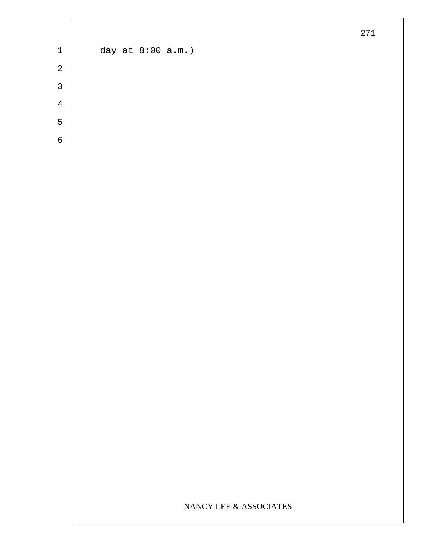|                            |                   |                           | 271 |
|----------------------------|-------------------|---------------------------|-----|
| $\ensuremath{\mathbbm{1}}$ | day at 8:00 a.m.) |                           |     |
| $\sqrt{2}$                 |                   |                           |     |
| $\mathbf{3}$               |                   |                           |     |
| $\overline{4}$             |                   |                           |     |
| 5                          |                   |                           |     |
| $\epsilon$                 |                   |                           |     |
|                            |                   |                           |     |
|                            |                   |                           |     |
|                            |                   |                           |     |
|                            |                   |                           |     |
|                            |                   |                           |     |
|                            |                   |                           |     |
|                            |                   |                           |     |
|                            |                   |                           |     |
|                            |                   |                           |     |
|                            |                   |                           |     |
|                            |                   |                           |     |
|                            |                   |                           |     |
|                            |                   |                           |     |
|                            |                   |                           |     |
|                            |                   |                           |     |
|                            |                   |                           |     |
|                            |                   |                           |     |
|                            |                   |                           |     |
|                            |                   | NANCY LEE $\&$ ASSOCIATES |     |

Г